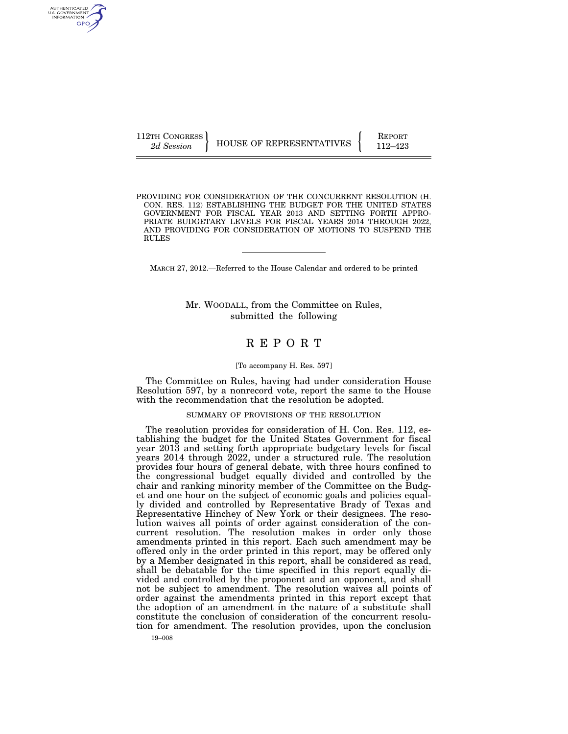AUTHENTICATED<br>U.S. GOVERNMENT<br>INFORMATION GPO

112TH CONGRESS HOUSE OF REPRESENTATIVES FEPORT 112–423

PROVIDING FOR CONSIDERATION OF THE CONCURRENT RESOLUTION (H. CON. RES. 112) ESTABLISHING THE BUDGET FOR THE UNITED STATES GOVERNMENT FOR FISCAL YEAR 2013 AND SETTING FORTH APPRO-PRIATE BUDGETARY LEVELS FOR FISCAL YEARS 2014 THROUGH 2022, AND PROVIDING FOR CONSIDERATION OF MOTIONS TO SUSPEND THE RULES

MARCH 27, 2012.—Referred to the House Calendar and ordered to be printed

Mr. WOODALL, from the Committee on Rules, submitted the following

# R E P O R T

### [To accompany H. Res. 597]

The Committee on Rules, having had under consideration House Resolution 597, by a nonrecord vote, report the same to the House with the recommendation that the resolution be adopted.

### SUMMARY OF PROVISIONS OF THE RESOLUTION

The resolution provides for consideration of H. Con. Res. 112, establishing the budget for the United States Government for fiscal year 2013 and setting forth appropriate budgetary levels for fiscal years 2014 through 2022, under a structured rule. The resolution provides four hours of general debate, with three hours confined to the congressional budget equally divided and controlled by the chair and ranking minority member of the Committee on the Budget and one hour on the subject of economic goals and policies equally divided and controlled by Representative Brady of Texas and Representative Hinchey of New York or their designees. The resolution waives all points of order against consideration of the concurrent resolution. The resolution makes in order only those amendments printed in this report. Each such amendment may be offered only in the order printed in this report, may be offered only by a Member designated in this report, shall be considered as read, shall be debatable for the time specified in this report equally divided and controlled by the proponent and an opponent, and shall not be subject to amendment. The resolution waives all points of order against the amendments printed in this report except that the adoption of an amendment in the nature of a substitute shall constitute the conclusion of consideration of the concurrent resolution for amendment. The resolution provides, upon the conclusion

19–008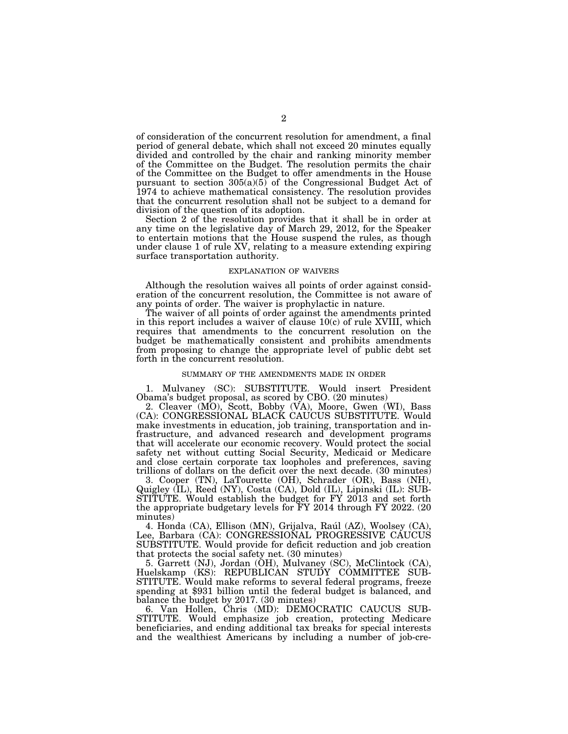of consideration of the concurrent resolution for amendment, a final period of general debate, which shall not exceed 20 minutes equally divided and controlled by the chair and ranking minority member of the Committee on the Budget. The resolution permits the chair of the Committee on the Budget to offer amendments in the House pursuant to section 305(a)(5) of the Congressional Budget Act of 1974 to achieve mathematical consistency. The resolution provides that the concurrent resolution shall not be subject to a demand for division of the question of its adoption.

Section 2 of the resolution provides that it shall be in order at any time on the legislative day of March 29, 2012, for the Speaker to entertain motions that the House suspend the rules, as though under clause 1 of rule XV, relating to a measure extending expiring surface transportation authority.

#### EXPLANATION OF WAIVERS

Although the resolution waives all points of order against consideration of the concurrent resolution, the Committee is not aware of any points of order. The waiver is prophylactic in nature.

The waiver of all points of order against the amendments printed in this report includes a waiver of clause 10(c) of rule XVIII, which requires that amendments to the concurrent resolution on the budget be mathematically consistent and prohibits amendments from proposing to change the appropriate level of public debt set forth in the concurrent resolution.

#### SUMMARY OF THE AMENDMENTS MADE IN ORDER

1. Mulvaney (SC): SUBSTITUTE. Would insert President Obama's budget proposal, as scored by CBO. (20 minutes)

2. Cleaver (MO), Scott, Bobby (VA), Moore, Gwen (WI), Bass (CA): CONGRESSIONAL BLACK CAUCUS SUBSTITUTE. Would make investments in education, job training, transportation and infrastructure, and advanced research and development programs that will accelerate our economic recovery. Would protect the social safety net without cutting Social Security, Medicaid or Medicare and close certain corporate tax loopholes and preferences, saving trillions of dollars on the deficit over the next decade. (30 minutes)

3. Cooper (TN), LaTourette (OH), Schrader (OR), Bass (NH), Quigley (IL), Reed (NY), Costa (CA), Dold (IL), Lipinski (IL): SUB-STITUTE. Would establish the budget for FY 2013 and set forth the appropriate budgetary levels for FY 2014 through FY 2022. (20 minutes)

4. Honda (CA), Ellison (MN), Grijalva, Raúl (AZ), Woolsey (CA), Lee, Barbara (CA): CONGRESSIONAL PROGRESSIVE CAUCUS SUBSTITUTE. Would provide for deficit reduction and job creation that protects the social safety net. (30 minutes)

5. Garrett (NJ), Jordan (OH), Mulvaney (SC), McClintock (CA), Huelskamp (KS): REPUBLICAN STUDY COMMITTEE SUB-STITUTE. Would make reforms to several federal programs, freeze spending at \$931 billion until the federal budget is balanced, and balance the budget by 2017. (30 minutes)

6. Van Hollen, Chris (MD): DEMOCRATIC CAUCUS SUB-STITUTE. Would emphasize job creation, protecting Medicare beneficiaries, and ending additional tax breaks for special interests and the wealthiest Americans by including a number of job-cre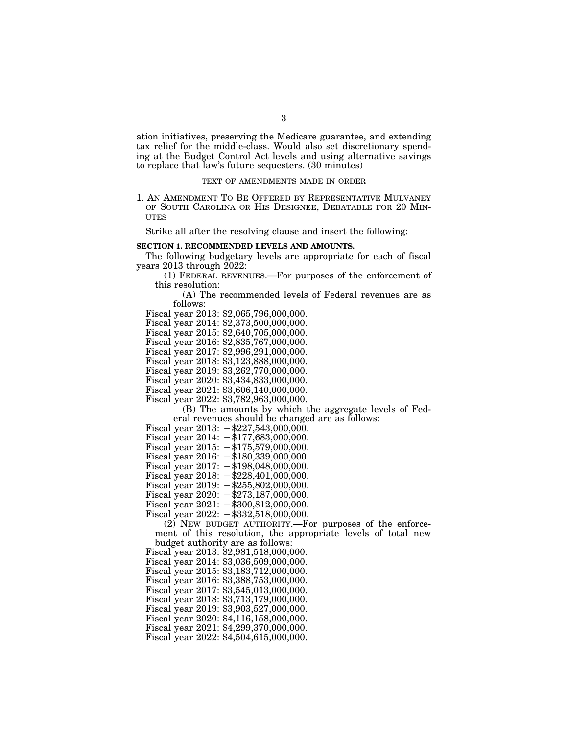ation initiatives, preserving the Medicare guarantee, and extending tax relief for the middle-class. Would also set discretionary spending at the Budget Control Act levels and using alternative savings to replace that law's future sequesters. (30 minutes)

#### TEXT OF AMENDMENTS MADE IN ORDER

1. AN AMENDMENT TO BE OFFERED BY REPRESENTATIVE MULVANEY OF SOUTH CAROLINA OR HIS DESIGNEE, DEBATABLE FOR 20 MIN-**UTES** 

Strike all after the resolving clause and insert the following:

### **SECTION 1. RECOMMENDED LEVELS AND AMOUNTS.**

The following budgetary levels are appropriate for each of fiscal years 2013 through 2022:

(1) FEDERAL REVENUES.—For purposes of the enforcement of this resolution:

(A) The recommended levels of Federal revenues are as follows:

Fiscal year 2013: \$2,065,796,000,000.

Fiscal year 2014: \$2,373,500,000,000.

Fiscal year 2015: \$2,640,705,000,000.

Fiscal year 2016: \$2,835,767,000,000.

Fiscal year 2017: \$2,996,291,000,000.

Fiscal year 2018: \$3,123,888,000,000.

Fiscal year 2019: \$3,262,770,000,000.

Fiscal year 2020: \$3,434,833,000,000.

Fiscal year 2021: \$3,606,140,000,000.

Fiscal year 2022: \$3,782,963,000,000.

(B) The amounts by which the aggregate levels of Federal revenues should be changed are as follows:

Fiscal year  $2013: -\$227,543,000,000.$ 

Fiscal year  $2014: -177,683,000,000$ .

- Fiscal year  $2015: -\$175,579,000,000.$
- Fiscal year  $2016: -\$180,339,000,000.$

Fiscal year  $2017: -198,048,000,000$ .

Fiscal year 2018:  $-\frac{228}{401,000,000}$ .

Fiscal year  $2019: -\$255,802,000,000.$ 

Fiscal year 2020:  $-\$273,187,000,000$ .

Fiscal year  $2021: -\$300,812,000,000.$ 

Fiscal year 2022:  $-$ \$332,518,000,000.

(2) NEW BUDGET AUTHORITY.—For purposes of the enforcement of this resolution, the appropriate levels of total new budget authority are as follows:

Fiscal year 2013: \$2,981,518,000,000.

Fiscal year 2014: \$3,036,509,000,000.

Fiscal year 2015: \$3,183,712,000,000.

Fiscal year 2016: \$3,388,753,000,000.

Fiscal year 2017: \$3,545,013,000,000.

Fiscal year 2018: \$3,713,179,000,000.

Fiscal year 2019: \$3,903,527,000,000.

Fiscal year 2020: \$4,116,158,000,000.

Fiscal year 2021: \$4,299,370,000,000. Fiscal year 2022: \$4,504,615,000,000.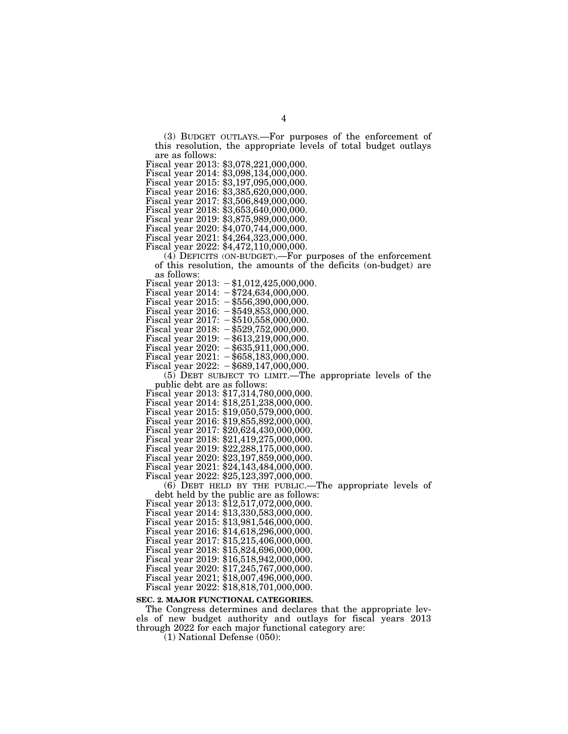(3) BUDGET OUTLAYS.—For purposes of the enforcement of this resolution, the appropriate levels of total budget outlays are as follows:

Fiscal year 2013: \$3,078,221,000,000.

Fiscal year 2014: \$3,098,134,000,000.

Fiscal year 2015: \$3,197,095,000,000.

Fiscal year 2016: \$3,385,620,000,000.

Fiscal year 2017: \$3,506,849,000,000.

Fiscal year 2018: \$3,653,640,000,000.

Fiscal year 2019: \$3,875,989,000,000.

Fiscal year 2020: \$4,070,744,000,000.

Fiscal year 2021: \$4,264,323,000,000.

Fiscal year 2022: \$4,472,110,000,000.

(4) DEFICITS (ON-BUDGET).—For purposes of the enforcement of this resolution, the amounts of the deficits (on-budget) are as follows:

Fiscal year 2013:  $-\$1,012,425,000,000$ .

Fiscal year  $2014: -1724,634,000,000.$ 

Fiscal year 2015:  $-\$556,390,000,000$ .

Fiscal year 2016:  $-\$549,853,000,000$ .

Fiscal year  $2017: -\$510,558,000,000.$ 

Fiscal year  $2018: -\$529,752,000,000.$ 

Fiscal year 2019:  $-\$613,219,000,000$ .

Fiscal year  $2020: -\$635,911,000,000.$ 

Fiscal year  $2021: -\$658,183,000,000.$ 

Fiscal year  $2022: -\$689,147,000,000.$ 

(5) DEBT SUBJECT TO LIMIT.—The appropriate levels of the

Fiscal year 2013: \$17,314,780,000,000.

Fiscal year 2014: \$18,251,238,000,000.

Fiscal year 2015: \$19,050,579,000,000.

Fiscal year 2016: \$19,855,892,000,000.

Fiscal year 2017: \$20,624,430,000,000.

Fiscal year 2018: \$21,419,275,000,000.

Fiscal year 2019: \$22,288,175,000,000.

Fiscal year 2020: \$23,197,859,000,000.

Fiscal year 2021: \$24,143,484,000,000.

Fiscal year 2022: \$25,123,397,000,000.  $(6)$  DEBT HELD BY THE PUBLIC.—The appropriate levels of debt held by the public are as follows:

Fiscal year  $2013: $12,517,072,000,000.$ 

Fiscal year 2014: \$13,330,583,000,000.

Fiscal year 2015: \$13,981,546,000,000.

Fiscal year 2016: \$14,618,296,000,000.

Fiscal year 2017: \$15,215,406,000,000.

Fiscal year 2018: \$15,824,696,000,000.

Fiscal year 2019: \$16,518,942,000,000.

Fiscal year 2020: \$17,245,767,000,000. Fiscal year 2021; \$18,007,496,000,000.

Fiscal year 2022: \$18,818,701,000,000.

## **SEC. 2. MAJOR FUNCTIONAL CATEGORIES.**

The Congress determines and declares that the appropriate levels of new budget authority and outlays for fiscal years 2013 through 2022 for each major functional category are:

(1) National Defense (050):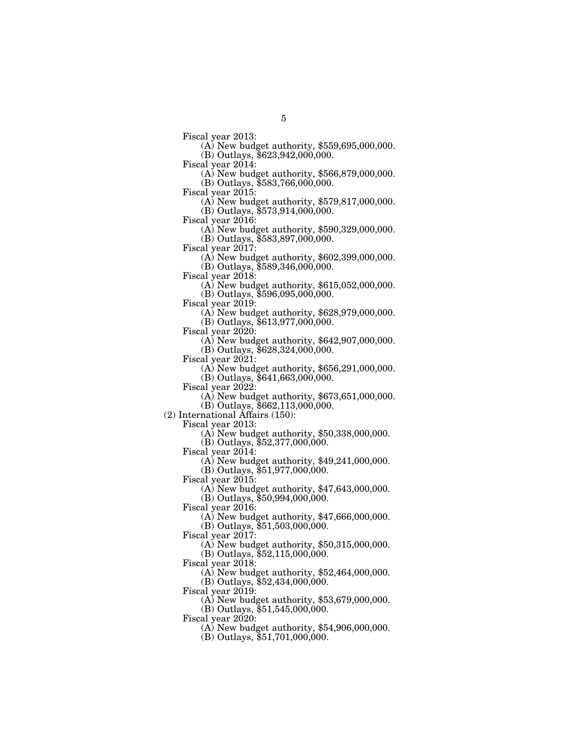Fiscal year 2013: (A) New budget authority, \$559,695,000,000.  $(B)$  Outlays, \$623,942,000,000.<br>Fiscal year 2014:

5

 $F(A)$  New budget authority, \$566,879,000,000. (B) Outlays, \$583,766,000,000.

Fiscal year 2015: (A) New budget authority, \$579,817,000,000.  $(B)$  Outlays,  $$573,914,000,000$ .

Fiscal year 2016: (A) New budget authority, \$590,329,000,000.

(B) Outlays, \$583,897,000,000.<br>Fiscal year 2017:

 $F(A)$  New budget authority, \$602,399,000,000. (B) Outlays, \$589,346,000,000.

Fiscal year 2018: (A) New budget authority, \$615,052,000,000.

(B) Outlays, \$596,095,000,000.

(A) New budget authority,  $$628,979,000,000$ .

(B) Outlays, \$613,977,000,000.

 $(A)$  New budget authority, \$642,907,000,000. (B) Outlays, \$628,324,000,000.

Fiscal year 2021: (A) New budget authority, \$656,291,000,000.

(B) Outlays, \$641,663,000,000.

 $(A)$  New budget authority, \$673,651,000,000.

(B) Outlays, \$662,113,000,000.

(2) International Affairs (150):

 $(A)$  New budget authority, \$50,338,000,000.

(B) Outlays, \$52,377,000,000.

Fiscal year 2014:

(A) New budget authority, \$49,241,000,000.

(B) Outlays, \$51,977,000,000.

Fiscal year 2015:

(A) New budget authority, \$47,643,000,000.

(B) Outlays, \$50,994,000,000.

Fiscal year 2016:

(A) New budget authority, \$47,666,000,000.

(B) Outlays, \$51,503,000,000.

Fiscal year 2017:

(A) New budget authority, \$50,315,000,000. (B) Outlays, \$52,115,000,000.

Fiscal year 2018:

(A) New budget authority, \$52,464,000,000. (B) Outlays, \$52,434,000,000.

Fiscal year 2019:

(A) New budget authority, \$53,679,000,000.

(B) Outlays, \$51,545,000,000.

Fiscal year 2020:

(A) New budget authority, \$54,906,000,000.

(B) Outlays, \$51,701,000,000.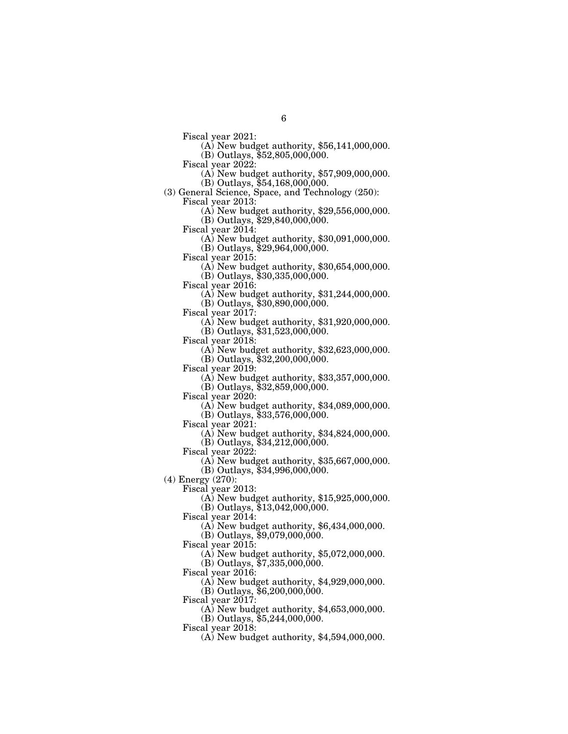Fiscal year 2021: (A) New budget authority, \$56,141,000,000.

 $(B)$  Outlays, \$52,805,000,000.<br>Fiscal year 2022:

 $(A)$  New budget authority, \$57,909,000,000. (B) Outlays, \$54,168,000,000.

(3) General Science, Space, and Technology (250):

Fiscal year 2013: (A) New budget authority, \$29,556,000,000.

 $(B)$  Outlays, \$29,840,000,000.<br>Fiscal year 2014:

 $(A)$  New budget authority, \$30,091,000,000.

(B) Outlays, \$29,964,000,000.<br>Fiscal year 2015:

 $F(A)$  New budget authority, \$30,654,000,000. (B) Outlays, \$30,335,000,000.

Fiscal year 2016: (A) New budget authority, \$31,244,000,000.

(B) Outlays, \$30,890,000,000.

Fiscal year 2017: (A) New budget authority, \$31,920,000,000.

(B) Outlays, \$31,523,000,000.<br>Fiscal year 2018:

(A) New budget authority,  $$32,623,000,000$ .

(B) Outlays, \$32,200,000,000.

Fiscal year 2019: (A) New budget authority, \$33,357,000,000.

(B) Outlays, \$32,859,000,000.

Fiscal year 2020: (A) New budget authority, \$34,089,000,000.

(B) Outlays, \$33,576,000,000.<br>Fiscal year 2021:

 $F(A)$  New budget authority, \$34,824,000,000.

(B) Outlays, \$34,212,000,000.

Fiscal year 2022:

(A) New budget authority, \$35,667,000,000.

(B) Outlays, \$34,996,000,000.

(4) Energy (270):

Fiscal year 2013:

(A) New budget authority, \$15,925,000,000.

(B) Outlays, \$13,042,000,000.

Fiscal year 2014:

(A) New budget authority, \$6,434,000,000.

(B) Outlays, \$9,079,000,000.

Fiscal year 2015:

(A) New budget authority, \$5,072,000,000.

(B) Outlays, \$7,335,000,000.

Fiscal year 2016:

(A) New budget authority, \$4,929,000,000.

(B) Outlays, \$6,200,000,000.

Fiscal year 2017:

(A) New budget authority, \$4,653,000,000.

(B) Outlays, \$5,244,000,000.

Fiscal year 2018:

(A) New budget authority, \$4,594,000,000.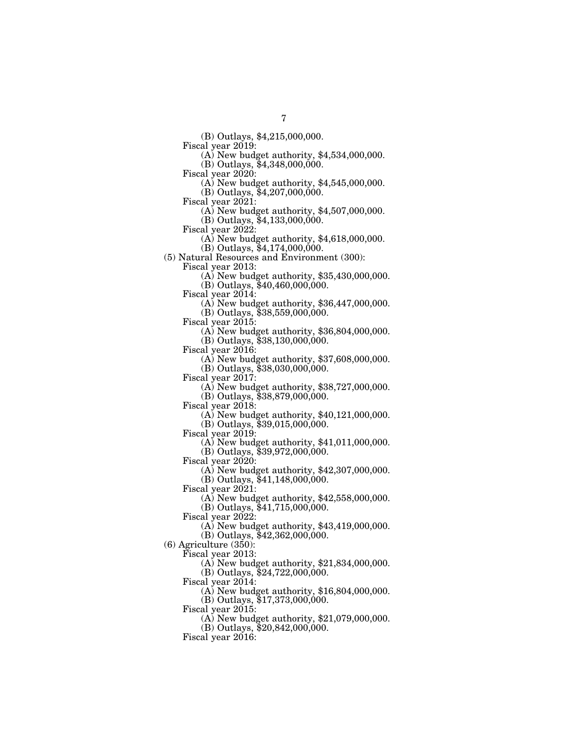(B) Outlays, \$4,215,000,000.

 $(A)$  New budget authority, \$4,534,000,000.

(B) Outlays, \$4,348,000,000.<br>Fiscal year 2020:

 $(A)$  New budget authority,  $$4,545,000,000$ .

(B) Outlays, \$4,207,000,000.

Fiscal year 2021: (A) New budget authority, \$4,507,000,000.

(B) Outlays, \$4,133,000,000.<br>Fiscal year 2022:

 $(A)$  New budget authority, \$4,618,000,000.

(B) Outlays, \$4,174,000,000.

(5) Natural Resources and Environment (300):

 $\Phi$  New budget authority, \$35,430,000,000.

(B) Outlays, \$40,460,000,000.

 $F(A)$  New budget authority, \$36,447,000,000.

(B) Outlays, \$38,559,000,000.

Fiscal year 2015: (A) New budget authority, \$36,804,000,000.

(B) Outlays, \$38,130,000,000.<br>Fiscal year 2016:

 $(A)$  New budget authority, \$37,608,000,000. (B) Outlays, \$38,030,000,000.<br>Fiscal year 2017:

 $\Phi$ ) New budget authority, \$38,727,000,000.

(B) Outlays, \$38,879,000,000.

Fiscal year 2018: (A) New budget authority, \$40,121,000,000.

(B) Outlays, \$39,015,000,000.<br>Fiscal year 2019:

 $\Phi$  New budget authority, \$41,011,000,000.

(B) Outlays, \$39,972,000,000.

Fiscal year 2020:

(A) New budget authority, \$42,307,000,000.

(B) Outlays, \$41,148,000,000.

Fiscal year 2021:

(A) New budget authority, \$42,558,000,000.

(B) Outlays, \$41,715,000,000.

Fiscal year 2022:

(A) New budget authority, \$43,419,000,000.

(B) Outlays, \$42,362,000,000.

(6) Agriculture (350):

Fiscal year 2013:

(A) New budget authority, \$21,834,000,000.

(B) Outlays, \$24,722,000,000.

Fiscal year 2014:

(A) New budget authority, \$16,804,000,000.

(B) Outlays, \$17,373,000,000.

Fiscal year 2015:

(A) New budget authority, \$21,079,000,000.

(B) Outlays, \$20,842,000,000.

Fiscal year 2016: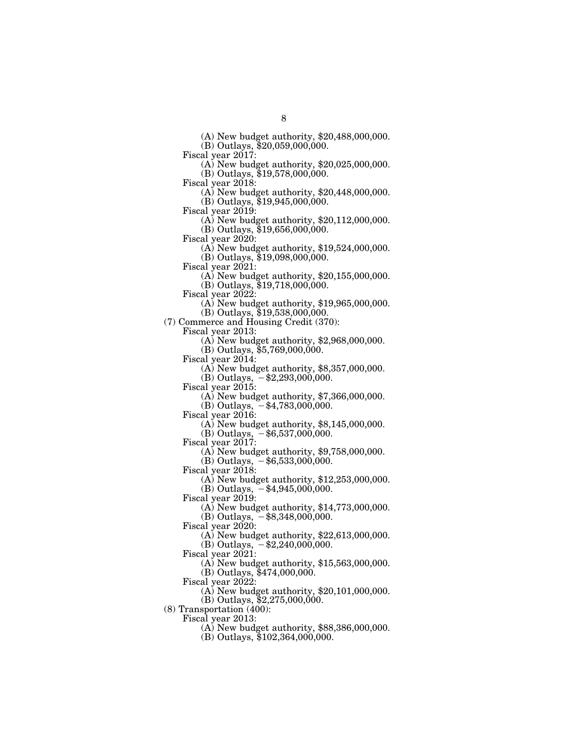(A) New budget authority, \$20,488,000,000.

(B) Outlays, \$20,059,000,000.

Fiscal year 2017: (A) New budget authority, \$20,025,000,000.

(B) Outlays, \$19,578,000,000.<br>Fiscal year 2018:

 $(A)$  New budget authority, \$20,448,000,000.

(B) Outlays, \$19,945,000,000.<br>Fiscal year 2019:

 $\Phi$ ) New budget authority, \$20,112,000,000. (B) Outlays, \$19,656,000,000.

Fiscal year 2020: (A) New budget authority, \$19,524,000,000.

(B) Outlays, \$19,098,000,000.<br>Fiscal year 2021:

 $\Phi$ ) New budget authority, \$20,155,000,000.

(B) Outlays, \$19,718,000,000.

 $\Phi$ ) New budget authority, \$19,965,000,000.

(B) Outlays, \$19,538,000,000.

(7) Commerce and Housing Credit (370):

Fiscal year 2013: (A) New budget authority, \$2,968,000,000.

(B) Outlays, \$5,769,000,000.

Fiscal year 2014: (A) New budget authority, \$8,357,000,000.

(B) Outlays,  $-$ \$2,293,000,000.<br>Fiscal year 2015:

 $(A)$  New budget authority, \$7,366,000,000.

 $(B)$  Outlays,  $-\$4,783,000,000$ .

Fiscal year 2016: (A) New budget authority, \$8,145,000,000.

(B) Outlays,  $-$ \$6,537,000,000.

Fiscal year 2017:

(A) New budget authority, \$9,758,000,000.

 $(B)$  Outlays,  $-$  \$6,533,000,000.

Fiscal year 2018:

(A) New budget authority, \$12,253,000,000. (B) Outlays,  $-$ \$4,945,000,000.

Fiscal year 2019:

(A) New budget authority, \$14,773,000,000.

(B) Outlays,  $-$ \$8,348,000,000.

Fiscal year 2020:

(A) New budget authority, \$22,613,000,000.

(B) Outlays,  $-$ \$2,240,000,000.

Fiscal year 2021:

(A) New budget authority, \$15,563,000,000.

(B) Outlays, \$474,000,000.

Fiscal year 2022:

(A) New budget authority, \$20,101,000,000.

(B) Outlays, \$2,275,000,000.

(8) Transportation (400):

Fiscal year 2013:

(A) New budget authority, \$88,386,000,000.

 $(B)$  Outlays, \$102,364,000,000.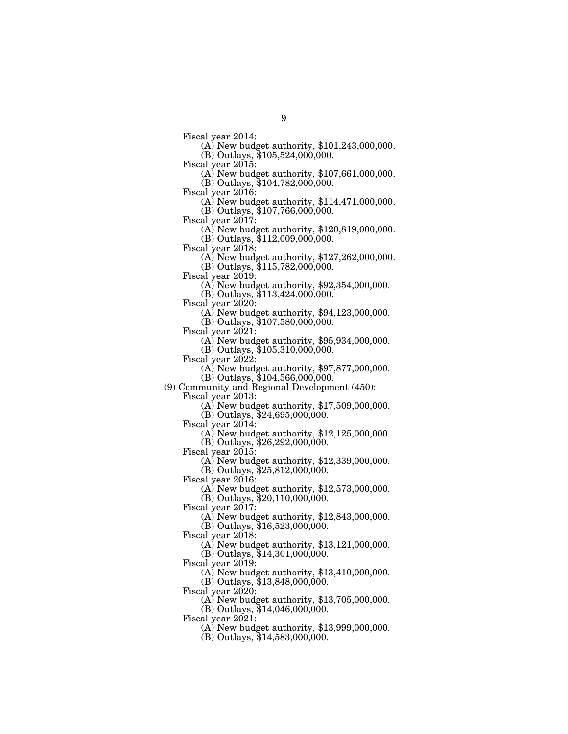Fiscal year 2014: (A) New budget authority, \$101,243,000,000.  $(B)$  Outlays, \$105,524,000,000.<br>Fiscal year 2015:

9

(A) New budget authority,  $$107,661,000,000$ . (B) Outlays, \$104,782,000,000.

Fiscal year 2016: (A) New budget authority, \$114,471,000,000. (B) Outlays, \$107,766,000,000.

Fiscal year 2017: (A) New budget authority, \$120,819,000,000.

(B) Outlays, \$112,009,000,000.<br>Fiscal year 2018:

(A) New budget authority,  $$127,262,000,000$ . (B) Outlays, \$115,782,000,000.

Fiscal year 2019: (A) New budget authority, \$92,354,000,000.

(B) Outlays, \$113,424,000,000.

 $F(A)$  New budget authority, \$94,123,000,000.

(B) Outlays, \$107,580,000,000.

 $\Delta$ ) New budget authority, \$95,934,000,000.

(B) Outlays, \$105,310,000,000.

Fiscal year 2022: (A) New budget authority, \$97,877,000,000.

(B) Outlays,  $$104,566,000,000$ .

(9) Community and Regional Development (450):

 $F(A)$  New budget authority, \$17,509,000,000.

 $(B)$  Outlays, \$24,695,000,000.<br>Fiscal year 2014:

 $F(A)$  New budget authority, \$12,125,000,000. (B) Outlays, \$26,292,000,000.

Fiscal year 2015:

(A) New budget authority, \$12,339,000,000.

(B) Outlays, \$25,812,000,000.

Fiscal year 2016:

(A) New budget authority, \$12,573,000,000.

(B) Outlays, \$20,110,000,000.

Fiscal year 2017:

(A) New budget authority, \$12,843,000,000.

 $(B)$  Outlays,  $$16,523,000,000$ .

Fiscal year 2018:

(A) New budget authority, \$13,121,000,000. (B) Outlays, \$14,301,000,000.

Fiscal year 2019:

(A) New budget authority, \$13,410,000,000. (B) Outlays, \$13,848,000,000.

Fiscal year 2020:

(A) New budget authority, \$13,705,000,000.

(B) Outlays, \$14,046,000,000.

Fiscal year 2021:

(A) New budget authority, \$13,999,000,000.

(B) Outlays, \$14,583,000,000.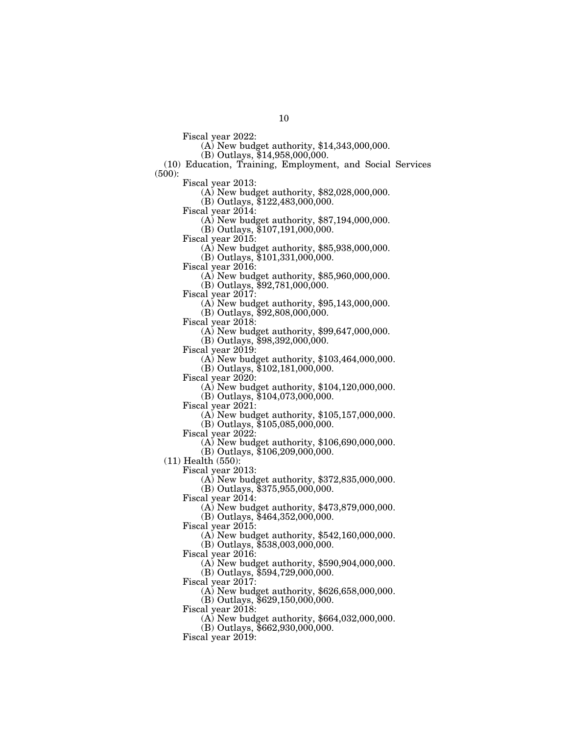Fiscal year 2022: (A) New budget authority, \$14,343,000,000.

 $(B)$  Outlays, \$14,958,000,000.

(10) Education, Training, Employment, and Social Services  $(500)$ :<br>Fiscal year 2013:

 $\Phi$  New budget authority, \$82,028,000,000.

(B) Outlays, \$122,483,000,000.

 $\Phi$  New budget authority, \$87,194,000,000.

(B) Outlays, \$107,191,000,000.

Fiscal year 2015: (A) New budget authority, \$85,938,000,000.

(B) Outlays, \$101,331,000,000.

 $\Phi$  New budget authority, \$85,960,000,000.

(B) Outlays, \$92,781,000,000.<br>Fiscal year 2017:

 $(A)$  New budget authority, \$95,143,000,000.

(B) Outlays, \$92,808,000,000.

 $\Delta$ ) New budget authority, \$99,647,000,000.

(B) Outlays, \$98,392,000,000.<br>Fiscal year 2019:

 $(A)$  New budget authority, \$103,464,000,000.

(B) Outlays, \$102,181,000,000.<br>Fiscal year 2020:

(A) New budget authority,  $$104,120,000,000$ .

(B) Outlays,  $$104,073,000,000$ .

Fiscal year 2021: (A) New budget authority, \$105,157,000,000.

(B) Outlays, \$105,085,000,000.

 $\Phi$ ) New budget authority, \$106,690,000,000.

(B) Outlays, \$106,209,000,000.

(11) Health (550):

Fiscal year 2013:

(A) New budget authority, \$372,835,000,000.

(B) Outlays, \$375,955,000,000.

Fiscal year 2014:

(A) New budget authority, \$473,879,000,000.

(B) Outlays, \$464,352,000,000.

Fiscal year 2015:

(A) New budget authority, \$542,160,000,000.

(B) Outlays, \$538,003,000,000.

Fiscal year 2016:

(A) New budget authority, \$590,904,000,000.

(B) Outlays, \$594,729,000,000.

Fiscal year 2017:

(A) New budget authority, \$626,658,000,000.

(B) Outlays, \$629,150,000,000.

Fiscal year 2018:

(A) New budget authority, \$664,032,000,000.

(B) Outlays, \$662,930,000,000.

Fiscal year 2019: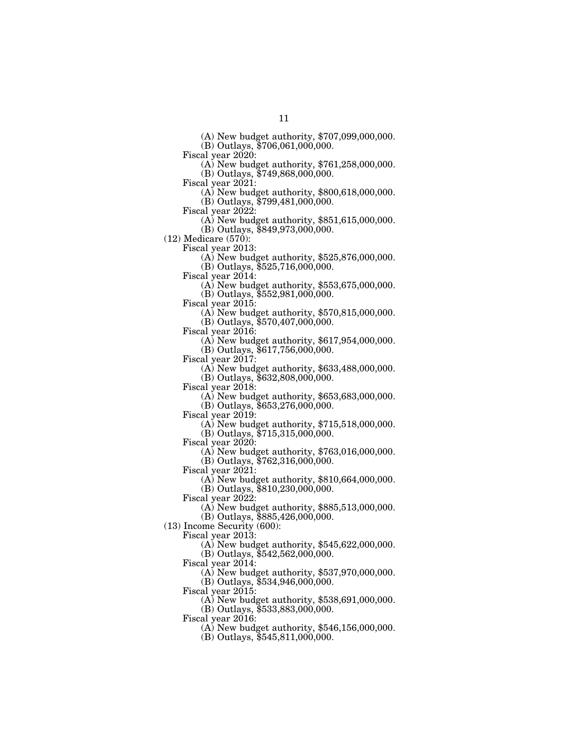(A) New budget authority, \$707,099,000,000.

(B) Outlays,  $$706,061,000,000$ .

Fiscal year 2020: (A) New budget authority, \$761,258,000,000.

(B) Outlays, \$749,868,000,000.<br>Fiscal year 2021:

- (A) New budget authority,  $$800,618,000,000$ .
- (B) Outlays, \$799,481,000,000.

 $\Phi$ ) New budget authority, \$851,615,000,000. (B) Outlays, \$849,973,000,000.

(12) Medicare (570):

Fiscal year 2013: (A) New budget authority, \$525,876,000,000.

(B) Outlays, \$525,716,000,000.

Fiscal year 2014: (A) New budget authority, \$553,675,000,000.

(B) Outlays, \$552,981,000,000.

(A) New budget authority,  $$570,815,000,000$ . (B) Outlays, \$570,407,000,000.

(A) New budget authority,  $$617,954,000,000$ . (B) Outlays, \$617,756,000,000.

Fiscal year 2017: (A) New budget authority, \$633,488,000,000.

(B) Outlays, \$632,808,000,000.

 $F(A)$  New budget authority, \$653,683,000,000.

(B) Outlays, \$653,276,000,000.<br>Fiscal year 2019:

 $F(A)$  New budget authority, \$715,518,000,000. (B) Outlays, \$715,315,000,000.

Fiscal year 2020:

(A) New budget authority, \$763,016,000,000. (B) Outlays, \$762,316,000,000.

Fiscal year 2021:

(A) New budget authority, \$810,664,000,000. (B) Outlays, \$810,230,000,000.

Fiscal year 2022:

(A) New budget authority, \$885,513,000,000.

(B) Outlays, \$885,426,000,000.

(13) Income Security (600):

Fiscal year 2013:

(A) New budget authority, \$545,622,000,000. (B) Outlays, \$542,562,000,000.

Fiscal year 2014:

(A) New budget authority, \$537,970,000,000. (B) Outlays, \$534,946,000,000.

Fiscal year 2015:

(A) New budget authority, \$538,691,000,000.

(B) Outlays, \$533,883,000,000.

Fiscal year 2016:

(A) New budget authority, \$546,156,000,000.

(B) Outlays, \$545,811,000,000.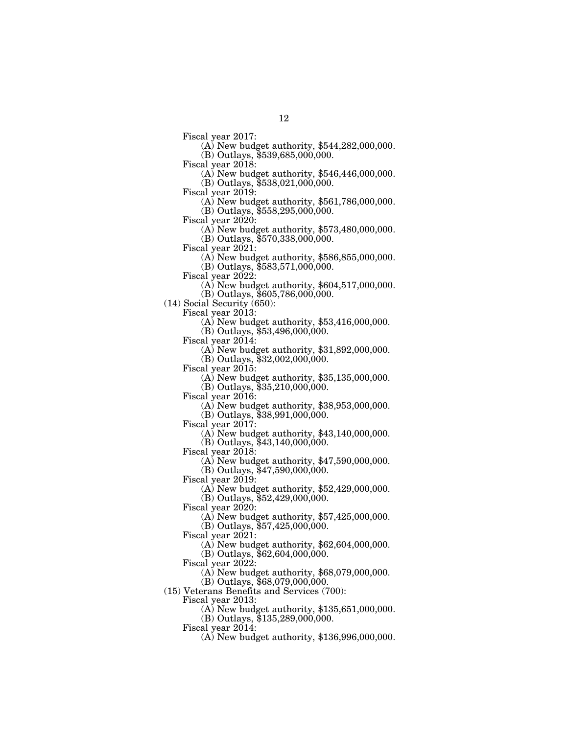Fiscal year 2017: (A) New budget authority, \$544,282,000,000.  $(B)$  Outlays, \$539,685,000,000.<br>Fiscal year 2018:

 $F(A)$  New budget authority, \$546,446,000,000. (B) Outlays, \$538,021,000,000.

Fiscal year 2019: (A) New budget authority, \$561,786,000,000.

(B) Outlays, \$558,295,000,000.

Fiscal year 2020: (A) New budget authority, \$573,480,000,000.

(B) Outlays, \$570,338,000,000.<br>Fiscal year 2021:

 $F(A)$  New budget authority, \$586,855,000,000.

(B) Outlays, \$583,571,000,000.

(A) New budget authority,  $$604,517,000,000$ .

(B) Outlays, \$605,786,000,000.

(14) Social Security (650):

Fiscal year 2013: (A) New budget authority, \$53,416,000,000.

(B) Outlays, \$53,496,000,000.<br>Fiscal year 2014:

(A) New budget authority,  $$31,892,000,000$ .

(B) Outlays, \$32,002,000,000.

Fiscal year 2015: (A) New budget authority, \$35,135,000,000.

(B) Outlays,  $$35,210,000,000$ .<br>Fiscal year 2016:

 $F(A)$  New budget authority, \$38,953,000,000.

(B) Outlays, \$38,991,000,000.<br>Fiscal year 2017:

 $(A)$  New budget authority, \$43,140,000,000. (B) Outlays, \$43,140,000,000.

Fiscal year 2018:

(A) New budget authority, \$47,590,000,000.

 $(B)$  Outlays,  $$47,590,000,000$ .

Fiscal year 2019:

(A) New budget authority, \$52,429,000,000.

(B) Outlays, \$52,429,000,000.

Fiscal year 2020:

(A) New budget authority, \$57,425,000,000.

(B) Outlays, \$57,425,000,000.

Fiscal year 2021:

(A) New budget authority, \$62,604,000,000.  $(B)$  Outlays,  $$62,604,000,000$ .

Fiscal year 2022:

(A) New budget authority, \$68,079,000,000.

(B) Outlays,  $$68,079,000,000$ .

(15) Veterans Benefits and Services (700):

Fiscal year 2013:

(A) New budget authority, \$135,651,000,000. (B) Outlays, \$135,289,000,000.

Fiscal year 2014:

(A) New budget authority, \$136,996,000,000.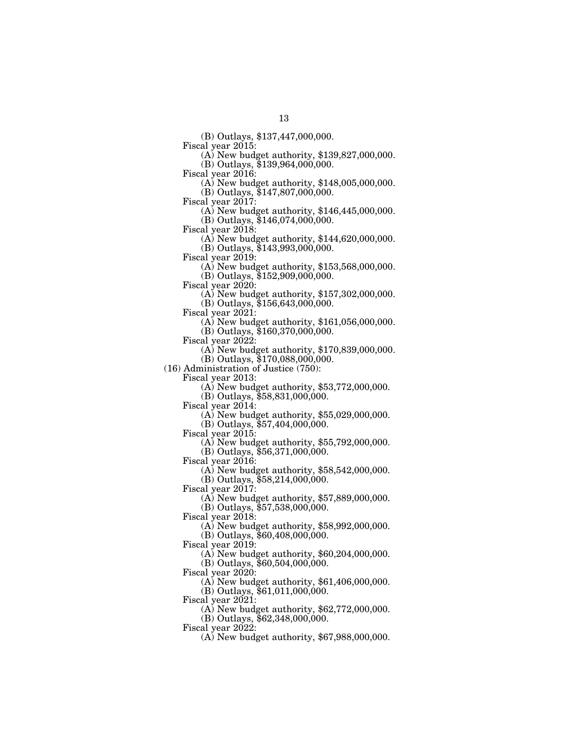(B) Outlays, \$137,447,000,000.

 $F(A)$  New budget authority, \$139,827,000,000.

 $(B)$  Outlays, \$139,964,000,000.<br>Fiscal year 2016:

 $F(A)$  New budget authority, \$148,005,000,000.

(B) Outlays, \$147,807,000,000.

Fiscal year 2017: (A) New budget authority, \$146,445,000,000.

(B) Outlays, \$146,074,000,000.

 $F(A)$  New budget authority, \$144,620,000,000.

(B) Outlays, \$143,993,000,000.

 $\Phi(A)$  New budget authority, \$153,568,000,000. (B) Outlays, \$152,909,000,000.

Fiscal year 2020: (A) New budget authority, \$157,302,000,000.

(B) Outlays, \$156,643,000,000.

Fiscal year 2021: (A) New budget authority, \$161,056,000,000.

(B) Outlays, \$160,370,000,000.<br>Fiscal year 2022:

 $F(A)$  New budget authority, \$170,839,000,000.

(B) Outlays, \$170,088,000,000.

(16) Administration of Justice (750):

 $\Phi$ ) New budget authority, \$53,772,000,000.

(B) Outlays, \$58,831,000,000.

Fiscal year 2014: (A) New budget authority, \$55,029,000,000.

(B) Outlays, \$57,404,000,000.<br>Fiscal year 2015:

 $\Phi$ ) New budget authority, \$55,792,000,000.

(B) Outlays, \$56,371,000,000.

Fiscal year 2016:

(A) New budget authority, \$58,542,000,000.

(B) Outlays, \$58,214,000,000.

Fiscal year 2017:

(A) New budget authority, \$57,889,000,000.

(B) Outlays, \$57,538,000,000.

Fiscal year 2018:

(A) New budget authority, \$58,992,000,000.

(B) Outlays, \$60,408,000,000.

Fiscal year 2019:

(A) New budget authority, \$60,204,000,000.

(B) Outlays, \$60,504,000,000.

Fiscal year 2020:

(A) New budget authority, \$61,406,000,000.

(B) Outlays, \$61,011,000,000.

Fiscal year 2021:

(A) New budget authority, \$62,772,000,000.

(B) Outlays, \$62,348,000,000.

Fiscal year 2022:

(A) New budget authority, \$67,988,000,000.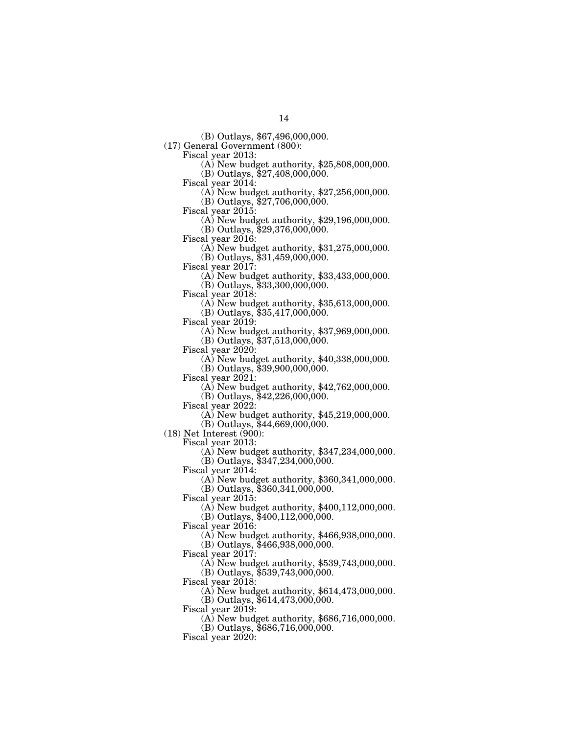(B) Outlays, \$67,496,000,000.

(17) General Government (800):

Fiscal year 2013: (A) New budget authority, \$25,808,000,000.

(B) Outlays,  $$27,408,000,000$ .<br>Fiscal year 2014:

(A) New budget authority,  $$27,256,000,000$ .

(B) Outlays, \$27,706,000,000.<br>Fiscal year 2015:

 $\Phi$ ) New budget authority, \$29,196,000,000. (B) Outlays,  $$29,376,000,000$ .<br>Fiscal year 2016:

 $\Phi$  New budget authority, \$31,275,000,000.

(B) Outlays, \$31,459,000,000.<br>Fiscal year 2017:

 $\Phi$  New budget authority, \$33,433,000,000.

(B) Outlays, \$33,300,000,000.<br>Fiscal year 2018:

 $(A)$  New budget authority, \$35,613,000,000.

(B) Outlays, \$35,417,000,000.

Fiscal year 2019: (A) New budget authority, \$37,969,000,000.

(B) Outlays, \$37,513,000,000.<br>Fiscal year 2020:

 $(A)$  New budget authority, \$40,338,000,000.

(B) Outlays, \$39,900,000,000.

 $(A)$  New budget authority, \$42,762,000,000.

(B) Outlays,  $$42,226,000,000$ .<br>Fiscal year 2022:

(A) New budget authority,  $$45,219,000,000$ .

(B) Outlays, \$44,669,000,000.

(18) Net Interest (900):

Fiscal year 2013:

(A) New budget authority, \$347,234,000,000.

(B) Outlays, \$347,234,000,000. Fiscal year 2014:

(A) New budget authority, \$360,341,000,000.

 $(B)$  Outlays,  $$360,341,000,000$ .

Fiscal year 2015:

(A) New budget authority, \$400,112,000,000.

(B) Outlays, \$400,112,000,000.

Fiscal year 2016:

(A) New budget authority, \$466,938,000,000.

(B) Outlays, \$466,938,000,000.

Fiscal year 2017:

(A) New budget authority, \$539,743,000,000.

(B) Outlays, \$539,743,000,000.

Fiscal year 2018:

(A) New budget authority, \$614,473,000,000.

(B) Outlays, \$614,473,000,000.

Fiscal year  $2019$ :

(A) New budget authority, \$686,716,000,000.

(B) Outlays, \$686,716,000,000.

Fiscal year  $2020$ :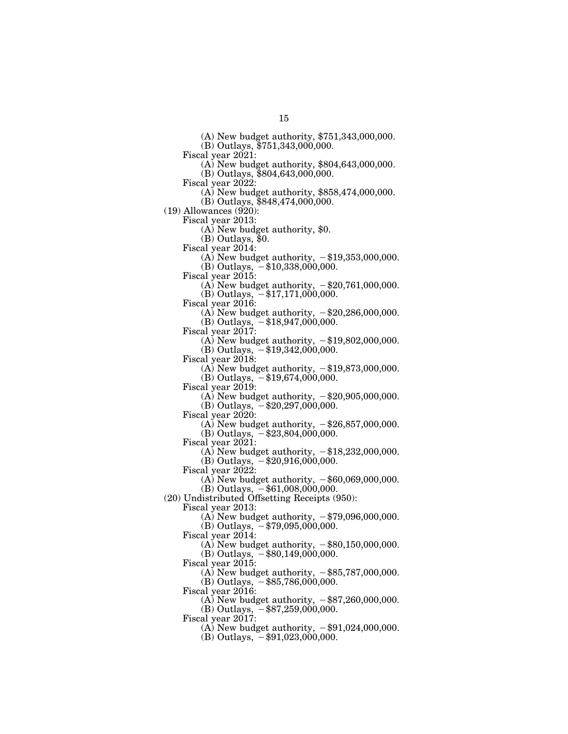(A) New budget authority, \$751,343,000,000.

(B) Outlays, \$751,343,000,000.

Fiscal year 2021: (A) New budget authority, \$804,643,000,000.

(B) Outlays, \$804,643,000,000.

- (A) New budget authority,  $$858,474,000,000$ .
- (B) Outlays, \$848,474,000,000.

(19) Allowances (920):<br>Fiscal year 2013:

 $(A)$  New budget authority, \$0.

(B) Outlays, \$0.

Fiscal year 2014:

(A) New budget authority,  $-\$19,353,000,000$ .  $(B)$  Outlays,  $-\$10,338,000,000$ .

Fiscal year 2015:

(A) New budget authority,  $-\$20,761,000,000$ .

(B) Outlays,  $-$ \$17,171,000,000.

Fiscal year 2016:

(A) New budget authority,  $-\$20,286,000,000$ . (B) Outlays,  $-\$18,947,000,000$ .

Fiscal year 2017:

(A) New budget authority,  $-\$19,802,000,000$ . (B) Outlays,  $-$ \$19,342,000,000.

Fiscal year 2018:

(A) New budget authority,  $-\$19,873,000,000$ .

(B) Outlays,  $-\$19,674,000,000$ .

Fiscal year 2019:

(A) New budget authority,  $-\$20,905,000,000$ .

 $(B)$  Outlays,  $-\$20,297,000,000$ .

Fiscal year 2020:

(A) New budget authority,  $-\$26,857,000,000$ . (B) Outlays,  $-$ \$23,804,000,000.

Fiscal year  $2021$ :

(A) New budget authority,  $-\$18,232,000,000$ .  $(B)$  Outlays,  $-$ \$20,916,000,000.

Fiscal year 2022:

- (A) New budget authority,  $-\$60,069,000,000$ .  $(B)$  Outlays,  $-$ \$61,008,000,000.
- (20) Undistributed Offsetting Receipts (950):

Fiscal year 2013:

(A) New budget authority,  $-\frac{279,096,000,000}{500,000}$ .

 $(B)$  Outlays,  $-$  \$79,095,000,000.

Fiscal year 2014:

(A) New budget authority,  $-\$80,150,000,000$ .  $(B)$  Outlays,  $-$ \$80,149,000,000.

Fiscal year 2015:

(A) New budget authority,  $-\$85,787,000,000$ .  $(B)$  Outlays,  $-$ \$85,786,000,000.

Fiscal year 2016:

(A) New budget authority,  $-\$87,260,000,000$ .

(B) Outlays,  $-$ \$87,259,000,000.

Fiscal year 2017:

(A) New budget authority,  $-\$91,024,000,000$ .

(B) Outlays,  $-$ \$91,023,000,000.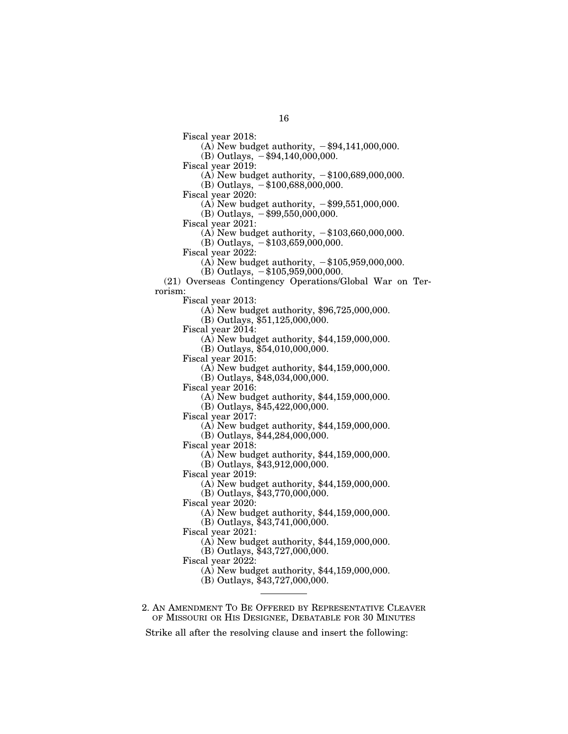16

Fiscal year 2018:

(A) New budget authority,  $-\$94,141,000,000$ .

(B) Outlays,  $-$ \$94,140,000,000.

Fiscal year 2019:

(A) New budget authority,  $-\$100,689,000,000$ .

 $(B)$  Outlays,  $-\$100,688,000,000$ .

Fiscal year 2020:

(A) New budget authority,  $-\$99,551,000,000$ .

(B) Outlays,  $-$ \$99,550,000,000.

Fiscal year 2021:

(A) New budget authority,  $-\$103,660,000,000$ .

(B) Outlays,  $-\$103,659,000,000$ .

Fiscal year 2022:

(A) New budget authority,  $-\$105,959,000,000$ .

 $(B)$  Outlays,  $-$ \$105,959,000,000. (21) Overseas Contingency Operations/Global War on Ter-

rorism:

Fiscal year 2013:

(A) New budget authority, \$96,725,000,000.

(B) Outlays, \$51,125,000,000.

Fiscal year 2014:

(A) New budget authority, \$44,159,000,000.

(B) Outlays, \$54,010,000,000.

Fiscal year 2015:

(A) New budget authority, \$44,159,000,000.

(B) Outlays,  $\overline{$}48,034,000,000$ .

Fiscal year 2016:

(A) New budget authority, \$44,159,000,000.

(B) Outlays, \$45,422,000,000.

Fiscal year 2017:

(A) New budget authority, \$44,159,000,000.

(B) Outlays, \$44,284,000,000.

Fiscal year 2018:

(A) New budget authority, \$44,159,000,000.

(B) Outlays, \$43,912,000,000.

Fiscal year 2019:

(A) New budget authority, \$44,159,000,000.

(B) Outlays, \$43,770,000,000.

Fiscal year 2020:

(A) New budget authority, \$44,159,000,000.

(B) Outlays, \$43,741,000,000.

Fiscal year 2021:

(A) New budget authority, \$44,159,000,000.

(B) Outlays, \$43,727,000,000.

Fiscal year 2022:

(A) New budget authority, \$44,159,000,000.

(B) Outlays, \$43,727,000,000.

2. AN AMENDMENT TO BE OFFERED BY REPRESENTATIVE CLEAVER OF MISSOURI OR HIS DESIGNEE, DEBATABLE FOR 30 MINUTES

Strike all after the resolving clause and insert the following: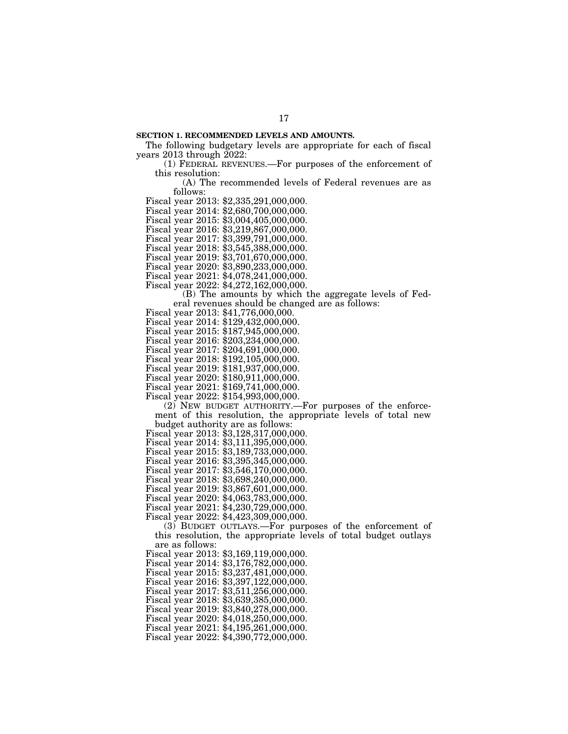## **SECTION 1. RECOMMENDED LEVELS AND AMOUNTS.**

The following budgetary levels are appropriate for each of fiscal years 2013 through 2022:

17

(1) FEDERAL REVENUES.—For purposes of the enforcement of this resolution:

(A) The recommended levels of Federal revenues are as follows:

Fiscal year 2013: \$2,335,291,000,000.

Fiscal year 2014: \$2,680,700,000,000.

Fiscal year 2015: \$3,004,405,000,000.

Fiscal year 2016: \$3,219,867,000,000.

Fiscal year 2017: \$3,399,791,000,000.

Fiscal year 2018: \$3,545,388,000,000.

Fiscal year 2019: \$3,701,670,000,000.

Fiscal year 2020: \$3,890,233,000,000.

Fiscal year 2021: \$4,078,241,000,000.

Fiscal year 2022: \$4,272,162,000,000.

(B) The amounts by which the aggregate levels of Federal revenues should be changed are as follows:

Fiscal year 2014: \$129,432,000,000.

Fiscal year 2015: \$187,945,000,000.

Fiscal year 2016: \$203,234,000,000.

Fiscal year 2017: \$204,691,000,000.

Fiscal year 2018: \$192,105,000,000.

Fiscal year 2019: \$181,937,000,000.

Fiscal year 2020: \$180,911,000,000. Fiscal year 2021: \$169,741,000,000.

Fiscal year 2022: \$154,993,000,000.

(2) NEW BUDGET AUTHORITY.—For purposes of the enforcement of this resolution, the appropriate levels of total new budget authority are as follows:

Fiscal year 2013: \$3,128,317,000,000.

Fiscal year 2014: \$3,111,395,000,000.

Fiscal year 2015: \$3,189,733,000,000.

Fiscal year 2016: \$3,395,345,000,000.

Fiscal year 2017: \$3,546,170,000,000.

Fiscal year 2018: \$3,698,240,000,000.

Fiscal year 2019: \$3,867,601,000,000.

Fiscal year 2020: \$4,063,783,000,000.

Fiscal year 2021: \$4,230,729,000,000.

Fiscal year 2022: \$4,423,309,000,000.

(3) BUDGET OUTLAYS.—For purposes of the enforcement of this resolution, the appropriate levels of total budget outlays are as follows:

Fiscal year 2013: \$3,169,119,000,000.

Fiscal year 2014: \$3,176,782,000,000.

Fiscal year 2015: \$3,237,481,000,000.

Fiscal year 2016: \$3,397,122,000,000.

Fiscal year 2017: \$3,511,256,000,000.

Fiscal year 2018: \$3,639,385,000,000. Fiscal year 2019: \$3,840,278,000,000.

Fiscal year 2020: \$4,018,250,000,000.

Fiscal year 2021: \$4,195,261,000,000.

Fiscal year 2022: \$4,390,772,000,000.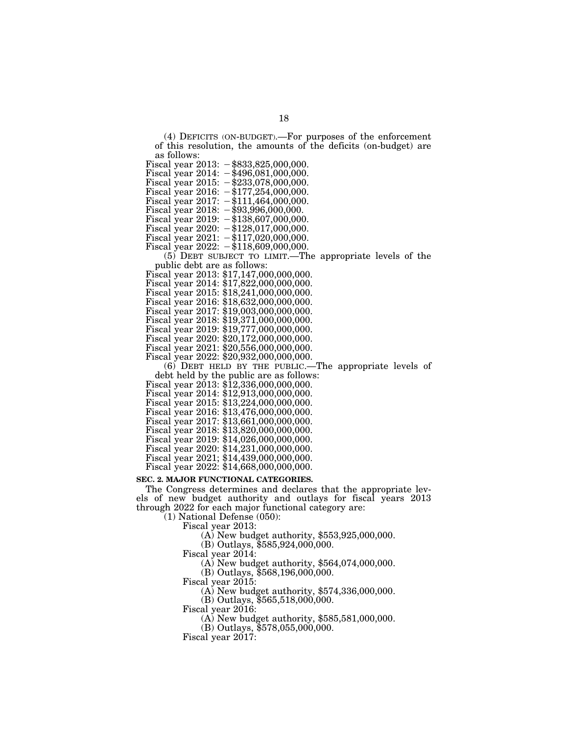(4) DEFICITS (ON-BUDGET).—For purposes of the enforcement of this resolution, the amounts of the deficits (on-budget) are as follows:

Fiscal year  $2013: -\$833,825,000,000$ . Fiscal year  $2014: -\$496,081,000,000.$ Fiscal year 2015:  $-\frac{233}{078,000,000}$ . Fiscal year  $2016: -\$177,254,000,000.$ 

Fiscal year  $2017: -111,464,000,000.$ 

Fiscal year  $2018: -$ \$93,996,000,000.

Fiscal year 2019:  $-\$138,607,000,000$ .

Fiscal year 2020:  $-\$128,017,000,000$ .

Fiscal year  $2021: -117,020,000,000$ .

Fiscal year  $2022: -\$118,609,000,000.$ 

(5) DEBT SUBJECT TO LIMIT.—The appropriate levels of the

public debt are as follows: Fiscal year 2013: \$17,147,000,000,000.

Fiscal year 2014: \$17,822,000,000,000.

Fiscal year 2015: \$18,241,000,000,000.

Fiscal year 2016: \$18,632,000,000,000.

Fiscal year 2017: \$19,003,000,000,000.

Fiscal year 2018: \$19,371,000,000,000.

Fiscal year 2019: \$19,777,000,000,000.

Fiscal year 2020: \$20,172,000,000,000.

Fiscal year 2021: \$20,556,000,000,000.

Fiscal year 2022: \$20,932,000,000,000.

 $(6)$  DEBT HELD BY THE PUBLIC.—The appropriate levels of debt held by the public are as follows:

Fiscal year 2013: \$12,336,000,000,000.

Fiscal year 2014: \$12,913,000,000,000.

Fiscal year 2015: \$13,224,000,000,000.

Fiscal year 2016: \$13,476,000,000,000.

Fiscal year 2017: \$13,661,000,000,000.

Fiscal year 2018: \$13,820,000,000,000.

Fiscal year 2019: \$14,026,000,000,000.

Fiscal year 2020: \$14,231,000,000,000.

Fiscal year 2021; \$14,439,000,000,000.

Fiscal year 2022: \$14,668,000,000,000.

# **SEC. 2. MAJOR FUNCTIONAL CATEGORIES.**

The Congress determines and declares that the appropriate levels of new budget authority and outlays for fiscal years 2013 through 2022 for each major functional category are:

(1) National Defense (050):

Fiscal year 2013:

(A) New budget authority, \$553,925,000,000.

(B) Outlays, \$585,924,000,000.

Fiscal year 2014:

(A) New budget authority, \$564,074,000,000.

(B) Outlays, \$568,196,000,000.

Fiscal year 2015:

(A) New budget authority, \$574,336,000,000.

(B) Outlays, \$565,518,000,000.

Fiscal year 2016:

(A) New budget authority, \$585,581,000,000.

(B) Outlays, \$578,055,000,000.

Fiscal year 2017: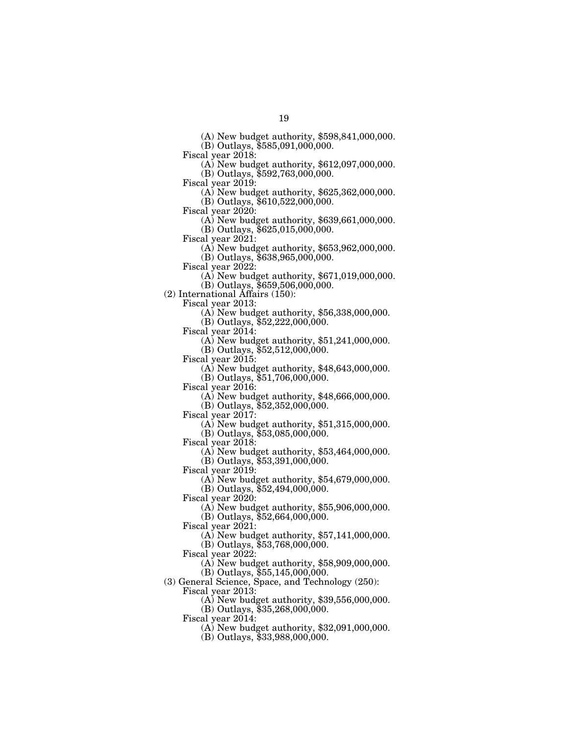(A) New budget authority, \$598,841,000,000.

(B) Outlays, \$585,091,000,000.

Fiscal year 2018: (A) New budget authority, \$612,097,000,000.

(B) Outlays, \$592,763,000,000.<br>Fiscal year 2019:

(A) New budget authority,  $$625,362,000,000$ .

(B) Outlays, \$610,522,000,000.<br>Fiscal year 2020:

 $\Phi$ ) New budget authority, \$639,661,000,000. (B) Outlays, \$625,015,000,000.

Fiscal year 2021: (A) New budget authority, \$653,962,000,000.

(B) Outlays, \$638,965,000,000.

 $\Phi$ ) New budget authority, \$671,019,000,000.

(B) Outlays, \$659,506,000,000.

(2) International Affairs (150):

Fiscal year 2013: (A) New budget authority, \$56,338,000,000.

(B) Outlays, \$52,222,000,000.

 $\Delta$ ) New budget authority, \$51,241,000,000.

(B) Outlays, \$52,512,000,000.

Fiscal year 2015: (A) New budget authority, \$48,643,000,000.

(B) Outlays, \$51,706,000,000.<br>Fiscal year 2016:

 $\Phi(A)$  New budget authority, \$48,666,000,000.

(B) Outlays, \$52,352,000,000.<br>Fiscal year 2017:

 $F(A)$  New budget authority, \$51,315,000,000. (B) Outlays, \$53,085,000,000.

Fiscal year 2018:

(A) New budget authority, \$53,464,000,000. (B) Outlays, \$53,391,000,000.

Fiscal year 2019:

(A) New budget authority, \$54,679,000,000. (B) Outlays, \$52,494,000,000.

Fiscal year 2020:

(A) New budget authority, \$55,906,000,000.

(B) Outlays, \$52,664,000,000.

Fiscal year 2021:

(A) New budget authority, \$57,141,000,000.

(B) Outlays, \$53,768,000,000. Fiscal year 2022:

(A) New budget authority, \$58,909,000,000.

(B) Outlays, \$55,145,000,000.

(3) General Science, Space, and Technology (250):

Fiscal year 2013:

(A) New budget authority, \$39,556,000,000.

(B) Outlays, \$35,268,000,000.

Fiscal year 2014:

(A) New budget authority, \$32,091,000,000.

(B) Outlays, \$33,988,000,000.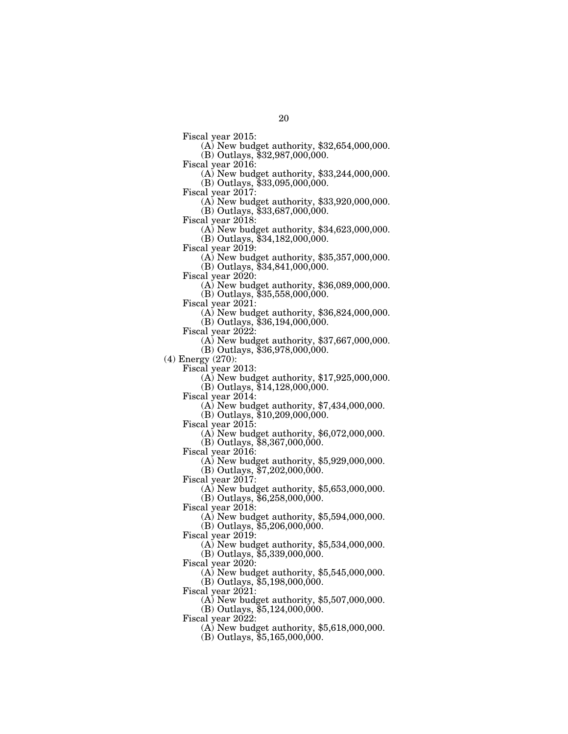Fiscal year 2015: (A) New budget authority, \$32,654,000,000. (B) Outlays, \$32,987,000,000.

Fiscal year 2016: (A) New budget authority, \$33,244,000,000. (B) Outlays, \$33,095,000,000.

Fiscal year 2017: (A) New budget authority, \$33,920,000,000.  $(B)$  Outlays,  $$33,687,000,000$ .

Fiscal year 2018: (A) New budget authority, \$34,623,000,000.

(B) Outlays, \$34,182,000,000.<br>Fiscal year 2019:

 $F(A)$  New budget authority, \$35,357,000,000. (B) Outlays, \$34,841,000,000.

Fiscal year 2020: (A) New budget authority, \$36,089,000,000.

(B) Outlays, \$35,558,000,000.

(A) New budget authority,  $$36,824,000,000$ .

(B) Outlays, \$36,194,000,000.

(A) New budget authority,  $$37,667,000,000$ .

(B) Outlays, \$36,978,000,000.

(4) Energy (270):

Fiscal year 2013: (A) New budget authority, \$17,925,000,000.

(B) Outlays,  $$14,128,000,000$ .<br>Fiscal year 2014:

Fiscal year 2014: (A) New budget authority, \$7,434,000,000.

(B) Outlays, \$10,209,000,000.

Fiscal year 2015: (A) New budget authority, \$6,072,000,000. (B) Outlays, \$8,367,000,000.

Fiscal year 2016:

(A) New budget authority, \$5,929,000,000.

(B) Outlays,  $$7,202,000,000$ .

Fiscal year 2017:

(A) New budget authority, \$5,653,000,000.

(B) Outlays, \$6,258,000,000.

Fiscal year 2018:

(A) New budget authority, \$5,594,000,000.

 $(B)$  Outlays,  $$5,206,000,000$ .

Fiscal year 2019:

(A) New budget authority, \$5,534,000,000. (B) Outlays, \$5,339,000,000.

Fiscal year 2020:

(A) New budget authority, \$5,545,000,000. (B) Outlays, \$5,198,000,000.

Fiscal year 2021:

(A) New budget authority, \$5,507,000,000.

 $(B)$  Outlays,  $$5,124,000,000$ .

Fiscal year 2022:

(A) New budget authority, \$5,618,000,000.

 $(B)$  Outlays, \$5,165,000,000.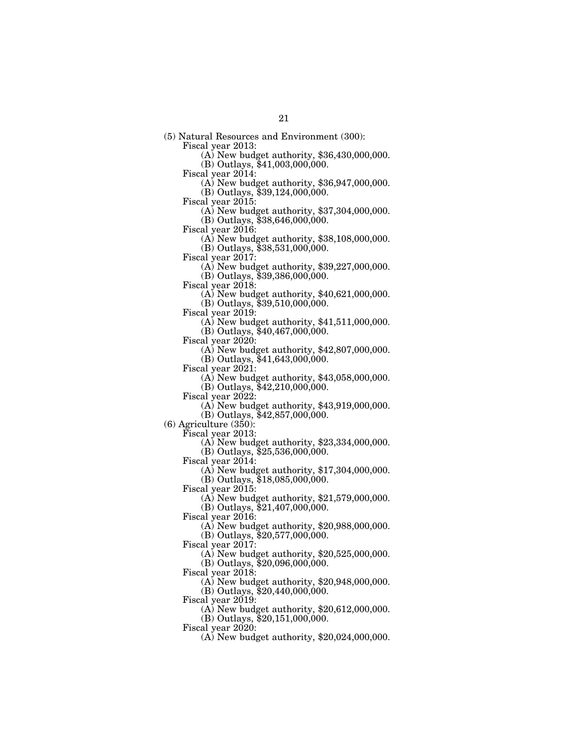(5) Natural Resources and Environment (300):

 $\overline{(A)}$  New budget authority, \$36,430,000,000.

(B) Outlays,  $$41,003,000,000$ .<br>Fiscal year 2014:

 $F(A)$  New budget authority, \$36,947,000,000.

(B) Outlays, \$39,124,000,000.

Fiscal year 2015: (A) New budget authority, \$37,304,000,000.

 $(B)$  Outlays, \$38,646,000,000.<br>Fiscal year 2016:

 $F(A)$  New budget authority, \$38,108,000,000.

(B) Outlays, \$38,531,000,000.<br>Fiscal year 2017:

 $\Phi(A)$  New budget authority, \$39,227,000,000. (B) Outlays, \$39,386,000,000.

Fiscal year 2018: (A) New budget authority, \$40,621,000,000.

(B) Outlays, \$39,510,000,000.

Fiscal year 2019: (A) New budget authority, \$41,511,000,000.

(B) Outlays, \$40,467,000,000.<br>Fiscal year 2020:

 $F(A)$  New budget authority, \$42,807,000,000.

(B) Outlays, \$41,643,000,000.

Fiscal year 2021: (A) New budget authority, \$43,058,000,000.

(B) Outlays,  $$42,210,000,000$ .<br>Fiscal year 2022:

 $(A)$  New budget authority, \$43,919,000,000.

 $(B)$  Outlays, \$42,857,000,000.

(6) Agriculture (350):

 $(A)$  New budget authority, \$23,334,000,000.

 $(B)$  Outlays,  $$25,536,000,000$ .

Fiscal year 2014:

(A) New budget authority, \$17,304,000,000.

(B) Outlays, \$18,085,000,000.

Fiscal year 2015:

(A) New budget authority, \$21,579,000,000.

(B) Outlays, \$21,407,000,000.

Fiscal year 2016:

(A) New budget authority, \$20,988,000,000.

(B) Outlays, \$20,577,000,000.

Fiscal year 2017:

(A) New budget authority, \$20,525,000,000.

 $(B)$  Outlays,  $$20,096,000,000$ .

Fiscal year 2018:

(A) New budget authority, \$20,948,000,000.

(B) Outlays, \$20,440,000,000.

Fiscal year 2019:

(A) New budget authority, \$20,612,000,000.

(B) Outlays, \$20,151,000,000.

Fiscal year 2020:

(A) New budget authority, \$20,024,000,000.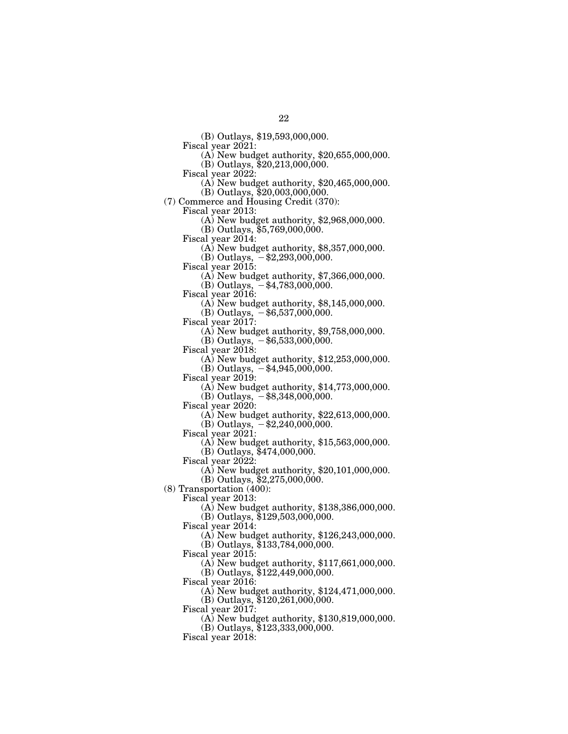(B) Outlays, \$19,593,000,000.

 $F(A)$  New budget authority, \$20,655,000,000.

 $(B)$  Outlays, \$20,213,000,000.<br>Fiscal year 2022:

 $F(A)$  New budget authority, \$20,465,000,000.

(B) Outlays, \$20,003,000,000.

(7) Commerce and Housing Credit (370):

 $\Phi$ ) New budget authority, \$2,968,000,000.

(B) Outlays, \$5,769,000,000.

Fiscal year 2014: (A) New budget authority, \$8,357,000,000.

(B) Outlays,  $-$ \$2,293,000,000.<br>Fiscal year 2015:

 $\Phi$ ) New budget authority, \$7,366,000,000.

(B) Outlays,  $-$ \$4,783,000,000.<br>Fiscal year 2016:

 $\Phi$ ) New budget authority, \$8,145,000,000.

(B) Outlays,  $-$ \$6,537,000,000.<br>Fiscal year 2017:

 $(A)$  New budget authority, \$9,758,000,000.

(B) Outlays,  $-$  \$6,533,000,000.<br>Fiscal year 2018:

 $(A)$  New budget authority, \$12,253,000,000.

(B) Outlays,  $-$ \$4,945,000,000.<br>Fiscal year 2019:

 $(A)$  New budget authority, \$14,773,000,000.

(B) Outlays,  $-$  \$8,348,000,000.

Fiscal year 2020: (A) New budget authority, \$22,613,000,000.

(B) Outlays,  $- $2,240,000,000$ .<br>Fiscal year 2021:

 $(A)$  New budget authority, \$15,563,000,000.

(B) Outlays, \$474,000,000.

Fiscal year 2022:

(A) New budget authority, \$20,101,000,000.

 $(B)$  Outlays,  $$2,275,000,000$ .

(8) Transportation (400):

Fiscal year 2013:

(A) New budget authority, \$138,386,000,000.

(B) Outlays, \$129,503,000,000.

Fiscal year 2014:

(A) New budget authority, \$126,243,000,000.

(B) Outlays, \$133,784,000,000.

Fiscal year 2015:

(A) New budget authority, \$117,661,000,000.

(B) Outlays, \$122,449,000,000.

Fiscal year 2016:

(A) New budget authority, \$124,471,000,000.

(B) Outlays, \$120,261,000,000.

Fiscal year  $2017$ :

(A) New budget authority, \$130,819,000,000.

(B) Outlays, \$123,333,000,000.

Fiscal year  $2018$ :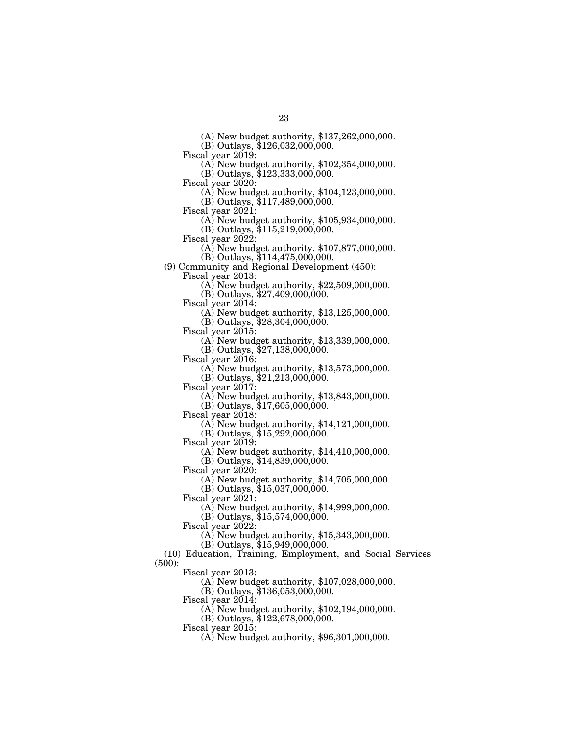(A) New budget authority, \$137,262,000,000.

(B) Outlays, \$126,032,000,000.

Fiscal year 2019: (A) New budget authority, \$102,354,000,000.

(B) Outlays, \$123,333,000,000.<br>Fiscal year 2020:

 $\Phi$ ) New budget authority, \$104,123,000,000.

(B) Outlays, \$117,489,000,000.

 $\Phi$ ) New budget authority, \$105,934,000,000. (B) Outlays,  $$115,219,000,000$ .<br>Fiscal year 2022:

(A) New budget authority,  $$107,877,000,000$ .

(B) Outlays, \$114,475,000,000.

(9) Community and Regional Development (450):

Fiscal year 2013: (A) New budget authority, \$22,509,000,000.

(B) Outlays,  $$27,409,000,000$ .<br>Fiscal year 2014:

(A) New budget authority,  $$13,125,000,000$ .

(B) Outlays, \$28,304,000,000.<br>Fiscal year 2015:

 $(A)$  New budget authority, \$13,339,000,000.

(B) Outlays, \$27,138,000,000.

Fiscal year 2016: (A) New budget authority, \$13,573,000,000.

(B) Outlays, \$21,213,000,000.

 $F(A)$  New budget authority, \$13,843,000,000.

(B) Outlays, \$17,605,000,000.<br>Fiscal year 2018:

 $(A)$  New budget authority, \$14,121,000,000.

(B) Outlays, \$15,292,000,000.

Fiscal year 2019:

- (A) New budget authority, \$14,410,000,000.
- (B) Outlays, \$14,839,000,000.

Fiscal year 2020:

(A) New budget authority, \$14,705,000,000.

 $(B)$  Outlays,  $$15,037,000,000$ .

Fiscal year  $2021$ :

(A) New budget authority, \$14,999,000,000.

(B) Outlays, \$15,574,000,000.

Fiscal year  $2022$ :

(A) New budget authority, \$15,343,000,000.

(B) Outlays, \$15,949,000,000.

(10) Education, Training, Employment, and Social Services (500):

Fiscal year 2013:

(A) New budget authority, \$107,028,000,000.

(B) Outlays, \$136,053,000,000.

Fiscal year 2014:

(A) New budget authority, \$102,194,000,000.

(B) Outlays, \$122,678,000,000.

Fiscal year 2015:

(A) New budget authority, \$96,301,000,000.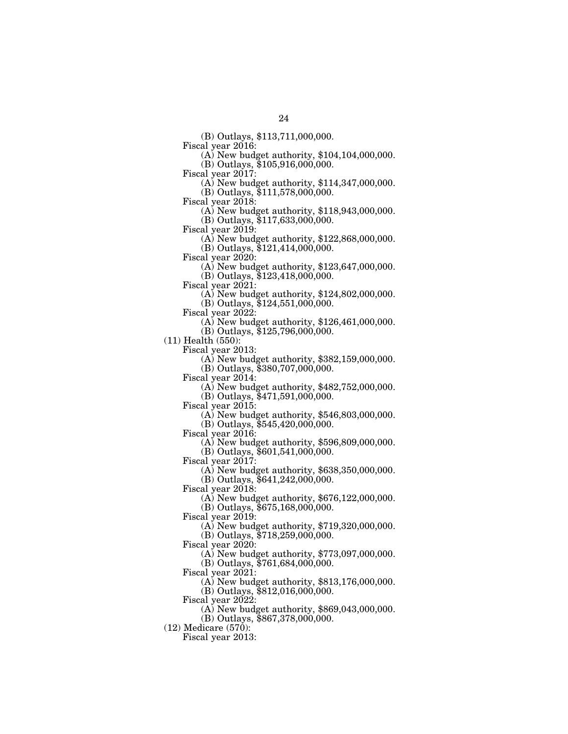(B) Outlays, \$113,711,000,000.

 $F(A)$  New budget authority, \$104,104,000,000.

 $(B)$  Outlays, \$105,916,000,000.<br>Fiscal year 2017:

 $F(A)$  New budget authority, \$114,347,000,000.

(B) Outlays, \$111,578,000,000.<br>Fiscal year 2018:

(A) New budget authority,  $$118,943,000,000$ .

(B) Outlays, \$117,633,000,000.

 $F(A)$  New budget authority, \$122,868,000,000.

(B) Outlays, \$121,414,000,000.

 $F(A)$  New budget authority, \$123,647,000,000. (B) Outlays, \$123,418,000,000.

Fiscal year 2021: (A) New budget authority, \$124,802,000,000.

(B) Outlays, \$124,551,000,000.

Fiscal year 2022: (A) New budget authority, \$126,461,000,000.

(B) Outlays, \$125,796,000,000.

 $(11)$  Health  $(550)$ :<br>Fiscal year 2013:

 $(A)$  New budget authority, \$382,159,000,000.

(B) Outlays, \$380,707,000,000.

Fiscal year 2014: (A) New budget authority, \$482,752,000,000.

(B) Outlays, \$471,591,000,000.

Fiscal year 2015: (A) New budget authority, \$546,803,000,000.

(B) Outlays, \$545,420,000,000.

 $\Phi$ ) New budget authority, \$596,809,000,000.

(B) Outlays, \$601,541,000,000.

Fiscal year 2017:

(A) New budget authority, \$638,350,000,000.

(B) Outlays, \$641,242,000,000.

Fiscal year 2018:

(A) New budget authority, \$676,122,000,000.

(B) Outlays, \$675,168,000,000.

Fiscal year 2019:

(A) New budget authority, \$719,320,000,000.

(B) Outlays, \$718,259,000,000.

Fiscal year 2020:

(A) New budget authority, \$773,097,000,000.

(B) Outlays, \$761,684,000,000.

Fiscal year 2021:

(A) New budget authority, \$813,176,000,000.

(B) Outlays, \$812,016,000,000.

Fiscal year 2022:

(A) New budget authority, \$869,043,000,000.

(B) Outlays, \$867,378,000,000.

(12) Medicare (570):

Fiscal year 2013: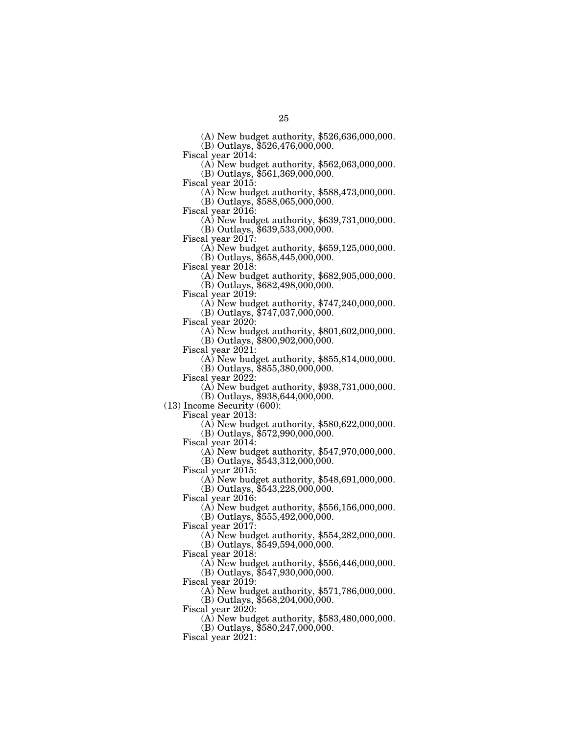(A) New budget authority, \$526,636,000,000.

(B) Outlays, \$526,476,000,000.

 $\Phi$ ) New budget authority, \$562,063,000,000.

(B) Outlays, \$561,369,000,000.<br>Fiscal year 2015:

 $\Phi$  New budget authority, \$588,473,000,000.

(B) Outlays, \$588,065,000,000.

(A) New budget authority,  $$639,731,000,000$ . (B) Outlays, \$639,533,000,000.

Fiscal year 2017: (A) New budget authority, \$659,125,000,000. (B) Outlays, \$658,445,000,000.

 $\Phi$ ) New budget authority, \$682,905,000,000.

(B) Outlays, \$682,498,000,000.

(A) New budget authority,  $$747,240,000,000$ .

(B) Outlays, \$747,037,000,000.

Fiscal year 2020: (A) New budget authority, \$801,602,000,000.

(B) Outlays, \$800,902,000,000.<br>Fiscal year 2021:

 $F(A)$  New budget authority, \$855,814,000,000.

(B) Outlays, \$855,380,000,000.<br>Fiscal year 2022:

(A) New budget authority,  $$938,731,000,000$ .

(B) Outlays, \$938,644,000,000.

(13) Income Security (600):

Fiscal year 2013: (A) New budget authority, \$580,622,000,000. (B) Outlays, \$572,990,000,000.

Fiscal year 2014:

(A) New budget authority, \$547,970,000,000. (B) Outlays, \$543,312,000,000.

Fiscal year 2015:

(A) New budget authority, \$548,691,000,000. (B) Outlays, \$543,228,000,000.

Fiscal year 2016:

(A) New budget authority, \$556,156,000,000.

(B) Outlays, \$555,492,000,000.

Fiscal year 2017:

(A) New budget authority, \$554,282,000,000.

(B) Outlays, \$549,594,000,000.

Fiscal year 2018:

(A) New budget authority, \$556,446,000,000.

(B) Outlays, \$547,930,000,000.

Fiscal year 2019:

(A) New budget authority, \$571,786,000,000.

(B) Outlays, \$568,204,000,000.

Fiscal year  $2020$ :

(A) New budget authority, \$583,480,000,000.

(B) Outlays, \$580,247,000,000.

Fiscal year 2021: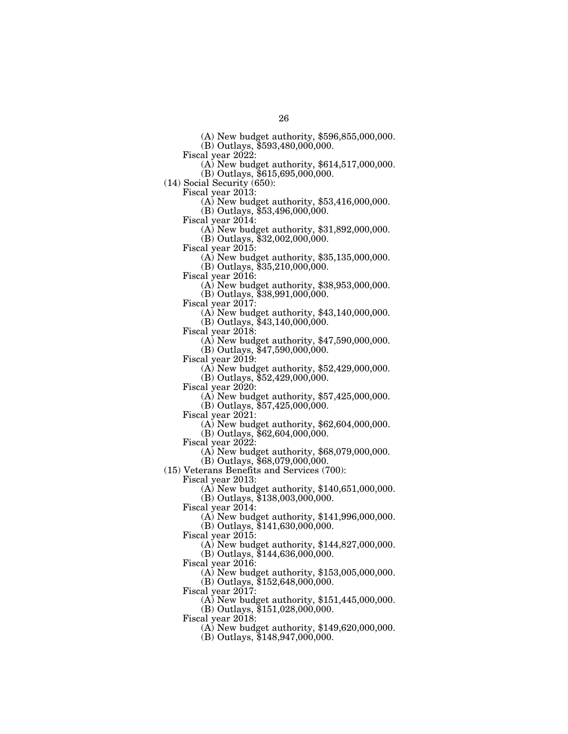(A) New budget authority, \$596,855,000,000.

(B) Outlays, \$593,480,000,000.<br>Fiscal year 2022:

 $\Phi$ ) New budget authority, \$614,517,000,000.

(B) Outlays, \$615,695,000,000.

(14) Social Security (650):

Fiscal year 2013: (A) New budget authority, \$53,416,000,000.

 $(B)$  Outlays,  $$53,496,000,000$ .

Fiscal year 2014: (A) New budget authority, \$31,892,000,000.

(B) Outlays, \$32,002,000,000.<br>Fiscal year 2015:

 $F(A)$  New budget authority, \$35,135,000,000. (B) Outlays, \$35,210,000,000.

Fiscal year 2016: (A) New budget authority, \$38,953,000,000.

(B) Outlays, \$38,991,000,000.

(A) New budget authority,  $$43,140,000,000$ .

(B) Outlays, \$43,140,000,000.

 $\Delta$ ) New budget authority, \$47,590,000,000. (B) Outlays, \$47,590,000,000.

Fiscal year 2019: (A) New budget authority, \$52,429,000,000.

(B) Outlays, \$52,429,000,000.

Fiscal year 2020: (A) New budget authority, \$57,425,000,000.

(B) Outlays, \$57,425,000,000.

Fiscal year 2021: (A) New budget authority, \$62,604,000,000.

 $(B)$  Outlays,  $$62,604,000,000$ .

Fiscal year 2022:

(A) New budget authority, \$68,079,000,000. (B) Outlays, \$68,079,000,000.

(15) Veterans Benefits and Services (700):

Fiscal year 2013:

(A) New budget authority, \$140,651,000,000.

(B) Outlays, \$138,003,000,000.

Fiscal year 2014:

(A) New budget authority, \$141,996,000,000.

 $(B)$  Outlays,  $$141,630,000,000$ .

Fiscal year 2015:

(A) New budget authority, \$144,827,000,000. (B) Outlays, \$144,636,000,000.

Fiscal year 2016:

(A) New budget authority, \$153,005,000,000. (B) Outlays, \$152,648,000,000.

Fiscal year 2017:

(A) New budget authority, \$151,445,000,000.

(B) Outlays, \$151,028,000,000.

Fiscal year 2018:

(A) New budget authority, \$149,620,000,000.

(B) Outlays, \$148,947,000,000.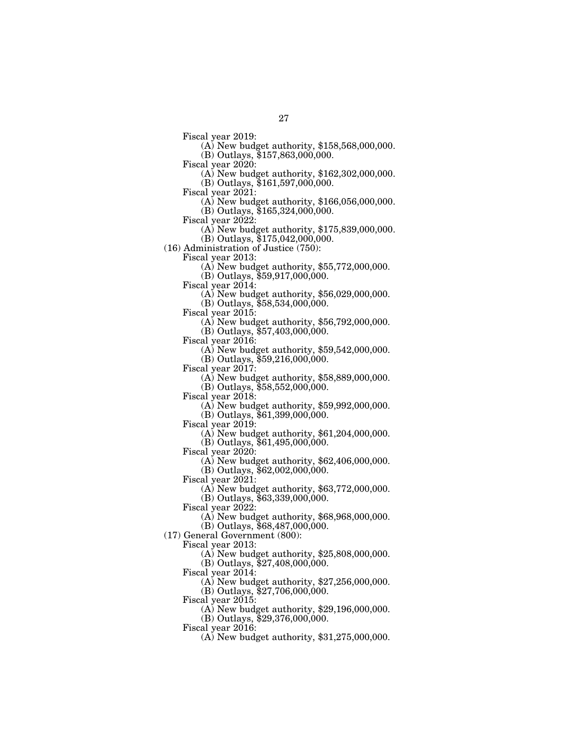- Fiscal year 2019: (A) New budget authority, \$158,568,000,000.
- $(B)$  Outlays, \$157,863,000,000.<br>Fiscal year 2020:
	- $F(A)$  New budget authority, \$162,302,000,000. (B) Outlays, \$161,597,000,000.
- 
- Fiscal year 2021: (A) New budget authority, \$166,056,000,000.
	- (B) Outlays, \$165,324,000,000.
- 
- Fiscal year 2022: (A) New budget authority, \$175,839,000,000.
- (B) Outlays, \$175,042,000,000.
- (16) Administration of Justice (750):
	- - $F(A)$  New budget authority, \$55,772,000,000. (B) Outlays, \$59,917,000,000.
	-
	- Fiscal year 2014: (A) New budget authority, \$56,029,000,000.
		- (B) Outlays, \$58,534,000,000.
	-
	- Fiscal year 2015: (A) New budget authority, \$56,792,000,000.
	- $(B)$  Outlays,  $$57,403,000,000$ .<br>Fiscal year 2016:
	- - $F(A)$  New budget authority, \$59,542,000,000.
		- (B) Outlays, \$59,216,000,000.
	-
	- Fiscal year 2017: (A) New budget authority, \$58,889,000,000.
	- (B) Outlays,  $$58,552,000,000$ .<br>Fiscal year 2018:
	- - $(A)$  New budget authority, \$59,992,000,000.
	- $(B)$  Outlays, \$61,399,000,000.<br>Fiscal year 2019:
	- - $F(A)$  New budget authority, \$61,204,000,000.
		- (B) Outlays, \$61,495,000,000.
	- Fiscal year 2020:
		- (A) New budget authority, \$62,406,000,000.
	- $(B)$  Outlays,  $$62,002,000,000$ .
	- Fiscal year 2021:
		- (A) New budget authority, \$63,772,000,000.
		- (B) Outlays, \$63,339,000,000.
	- Fiscal year 2022:
		- (A) New budget authority, \$68,968,000,000.
		- $(B)$  Outlays,  $$68,487,000,000$ .
- (17) General Government (800):
	- Fiscal year 2013:
		- (A) New budget authority, \$25,808,000,000.
		- (B) Outlays, \$27,408,000,000.
		- Fiscal year 2014:
			- (A) New budget authority, \$27,256,000,000.
			- (B) Outlays, \$27,706,000,000.
		- Fiscal year 2015:
			- (A) New budget authority, \$29,196,000,000.
			- (B) Outlays, \$29,376,000,000.
		- Fiscal year 2016:
			- (A) New budget authority, \$31,275,000,000.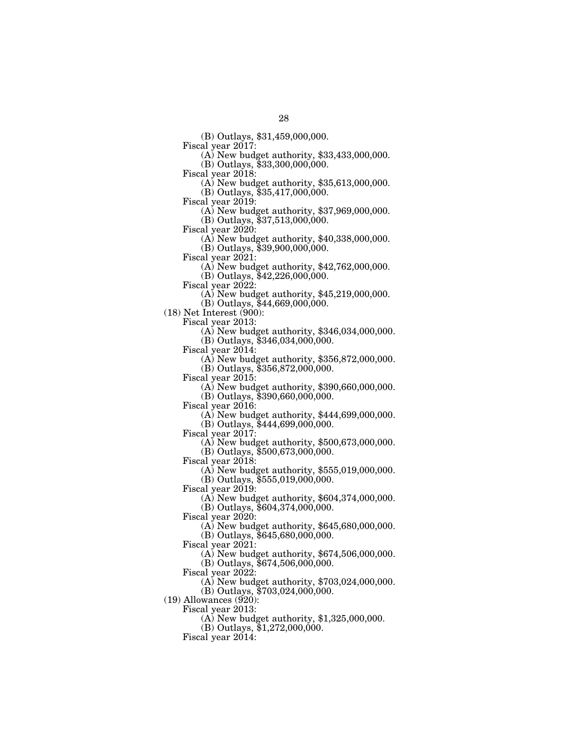(B) Outlays, \$31,459,000,000.

 $F(A)$  New budget authority, \$33,433,000,000.

(B) Outlays, \$33,300,000,000.<br>Fiscal year 2018:

(A) New budget authority,  $$35,613,000,000$ .

(B) Outlays, \$35,417,000,000.

Fiscal year 2019: (A) New budget authority, \$37,969,000,000.

(B) Outlays, \$37,513,000,000.<br>Fiscal year 2020:

 $(A)$  New budget authority, \$40,338,000,000.

(B) Outlays, \$39,900,000,000.<br>Fiscal year 2021:

 $\Phi(A)$  New budget authority, \$42,762,000,000.

(B) Outlays, \$42,226,000,000.<br>Fiscal year 2022:

 $(A)$  New budget authority, \$45,219,000,000.

(B) Outlays, \$44,669,000,000.

(18) Net Interest (900):

Fiscal year 2013: (A) New budget authority, \$346,034,000,000.

(B) Outlays, \$346,034,000,000.<br>Fiscal year 2014:

 $(A)$  New budget authority, \$356,872,000,000.

(B) Outlays, \$356,872,000,000.

 $\Phi$  New budget authority, \$390,660,000,000.

(B) Outlays, \$390,660,000,000.

Fiscal year 2016: (A) New budget authority, \$444,699,000,000.

(B) Outlays, \$444,699,000,000.<br>Fiscal year 2017:

 $\Phi$ ) New budget authority, \$500,673,000,000.

(B) Outlays, \$500,673,000,000.

Fiscal year 2018:

(A) New budget authority, \$555,019,000,000.

 $(B)$  Outlays,  $$555,019,000,000$ .

Fiscal year 2019:

(A) New budget authority, \$604,374,000,000.

(B) Outlays, \$604,374,000,000.

Fiscal year 2020:

(A) New budget authority, \$645,680,000,000.

(B) Outlays, \$645,680,000,000.

Fiscal year 2021:

(A) New budget authority, \$674,506,000,000.

(B) Outlays, \$674,506,000,000.

Fiscal year 2022:

(A) New budget authority, \$703,024,000,000.

(B) Outlays, \$703,024,000,000.

 $(19)$  Allowances  $(\frac{920}{})$ :

Fiscal year 2013:

(A) New budget authority, \$1,325,000,000.

(B) Outlays, \$1,272,000,000.

Fiscal year 2014: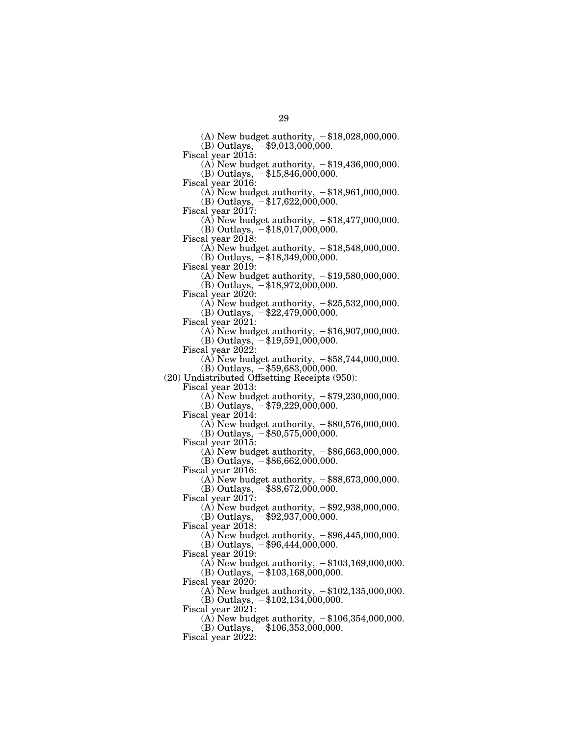(A) New budget authority,  $-\$18,028,000,000$ .

(B) Outlays,  $-$ \$9,013,000,000.

Fiscal year 2015:

(A) New budget authority,  $-\$19,436,000,000$ .

(B) Outlays,  $-$ \$15,846,000,000.

Fiscal year 2016:

(A) New budget authority,  $-\$18,961,000,000$ . (B) Outlays,  $-$ \$17,622,000,000.

Fiscal year 2017:

(A) New budget authority,  $-\$18,477,000,000$ . (B) Outlays,  $-$ \$18,017,000,000.

Fiscal year 2018:

(A) New budget authority,  $-\$18,548,000,000$ . (B) Outlays,  $-$ \$18,349,000,000.

Fiscal year 2019:

(A) New budget authority,  $-\$19,580,000,000$ .

 $(B)$  Outlays,  $-$ \$18,972,000,000.

Fiscal year 2020:

(A) New budget authority,  $-\$25,532,000,000$ .

(B) Outlays,  $-$ \$22,479,000,000.

Fiscal year 2021:

(A) New budget authority,  $-$ \$16,907,000,000. (B) Outlays,  $-$ \$19,591,000,000.

Fiscal year 2022:

(A) New budget authority,  $-$ \$58,744,000,000.  $(B)$  Outlays,  $-$ \$59,683,000,000.

(20) Undistributed Offsetting Receipts (950):

Fiscal year 2013:

(A) New budget authority,  $-\frac{1}{3}79,230,000,000$ .

(B) Outlays,  $-$  \$79,229,000,000.

Fiscal year 2014:

(A) New budget authority,  $-$ \$80,576,000,000. (B) Outlays,  $-$ \$80,575,000,000.

Fiscal year 2015:

(A) New budget authority,  $-$ \$86,663,000,000.  $(B)$  Outlays,  $-$ \$86,662,000,000.

Fiscal year 2016:

(A) New budget authority,  $-$ \$88,673,000,000. (B) Outlays,  $-$ \$88,672,000,000.

Fiscal year 2017:

(A) New budget authority,  $-$ \$92,938,000,000.

(B) Outlays,  $-$ \$92,937,000,000.

Fiscal year 2018:

(A) New budget authority,  $-\$96,445,000,000$ .

(B) Outlays,  $-\$96,444,000,000$ .

Fiscal year 2019:

(A) New budget authority,  $-\$103,169,000,000$ .

(B) Outlays,  $-\$103,168,000,000$ .

Fiscal year 2020:

(A) New budget authority,  $-\$102,135,000,000$ .

(B) Outlays,  $-$ \$102,134,000,000. Fiscal year  $2021$ :

(A) New budget authority,  $-\$106,354,000,000$ .

 $(B)$  Outlays,  $-$ \$106,353,000,000.

Fiscal year  $2022$ :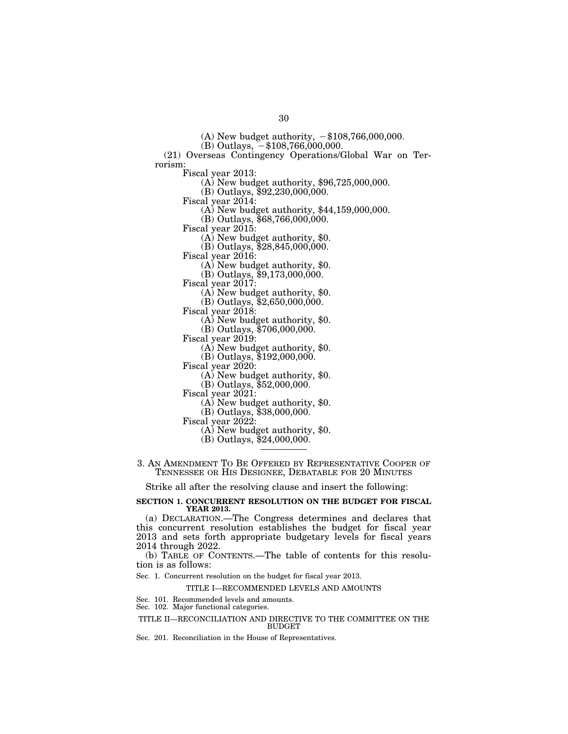(A) New budget authority,  $-\$108,766,000,000$ .

(B) Outlays,  $-$ \$108,766,000,000.

(21) Overseas Contingency Operations/Global War on Terrorism:<br>Fiscal year 2013:

 $\Phi$  New budget authority, \$96,725,000,000.

(B) Outlays, \$92,230,000,000.<br>Fiscal year 2014:

(A) New budget authority,  $$44,159,000,000$ .

 $(B)$  Outlays, \$68,766,000,000.<br>Fiscal year 2015:

 $(A)$  New budget authority, \$0.

(B) Outlays, \$28,845,000,000.

Fiscal year 2016: (A) New budget authority, \$0.

(B) Outlays, \$9,173,000,000.<br>Fiscal year 2017:

 $(A)$  New budget authority, \$0.

(B) Outlays,  $$2,650,000,000$ .<br>Fiscal year 2018:

 $(A)$  New budget authority, \$0.

(B) Outlays, \$706,000,000.

Fiscal year 2019: (A) New budget authority, \$0.

(B) Outlays, \$192,000,000.<br>Fiscal year 2020:

 $(A)$  New budget authority, \$0.

(B) Outlays, \$52,000,000.<br>Fiscal year 2021:

 $(A)$  New budget authority, \$0.

(B) Outlays, \$38,000,000.<br>Fiscal year 2022:

 $(A)$  New budget authority, \$0.

(B) Outlays, \$24,000,000.

3. AN AMENDMENT TO BE OFFERED BY REPRESENTATIVE COOPER OF TENNESSEE OR HIS DESIGNEE, DEBATABLE FOR 20 MINUTES

Strike all after the resolving clause and insert the following:

## **SECTION 1. CONCURRENT RESOLUTION ON THE BUDGET FOR FISCAL YEAR 2013.**

(a) DECLARATION.—The Congress determines and declares that this concurrent resolution establishes the budget for fiscal year 2013 and sets forth appropriate budgetary levels for fiscal years 2014 through 2022.

(b) TABLE OF CONTENTS.—The table of contents for this resolution is as follows:

Sec. 1. Concurrent resolution on the budget for fiscal year 2013.

TITLE I—RECOMMENDED LEVELS AND AMOUNTS

Sec. 101. Recommended levels and amounts.

Sec. 102. Major functional categories.

#### TITLE II—RECONCILIATION AND DIRECTIVE TO THE COMMITTEE ON THE **BUDGET**

Sec. 201. Reconciliation in the House of Representatives.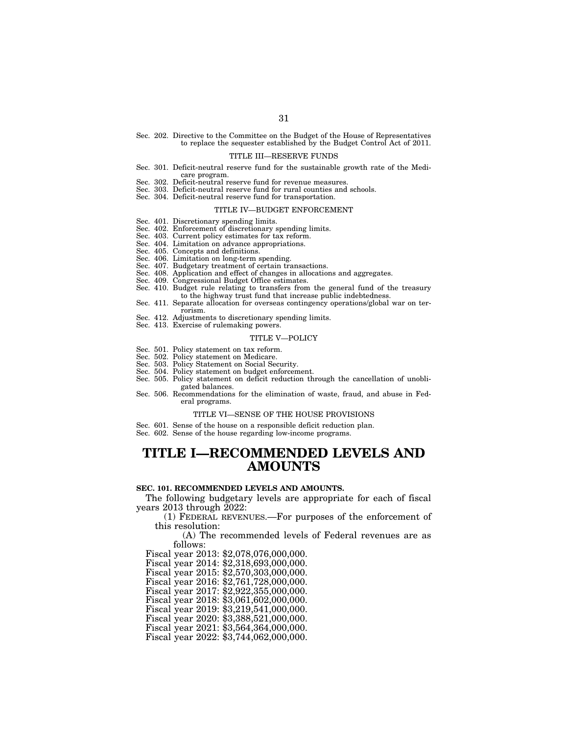Sec. 202. Directive to the Committee on the Budget of the House of Representatives to replace the sequester established by the Budget Control Act of 2011.

#### TITLE III—RESERVE FUNDS

- Sec. 301. Deficit-neutral reserve fund for the sustainable growth rate of the Medicare program.
- Sec. 302. Deficit-neutral reserve fund for revenue measures.
- Sec. 303. Deficit-neutral reserve fund for rural counties and schools.
- Sec. 304. Deficit-neutral reserve fund for transportation.

#### TITLE IV—BUDGET ENFORCEMENT

- Sec. 401. Discretionary spending limits.
- Sec. 402. Enforcement of discretionary spending limits.
- Sec. 403. Current policy estimates for tax reform.
- Sec. 404. Limitation on advance appropriations.
- Sec. 405. Concepts and definitions.
- Sec. 406. Limitation on long-term spending.
- Sec. 407. Budgetary treatment of certain transactions.
- Sec. 408. Application and effect of changes in allocations and aggregates.
- Sec. 409. Congressional Budget Office estimates.
- Sec. 410. Budget rule relating to transfers from the general fund of the treasury to the highway trust fund that increase public indebtedness.
- Sec. 411. Separate allocation for overseas contingency operations/global war on terrorism.
- Sec. 412. Adjustments to discretionary spending limits.
- Sec. 413. Exercise of rulemaking powers.

#### TITLE V—POLICY

- Sec. 501. Policy statement on tax reform.
- Sec. 502. Policy statement on Medicare.
- Sec. 503. Policy Statement on Social Security.
- Sec. 504. Policy statement on budget enforcement.
- Sec. 505. Policy statement on deficit reduction through the cancellation of unobligated balances.
- Sec. 506. Recommendations for the elimination of waste, fraud, and abuse in Federal programs.

### TITLE VI—SENSE OF THE HOUSE PROVISIONS

- Sec. 601. Sense of the house on a responsible deficit reduction plan.
- Sec. 602. Sense of the house regarding low-income programs.

# **TITLE I—RECOMMENDED LEVELS AND AMOUNTS**

## **SEC. 101. RECOMMENDED LEVELS AND AMOUNTS.**

The following budgetary levels are appropriate for each of fiscal years 2013 through 2022:

(1) FEDERAL REVENUES.—For purposes of the enforcement of this resolution:

(A) The recommended levels of Federal revenues are as follows:

Fiscal year 2013: \$2,078,076,000,000.

Fiscal year 2014: \$2,318,693,000,000.

Fiscal year 2015: \$2,570,303,000,000.

Fiscal year 2016: \$2,761,728,000,000.

Fiscal year 2017: \$2,922,355,000,000.

Fiscal year 2018: \$3,061,602,000,000.

Fiscal year 2019: \$3,219,541,000,000.

Fiscal year 2020: \$3,388,521,000,000.

Fiscal year 2021: \$3,564,364,000,000.

Fiscal year 2022: \$3,744,062,000,000.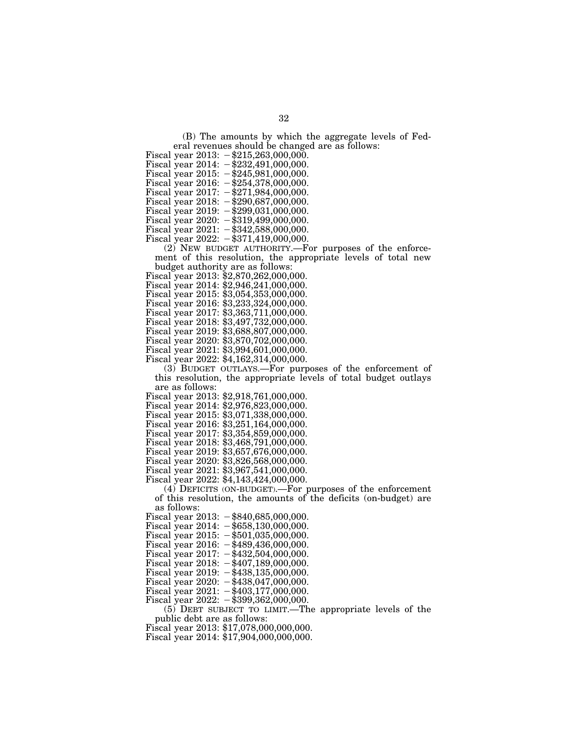(B) The amounts by which the aggregate levels of Federal revenues should be changed are as follows:

- Fiscal year  $2013: -\$215,263,000,000.$
- Fiscal year 2014:  $-\frac{232}{491,000,000}$ .
- Fiscal year 2015:  $-\$245,981,000,000$ .
- Fiscal year 2016:  $-\$254,378,000,000$ .
- Fiscal year  $2017: -271,984,000,000$ .
- Fiscal year  $2018: -\frac{1}{290,687,000,000}$ .
- Fiscal year 2019:  $-\frac{299}{031,000,000}$ .
- Fiscal year  $2020: -\$319,499,000,000.$ Fiscal year  $2021: -18342,588,000,000.$
- 
- Fiscal year 2022:  $-\frac{1}{3}371,419,000,000$ .

(2) NEW BUDGET AUTHORITY.—For purposes of the enforcement of this resolution, the appropriate levels of total new budget authority are as follows:

- Fiscal year 2013: \$2,870,262,000,000.
- Fiscal year 2014: \$2,946,241,000,000.
- Fiscal year 2015: \$3,054,353,000,000.
- 
- Fiscal year 2016: \$3,233,324,000,000.
- Fiscal year 2017: \$3,363,711,000,000.
- Fiscal year 2018: \$3,497,732,000,000.
- Fiscal year 2019: \$3,688,807,000,000.
- Fiscal year 2020: \$3,870,702,000,000.
- Fiscal year 2021: \$3,994,601,000,000.
- Fiscal year 2022: \$4,162,314,000,000.

(3) BUDGET OUTLAYS.—For purposes of the enforcement of this resolution, the appropriate levels of total budget outlays are as follows:

- Fiscal year 2013: \$2,918,761,000,000.
- Fiscal year 2014: \$2,976,823,000,000.
- Fiscal year 2015: \$3,071,338,000,000.
- Fiscal year 2016: \$3,251,164,000,000.
- Fiscal year 2017: \$3,354,859,000,000.
- Fiscal year 2018: \$3,468,791,000,000.
- Fiscal year 2019: \$3,657,676,000,000.
- Fiscal year 2020: \$3,826,568,000,000.
- Fiscal year 2021: \$3,967,541,000,000.
- Fiscal year 2022: \$4,143,424,000,000.
	- (4) DEFICITS (ON-BUDGET).—For purposes of the enforcement of this resolution, the amounts of the deficits (on-budget) are as follows:
- Fiscal year  $2013: -\$840,685,000,000.$
- Fiscal year  $2014: -\$658,130,000,000.$
- Fiscal year  $2015: -\$501,035,000,000.$
- Fiscal year 2016:  $-\frac{$489,436,000,000.}{5000}$
- Fiscal year  $2017: -1432,504,000,000$ .
- Fiscal year  $2018: -1407,189,000,000$ .
- Fiscal year 2019:  $-\frac{438}{135,000,000}$ .
- Fiscal year 2020:  $-\frac{438}{047,000,000}$ .
- Fiscal year  $2021: -1403, 177, 000, 000.$
- Fiscal year  $2022: -\$399,362,000,000.$ 
	- $(5)$  DEBT SUBJECT TO LIMIT.—The appropriate levels of the public debt are as follows:
- Fiscal year 2013: \$17,078,000,000,000.
- Fiscal year 2014: \$17,904,000,000,000.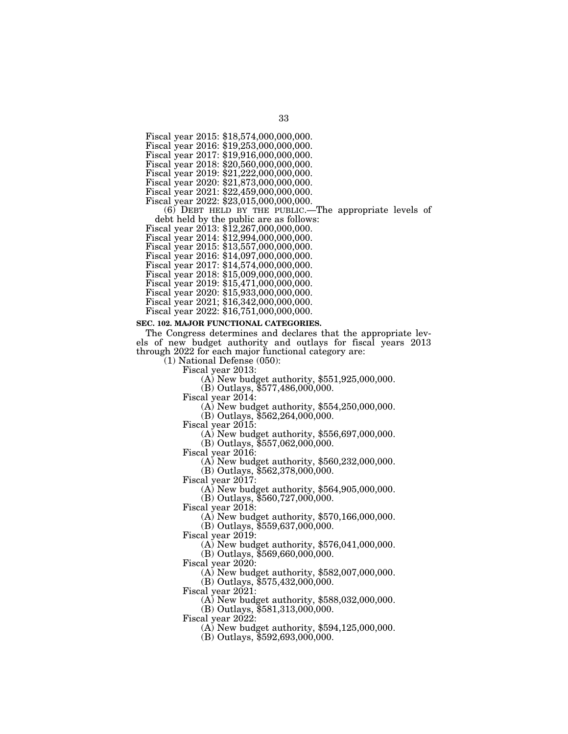Fiscal year 2015: \$18,574,000,000,000.

Fiscal year 2016: \$19,253,000,000,000.

Fiscal year 2017: \$19,916,000,000,000. Fiscal year 2018: \$20,560,000,000,000.

Fiscal year 2019: \$21,222,000,000,000.

Fiscal year 2020: \$21,873,000,000,000.

Fiscal year 2021: \$22,459,000,000,000.

Fiscal year 2022: \$23,015,000,000,000.

(6) DEBT HELD BY THE PUBLIC.—The appropriate levels of

debt held by the public are as follows: Fiscal year 2013: \$12,267,000,000,000.

Fiscal year 2014: \$12,994,000,000,000.

Fiscal year 2015: \$13,557,000,000,000.

Fiscal year 2016: \$14,097,000,000,000.

Fiscal year 2017: \$14,574,000,000,000.

Fiscal year 2018: \$15,009,000,000,000.

Fiscal year 2019: \$15,471,000,000,000.

Fiscal year 2020: \$15,933,000,000,000.

Fiscal year 2021; \$16,342,000,000,000. Fiscal year 2022: \$16,751,000,000,000.

# **SEC. 102. MAJOR FUNCTIONAL CATEGORIES.**

The Congress determines and declares that the appropriate levels of new budget authority and outlays for fiscal years 2013 through 2022 for each major functional category are:

 $(1)$  National Defense (050):<br>Fiscal year 2013:

 $F(A)$  New budget authority, \$551,925,000,000.

(B) Outlays, \$577,486,000,000.

Fiscal year 2014: (A) New budget authority, \$554,250,000,000.

(B) Outlays, \$562,264,000,000.

Fiscal year 2015: (A) New budget authority, \$556,697,000,000.

(B) Outlays, \$557,062,000,000.<br>Fiscal year 2016:

 $F(A)$  New budget authority, \$560,232,000,000.

(B) Outlays, \$562,378,000,000.

Fiscal year 2017: (A) New budget authority, \$564,905,000,000.

(B) Outlays, \$560,727,000,000.<br>Fiscal year 2018:

 $(A)$  New budget authority, \$570,166,000,000.

(B) Outlays, \$559,637,000,000.

 $F(A)$  New budget authority, \$576,041,000,000. (B) Outlays, \$569,660,000,000.

Fiscal year 2020: (A) New budget authority, \$582,007,000,000. (B) Outlays, \$575,432,000,000.

Fiscal year 2021: (A) New budget authority, \$588,032,000,000.

(B) Outlays, \$581,313,000,000.<br>Fiscal year 2022:

 $\Phi(A)$  New budget authority, \$594,125,000,000.

(B) Outlays, \$592,693,000,000.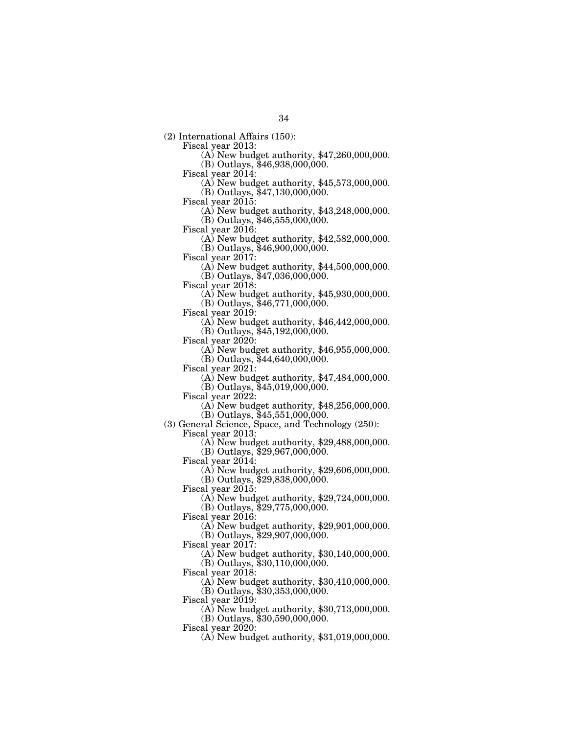(2) International Affairs (150):

Fiscal year 2013: (A) New budget authority, \$47,260,000,000.

(B) Outlays, \$46,938,000,000.<br>Fiscal year 2014:

 $F(A)$  New budget authority, \$45,573,000,000.

(B) Outlays, \$47,130,000,000.

Fiscal year 2015: (A) New budget authority, \$43,248,000,000.

 $(B)$  Outlays, \$46,555,000,000.<br>Fiscal year 2016:

 $F(A)$  New budget authority, \$42,582,000,000.

(B) Outlays, \$46,900,000,000.<br>Fiscal year 2017:

 $\Phi(A)$  New budget authority, \$44,500,000,000. (B) Outlays, \$47,036,000,000.

Fiscal year 2018: (A) New budget authority, \$45,930,000,000.

(B) Outlays, \$46,771,000,000.

Fiscal year 2019: (A) New budget authority, \$46,442,000,000.

(B) Outlays, \$45,192,000,000.<br>Fiscal year 2020:

 $F(A)$  New budget authority, \$46,955,000,000.

(B) Outlays, \$44,640,000,000.

Fiscal year 2021: (A) New budget authority, \$47,484,000,000.

(B) Outlays,  $$45,019,000,000$ .<br>Fiscal year 2022:

 $F(A)$  New budget authority, \$48,256,000,000.  $(B)$  Outlays, \$45,551,000,000.

(3) General Science, Space, and Technology (250):

 $(A)$  New budget authority, \$29,488,000,000.

(B) Outlays,  $$29,967,000,000$ .

Fiscal year 2014:

(A) New budget authority, \$29,606,000,000.

(B) Outlays, \$29,838,000,000.

Fiscal year 2015:

(A) New budget authority, \$29,724,000,000.

(B) Outlays, \$29,775,000,000.

Fiscal year 2016:

(A) New budget authority, \$29,901,000,000.

(B) Outlays, \$29,907,000,000.

Fiscal year 2017:

(A) New budget authority, \$30,140,000,000.  $(B)$  Outlays,  $$30,110,000,000$ .

Fiscal year 2018:

(A) New budget authority, \$30,410,000,000.

(B) Outlays, \$30,353,000,000.

Fiscal year 2019: (A) New budget authority, \$30,713,000,000.

(B) Outlays, \$30,590,000,000.

Fiscal year 2020:

(A) New budget authority, \$31,019,000,000.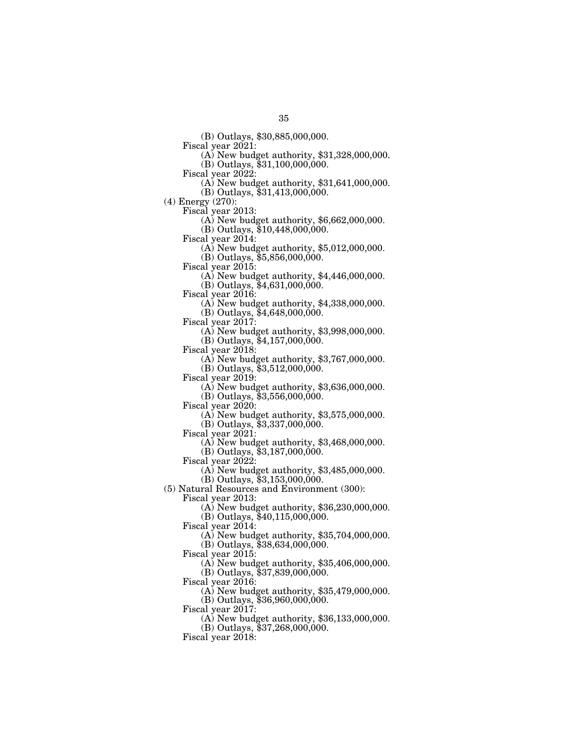(B) Outlays, \$30,885,000,000.

 $F(A)$  New budget authority, \$31,328,000,000.

 $(B)$  Outlays, \$31,100,000,000.<br>Fiscal year 2022:

 $F(A)$  New budget authority, \$31,641,000,000.

(B) Outlays, \$31,413,000,000.

(4) Energy (270):

 $\Phi$ ) New budget authority, \$6,662,000,000.

(B) Outlays, \$10,448,000,000.

Fiscal year 2014: (A) New budget authority, \$5,012,000,000.

(B) Outlays, \$5,856,000,000.<br>Fiscal year 2015:

 $\Phi$ ) New budget authority, \$4,446,000,000.

(B) Outlays,  $$4,631,000,000$ .<br>Fiscal year 2016:

 $(A)$  New budget authority, \$4,338,000,000.

(B) Outlays, \$4,648,000,000.<br>Fiscal year 2017:

 $\overline{(A)}$  New budget authority, \$3,998,000,000.

(B) Outlays,  $$4,157,000,000$ .<br>Fiscal year 2018:

 $(A)$  New budget authority, \$3,767,000,000.

(B) Outlays,  $$3,512,000,000$ .<br>Fiscal year 2019:

 $(A)$  New budget authority, \$3,636,000,000.

 $(B)$  Outlays,  $$3,556,000,000$ .

Fiscal year 2020: (A) New budget authority, \$3,575,000,000.

(B) Outlays,  $$3,337,000,000$ .<br>Fiscal year 2021:

 $\Phi$ ) New budget authority, \$3,468,000,000.

(B) Outlays, \$3,187,000,000.

Fiscal year 2022:

(A) New budget authority, \$3,485,000,000.

 $(B)$  Outlays,  $$3,153,000,000$ .

(5) Natural Resources and Environment (300):

Fiscal year 2013:

(A) New budget authority, \$36,230,000,000.

(B) Outlays, \$40,115,000,000.

Fiscal year 2014:

(A) New budget authority, \$35,704,000,000.

(B) Outlays, \$38,634,000,000. Fiscal year 2015:

(A) New budget authority, \$35,406,000,000.

(B) Outlays, \$37,839,000,000.

Fiscal year 2016:

(A) New budget authority, \$35,479,000,000.

(B) Outlays, \$36,960,000,000.

Fiscal year  $2017$ :

(A) New budget authority, \$36,133,000,000.

(B) Outlays, \$37,268,000,000.

Fiscal year 2018: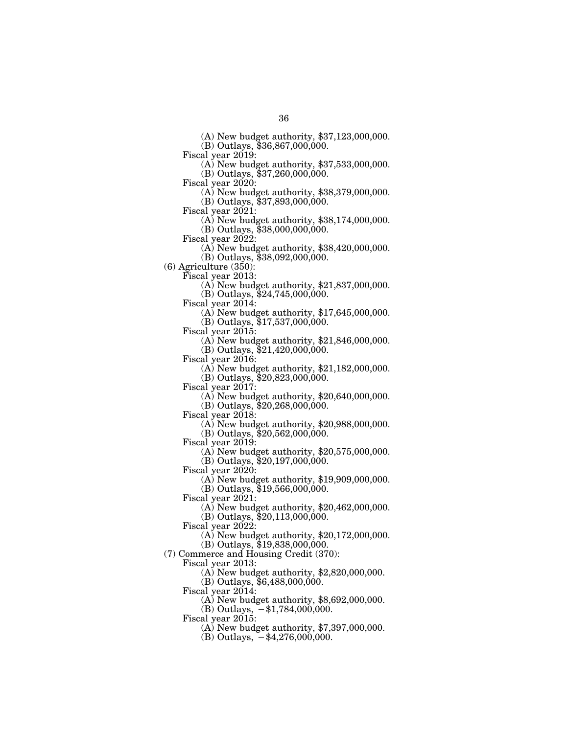(A) New budget authority, \$37,123,000,000.

(B) Outlays, \$36,867,000,000.

Fiscal year 2019: (A) New budget authority, \$37,533,000,000.

(B) Outlays, \$37,260,000,000.<br>Fiscal year 2020:

 $(A)$  New budget authority, \$38,379,000,000.

(B) Outlays, \$37,893,000,000.<br>Fiscal year 2021:

 $F(A)$  New budget authority, \$38,174,000,000. (B) Outlays, \$38,000,000,000.<br>Fiscal year 2022:

 $\Phi$  New budget authority, \$38,420,000,000.

(B) Outlays, \$38,092,000,000.

(6) Agriculture (350):

Fiscal year 2013: (A) New budget authority, \$21,837,000,000.

(B) Outlays, \$24,745,000,000.

 $F(A)$  New budget authority, \$17,645,000,000. (B) Outlays, \$17,537,000,000.<br>Fiscal year 2015:

 $\Delta$ ) New budget authority, \$21,846,000,000. (B) Outlays, \$21,420,000,000.

Fiscal year 2016: (A) New budget authority, \$21,182,000,000.

(B) Outlays, \$20,823,000,000.<br>Fiscal year 2017:

 $\Phi(A)$  New budget authority, \$20,640,000,000.

(B) Outlays, \$20,268,000,000.<br>Fiscal year 2018:

 $F(A)$  New budget authority, \$20,988,000,000. (B) Outlays, \$20,562,000,000.

Fiscal year 2019:

(A) New budget authority, \$20,575,000,000. (B) Outlays, \$20,197,000,000.

Fiscal year 2020:

(A) New budget authority, \$19,909,000,000. (B) Outlays, \$19,566,000,000.

Fiscal year  $2021$ :

(A) New budget authority, \$20,462,000,000.

(B) Outlays, \$20,113,000,000.

Fiscal year  $2022$ :

(A) New budget authority, \$20,172,000,000.

(B) Outlays, \$19,838,000,000.

(7) Commerce and Housing Credit (370):

Fiscal year 2013:

(A) New budget authority, \$2,820,000,000.

(B) Outlays, \$6,488,000,000.

Fiscal year 2014:

(A) New budget authority, \$8,692,000,000.

(B) Outlays,  $-$ \$1,784,000,000.

Fiscal year 2015:

(A) New budget authority, \$7,397,000,000.

(B) Outlays,  $-$ \$4,276,000,000.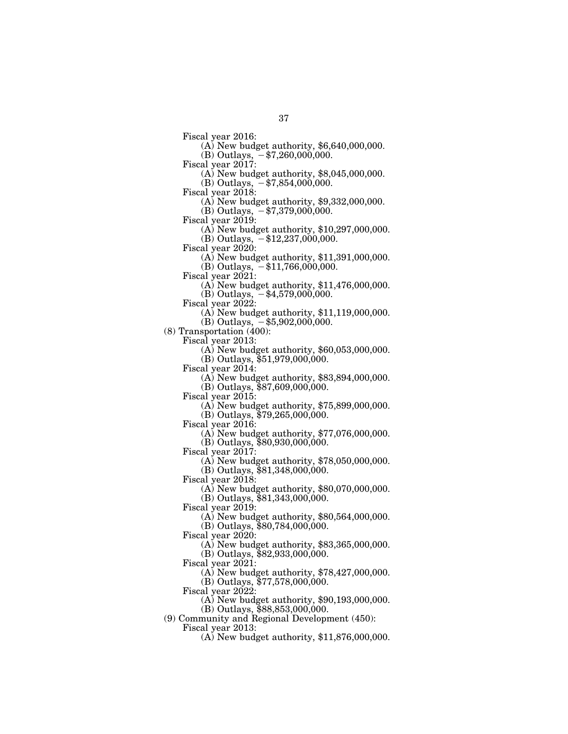- Fiscal year 2016: (A) New budget authority, \$6,640,000,000. (B) Outlays,  $-$  \$7,260,000,000.<br>Fiscal year 2017:
- - $(A)$  New budget authority, \$8,045,000,000. (B) Outlays,  $-$  \$7,854,000,000.
- 
- 
- Fiscal year 2018: (A) New budget authority, \$9,332,000,000.
- (B) Outlays,  $-$  \$7,379,000,000.<br>Fiscal year 2019:
- - $F(A)$  New budget authority, \$10,297,000,000.
- (B) Outlays,  $-$ \$12,237,000,000.<br>Fiscal year 2020:
- - $F(A)$  New budget authority, \$11,391,000,000.  $(B)$  Outlays,  $-\$11,766,000,000$ .
- 
- Fiscal year 2021: (A) New budget authority, \$11,476,000,000.
- (B) Outlays,  $-$ \$4,579,000,000.<br>Fiscal year 2022:
- - $(A)$  New budget authority, \$11,119,000,000.  $(B)$  Outlays,  $-$ \$5,902,000,000.
- 

(8) Transportation (400):

- 
- Fiscal year 2013: (A) New budget authority, \$60,053,000,000.
	- (B) Outlays, \$51,979,000,000.
- 
- Fiscal year 2014: (A) New budget authority, \$83,894,000,000.
- (B) Outlays,  $$87,609,000,000$ .<br>Fiscal year 2015:
- - $(A)$  New budget authority, \$75,899,000,000.
- (B) Outlays, \$79,265,000,000.<br>Fiscal year 2016:
- - $F(A)$  New budget authority, \$77,076,000,000. (B) Outlays, \$80,930,000,000.
- Fiscal year 2017:
	- (A) New budget authority, \$78,050,000,000.
- $(B)$  Outlays,  $$81,348,000,000$ .
- Fiscal year 2018:
	- (A) New budget authority, \$80,070,000,000.
	- (B) Outlays, \$81,343,000,000.
- Fiscal year 2019:
	- (A) New budget authority, \$80,564,000,000.
	- (B) Outlays, \$80,784,000,000.
- Fiscal year 2020:
- (A) New budget authority, \$83,365,000,000. (B) Outlays,  $$82,933,000,000$ .
- Fiscal year 2021:
	- (A) New budget authority, \$78,427,000,000. (B) Outlays, \$77,578,000,000.
- Fiscal year 2022:
	- (A) New budget authority, \$90,193,000,000.
- (B) Outlays, \$88,853,000,000. (9) Community and Regional Development (450):
	- Fiscal year 2013:
		- (A) New budget authority, \$11,876,000,000.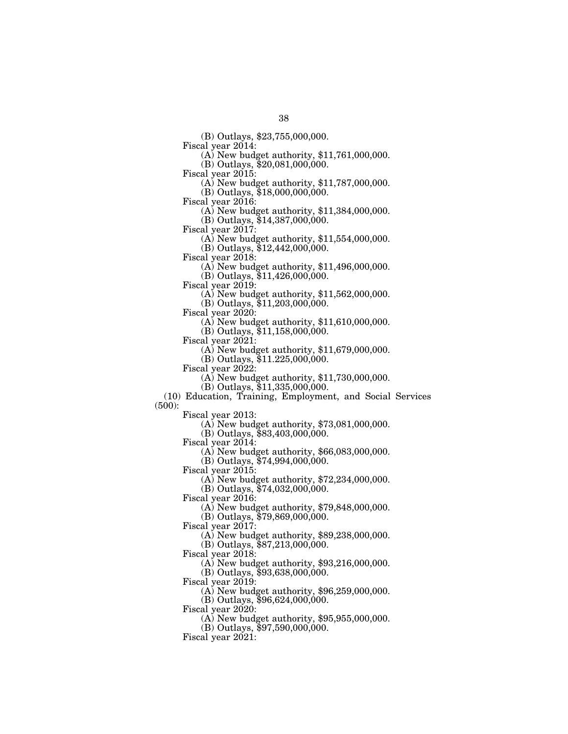(B) Outlays, \$23,755,000,000.

 $F(A)$  New budget authority, \$11,761,000,000.

 $(B)$  Outlays, \$20,081,000,000.<br>Fiscal year 2015:

(A) New budget authority,  $$11,787,000,000$ .

(B) Outlays, \$18,000,000,000.

Fiscal year 2016: (A) New budget authority, \$11,384,000,000.

(B) Outlays, \$14,387,000,000.<br>Fiscal year 2017:

 $F(A)$  New budget authority, \$11,554,000,000.

(B) Outlays, \$12,442,000,000.<br>Fiscal year 2018:

 $\Phi(A)$  New budget authority, \$11,496,000,000.

(B) Outlays, \$11,426,000,000.

Fiscal year 2019: (A) New budget authority, \$11,562,000,000.

(B) Outlays, \$11,203,000,000.

Fiscal year 2020: (A) New budget authority, \$11,610,000,000.

(B) Outlays, \$11,158,000,000.<br>Fiscal year 2021:

 $F(A)$  New budget authority, \$11,679,000,000.

(B) Outlays, \$11.225,000,000.

Fiscal year 2022: (A) New budget authority, \$11,730,000,000.

(B) Outlays, \$11,335,000,000.

(10) Education, Training, Employment, and Social Services (500):

Fiscal year 2013: (A) New budget authority, \$73,081,000,000.

(B) Outlays, \$83,403,000,000.

Fiscal year 2014:

(A) New budget authority, \$66,083,000,000.

(B) Outlays, \$74,994,000,000.

Fiscal year 2015:

(A) New budget authority, \$72,234,000,000.

 $(B)$  Outlays,  $$74,032,000,000$ .

Fiscal year 2016:

(A) New budget authority, \$79,848,000,000.

(B) Outlays, \$79,869,000,000.

Fiscal year 2017:

(A) New budget authority, \$89,238,000,000.

(B) Outlays, \$87,213,000,000.

Fiscal year 2018:

(A) New budget authority, \$93,216,000,000.

(B) Outlays, \$93,638,000,000.

Fiscal year 2019:

(A) New budget authority, \$96,259,000,000.

(B) Outlays, \$96,624,000,000.

Fiscal year  $2020$ :

(A) New budget authority, \$95,955,000,000.

(B) Outlays, \$97,590,000,000.

Fiscal year 2021: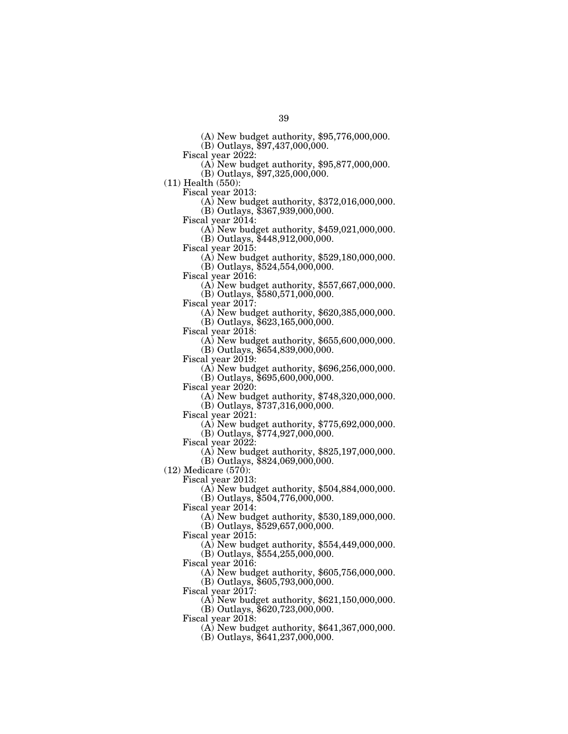(A) New budget authority, \$95,776,000,000.

(B) Outlays, \$97,437,000,000.<br>Fiscal year 2022:

 $\Phi$ ) New budget authority, \$95,877,000,000.

(B) Outlays, \$97,325,000,000.

(11) Health (550):

 $F(A)$  New budget authority, \$372,016,000,000.

(B) Outlays, \$367,939,000,000.

Fiscal year 2014: (A) New budget authority, \$459,021,000,000.

(B) Outlays, \$448,912,000,000.<br>Fiscal year 2015:

 $F(A)$  New budget authority, \$529,180,000,000. (B) Outlays, \$524,554,000,000.

Fiscal year 2016: (A) New budget authority, \$557,667,000,000.

(B) Outlays, \$580,571,000,000.

(A) New budget authority,  $$620,385,000,000$ .

(B) Outlays, \$623,165,000,000.

 $(A)$  New budget authority, \$655,600,000,000.

(B) Outlays, \$654,839,000,000.

Fiscal year 2019: (A) New budget authority, \$696,256,000,000.

(B) Outlays, \$695,600,000,000.

Fiscal year 2020: (A) New budget authority, \$748,320,000,000.

(B) Outlays, \$737,316,000,000.

Fiscal year 2021: (A) New budget authority, \$775,692,000,000. (B) Outlays, \$774,927,000,000.

Fiscal year 2022:

(A) New budget authority, \$825,197,000,000. (B) Outlays, \$824,069,000,000.

(12) Medicare (570):

Fiscal year 2013:

(A) New budget authority, \$504,884,000,000.

(B) Outlays, \$504,776,000,000.

Fiscal year 2014:

(A) New budget authority, \$530,189,000,000.

(B) Outlays, \$529,657,000,000.

Fiscal year 2015:

(A) New budget authority, \$554,449,000,000. (B) Outlays, \$554,255,000,000.

Fiscal year 2016:

(A) New budget authority, \$605,756,000,000. (B) Outlays, \$605,793,000,000.

Fiscal year 2017:

(A) New budget authority, \$621,150,000,000.

(B) Outlays, \$620,723,000,000.

Fiscal year 2018:

(A) New budget authority, \$641,367,000,000.

(B) Outlays, \$641,237,000,000.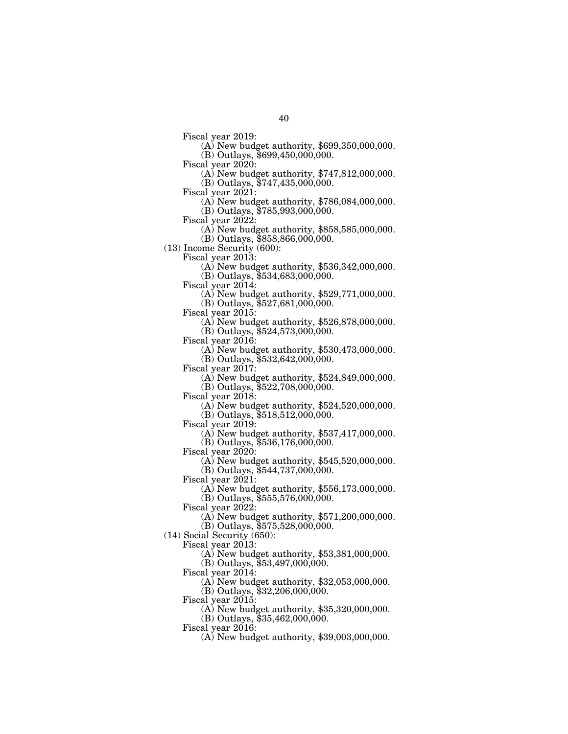- Fiscal year 2019: (A) New budget authority, \$699,350,000,000.  $(B)$  Outlays, \$699,450,000,000.<br>Fiscal year 2020:
- - (A) New budget authority,  $$747,812,000,000$ . (B) Outlays, \$747,435,000,000.
- 
- Fiscal year 2021: (A) New budget authority, \$786,084,000,000.
	- (B) Outlays, \$785,993,000,000.
- 
- Fiscal year 2022: (A) New budget authority, \$858,585,000,000.
- (B) Outlays, \$858,866,000,000.
- (13) Income Security  $(600)$ :<br>Fiscal year 2013:
	- - $F(A)$  New budget authority, \$536,342,000,000. (B) Outlays, \$534,683,000,000.
	-
	- Fiscal year 2014: (A) New budget authority, \$529,771,000,000. (B) Outlays, \$527,681,000,000.
		-
		-
	- Fiscal year 2015: (A) New budget authority, \$526,878,000,000.
	- (B) Outlays, \$524,573,000,000.<br>Fiscal year 2016:
	- - (A) New budget authority,  $$530,473,000,000$ .
		- (B) Outlays, \$532,642,000,000.
	-
	- Fiscal year 2017: (A) New budget authority, \$524,849,000,000.
	- (B) Outlays, \$522,708,000,000.<br>Fiscal year 2018:
	- - (A) New budget authority,  $$524,520,000,000$ .
	- $(B)$  Outlays, \$518,512,000,000.<br>Fiscal year 2019:
	- - $F(A)$  New budget authority, \$537,417,000,000. (B) Outlays, \$536,176,000,000.
	- Fiscal year 2020:
		- (A) New budget authority, \$545,520,000,000.
	- (B) Outlays, \$544,737,000,000.
	- Fiscal year  $2021$ :
		- (A) New budget authority, \$556,173,000,000.
		- (B) Outlays, \$555,576,000,000.
	- Fiscal year 2022:
		- (A) New budget authority, \$571,200,000,000.
		- (B) Outlays, \$575,528,000,000.
- (14) Social Security (650):
	- Fiscal year 2013:
		- (A) New budget authority, \$53,381,000,000.
		- (B) Outlays, \$53,497,000,000.
		- Fiscal year 2014:
			- (A) New budget authority, \$32,053,000,000.
			- (B) Outlays, \$32,206,000,000.
		- Fiscal year 2015:
			- (A) New budget authority, \$35,320,000,000.
			- (B) Outlays, \$35,462,000,000.
		- Fiscal year 2016:
			- (A) New budget authority, \$39,003,000,000.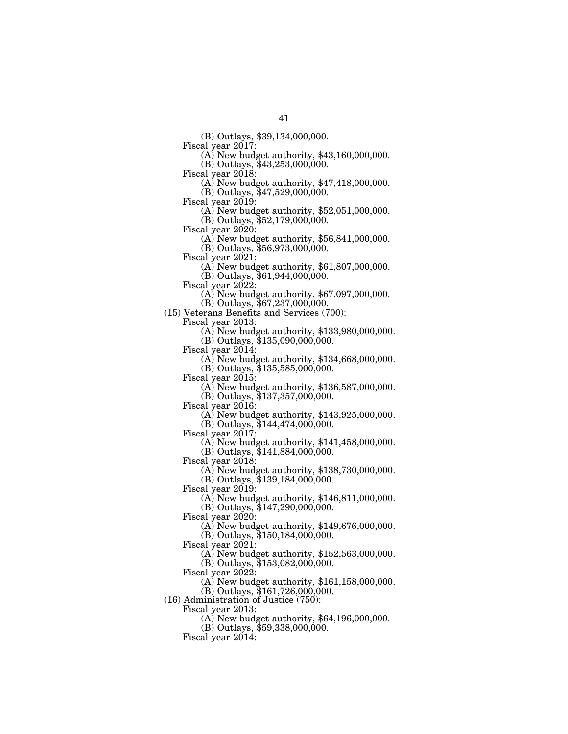(B) Outlays, \$39,134,000,000.

(A) New budget authority,  $$43,160,000,000$ .

(B) Outlays, \$43,253,000,000.<br>Fiscal year 2018:

 $(A)$  New budget authority,  $$47,418,000,000$ .

(B) Outlays, \$47,529,000,000.

Fiscal year 2019: (A) New budget authority, \$52,051,000,000.

 $(B)$  Outlays, \$52,179,000,000.<br>Fiscal year 2020:

 $F(A)$  New budget authority, \$56,841,000,000.

(B) Outlays, \$56,973,000,000.<br>Fiscal year 2021:

 $F(A)$  New budget authority, \$61,807,000,000.

(B) Outlays, \$61,944,000,000.<br>Fiscal year 2022:

(A) New budget authority,  $$67,097,000,000$ .

(B) Outlays, \$67,237,000,000.

(15) Veterans Benefits and Services (700):

Fiscal year 2013: (A) New budget authority, \$133,980,000,000.

(B) Outlays, \$135,090,000,000.<br>Fiscal year 2014:

 $\Phi$  New budget authority, \$134,668,000,000.

(B) Outlays, \$135,585,000,000.

 $F(A)$  New budget authority, \$136,587,000,000.

(B) Outlays, \$137,357,000,000.

Fiscal year 2016: (A) New budget authority, \$143,925,000,000.

(B) Outlays, \$144,474,000,000.

(A) New budget authority,  $$141,458,000,000$ .

(B) Outlays, \$141,884,000,000.

Fiscal year 2018:

(A) New budget authority, \$138,730,000,000.

(B) Outlays, \$139,184,000,000.

Fiscal year 2019:

(A) New budget authority, \$146,811,000,000.

(B) Outlays, \$147,290,000,000.

Fiscal year 2020:

(A) New budget authority, \$149,676,000,000.

(B) Outlays, \$150,184,000,000.

Fiscal year 2021:

(A) New budget authority, \$152,563,000,000.

(B) Outlays, \$153,082,000,000.

Fiscal year 2022:

(A) New budget authority, \$161,158,000,000.

(B) Outlays, \$161,726,000,000.

(16) Administration of Justice (750):

Fiscal year 2013:

(A) New budget authority, \$64,196,000,000.

(B) Outlays, \$59,338,000,000.

Fiscal year 2014: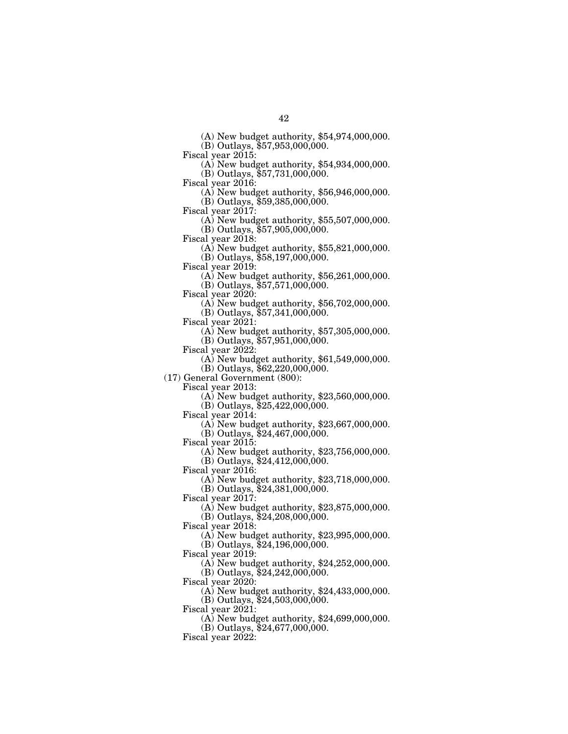(A) New budget authority, \$54,974,000,000.

(B) Outlays, \$57,953,000,000.

Fiscal year 2015: (A) New budget authority, \$54,934,000,000.

(B) Outlays, \$57,731,000,000.<br>Fiscal year 2016:

 $\Phi$  New budget authority, \$56,946,000,000.

(B) Outlays, \$59,385,000,000.<br>Fiscal year 2017:

 $\Phi$ ) New budget authority, \$55,507,000,000. (B) Outlays, \$57,905,000,000.

Fiscal year 2018: (A) New budget authority, \$55,821,000,000.

(B) Outlays, \$58,197,000,000.<br>Fiscal year 2019:

 $\Phi$  New budget authority, \$56,261,000,000.

(B) Outlays, \$57,571,000,000.

 $F(A)$  New budget authority, \$56,702,000,000.

(B) Outlays, \$57,341,000,000.

Fiscal year 2021: (A) New budget authority, \$57,305,000,000.

(B) Outlays, \$57,951,000,000.<br>Fiscal year 2022:

 $(A)$  New budget authority,  $$61,549,000,000$ .

(B) Outlays, \$62,220,000,000.

(17) General Government (800):

 $\Phi(A)$  New budget authority, \$23,560,000,000. (B) Outlays, \$25,422,000,000.<br>Fiscal year 2014:

 $F(A)$  New budget authority, \$23,667,000,000.

(B) Outlays, \$24,467,000,000.

Fiscal year 2015:

(A) New budget authority, \$23,756,000,000. (B) Outlays, \$24,412,000,000.

Fiscal year 2016:

(A) New budget authority, \$23,718,000,000. (B) Outlays, \$24,381,000,000.

Fiscal year 2017:

(A) New budget authority, \$23,875,000,000.

(B) Outlays, \$24,208,000,000.

Fiscal year 2018:

(A) New budget authority, \$23,995,000,000.

(B) Outlays, \$24,196,000,000.

Fiscal year 2019:

(A) New budget authority, \$24,252,000,000.

(B) Outlays, \$24,242,000,000.

Fiscal year 2020:

(A) New budget authority, \$24,433,000,000.

(B) Outlays, \$24,503,000,000.

Fiscal year  $2021$ :

(A) New budget authority, \$24,699,000,000.

(B) Outlays, \$24,677,000,000.

Fiscal year 2022: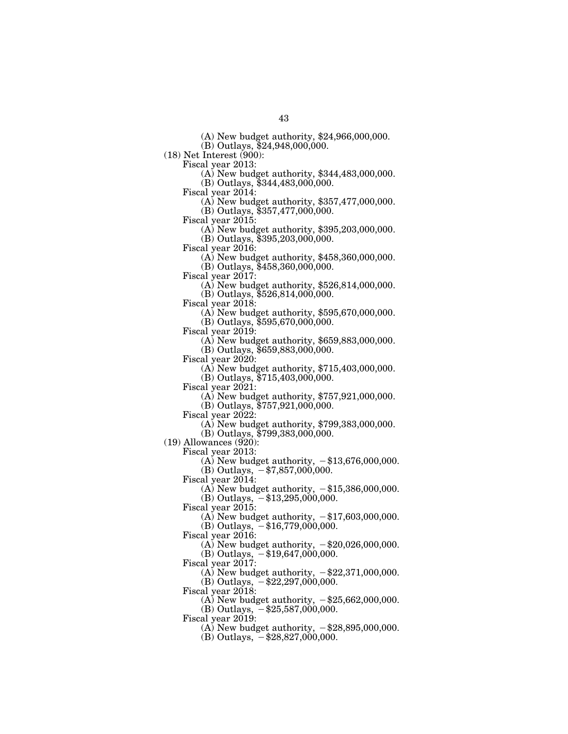43

(A) New budget authority, \$24,966,000,000.

(B) Outlays, \$24,948,000,000.

 $(18)$  Net Interest (900):<br>Fiscal year 2013:

 $F(A)$  New budget authority, \$344,483,000,000. (B) Outlays, \$344,483,000,000.

Fiscal year 2014: (A) New budget authority, \$357,477,000,000.

(B) Outlays, \$357,477,000,000.

Fiscal year 2015: (A) New budget authority, \$395,203,000,000.

(B) Outlays, \$395,203,000,000.

 $F(A)$  New budget authority, \$458,360,000,000. (B) Outlays, \$458,360,000,000.

Fiscal year 2017: (A) New budget authority, \$526,814,000,000.

(B) Outlays, \$526,814,000,000.

(A) New budget authority,  $$595,670,000,000$ . (B) Outlays, \$595,670,000,000.

 $(A)$  New budget authority, \$659,883,000,000. (B) Outlays, \$659,883,000,000.

Fiscal year 2020: (A) New budget authority, \$715,403,000,000.

(B) Outlays, \$715,403,000,000.

Fiscal year 2021: (A) New budget authority, \$757,921,000,000.

(B) Outlays, \$757,921,000,000.<br>Fiscal year 2022:

 $F(A)$  New budget authority, \$799,383,000,000.

(B) Outlays, \$799,383,000,000.

 $(19)$  Allowances  $(920)$ :

Fiscal year 2013:

(A) New budget authority,  $-\$13,676,000,000$ .

(B) Outlays,  $-$ \$7,857,000,000.

Fiscal year 2014:

(A) New budget authority,  $-\$15,386,000,000$ .

(B) Outlays,  $-$ \$13,295,000,000.

Fiscal year 2015:

(A) New budget authority,  $-\$17,603,000,000$ .

 $(B)$  Outlays,  $-$ \$16,779,000,000.

Fiscal year 2016:

(A) New budget authority,  $-\$20,026,000,000$ . (B) Outlays,  $-$ \$19,647,000,000.

Fiscal year 2017:

(A) New budget authority,  $-\$22,371,000,000$ . (B) Outlays,  $-$ \$22,297,000,000.

Fiscal year 2018:

(A) New budget authority,  $-\$25,662,000,000$ .

(B) Outlays,  $-$ \$25,587,000,000.

Fiscal year 2019:

(A) New budget authority,  $-\$28,895,000,000$ .

(B) Outlays,  $-$ \$28,827,000,000.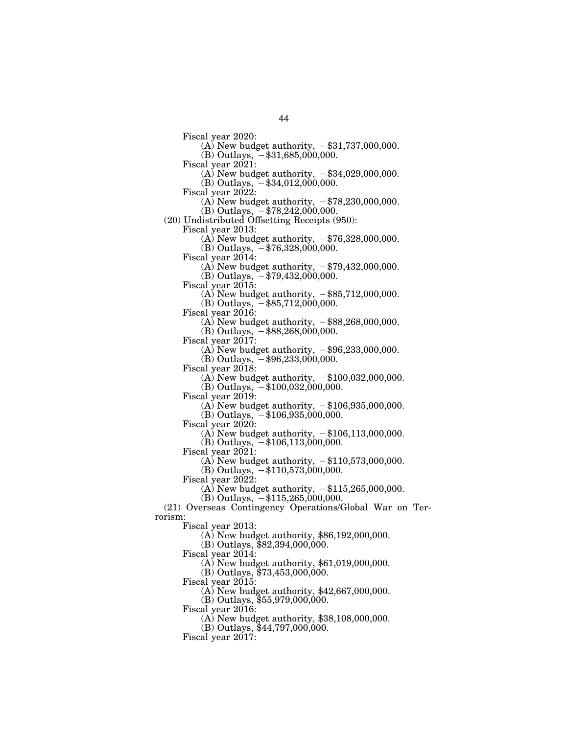Fiscal year 2020:

(A) New budget authority,  $-$ \$31,737,000,000. (B) Outlays,  $-$ \$31,685,000,000.

Fiscal year 2021:

(A) New budget authority,  $-\$34,029,000,000$ . (B) Outlays,  $-$ \$34,012,000,000.

Fiscal year 2022:

(A) New budget authority,  $-\frac{1}{3}78,230,000,000$ .

 $(B)$  Outlays,  $-$  \$78,242,000,000.

(20) Undistributed Offsetting Receipts (950):

Fiscal year 2013:

(A) New budget authority,  $-\frac{276}{328,000,000}$ . (B) Outlays,  $-$  \$76,328,000,000.

Fiscal year 2014:

(A) New budget authority,  $-\frac{279}{432,000,000}$ . (B) Outlays,  $-$ \$79,432,000,000.

Fiscal year 2015:

(A) New budget authority,  $-$ \$85,712,000,000.

 $(B)$  Outlays,  $-$ \$85,712,000,000.

Fiscal year 2016:

(A) New budget authority,  $-$ \$88,268,000,000.

(B) Outlays,  $-$  \$88,268,000,000.

Fiscal year  $2017$ :

(A) New budget authority,  $-\$96,233,000,000$ .

 $(B)$  Outlays,  $-\$96,233,000,000$ .

Fiscal year 2018:

(A) New budget authority,  $-\$100,032,000,000$ .

(B) Outlays,  $- $100,032,000,000$ .

Fiscal year 2019:

(A) New budget authority,  $-\$106,935,000,000$ .

 $(B)$  Outlays,  $-$ \$106,935,000,000.

Fiscal year 2020:

(A) New budget authority,  $-\$106,113,000,000$ .

 $(B)$  Outlays,  $-$  \$106,113,000,000.

Fiscal year 2021:

(A) New budget authority,  $-\$110,573,000,000$ .

(B) Outlays,  $-$ \$110,573,000,000.

Fiscal year  $2022$ :

(A) New budget authority,  $-\$115,265,000,000$ .

(B) Outlays,  $-$  \$115,265,000,000.

(21) Overseas Contingency Operations/Global War on Terrorism:

Fiscal year 2013:

(A) New budget authority, \$86,192,000,000.

(B) Outlays, \$82,394,000,000.

Fiscal year 2014:

(A) New budget authority, \$61,019,000,000.

(B) Outlays, \$73,453,000,000.

Fiscal year 2015:

(A) New budget authority, \$42,667,000,000.

(B) Outlays, \$55,979,000,000.

Fiscal year 2016:

(A) New budget authority, \$38,108,000,000.

(B) Outlays, \$44,797,000,000.

Fiscal year 2017: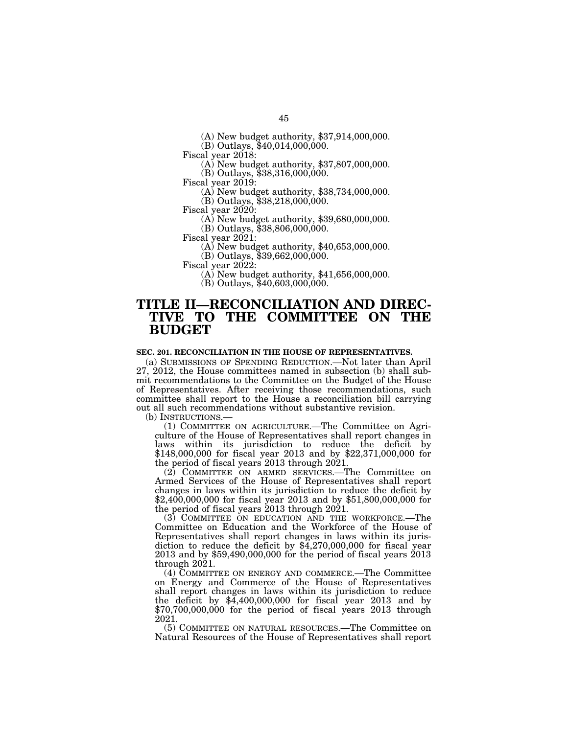(A) New budget authority, \$37,914,000,000.

(B) Outlays, \$40,014,000,000.

(A) New budget authority,  $$37,807,000,000$ .

(B) Outlays, \$38,316,000,000.<br>Fiscal year 2019:

 $(A)$  New budget authority, \$38,734,000,000.

(B) Outlays, \$38,218,000,000.

Fiscal year 2020: (A) New budget authority, \$39,680,000,000.

 $(B)$  Outlays, \$38,806,000,000.<br>Fiscal year 2021:

 $F(A)$  New budget authority, \$40,653,000,000.

(B) Outlays, \$39,662,000,000.

 $A$ <sup>j</sup> New budget authority, \$41,656,000,000.

(B) Outlays, \$40,603,000,000.

# **TITLE II—RECONCILIATION AND DIREC-TIVE TO THE COMMITTEE ON THE BUDGET**

### **SEC. 201. RECONCILIATION IN THE HOUSE OF REPRESENTATIVES.**

(a) SUBMISSIONS OF SPENDING REDUCTION.—Not later than April 27, 2012, the House committees named in subsection (b) shall submit recommendations to the Committee on the Budget of the House of Representatives. After receiving those recommendations, such committee shall report to the House a reconciliation bill carrying out all such recommendations without substantive revision.

(1) COMMITTEE ON AGRICULTURE.—The Committee on Agriculture of the House of Representatives shall report changes in laws within its jurisdiction to reduce the deficit by \$148,000,000 for fiscal year 2013 and by \$22,371,000,000 for the period of fiscal years 2013 through 2021.

(2) COMMITTEE ON ARMED SERVICES.—The Committee on Armed Services of the House of Representatives shall report changes in laws within its jurisdiction to reduce the deficit by \$2,400,000,000 for fiscal year 2013 and by \$51,800,000,000 for the period of fiscal years 2013 through 2021.

(3) COMMITTEE ON EDUCATION AND THE WORKFORCE.—The Committee on Education and the Workforce of the House of Representatives shall report changes in laws within its jurisdiction to reduce the deficit by  $$4,270,000,000$  for fiscal year 2013 and by \$59,490,000,000 for the period of fiscal years 2013 through 2021.

(4) COMMITTEE ON ENERGY AND COMMERCE.—The Committee on Energy and Commerce of the House of Representatives shall report changes in laws within its jurisdiction to reduce the deficit by \$4,400,000,000 for fiscal year 2013 and by \$70,700,000,000 for the period of fiscal years 2013 through 2021.

(5) COMMITTEE ON NATURAL RESOURCES.—The Committee on Natural Resources of the House of Representatives shall report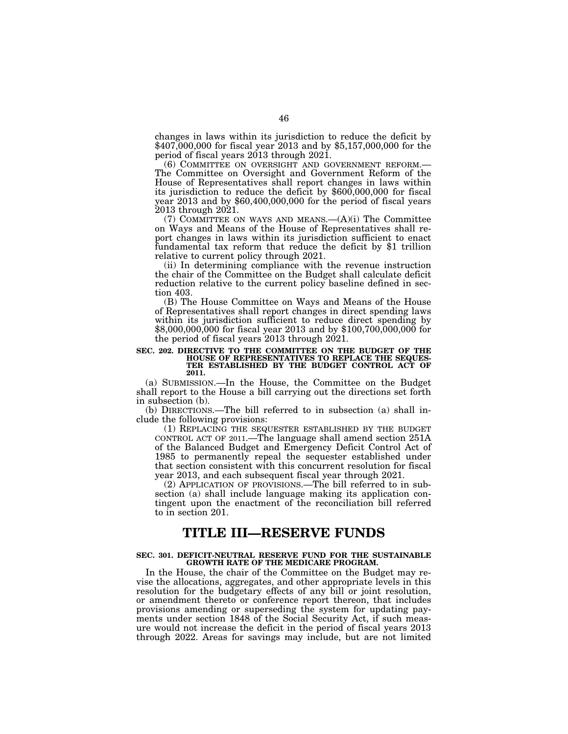changes in laws within its jurisdiction to reduce the deficit by \$407,000,000 for fiscal year 2013 and by \$5,157,000,000 for the period of fiscal years 2013 through 2021.<br>
(6) COMMITTEE ON OVERSIGHT AND GOVERNMENT REFORM.—

The Committee on Oversight and Government Reform of the House of Representatives shall report changes in laws within its jurisdiction to reduce the deficit by \$600,000,000 for fiscal year 2013 and by \$60,400,000,000 for the period of fiscal years 2013 through 2021.

(7) COMMITTEE ON WAYS AND MEANS.— $(A)(i)$  The Committee on Ways and Means of the House of Representatives shall report changes in laws within its jurisdiction sufficient to enact fundamental tax reform that reduce the deficit by \$1 trillion relative to current policy through 2021.

(ii) In determining compliance with the revenue instruction the chair of the Committee on the Budget shall calculate deficit reduction relative to the current policy baseline defined in section 403.

(B) The House Committee on Ways and Means of the House of Representatives shall report changes in direct spending laws within its jurisdiction sufficient to reduce direct spending by \$8,000,000,000 for fiscal year 2013 and by \$100,700,000,000 for the period of fiscal years 2013 through 2021.

**SEC. 202. DIRECTIVE TO THE COMMITTEE ON THE BUDGET OF THE HOUSE OF REPRESENTATIVES TO REPLACE THE SEQUES-TER ESTABLISHED BY THE BUDGET CONTROL ACT OF 2011.** 

(a) SUBMISSION.—In the House, the Committee on the Budget shall report to the House a bill carrying out the directions set forth in subsection (b).

(b) DIRECTIONS.—The bill referred to in subsection (a) shall include the following provisions:

(1) REPLACING THE SEQUESTER ESTABLISHED BY THE BUDGET CONTROL ACT OF 2011.—The language shall amend section 251A of the Balanced Budget and Emergency Deficit Control Act of 1985 to permanently repeal the sequester established under that section consistent with this concurrent resolution for fiscal year 2013, and each subsequent fiscal year through 2021.

(2) APPLICATION OF PROVISIONS.—The bill referred to in subsection (a) shall include language making its application contingent upon the enactment of the reconciliation bill referred to in section 201.

# **TITLE III—RESERVE FUNDS**

#### **SEC. 301. DEFICIT-NEUTRAL RESERVE FUND FOR THE SUSTAINABLE GROWTH RATE OF THE MEDICARE PROGRAM.**

In the House, the chair of the Committee on the Budget may revise the allocations, aggregates, and other appropriate levels in this resolution for the budgetary effects of any bill or joint resolution, or amendment thereto or conference report thereon, that includes provisions amending or superseding the system for updating payments under section 1848 of the Social Security Act, if such measure would not increase the deficit in the period of fiscal years 2013 through 2022. Areas for savings may include, but are not limited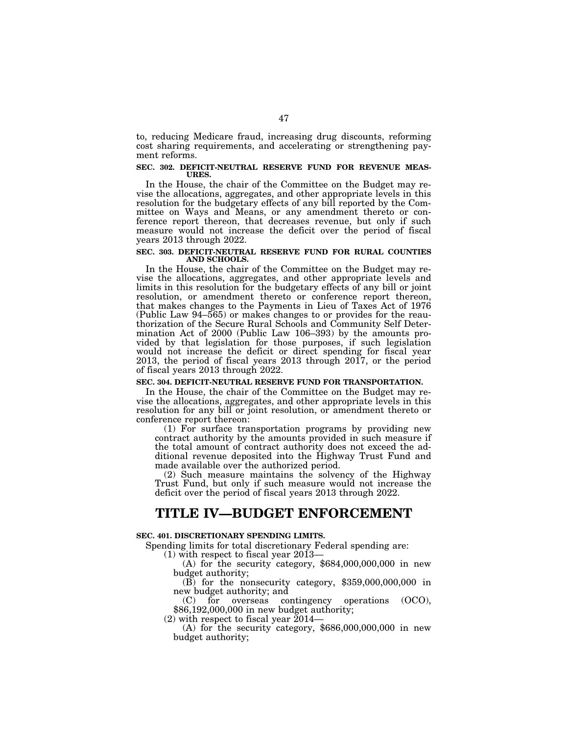to, reducing Medicare fraud, increasing drug discounts, reforming cost sharing requirements, and accelerating or strengthening payment reforms.

#### **SEC. 302. DEFICIT-NEUTRAL RESERVE FUND FOR REVENUE MEAS-URES.**

In the House, the chair of the Committee on the Budget may revise the allocations, aggregates, and other appropriate levels in this resolution for the budgetary effects of any bill reported by the Committee on Ways and Means, or any amendment thereto or conference report thereon, that decreases revenue, but only if such measure would not increase the deficit over the period of fiscal years 2013 through 2022.

### **SEC. 303. DEFICIT-NEUTRAL RESERVE FUND FOR RURAL COUNTIES AND SCHOOLS.**

In the House, the chair of the Committee on the Budget may revise the allocations, aggregates, and other appropriate levels and limits in this resolution for the budgetary effects of any bill or joint resolution, or amendment thereto or conference report thereon, that makes changes to the Payments in Lieu of Taxes Act of 1976 (Public Law 94–565) or makes changes to or provides for the reauthorization of the Secure Rural Schools and Community Self Determination Act of 2000 (Public Law 106–393) by the amounts provided by that legislation for those purposes, if such legislation would not increase the deficit or direct spending for fiscal year 2013, the period of fiscal years 2013 through 2017, or the period of fiscal years 2013 through 2022.

## **SEC. 304. DEFICIT-NEUTRAL RESERVE FUND FOR TRANSPORTATION.**

In the House, the chair of the Committee on the Budget may revise the allocations, aggregates, and other appropriate levels in this resolution for any bill or joint resolution, or amendment thereto or conference report thereon:

(1) For surface transportation programs by providing new contract authority by the amounts provided in such measure if the total amount of contract authority does not exceed the additional revenue deposited into the Highway Trust Fund and made available over the authorized period.

(2) Such measure maintains the solvency of the Highway Trust Fund, but only if such measure would not increase the deficit over the period of fiscal years 2013 through 2022.

# **TITLE IV—BUDGET ENFORCEMENT**

## **SEC. 401. DISCRETIONARY SPENDING LIMITS.**

Spending limits for total discretionary Federal spending are:<br>(1) with respect to fiscal year 2013—

(A) for the security category,  $$684,000,000,000$  in new budget authority;

 $\overline{B}$ ) for the nonsecurity category, \$359,000,000,000 in new budget authority; and<br>
(C) for overseas contingency operations

(C) for overseas contingency operations (OCO),  $$86,192,000,000$  in new budget authority;<br>(2) with respect to fiscal year 2014—

(A) for the security category,  $$686,000,000,000$  in new budget authority;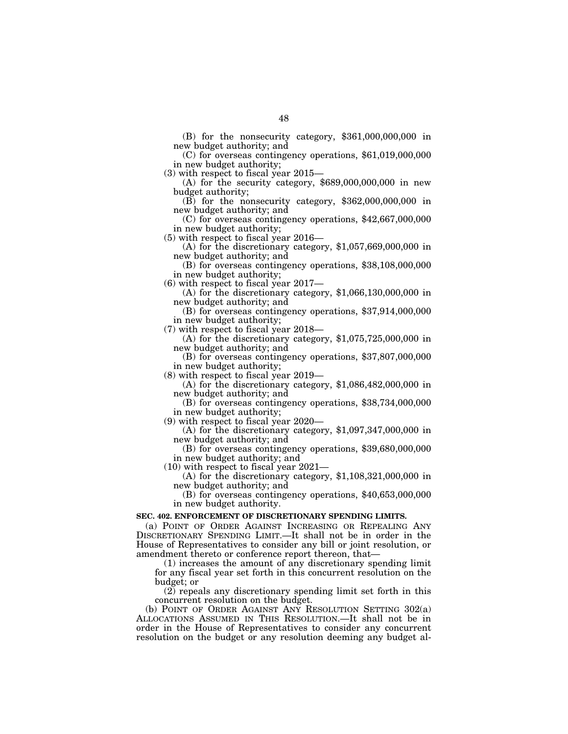(B) for the nonsecurity category, \$361,000,000,000 in

 $(C)$  for overseas contingency operations,  $$61,019,000,000$ in new budget authority;<br>(3) with respect to fiscal year 2015—

(A) for the security category,  $$689,000,000,000$  in new budget authority;

 $(B)$  for the nonsecurity category, \$362,000,000,000 in new budget authority; and

 $(C)$  for overseas contingency operations, \$42,667,000,000 in new budget authority;<br>(5) with respect to fiscal year 2016—

(A) for the discretionary category,  $$1,057,669,000,000$  in new budget authority; and<br>(B) for overseas contingency operations, \$38,108,000,000

in new budget authority;<br>(6) with respect to fiscal year 2017—

(A) for the discretionary category,  $$1,066,130,000,000$  in new budget authority; and

 $n(B)$  for overseas contingency operations, \$37,914,000,000 in new budget authority;<br>(7) with respect to fiscal year  $2018-$ 

(A) for the discretionary category,  $$1,075,725,000,000$  in new budget authority; and

 $n(B)$  for overseas contingency operations, \$37,807,000,000 in new budget authority;<br>(8) with respect to fiscal year 2019—

(A) for the discretionary category,  $$1,086,482,000,000$  in new budget authority; and

 $(B)$  for overseas contingency operations, \$38,734,000,000 in new budget authority;<br>(9) with respect to fiscal year 2020—

(A) for the discretionary category,  $$1,097,347,000,000$  in new budget authority; and<br>(B) for overseas contingency operations, \$39,680,000,000

in new budget authority; and<br> $(10)$  with respect to fiscal year 2021—

(A) for the discretionary category,  $$1,108,321,000,000$  in new budget authority; and

 $n(B)$  for overseas contingency operations,  $$40,653,000,000$ in new budget authority.

#### **SEC. 402. ENFORCEMENT OF DISCRETIONARY SPENDING LIMITS.**

(a) POINT OF ORDER AGAINST INCREASING OR REPEALING ANY DISCRETIONARY SPENDING LIMIT.—It shall not be in order in the House of Representatives to consider any bill or joint resolution, or amendment thereto or conference report thereon, that—

(1) increases the amount of any discretionary spending limit for any fiscal year set forth in this concurrent resolution on the budget; or

(2) repeals any discretionary spending limit set forth in this concurrent resolution on the budget.

(b) POINT OF ORDER AGAINST ANY RESOLUTION SETTING 302(a) ALLOCATIONS ASSUMED IN THIS RESOLUTION.—It shall not be in order in the House of Representatives to consider any concurrent resolution on the budget or any resolution deeming any budget al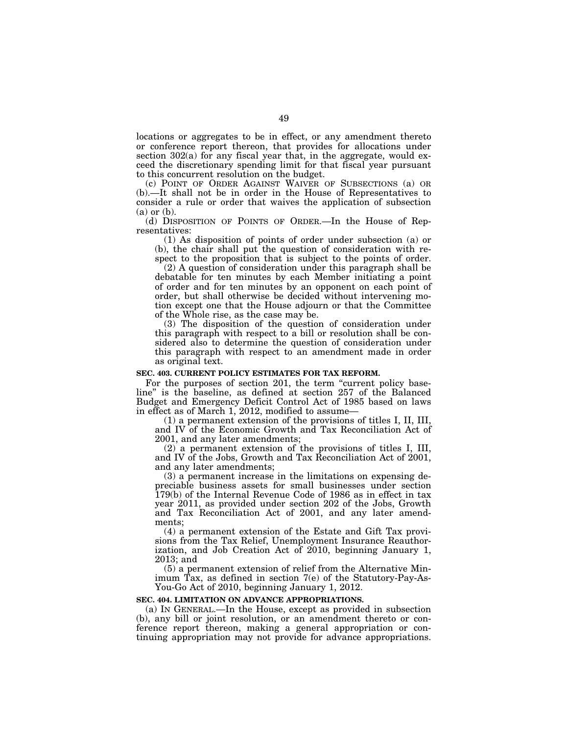locations or aggregates to be in effect, or any amendment thereto or conference report thereon, that provides for allocations under section 302(a) for any fiscal year that, in the aggregate, would exceed the discretionary spending limit for that fiscal year pursuant to this concurrent resolution on the budget.

(c) POINT OF ORDER AGAINST WAIVER OF SUBSECTIONS (a) OR (b).—It shall not be in order in the House of Representatives to consider a rule or order that waives the application of subsection (a) or (b).

(d) DISPOSITION OF POINTS OF ORDER.—In the House of Representatives:

(1) As disposition of points of order under subsection (a) or (b), the chair shall put the question of consideration with respect to the proposition that is subject to the points of order.

(2) A question of consideration under this paragraph shall be debatable for ten minutes by each Member initiating a point of order and for ten minutes by an opponent on each point of order, but shall otherwise be decided without intervening motion except one that the House adjourn or that the Committee of the Whole rise, as the case may be.

(3) The disposition of the question of consideration under this paragraph with respect to a bill or resolution shall be considered also to determine the question of consideration under this paragraph with respect to an amendment made in order as original text.

#### **SEC. 403. CURRENT POLICY ESTIMATES FOR TAX REFORM.**

For the purposes of section 201, the term "current policy baseline'' is the baseline, as defined at section 257 of the Balanced Budget and Emergency Deficit Control Act of 1985 based on laws in effect as of March 1, 2012, modified to assume—

(1) a permanent extension of the provisions of titles I, II, III, and IV of the Economic Growth and Tax Reconciliation Act of 2001, and any later amendments;

 $(2)$  a permanent extension of the provisions of titles I, III, and IV of the Jobs, Growth and Tax Reconciliation Act of 2001, and any later amendments;

(3) a permanent increase in the limitations on expensing depreciable business assets for small businesses under section 179(b) of the Internal Revenue Code of 1986 as in effect in tax year 2011, as provided under section 202 of the Jobs, Growth and Tax Reconciliation Act of 2001, and any later amendments;

(4) a permanent extension of the Estate and Gift Tax provisions from the Tax Relief, Unemployment Insurance Reauthorization, and Job Creation Act of 2010, beginning January 1, 2013; and

(5) a permanent extension of relief from the Alternative Minimum Tax, as defined in section 7(e) of the Statutory-Pay-As-You-Go Act of 2010, beginning January 1, 2012.

# **SEC. 404. LIMITATION ON ADVANCE APPROPRIATIONS.**

(a) IN GENERAL.—In the House, except as provided in subsection (b), any bill or joint resolution, or an amendment thereto or conference report thereon, making a general appropriation or continuing appropriation may not provide for advance appropriations.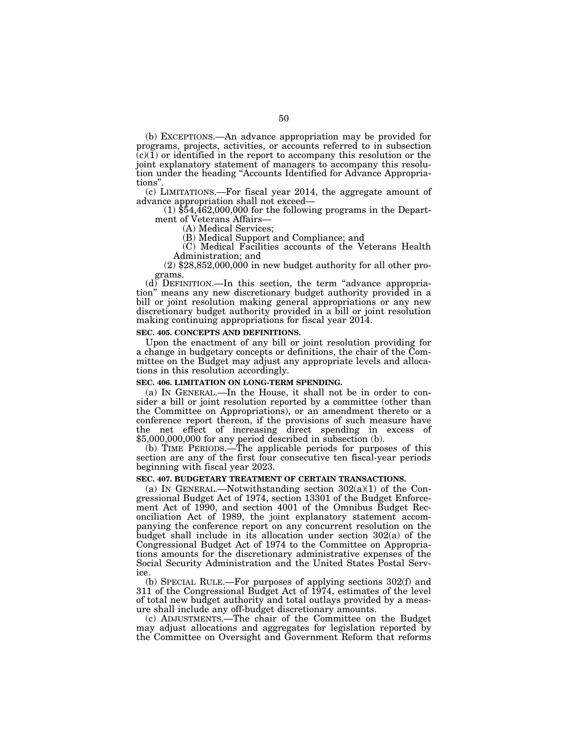(b) EXCEPTIONS.—An advance appropriation may be provided for programs, projects, activities, or accounts referred to in subsection  $(c)(1)$  or identified in the report to accompany this resolution or the joint explanatory statement of managers to accompany this resolution under the heading ''Accounts Identified for Advance Appropriations''.

(c) LIMITATIONS.—For fiscal year 2014, the aggregate amount of

 $(1)$  \$54,462,000,000 for the following programs in the Department of Veterans Affairs—

(A) Medical Services;

(B) Medical Support and Compliance; and

(C) Medical Facilities accounts of the Veterans Health Administration; and<br>(2) \$28,852,000,000 in new budget authority for all other pro-

grams.

(d) DEFINITION.—In this section, the term ''advance appropriation'' means any new discretionary budget authority provided in a bill or joint resolution making general appropriations or any new discretionary budget authority provided in a bill or joint resolution making continuing appropriations for fiscal year 2014.

#### **SEC. 405. CONCEPTS AND DEFINITIONS.**

Upon the enactment of any bill or joint resolution providing for a change in budgetary concepts or definitions, the chair of the Committee on the Budget may adjust any appropriate levels and allocations in this resolution accordingly.

#### **SEC. 406. LIMITATION ON LONG-TERM SPENDING.**

(a) IN GENERAL.—In the House, it shall not be in order to consider a bill or joint resolution reported by a committee (other than the Committee on Appropriations), or an amendment thereto or a conference report thereon, if the provisions of such measure have the net effect of increasing direct spending in excess of \$5,000,000,000 for any period described in subsection (b).

(b) TIME PERIODS.—The applicable periods for purposes of this section are any of the first four consecutive ten fiscal-year periods beginning with fiscal year 2023.

#### **SEC. 407. BUDGETARY TREATMENT OF CERTAIN TRANSACTIONS.**

(a) IN GENERAL.—Notwithstanding section  $302(a)(1)$  of the Congressional Budget Act of 1974, section 13301 of the Budget Enforcement Act of 1990, and section 4001 of the Omnibus Budget Reconciliation Act of 1989, the joint explanatory statement accompanying the conference report on any concurrent resolution on the budget shall include in its allocation under section 302(a) of the Congressional Budget Act of 1974 to the Committee on Appropriations amounts for the discretionary administrative expenses of the Social Security Administration and the United States Postal Service.

(b) SPECIAL RULE.—For purposes of applying sections 302(f) and 311 of the Congressional Budget Act of 1974, estimates of the level of total new budget authority and total outlays provided by a measure shall include any off-budget discretionary amounts.

(c) ADJUSTMENTS.—The chair of the Committee on the Budget may adjust allocations and aggregates for legislation reported by the Committee on Oversight and Government Reform that reforms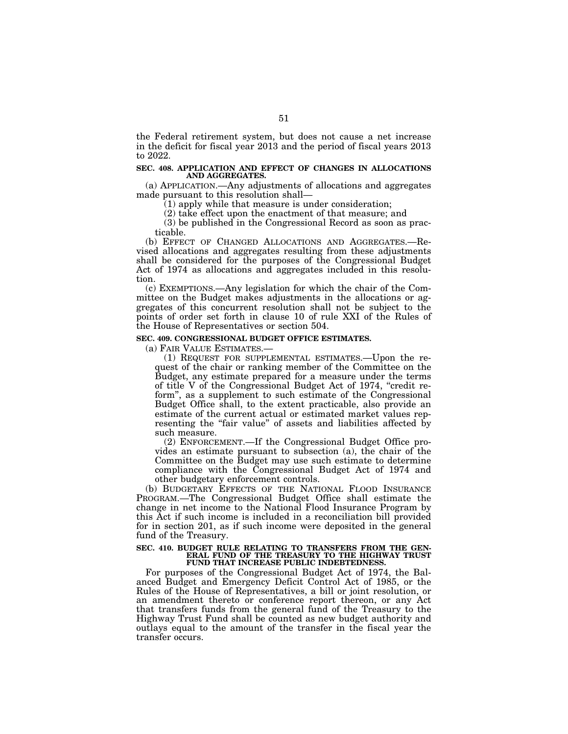the Federal retirement system, but does not cause a net increase in the deficit for fiscal year 2013 and the period of fiscal years 2013 to 2022.

#### **SEC. 408. APPLICATION AND EFFECT OF CHANGES IN ALLOCATIONS AND AGGREGATES.**

(a) APPLICATION.—Any adjustments of allocations and aggregates made pursuant to this resolution shall—

(1) apply while that measure is under consideration;

(2) take effect upon the enactment of that measure; and

(3) be published in the Congressional Record as soon as practicable.

(b) EFFECT OF CHANGED ALLOCATIONS AND AGGREGATES.—Revised allocations and aggregates resulting from these adjustments shall be considered for the purposes of the Congressional Budget Act of 1974 as allocations and aggregates included in this resolution.

(c) EXEMPTIONS.—Any legislation for which the chair of the Committee on the Budget makes adjustments in the allocations or aggregates of this concurrent resolution shall not be subject to the points of order set forth in clause 10 of rule XXI of the Rules of the House of Representatives or section 504.

#### **SEC. 409. CONGRESSIONAL BUDGET OFFICE ESTIMATES.**

(a) FAIR VALUE ESTIMATES.—

(1) REQUEST FOR SUPPLEMENTAL ESTIMATES.—Upon the request of the chair or ranking member of the Committee on the Budget, any estimate prepared for a measure under the terms of title V of the Congressional Budget Act of 1974, "credit reform'', as a supplement to such estimate of the Congressional Budget Office shall, to the extent practicable, also provide an estimate of the current actual or estimated market values representing the "fair value" of assets and liabilities affected by such measure.

(2) ENFORCEMENT.—If the Congressional Budget Office provides an estimate pursuant to subsection (a), the chair of the Committee on the Budget may use such estimate to determine compliance with the Congressional Budget Act of 1974 and other budgetary enforcement controls.

(b) BUDGETARY EFFECTS OF THE NATIONAL FLOOD INSURANCE PROGRAM.—The Congressional Budget Office shall estimate the change in net income to the National Flood Insurance Program by this Act if such income is included in a reconciliation bill provided for in section 201, as if such income were deposited in the general fund of the Treasury.

#### **SEC. 410. BUDGET RULE RELATING TO TRANSFERS FROM THE GEN-ERAL FUND OF THE TREASURY TO THE HIGHWAY TRUST FUND THAT INCREASE PUBLIC INDEBTEDNESS.**

For purposes of the Congressional Budget Act of 1974, the Balanced Budget and Emergency Deficit Control Act of 1985, or the Rules of the House of Representatives, a bill or joint resolution, or an amendment thereto or conference report thereon, or any Act that transfers funds from the general fund of the Treasury to the Highway Trust Fund shall be counted as new budget authority and outlays equal to the amount of the transfer in the fiscal year the transfer occurs.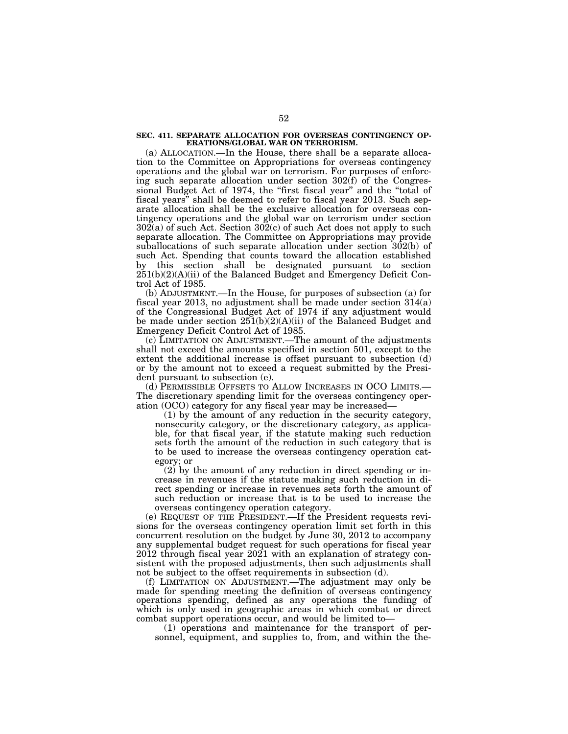#### **SEC. 411. SEPARATE ALLOCATION FOR OVERSEAS CONTINGENCY OP-ERATIONS/GLOBAL WAR ON TERRORISM.**

(a) ALLOCATION.—In the House, there shall be a separate allocation to the Committee on Appropriations for overseas contingency operations and the global war on terrorism. For purposes of enforcing such separate allocation under section 302(f) of the Congressional Budget Act of 1974, the "first fiscal year" and the "total of fiscal years'' shall be deemed to refer to fiscal year 2013. Such separate allocation shall be the exclusive allocation for overseas contingency operations and the global war on terrorism under section  $302(a)$  of such Act. Section  $302(c)$  of such Act does not apply to such separate allocation. The Committee on Appropriations may provide suballocations of such separate allocation under section 302(b) of such Act. Spending that counts toward the allocation established by this section shall be designated pursuant to section  $251(b)(2)(A)(ii)$  of the Balanced Budget and Emergency Deficit Control Act of 1985.

(b) ADJUSTMENT.—In the House, for purposes of subsection (a) for fiscal year 2013, no adjustment shall be made under section 314(a) of the Congressional Budget Act of 1974 if any adjustment would be made under section 251(b)(2)(A)(ii) of the Balanced Budget and Emergency Deficit Control Act of 1985.

(c) LIMITATION ON ADJUSTMENT.—The amount of the adjustments shall not exceed the amounts specified in section 501, except to the extent the additional increase is offset pursuant to subsection (d) or by the amount not to exceed a request submitted by the President pursuant to subsection (e).

(d) PERMISSIBLE OFFSETS TO ALLOW INCREASES IN OCO LIMITS.— The discretionary spending limit for the overseas contingency operation (OCO) category for any fiscal year may be increased—

(1) by the amount of any reduction in the security category, nonsecurity category, or the discretionary category, as applicable, for that fiscal year, if the statute making such reduction sets forth the amount of the reduction in such category that is to be used to increase the overseas contingency operation category; or

(2) by the amount of any reduction in direct spending or increase in revenues if the statute making such reduction in direct spending or increase in revenues sets forth the amount of such reduction or increase that is to be used to increase the overseas contingency operation category.

(e) REQUEST OF THE PRESIDENT.—If the President requests revisions for the overseas contingency operation limit set forth in this concurrent resolution on the budget by June 30, 2012 to accompany any supplemental budget request for such operations for fiscal year 2012 through fiscal year 2021 with an explanation of strategy consistent with the proposed adjustments, then such adjustments shall not be subject to the offset requirements in subsection (d).

(f) LIMITATION ON ADJUSTMENT.—The adjustment may only be made for spending meeting the definition of overseas contingency operations spending, defined as any operations the funding of which is only used in geographic areas in which combat or direct combat support operations occur, and would be limited to—

(1) operations and maintenance for the transport of personnel, equipment, and supplies to, from, and within the the-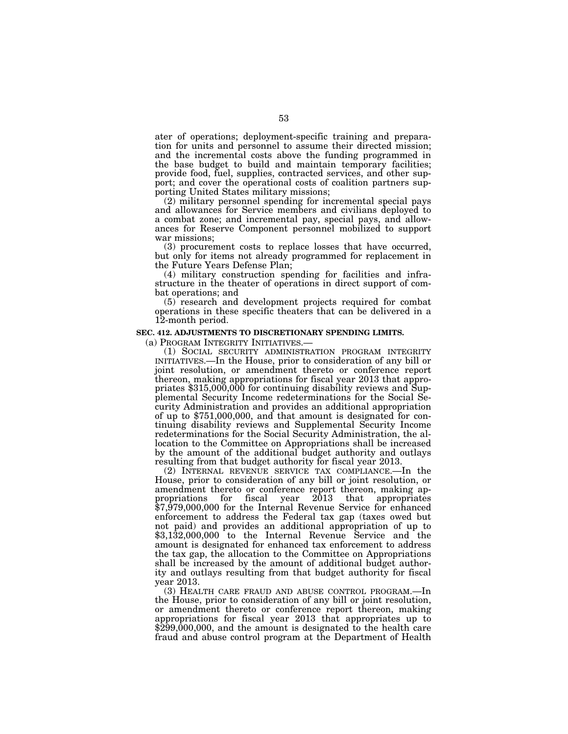ater of operations; deployment-specific training and preparation for units and personnel to assume their directed mission; and the incremental costs above the funding programmed in the base budget to build and maintain temporary facilities; provide food, fuel, supplies, contracted services, and other support; and cover the operational costs of coalition partners supporting United States military missions;

(2) military personnel spending for incremental special pays and allowances for Service members and civilians deployed to a combat zone; and incremental pay, special pays, and allowances for Reserve Component personnel mobilized to support war missions;

(3) procurement costs to replace losses that have occurred, but only for items not already programmed for replacement in the Future Years Defense Plan;

(4) military construction spending for facilities and infrastructure in the theater of operations in direct support of combat operations; and

(5) research and development projects required for combat operations in these specific theaters that can be delivered in a 12-month period.

#### **SEC. 412. ADJUSTMENTS TO DISCRETIONARY SPENDING LIMITS.**

(a) PROGRAM INTEGRITY INITIATIVES.— (1) SOCIAL SECURITY ADMINISTRATION PROGRAM INTEGRITY INITIATIVES.—In the House, prior to consideration of any bill or joint resolution, or amendment thereto or conference report thereon, making appropriations for fiscal year 2013 that appropriates \$315,000,000 for continuing disability reviews and Supplemental Security Income redeterminations for the Social Security Administration and provides an additional appropriation of up to \$751,000,000, and that amount is designated for continuing disability reviews and Supplemental Security Income redeterminations for the Social Security Administration, the allocation to the Committee on Appropriations shall be increased by the amount of the additional budget authority and outlays resulting from that budget authority for fiscal year 2013.

(2) INTERNAL REVENUE SERVICE TAX COMPLIANCE.—In the House, prior to consideration of any bill or joint resolution, or amendment thereto or conference report thereon, making appropriations for fiscal year 2013 that appropriates propriations for fiscal year 2013 that appropriates \$7,979,000,000 for the Internal Revenue Service for enhanced enforcement to address the Federal tax gap (taxes owed but not paid) and provides an additional appropriation of up to \$3,132,000,000 to the Internal Revenue Service and the amount is designated for enhanced tax enforcement to address the tax gap, the allocation to the Committee on Appropriations shall be increased by the amount of additional budget authority and outlays resulting from that budget authority for fiscal year 2013.

(3) HEALTH CARE FRAUD AND ABUSE CONTROL PROGRAM.—In the House, prior to consideration of any bill or joint resolution, or amendment thereto or conference report thereon, making appropriations for fiscal year 2013 that appropriates up to \$299,000,000, and the amount is designated to the health care fraud and abuse control program at the Department of Health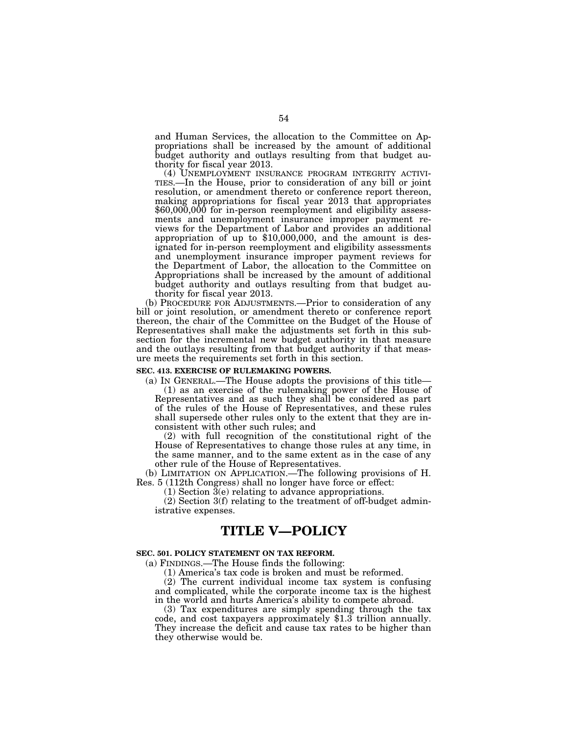and Human Services, the allocation to the Committee on Appropriations shall be increased by the amount of additional budget authority and outlays resulting from that budget authority for fiscal year 2013.<br>
(4) UNEMPLOYMENT INSURANCE PROGRAM INTEGRITY ACTIVI-

TIES.—In the House, prior to consideration of any bill or joint resolution, or amendment thereto or conference report thereon, making appropriations for fiscal year 2013 that appropriates \$60,000,000 for in-person reemployment and eligibility assessments and unemployment insurance improper payment reviews for the Department of Labor and provides an additional appropriation of up to \$10,000,000, and the amount is designated for in-person reemployment and eligibility assessments and unemployment insurance improper payment reviews for the Department of Labor, the allocation to the Committee on Appropriations shall be increased by the amount of additional budget authority and outlays resulting from that budget authority for fiscal year 2013.

(b) PROCEDURE FOR ADJUSTMENTS.—Prior to consideration of any bill or joint resolution, or amendment thereto or conference report thereon, the chair of the Committee on the Budget of the House of Representatives shall make the adjustments set forth in this subsection for the incremental new budget authority in that measure and the outlays resulting from that budget authority if that measure meets the requirements set forth in this section.

## **SEC. 413. EXERCISE OF RULEMAKING POWERS.**

(a) IN GENERAL.—The House adopts the provisions of this title— (1) as an exercise of the rulemaking power of the House of Representatives and as such they shall be considered as part of the rules of the House of Representatives, and these rules shall supersede other rules only to the extent that they are inconsistent with other such rules; and

(2) with full recognition of the constitutional right of the House of Representatives to change those rules at any time, in the same manner, and to the same extent as in the case of any other rule of the House of Representatives.

(b) LIMITATION ON APPLICATION.—The following provisions of H. Res. 5 (112th Congress) shall no longer have force or effect:

 $(1)$  Section  $\overline{3}(e)$  relating to advance appropriations.

(2) Section 3(f) relating to the treatment of off-budget administrative expenses.

# **TITLE V—POLICY**

#### **SEC. 501. POLICY STATEMENT ON TAX REFORM.**

(a) FINDINGS.—The House finds the following:

(1) America's tax code is broken and must be reformed.

(2) The current individual income tax system is confusing and complicated, while the corporate income tax is the highest in the world and hurts America's ability to compete abroad.

(3) Tax expenditures are simply spending through the tax code, and cost taxpayers approximately \$1.3 trillion annually. They increase the deficit and cause tax rates to be higher than they otherwise would be.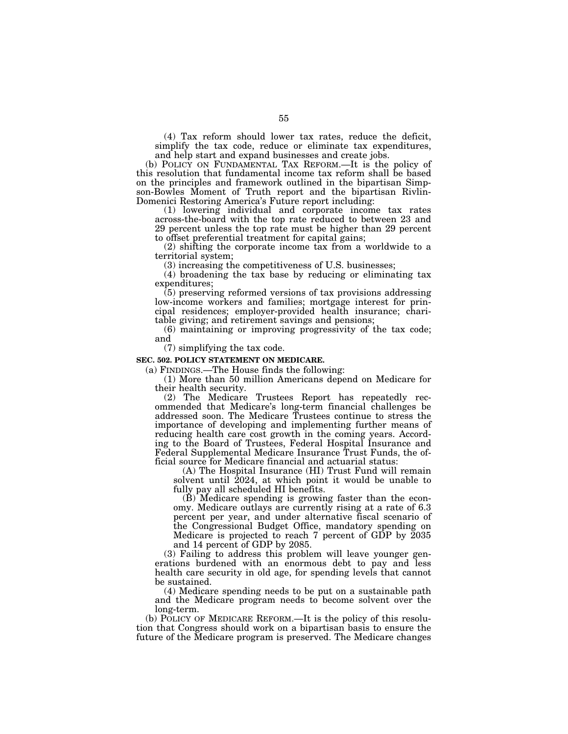(4) Tax reform should lower tax rates, reduce the deficit, simplify the tax code, reduce or eliminate tax expenditures, and help start and expand businesses and create jobs.

(b) POLICY ON FUNDAMENTAL TAX REFORM.—It is the policy of this resolution that fundamental income tax reform shall be based on the principles and framework outlined in the bipartisan Simpson-Bowles Moment of Truth report and the bipartisan Rivlin-Domenici Restoring America's Future report including:

(1) lowering individual and corporate income tax rates across-the-board with the top rate reduced to between 23 and 29 percent unless the top rate must be higher than 29 percent to offset preferential treatment for capital gains;

(2) shifting the corporate income tax from a worldwide to a territorial system;

(3) increasing the competitiveness of U.S. businesses;

(4) broadening the tax base by reducing or eliminating tax expenditures;

(5) preserving reformed versions of tax provisions addressing low-income workers and families; mortgage interest for principal residences; employer-provided health insurance; charitable giving; and retirement savings and pensions;

(6) maintaining or improving progressivity of the tax code; and

(7) simplifying the tax code.

#### **SEC. 502. POLICY STATEMENT ON MEDICARE.**

(a) FINDINGS.—The House finds the following:

(1) More than 50 million Americans depend on Medicare for their health security.

(2) The Medicare Trustees Report has repeatedly recommended that Medicare's long-term financial challenges be addressed soon. The Medicare Trustees continue to stress the importance of developing and implementing further means of reducing health care cost growth in the coming years. According to the Board of Trustees, Federal Hospital Insurance and Federal Supplemental Medicare Insurance Trust Funds, the official source for Medicare financial and actuarial status:

(A) The Hospital Insurance (HI) Trust Fund will remain solvent until 2024, at which point it would be unable to fully pay all scheduled HI benefits.

 $(\check{B})$  Medicare spending is growing faster than the economy. Medicare outlays are currently rising at a rate of 6.3 percent per year, and under alternative fiscal scenario of the Congressional Budget Office, mandatory spending on Medicare is projected to reach 7 percent of GDP by 2035 and 14 percent of GDP by 2085.

(3) Failing to address this problem will leave younger generations burdened with an enormous debt to pay and less health care security in old age, for spending levels that cannot be sustained.

(4) Medicare spending needs to be put on a sustainable path and the Medicare program needs to become solvent over the long-term.

(b) POLICY OF MEDICARE REFORM.—It is the policy of this resolution that Congress should work on a bipartisan basis to ensure the future of the Medicare program is preserved. The Medicare changes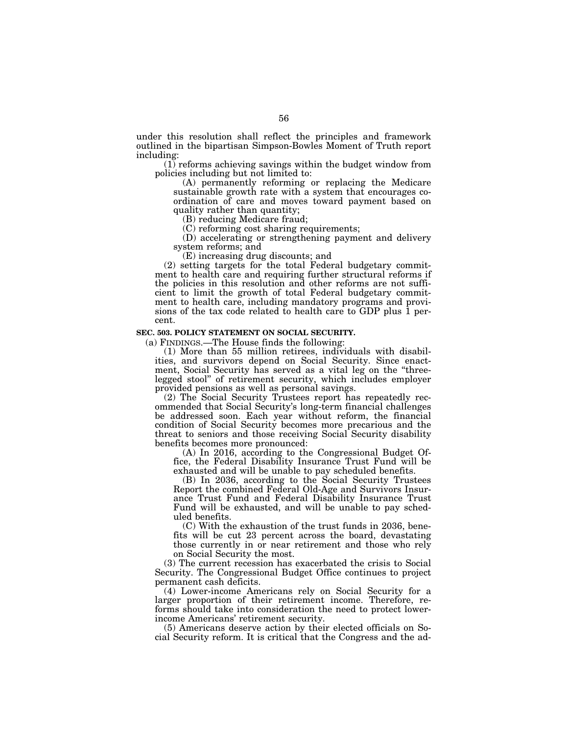under this resolution shall reflect the principles and framework outlined in the bipartisan Simpson-Bowles Moment of Truth report including:

(1) reforms achieving savings within the budget window from policies including but not limited to:

(A) permanently reforming or replacing the Medicare sustainable growth rate with a system that encourages coordination of care and moves toward payment based on quality rather than quantity;

(B) reducing Medicare fraud;

(C) reforming cost sharing requirements;

(D) accelerating or strengthening payment and delivery system reforms; and

(E) increasing drug discounts; and

(2) setting targets for the total Federal budgetary commitment to health care and requiring further structural reforms if the policies in this resolution and other reforms are not sufficient to limit the growth of total Federal budgetary commitment to health care, including mandatory programs and provisions of the tax code related to health care to GDP plus 1 percent.

## **SEC. 503. POLICY STATEMENT ON SOCIAL SECURITY.**

(a) FINDINGS.—The House finds the following:

(1) More than 55 million retirees, individuals with disabilities, and survivors depend on Social Security. Since enactment, Social Security has served as a vital leg on the ''threelegged stool'' of retirement security, which includes employer provided pensions as well as personal savings.

(2) The Social Security Trustees report has repeatedly recommended that Social Security's long-term financial challenges be addressed soon. Each year without reform, the financial condition of Social Security becomes more precarious and the threat to seniors and those receiving Social Security disability benefits becomes more pronounced:

(A) In 2016, according to the Congressional Budget Office, the Federal Disability Insurance Trust Fund will be exhausted and will be unable to pay scheduled benefits.

(B) In 2036, according to the Social Security Trustees Report the combined Federal Old-Age and Survivors Insurance Trust Fund and Federal Disability Insurance Trust Fund will be exhausted, and will be unable to pay scheduled benefits.

(C) With the exhaustion of the trust funds in 2036, benefits will be cut 23 percent across the board, devastating those currently in or near retirement and those who rely on Social Security the most.

(3) The current recession has exacerbated the crisis to Social Security. The Congressional Budget Office continues to project permanent cash deficits.

(4) Lower-income Americans rely on Social Security for a larger proportion of their retirement income. Therefore, reforms should take into consideration the need to protect lowerincome Americans' retirement security.

(5) Americans deserve action by their elected officials on Social Security reform. It is critical that the Congress and the ad-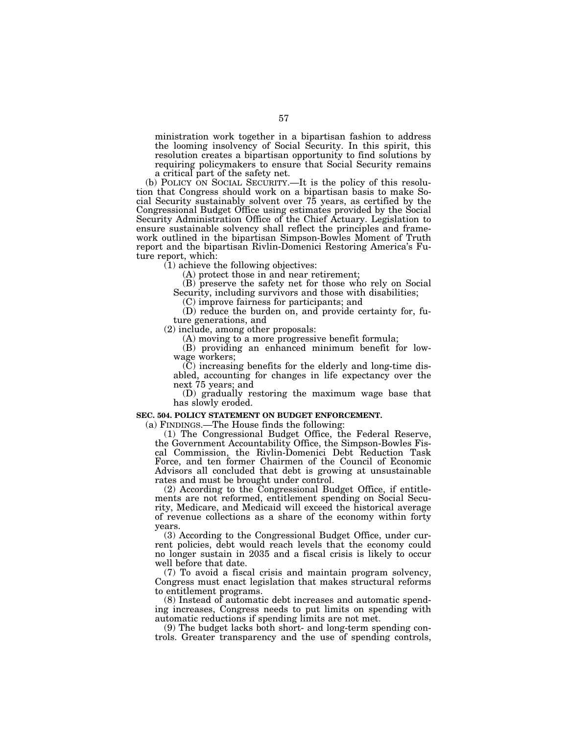ministration work together in a bipartisan fashion to address the looming insolvency of Social Security. In this spirit, this resolution creates a bipartisan opportunity to find solutions by requiring policymakers to ensure that Social Security remains a critical part of the safety net.

(b) POLICY ON SOCIAL SECURITY.—It is the policy of this resolution that Congress should work on a bipartisan basis to make Social Security sustainably solvent over 75 years, as certified by the Congressional Budget Office using estimates provided by the Social Security Administration Office of the Chief Actuary. Legislation to ensure sustainable solvency shall reflect the principles and framework outlined in the bipartisan Simpson-Bowles Moment of Truth report and the bipartisan Rivlin-Domenici Restoring America's Future report, which:

(1) achieve the following objectives:

(A) protect those in and near retirement;

(B) preserve the safety net for those who rely on Social Security, including survivors and those with disabilities;

(C) improve fairness for participants; and

(D) reduce the burden on, and provide certainty for, future generations, and

(2) include, among other proposals:

(A) moving to a more progressive benefit formula;

(B) providing an enhanced minimum benefit for lowwage workers;

(C) increasing benefits for the elderly and long-time disabled, accounting for changes in life expectancy over the next 75 years; and

(D) gradually restoring the maximum wage base that has slowly eroded.

#### **SEC. 504. POLICY STATEMENT ON BUDGET ENFORCEMENT.**

(a) FINDINGS.—The House finds the following:

(1) The Congressional Budget Office, the Federal Reserve, the Government Accountability Office, the Simpson-Bowles Fiscal Commission, the Rivlin-Domenici Debt Reduction Task Force, and ten former Chairmen of the Council of Economic Advisors all concluded that debt is growing at unsustainable rates and must be brought under control.

(2) According to the Congressional Budget Office, if entitlements are not reformed, entitlement spending on Social Security, Medicare, and Medicaid will exceed the historical average of revenue collections as a share of the economy within forty years.

(3) According to the Congressional Budget Office, under current policies, debt would reach levels that the economy could no longer sustain in 2035 and a fiscal crisis is likely to occur well before that date.

(7) To avoid a fiscal crisis and maintain program solvency, Congress must enact legislation that makes structural reforms to entitlement programs.

(8) Instead of automatic debt increases and automatic spending increases, Congress needs to put limits on spending with automatic reductions if spending limits are not met.

(9) The budget lacks both short- and long-term spending controls. Greater transparency and the use of spending controls,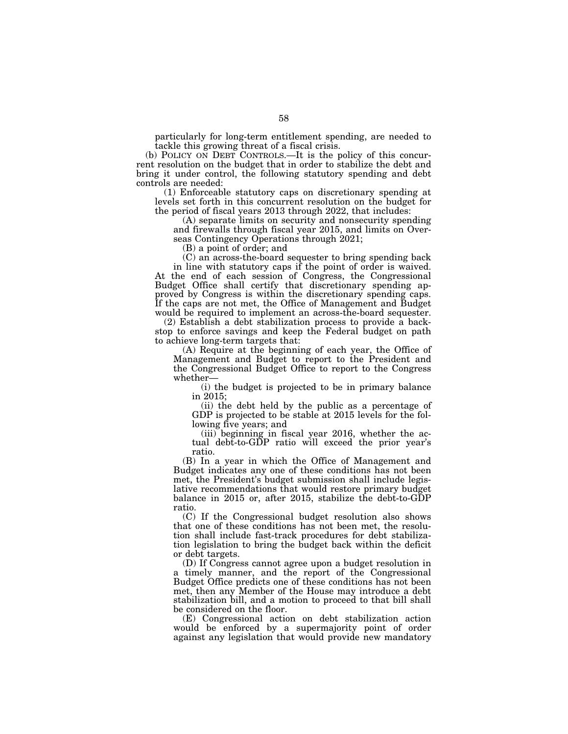particularly for long-term entitlement spending, are needed to tackle this growing threat of a fiscal crisis.

(b) POLICY ON DEBT CONTROLS.—It is the policy of this concurrent resolution on the budget that in order to stabilize the debt and bring it under control, the following statutory spending and debt controls are needed:

(1) Enforceable statutory caps on discretionary spending at levels set forth in this concurrent resolution on the budget for the period of fiscal years 2013 through 2022, that includes:

(A) separate limits on security and nonsecurity spending and firewalls through fiscal year 2015, and limits on Overseas Contingency Operations through 2021;

(B) a point of order; and

(C) an across-the-board sequester to bring spending back in line with statutory caps if the point of order is waived. At the end of each session of Congress, the Congressional Budget Office shall certify that discretionary spending approved by Congress is within the discretionary spending caps. If the caps are not met, the Office of Management and Budget would be required to implement an across-the-board sequester.

(2) Establish a debt stabilization process to provide a backstop to enforce savings and keep the Federal budget on path to achieve long-term targets that:

(A) Require at the beginning of each year, the Office of Management and Budget to report to the President and the Congressional Budget Office to report to the Congress whether—

(i) the budget is projected to be in primary balance in 2015;

(ii) the debt held by the public as a percentage of GDP is projected to be stable at 2015 levels for the following five years; and

(iii) beginning in fiscal year 2016, whether the actual debt-to-GDP ratio will exceed the prior year's ratio.

(B) In a year in which the Office of Management and Budget indicates any one of these conditions has not been met, the President's budget submission shall include legislative recommendations that would restore primary budget balance in 2015 or, after 2015, stabilize the debt-to-GDP ratio.

(C) If the Congressional budget resolution also shows that one of these conditions has not been met, the resolution shall include fast-track procedures for debt stabilization legislation to bring the budget back within the deficit or debt targets.

(D) If Congress cannot agree upon a budget resolution in a timely manner, and the report of the Congressional Budget Office predicts one of these conditions has not been met, then any Member of the House may introduce a debt stabilization bill, and a motion to proceed to that bill shall be considered on the floor.

(E) Congressional action on debt stabilization action would be enforced by a supermajority point of order against any legislation that would provide new mandatory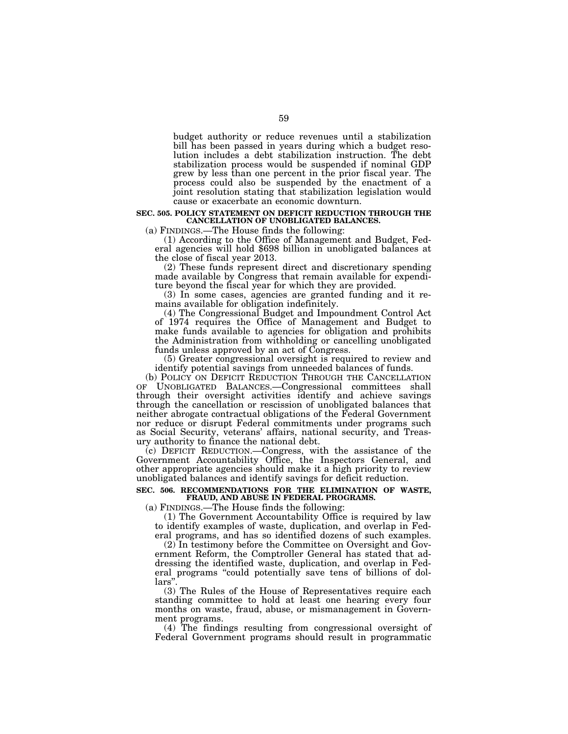budget authority or reduce revenues until a stabilization bill has been passed in years during which a budget resolution includes a debt stabilization instruction. The debt stabilization process would be suspended if nominal GDP grew by less than one percent in the prior fiscal year. The process could also be suspended by the enactment of a joint resolution stating that stabilization legislation would cause or exacerbate an economic downturn.

# **SEC. 505. POLICY STATEMENT ON DEFICIT REDUCTION THROUGH THE CANCELLATION OF UNOBLIGATED BALANCES.**

(a) FINDINGS.—The House finds the following:<br>(1) According to the Office of Management and Budget, Federal agencies will hold \$698 billion in unobligated balances at the close of fiscal year 2013.

(2) These funds represent direct and discretionary spending made available by Congress that remain available for expenditure beyond the fiscal year for which they are provided.

(3) In some cases, agencies are granted funding and it remains available for obligation indefinitely.

(4) The Congressional Budget and Impoundment Control Act of 1974 requires the Office of Management and Budget to make funds available to agencies for obligation and prohibits the Administration from withholding or cancelling unobligated funds unless approved by an act of Congress.

(5) Greater congressional oversight is required to review and identify potential savings from unneeded balances of funds.

(b) POLICY ON DEFICIT REDUCTION THROUGH THE CANCELLATION OF UNOBLIGATED BALANCES.—Congressional committees shall through their oversight activities identify and achieve savings through the cancellation or rescission of unobligated balances that neither abrogate contractual obligations of the Federal Government nor reduce or disrupt Federal commitments under programs such as Social Security, veterans' affairs, national security, and Treasury authority to finance the national debt.

(c) DEFICIT REDUCTION.—Congress, with the assistance of the Government Accountability Office, the Inspectors General, and other appropriate agencies should make it a high priority to review unobligated balances and identify savings for deficit reduction.

# **SEC. 506. RECOMMENDATIONS FOR THE ELIMINATION OF WASTE, FRAUD, AND ABUSE IN FEDERAL PROGRAMS.**

(a) FINDINGS.—The House finds the following:

(1) The Government Accountability Office is required by law to identify examples of waste, duplication, and overlap in Federal programs, and has so identified dozens of such examples.

(2) In testimony before the Committee on Oversight and Government Reform, the Comptroller General has stated that addressing the identified waste, duplication, and overlap in Federal programs "could potentially save tens of billions of dollars'

(3) The Rules of the House of Representatives require each standing committee to hold at least one hearing every four months on waste, fraud, abuse, or mismanagement in Government programs.

(4) The findings resulting from congressional oversight of Federal Government programs should result in programmatic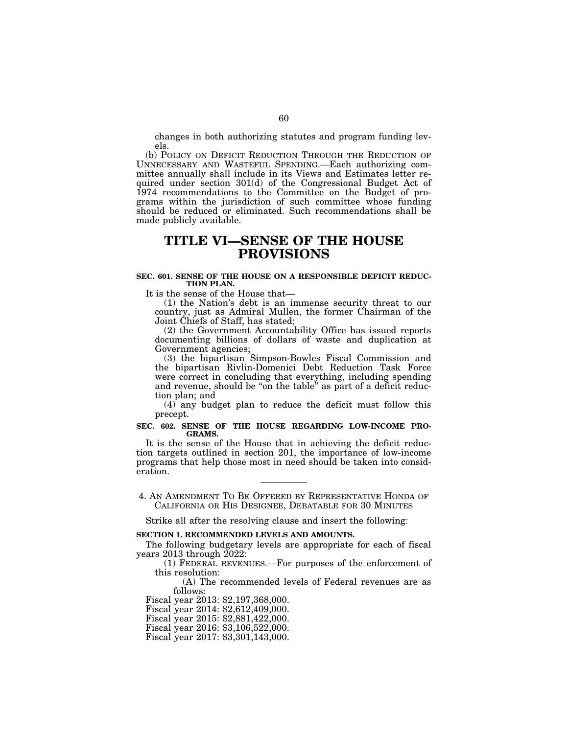changes in both authorizing statutes and program funding levels.

(b) POLICY ON DEFICIT REDUCTION THROUGH THE REDUCTION OF UNNECESSARY AND WASTEFUL SPENDING.—Each authorizing committee annually shall include in its Views and Estimates letter required under section 301(d) of the Congressional Budget Act of 1974 recommendations to the Committee on the Budget of programs within the jurisdiction of such committee whose funding should be reduced or eliminated. Such recommendations shall be made publicly available.

# **TITLE VI—SENSE OF THE HOUSE PROVISIONS**

### **SEC. 601. SENSE OF THE HOUSE ON A RESPONSIBLE DEFICIT REDUC-TION PLAN.**

It is the sense of the House that—

(1) the Nation's debt is an immense security threat to our country, just as Admiral Mullen, the former Chairman of the Joint Chiefs of Staff, has stated;

(2) the Government Accountability Office has issued reports documenting billions of dollars of waste and duplication at Government agencies;

(3) the bipartisan Simpson-Bowles Fiscal Commission and the bipartisan Rivlin-Domenici Debt Reduction Task Force were correct in concluding that everything, including spending and revenue, should be ''on the table'' as part of a deficit reduction plan; and

(4) any budget plan to reduce the deficit must follow this precept.

#### **SEC. 602. SENSE OF THE HOUSE REGARDING LOW-INCOME PRO-GRAMS.**

It is the sense of the House that in achieving the deficit reduction targets outlined in section 201, the importance of low-income programs that help those most in need should be taken into consideration.

4. AN AMENDMENT TO BE OFFERED BY REPRESENTATIVE HONDA OF CALIFORNIA OR HIS DESIGNEE, DEBATABLE FOR 30 MINUTES

Strike all after the resolving clause and insert the following:

#### **SECTION 1. RECOMMENDED LEVELS AND AMOUNTS.**

The following budgetary levels are appropriate for each of fiscal years 2013 through 2022:

(1) FEDERAL REVENUES.—For purposes of the enforcement of this resolution:

(A) The recommended levels of Federal revenues are as follows:

Fiscal year 2013: \$2,197,368,000.

Fiscal year 2014: \$2,612,409,000.

Fiscal year 2015: \$2,881,422,000.

Fiscal year 2016: \$3,106,522,000.

Fiscal year 2017: \$3,301,143,000.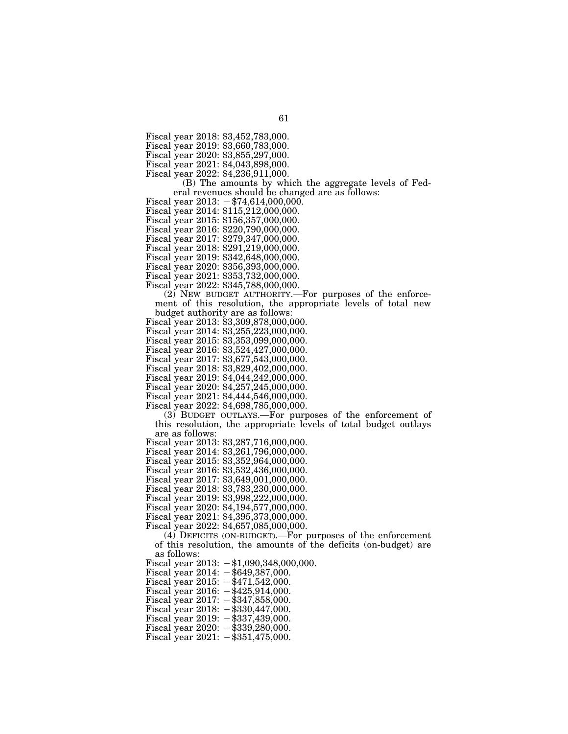Fiscal year 2019: \$3,660,783,000.

Fiscal year 2020: \$3,855,297,000.

Fiscal year 2021: \$4,043,898,000.

Fiscal year 2022: \$4,236,911,000.

(B) The amounts by which the aggregate levels of Federal revenues should be changed are as follows:

Fiscal year  $2013: -\$74,614,000,000.$ 

Fiscal year 2014: \$115,212,000,000.

Fiscal year 2015: \$156,357,000,000.

Fiscal year 2016: \$220,790,000,000.

Fiscal year 2017: \$279,347,000,000.

Fiscal year 2018: \$291,219,000,000.

Fiscal year 2019: \$342,648,000,000.

Fiscal year 2020: \$356,393,000,000.

Fiscal year 2021: \$353,732,000,000.

Fiscal year 2022: \$345,788,000,000.

(2) NEW BUDGET AUTHORITY.—For purposes of the enforcement of this resolution, the appropriate levels of total new budget authority are as follows:

budget authority are as follows: Fiscal year 2013: \$3,309,878,000,000.

Fiscal year 2014: \$3,255,223,000,000.

Fiscal year 2015: \$3,353,099,000,000.

Fiscal year 2016: \$3,524,427,000,000. Fiscal year 2017: \$3,677,543,000,000.

Fiscal year 2018: \$3,829,402,000,000.

Fiscal year 2019: \$4,044,242,000,000.

Fiscal year 2020: \$4,257,245,000,000.

Fiscal year 2021: \$4,444,546,000,000.

Fiscal year 2022: \$4,698,785,000,000.

(3) BUDGET OUTLAYS.—For purposes of the enforcement of this resolution, the appropriate levels of total budget outlays are as follows:

Fiscal year 2013: \$3,287,716,000,000.

Fiscal year 2014: \$3,261,796,000,000.

Fiscal year 2015: \$3,352,964,000,000.

Fiscal year 2016: \$3,532,436,000,000.

Fiscal year 2017: \$3,649,001,000,000.

Fiscal year 2018: \$3,783,230,000,000.

Fiscal year 2019: \$3,998,222,000,000.

Fiscal year 2020: \$4,194,577,000,000.

Fiscal year 2021: \$4,395,373,000,000.

Fiscal year 2022: \$4,657,085,000,000.

(4) DEFICITS (ON-BUDGET).—For purposes of the enforcement of this resolution, the amounts of the deficits (on-budget) are as follows:

Fiscal year  $2013: -\$1,090,348,000,000.$ 

Fiscal year  $2014: -$ \$649,387,000.

Fiscal year 2015:  $-\frac{1}{2}471,542,000$ .

Fiscal year 2016:  $-\frac{425}{914000}$ . Fiscal year  $2017: -\$347,858,000.$ 

Fiscal year 2018:  $-\$330,447,000$ .

Fiscal year  $2019: -\$337,439,000.$ 

Fiscal year  $2020: -\$339,280,000.$ 

Fiscal year  $2021: -\$351,475,000.$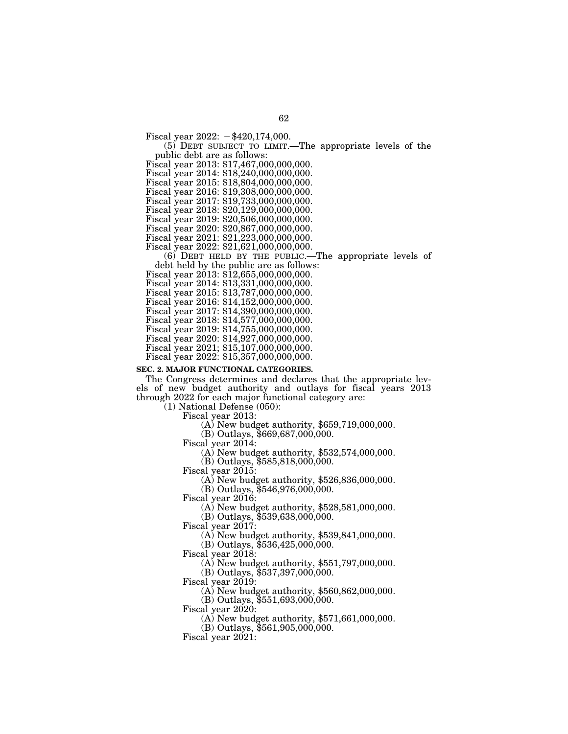Fiscal year  $2022: -\$420,174,000.$ 

# (5) DEBT SUBJECT TO LIMIT.—The appropriate levels of the

public debt are as follows: Fiscal year 2013: \$17,467,000,000,000.

Fiscal year 2014: \$18,240,000,000,000.

Fiscal year 2015: \$18,804,000,000,000.

Fiscal year 2016: \$19,308,000,000,000.

Fiscal year 2017: \$19,733,000,000,000.

Fiscal year 2018: \$20,129,000,000,000.

Fiscal year 2019: \$20,506,000,000,000.

Fiscal year 2020: \$20,867,000,000,000.

Fiscal year 2021: \$21,223,000,000,000.

Fiscal year 2022: \$21,621,000,000,000.

(6) DEBT HELD BY THE PUBLIC.—The appropriate levels of debt held by the public are as follows: Fiscal year 2013: \$12,655,000,000,000.

Fiscal year 2014: \$13,331,000,000,000.

Fiscal year 2015: \$13,787,000,000,000.

Fiscal year 2016: \$14,152,000,000,000.

Fiscal year 2017: \$14,390,000,000,000.

Fiscal year 2018: \$14,577,000,000,000.

Fiscal year 2019: \$14,755,000,000,000.

Fiscal year 2020: \$14,927,000,000,000.

Fiscal year 2021; \$15,107,000,000,000.

Fiscal year 2022: \$15,357,000,000,000.

# **SEC. 2. MAJOR FUNCTIONAL CATEGORIES.**

The Congress determines and declares that the appropriate levels of new budget authority and outlays for fiscal years 2013 through 2022 for each major functional category are:

(1) National Defense (050):

Fiscal year 2013: (A) New budget authority, \$659,719,000,000.

(B) Outlays, \$669,687,000,000.<br>Fiscal year 2014:

(A) New budget authority,  $$532,574,000,000$ .

(B) Outlays, \$585,818,000,000.

Fiscal year 2015: (A) New budget authority, \$526,836,000,000.

(B) Outlays, \$546,976,000,000.<br>Fiscal year 2016:

 $F(A)$  New budget authority, \$528,581,000,000.

(B) Outlays, \$539,638,000,000.

Fiscal year 2017: (A) New budget authority, \$539,841,000,000.

(B) Outlays, \$536,425,000,000.

Fiscal year 2018: (A) New budget authority, \$551,797,000,000.

(B) Outlays, \$537,397,000,000.

Fiscal year 2019: (A) New budget authority, \$560,862,000,000.

 $(B)$  Outlays,  $$551,693,000,000$ .<br>Fiscal year 2020:

 $F(A)$  New budget authority, \$571,661,000,000.

(B) Outlays, \$561,905,000,000.

Fiscal year 2021: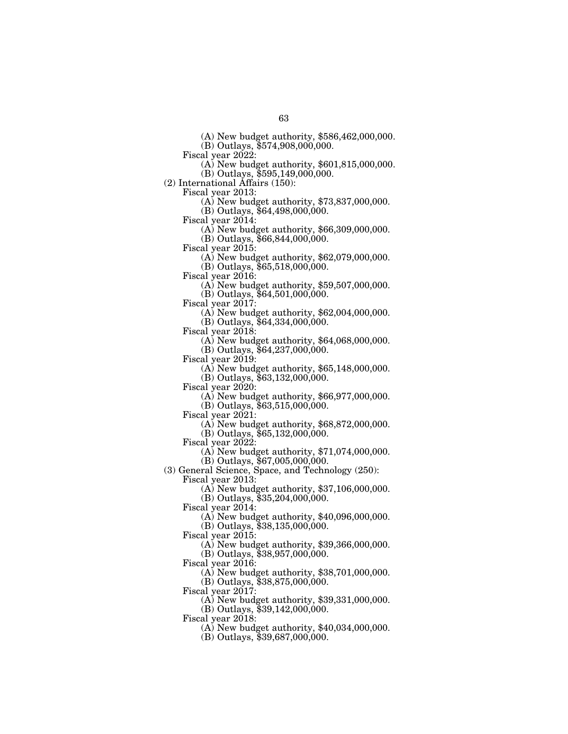(A) New budget authority, \$586,462,000,000.

(B) Outlays, \$574,908,000,000.

 $\Phi$ ) New budget authority, \$601,815,000,000.

(B) Outlays, \$595,149,000,000.

(2) International Affairs (150):

 $F(A)$  New budget authority, \$73,837,000,000.

(B) Outlays, \$64,498,000,000.

Fiscal year 2014: (A) New budget authority, \$66,309,000,000.

(B) Outlays, \$66,844,000,000.<br>Fiscal year 2015:

 $F(A)$  New budget authority, \$62,079,000,000. (B) Outlays, \$65,518,000,000.

Fiscal year 2016: (A) New budget authority, \$59,507,000,000.

(B) Outlays, \$64,501,000,000.

(A) New budget authority,  $$62,004,000,000$ . (B) Outlays, \$64,334,000,000.

 $\Delta$ ) New budget authority, \$64,068,000,000.

(B) Outlays, \$64,237,000,000.

Fiscal year 2019: (A) New budget authority, \$65,148,000,000.

(B) Outlays, \$63,132,000,000.

 $F(A)$  New budget authority, \$66,977,000,000.

(B) Outlays, \$63,515,000,000.<br>Fiscal year 2021:

 $F(A)$  New budget authority, \$68,872,000,000.

(B) Outlays, \$65,132,000,000.

Fiscal year 2022:

(A) New budget authority, \$71,074,000,000. (B) Outlays, \$67,005,000,000.

(3) General Science, Space, and Technology (250): Fiscal year 2013:

(A) New budget authority, \$37,106,000,000.

(B) Outlays, \$35,204,000,000.

Fiscal year 2014:

(A) New budget authority, \$40,096,000,000.

 $(B)$  Outlays,  $$38,135,000,000$ .

Fiscal year 2015:

(A) New budget authority, \$39,366,000,000. (B) Outlays, \$38,957,000,000.

Fiscal year 2016:

(A) New budget authority, \$38,701,000,000. (B) Outlays, \$38,875,000,000.

Fiscal year 2017:

(A) New budget authority, \$39,331,000,000.

(B) Outlays, \$39,142,000,000.

Fiscal year 2018:

(A) New budget authority, \$40,034,000,000.

(B) Outlays, \$39,687,000,000.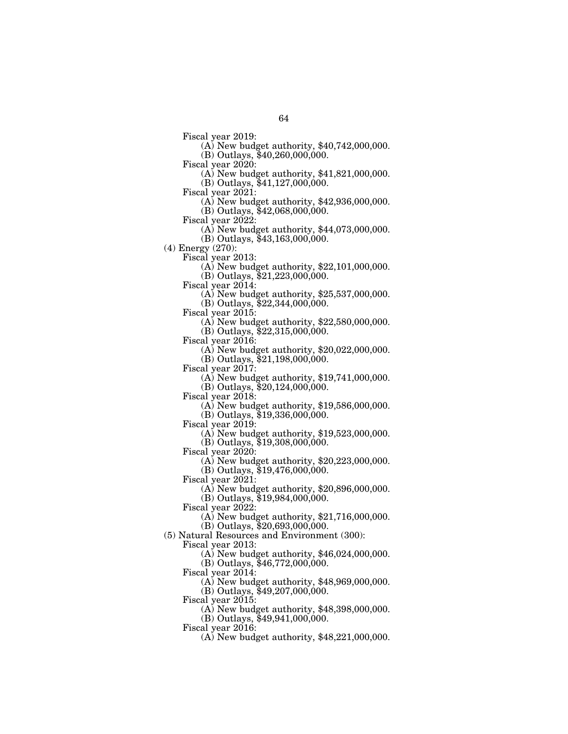- Fiscal year 2019: (A) New budget authority, \$40,742,000,000.
- $(B)$  Outlays, \$40,260,000,000.<br>Fiscal year 2020:
	- $F(A)$  New budget authority, \$41,821,000,000. (B) Outlays, \$41,127,000,000.
- 
- Fiscal year 2021: (A) New budget authority, \$42,936,000,000.
	- (B) Outlays, \$42,068,000,000.
- 
- Fiscal year 2022: (A) New budget authority, \$44,073,000,000.
	- (B) Outlays, \$43,163,000,000.
- (4) Energy (270):
	- - $F(A)$  New budget authority, \$22,101,000,000. (B) Outlays, \$21,223,000,000.
	-
	- Fiscal year 2014: (A) New budget authority, \$25,537,000,000.
		- (B) Outlays, \$22,344,000,000.
	-
	- Fiscal year 2015: (A) New budget authority, \$22,580,000,000.
	- (B) Outlays, \$22,315,000,000.
	-
	- Fiscal year 2016: (A) New budget authority, \$20,022,000,000.
		- (B) Outlays, \$21,198,000,000.
	-
	- Fiscal year 2017: (A) New budget authority, \$19,741,000,000.
	- (B) Outlays,  $$20,124,000,000$ .<br>Fiscal year 2018:
	- - $F(A)$  New budget authority, \$19,586,000,000.
	- (B) Outlays, \$19,336,000,000.<br>Fiscal year 2019:
	- - $(A)$  New budget authority, \$19,523,000,000. (B) Outlays, \$19,308,000,000.
		-
	- Fiscal year 2020:
		- (A) New budget authority, \$20,223,000,000.
	- (B) Outlays, \$19,476,000,000.
	- Fiscal year  $2021$ :
		- (A) New budget authority, \$20,896,000,000.
		- (B) Outlays, \$19,984,000,000.
	- Fiscal year 2022:
		- (A) New budget authority, \$21,716,000,000.
		- (B) Outlays, \$20,693,000,000.
- (5) Natural Resources and Environment (300):
	- Fiscal year 2013:
		- (A) New budget authority, \$46,024,000,000.
		- (B) Outlays, \$46,772,000,000.
	- Fiscal year 2014:
		- (A) New budget authority, \$48,969,000,000.
		- (B) Outlays, \$49,207,000,000.
	- Fiscal year 2015:
		- (A) New budget authority, \$48,398,000,000.
		- (B) Outlays, \$49,941,000,000.
	- Fiscal year 2016:
		- (A) New budget authority, \$48,221,000,000.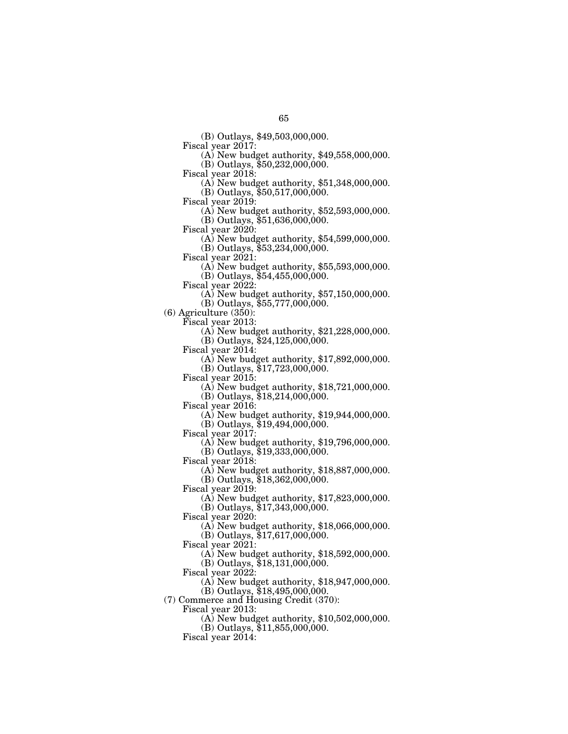(B) Outlays, \$49,503,000,000.

 $F(A)$  New budget authority, \$49,558,000,000.

 $(B)$  Outlays, \$50,232,000,000.<br>Fiscal year 2018:

(A) New budget authority,  $$51,348,000,000$ .

(B) Outlays, \$50,517,000,000.

Fiscal year 2019: (A) New budget authority, \$52,593,000,000.

(B) Outlays, \$51,636,000,000.<br>Fiscal year 2020:

 $(A)$  New budget authority, \$54,599,000,000.

(B) Outlays, \$53,234,000,000.<br>Fiscal year 2021:

 $F(A)$  New budget authority, \$55,593,000,000. (B) Outlays, \$54,455,000,000.

Fiscal year 2022: (A) New budget authority, \$57,150,000,000.

(B) Outlays, \$55,777,000,000.

(6) Agriculture (350):

 $\sigma$ ) New budget authority, \$21,228,000,000.

(B) Outlays,  $$24,125,000,000$ .<br>Fiscal year 2014:

 $(A)$  New budget authority, \$17,892,000,000. (B) Outlays, \$17,723,000,000.

Fiscal year 2015: (A) New budget authority, \$18,721,000,000.

 $(B)$  Outlays,  $$18,214,000,000$ .

Fiscal year 2016: (A) New budget authority, \$19,944,000,000.

(B) Outlays, \$19,494,000,000.<br>Fiscal year 2017:

 $\Phi$  New budget authority, \$19,796,000,000.

(B) Outlays, \$19,333,000,000.

Fiscal year 2018:

(A) New budget authority, \$18,887,000,000.

(B) Outlays, \$18,362,000,000.

Fiscal year 2019:

(A) New budget authority, \$17,823,000,000.

(B) Outlays, \$17,343,000,000.

Fiscal year 2020:

(A) New budget authority, \$18,066,000,000.

(B) Outlays, \$17,617,000,000.

Fiscal year 2021:

(A) New budget authority, \$18,592,000,000.

(B) Outlays, \$18,131,000,000.

Fiscal year 2022:

(A) New budget authority, \$18,947,000,000.

(B) Outlays, \$18,495,000,000.

(7) Commerce and Housing Credit (370):

Fiscal year 2013:

(A) New budget authority, \$10,502,000,000.

(B) Outlays, \$11,855,000,000.

Fiscal year 2014: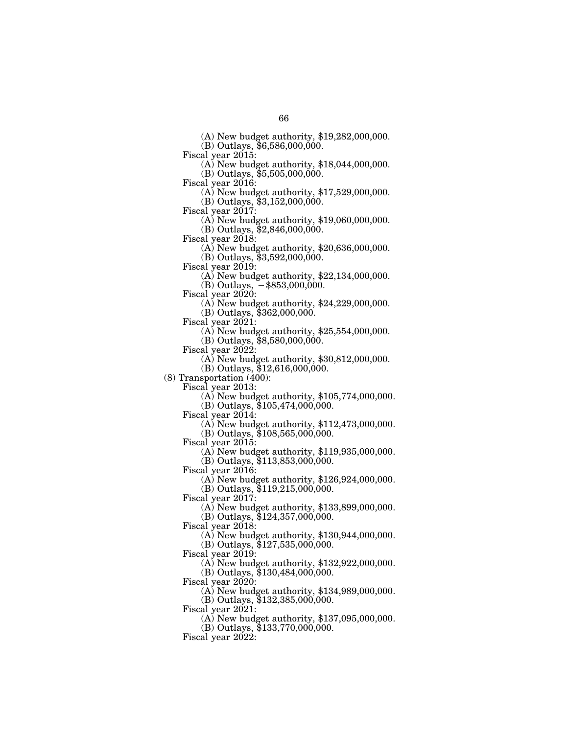(A) New budget authority, \$19,282,000,000.

(B) Outlays, \$6,586,000,000.

Fiscal year 2015: (A) New budget authority, \$18,044,000,000.

(B) Outlays,  $$5,505,000,000$ .<br>Fiscal year 2016:

(A) New budget authority,  $$17,529,000,000$ .

(B) Outlays, \$3,152,000,000.<br>Fiscal year 2017:

 $(A)$  New budget authority, \$19,060,000,000. (B) Outlays, \$2,846,000,000.

Fiscal year 2018: (A) New budget authority, \$20,636,000,000.

(B) Outlays, \$3,592,000,000.<br>Fiscal year 2019:

(A) New budget authority,  $$22,134,000,000$ .

(B) Outlays,  $-$ \$853,000,000.<br>Fiscal year 2020:

(A) New budget authority,  $$24,229,000,000$ .

(B) Outlays, \$362,000,000.

Fiscal year 2021: (A) New budget authority, \$25,554,000,000.

(B) Outlays,  $$8,580,000,000$ .<br>Fiscal year 2022:

 $(A)$  New budget authority, \$30,812,000,000.

(B) Outlays, \$12,616,000,000.

(8) Transportation (400):

 $F(A)$  New budget authority, \$105,774,000,000. (B) Outlays, \$105,474,000,000.<br>Fiscal year 2014:

 $F(A)$  New budget authority, \$112,473,000,000. (B) Outlays, \$108,565,000,000.

Fiscal year 2015:

(A) New budget authority, \$119,935,000,000.

(B) Outlays, \$113,853,000,000.

Fiscal year 2016:

(A) New budget authority, \$126,924,000,000. (B) Outlays, \$119,215,000,000.

Fiscal year 2017:

(A) New budget authority, \$133,899,000,000.

(B) Outlays, \$124,357,000,000.

Fiscal year 2018:

(A) New budget authority, \$130,944,000,000.

(B) Outlays, \$127,535,000,000.

Fiscal year 2019:

(A) New budget authority, \$132,922,000,000.

(B) Outlays, \$130,484,000,000.

Fiscal year 2020:

(A) New budget authority, \$134,989,000,000.

(B) Outlays, \$132,385,000,000.

Fiscal year  $2021$ :

(A) New budget authority, \$137,095,000,000.

(B) Outlays, \$133,770,000,000.

Fiscal year 2022: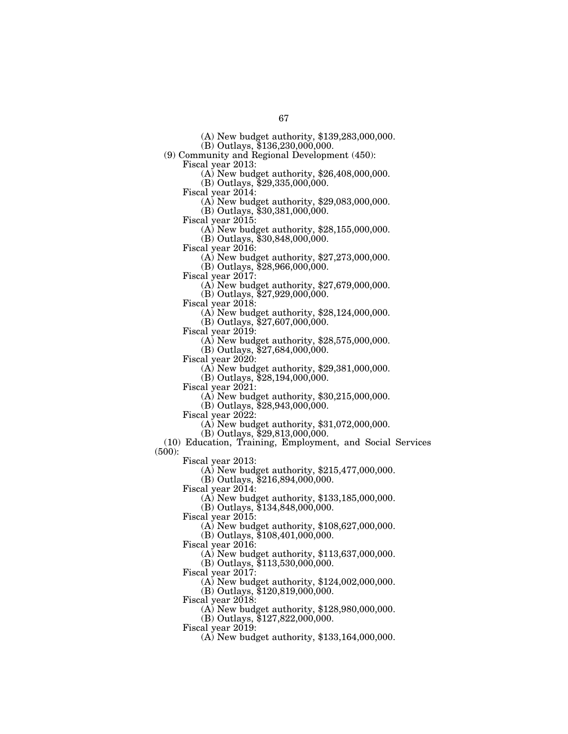(A) New budget authority, \$139,283,000,000. (B) Outlays, \$136,230,000,000.

(9) Community and Regional Development (450):

Fiscal year 2013: (A) New budget authority, \$26,408,000,000.

(B) Outlays, \$29,335,000,000.

Fiscal year 2014: (A) New budget authority, \$29,083,000,000.

(B) Outlays, \$30,381,000,000.

Fiscal year 2015: (A) New budget authority, \$28,155,000,000.

(B) Outlays, \$30,848,000,000.<br>Fiscal year 2016:

(A) New budget authority,  $$27,273,000,000$ .

(B) Outlays, \$28,966,000,000.

Fiscal year 2017: (A) New budget authority, \$27,679,000,000.

(B) Outlays,  $$27,929,000,000$ .<br>Fiscal year 2018:

 $F(A)$  New budget authority, \$28,124,000,000.

(B) Outlays, \$27,607,000,000.<br>Fiscal year 2019:

 $\Delta$ ) New budget authority, \$28,575,000,000.

(B) Outlays, \$27,684,000,000.

Fiscal year 2020: (A) New budget authority, \$29,381,000,000.

(B) Outlays, \$28,194,000,000.<br>Fiscal year 2021:

 $\Phi(A)$  New budget authority, \$30,215,000,000.

(B) Outlays, \$28,943,000,000.<br>Fiscal year 2022:

 $F(A)$  New budget authority, \$31,072,000,000.

(B) Outlays, \$29,813,000,000.

(10) Education, Training, Employment, and Social Services (500):

Fiscal year 2013:

(A) New budget authority, \$215,477,000,000.

(B) Outlays, \$216,894,000,000.

Fiscal year 2014:

(A) New budget authority, \$133,185,000,000.

(B) Outlays, \$134,848,000,000.

Fiscal year 2015:

(A) New budget authority, \$108,627,000,000.

(B) Outlays, \$108,401,000,000.

Fiscal year 2016:

(A) New budget authority, \$113,637,000,000.

(B) Outlays, \$113,530,000,000.

Fiscal year 2017:

(A) New budget authority, \$124,002,000,000.

(B) Outlays, \$120,819,000,000.

Fiscal year 2018:

(A) New budget authority, \$128,980,000,000.

(B) Outlays, \$127,822,000,000.

Fiscal year 2019:

(A) New budget authority, \$133,164,000,000.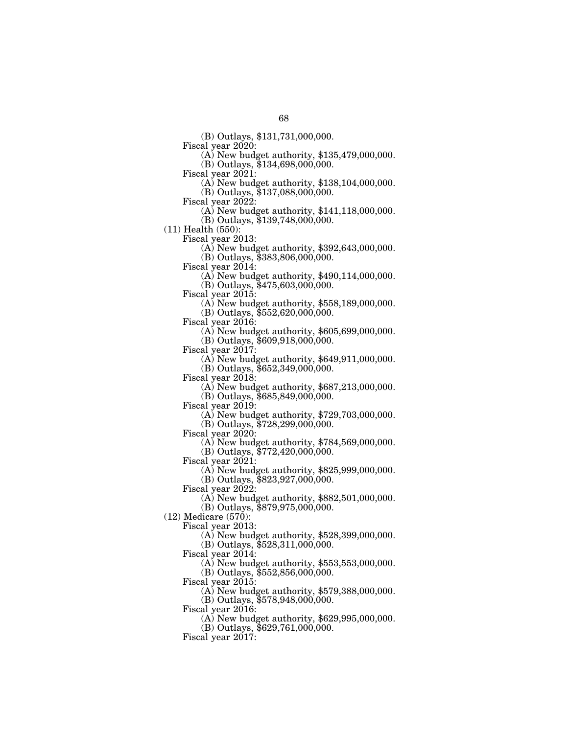(B) Outlays, \$131,731,000,000.

 $F(A)$  New budget authority, \$135,479,000,000.

 $(B)$  Outlays, \$134,698,000,000.<br>Fiscal year 2021:

 $F(A)$  New budget authority, \$138,104,000,000.

(B) Outlays, \$137,088,000,000.

Fiscal year 2022: (A) New budget authority, \$141,118,000,000.

(B) Outlays, \$139,748,000,000.

(11) Health (550):

 $(A)$  New budget authority, \$392,643,000,000.

(B) Outlays, \$383,806,000,000.

 $\Phi$  New budget authority, \$490,114,000,000.

(B) Outlays, \$475,603,000,000.

 $F(A)$  New budget authority, \$558,189,000,000.

(B) Outlays, \$552,620,000,000.

Fiscal year 2016: (A) New budget authority, \$605,699,000,000.

(B) Outlays, \$609,918,000,000.<br>Fiscal year 2017:

 $F(A)$  New budget authority, \$649,911,000,000. (B) Outlays, \$652,349,000,000.

 $F(A)$  New budget authority, \$687,213,000,000.

 $(B)$  Outlays,  $$685,849,000,000$ .

Fiscal year 2019: (A) New budget authority, \$729,703,000,000.

(B) Outlays, \$728,299,000,000.

 $\Phi$ ) New budget authority, \$784,569,000,000.

(B) Outlays, \$772,420,000,000.

Fiscal year 2021:

(A) New budget authority, \$825,999,000,000.

(B) Outlays, \$823,927,000,000.

Fiscal year 2022:

(A) New budget authority, \$882,501,000,000.

(B) Outlays, \$879,975,000,000.

(12) Medicare (570):

Fiscal year 2013:

(A) New budget authority, \$528,399,000,000.

(B) Outlays, \$528,311,000,000.

Fiscal year 2014:

(A) New budget authority, \$553,553,000,000.

(B) Outlays, \$552,856,000,000.

Fiscal year 2015:

(A) New budget authority, \$579,388,000,000.

(B) Outlays, \$578,948,000,000.

Fiscal year 2016:

(A) New budget authority, \$629,995,000,000.

(B) Outlays, \$629,761,000,000.

Fiscal year 2017: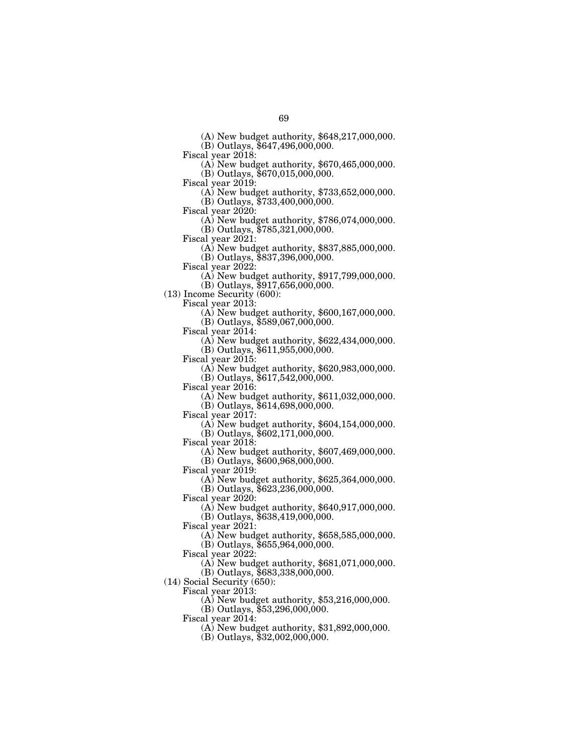(A) New budget authority, \$648,217,000,000.

(B) Outlays, \$647,496,000,000.<br>Fiscal year 2018:

 $\Phi$ ) New budget authority, \$670,465,000,000.

(B) Outlays, \$670,015,000,000.<br>Fiscal year 2019:

(A) New budget authority,  $$733,652,000,000$ .

(B) Outlays, \$733,400,000,000.<br>Fiscal year 2020:

(A) New budget authority,  $$786,074,000,000$ . (B) Outlays, \$785,321,000,000.

Fiscal year 2021: (A) New budget authority, \$837,885,000,000.

(B) Outlays, \$837,396,000,000.

 $\Phi$ ) New budget authority, \$917,799,000,000.

(B) Outlays, \$917,656,000,000.

(13) Income Security (600):

Fiscal year 2013: (A) New budget authority, \$600,167,000,000.

(B) Outlays, \$589,067,000,000.

(A) New budget authority,  $$622,434,000,000$ . (B) Outlays, \$611,955,000,000.

Fiscal year 2015: (A) New budget authority, \$620,983,000,000.

(B) Outlays, \$617,542,000,000.

 $F(A)$  New budget authority, \$611,032,000,000.

(B) Outlays, \$614,698,000,000.<br>Fiscal year 2017:

 $F(A)$  New budget authority,  $$604,154,000,000$ . (B) Outlays, \$602,171,000,000.

Fiscal year 2018:

(A) New budget authority, \$607,469,000,000. (B) Outlays, \$600,968,000,000.

Fiscal year 2019:

(A) New budget authority, \$625,364,000,000. (B) Outlays, \$623,236,000,000.

Fiscal year  $2020$ :

(A) New budget authority, \$640,917,000,000.

(B) Outlays, \$638,419,000,000.

Fiscal year 2021:

(A) New budget authority, \$658,585,000,000.

(B) Outlays, \$655,964,000,000.

Fiscal year 2022:

(A) New budget authority, \$681,071,000,000.

(B) Outlays, \$683,338,000,000.

(14) Social Security (650):

Fiscal year 2013:

(A) New budget authority, \$53,216,000,000.

(B) Outlays, \$53,296,000,000.

Fiscal year 2014:

(A) New budget authority, \$31,892,000,000.

(B) Outlays, \$32,002,000,000.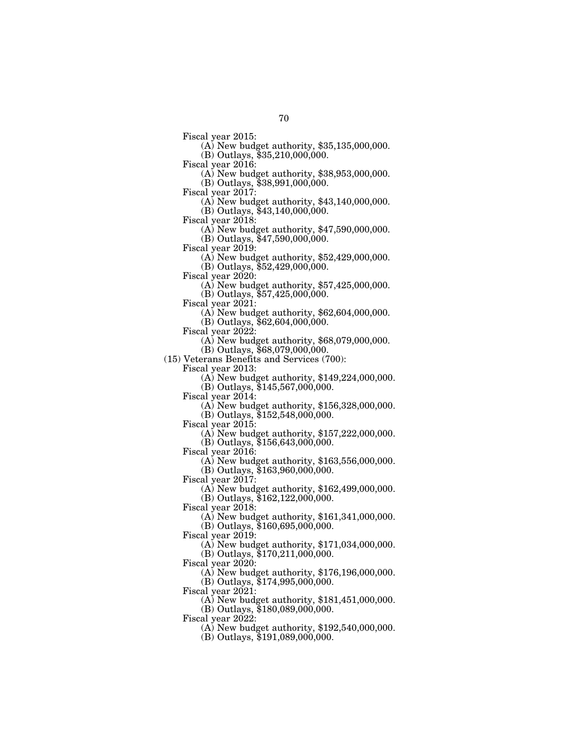Fiscal year 2015: (A) New budget authority, \$35,135,000,000. (B) Outlays, \$35,210,000,000.

Fiscal year 2016: (A) New budget authority, \$38,953,000,000. (B) Outlays, \$38,991,000,000.

Fiscal year 2017: (A) New budget authority, \$43,140,000,000.  $(B)$  Outlays,  $$43,140,000,000$ .

Fiscal year 2018: (A) New budget authority, \$47,590,000,000.

(B) Outlays, \$47,590,000,000.<br>Fiscal year 2019:

 $F(A)$  New budget authority, \$52,429,000,000. (B) Outlays, \$52,429,000,000.

Fiscal year 2020: (A) New budget authority, \$57,425,000,000.

(B) Outlays, \$57,425,000,000.

(A) New budget authority,  $$62,604,000,000$ .

(B) Outlays, \$62,604,000,000.

 $(A)$  New budget authority, \$68,079,000,000.

(B) Outlays, \$68,079,000,000.

(15) Veterans Benefits and Services (700):

Fiscal year 2013: (A) New budget authority, \$149,224,000,000.

(B) Outlays, \$145,567,000,000.<br>Fiscal year 2014:

 $F(A)$  New budget authority, \$156,328,000,000.

(B) Outlays, \$152,548,000,000.<br>Fiscal year 2015:

(A) New budget authority,  $$157,222,000,000$ . (B) Outlays, \$156,643,000,000.

Fiscal year 2016:

(A) New budget authority, \$163,556,000,000.

(B) Outlays, \$163,960,000,000.

Fiscal year 2017:

(A) New budget authority, \$162,499,000,000.

(B) Outlays, \$162,122,000,000.

Fiscal year 2018:

(A) New budget authority, \$161,341,000,000.

(B) Outlays, \$160,695,000,000.

Fiscal year 2019:

(A) New budget authority, \$171,034,000,000. (B) Outlays, \$170,211,000,000.

Fiscal year 2020:

(A) New budget authority, \$176,196,000,000. (B) Outlays, \$174,995,000,000.

Fiscal year 2021:

(A) New budget authority, \$181,451,000,000.

(B) Outlays, \$180,089,000,000.

Fiscal year 2022:

(A) New budget authority, \$192,540,000,000.

(B) Outlays, \$191,089,000,000.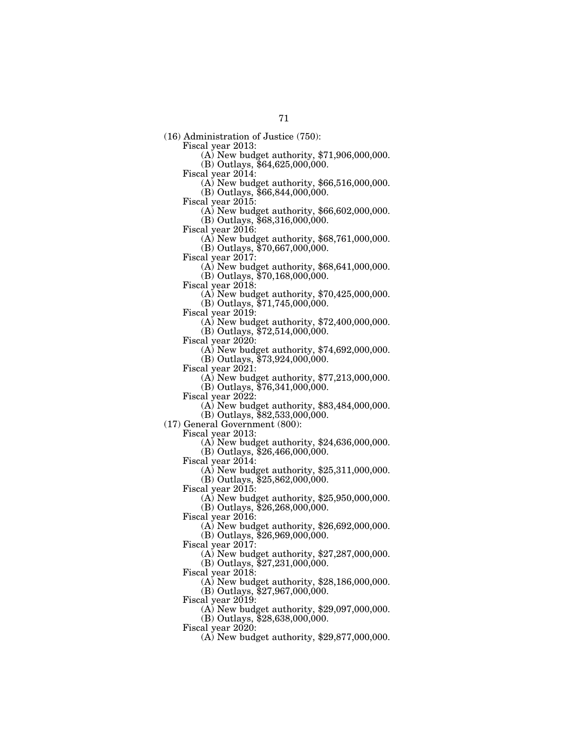(16) Administration of Justice (750):

 $(A)$  New budget authority, \$71,906,000,000.

(B) Outlays,  $$64,625,000,000$ .<br>Fiscal year 2014:

 $F(A)$  New budget authority, \$66,516,000,000.

(B) Outlays, \$66,844,000,000.

Fiscal year 2015: (A) New budget authority, \$66,602,000,000.

(B) Outlays, \$68,316,000,000.<br>Fiscal year 2016:

 $F(A)$  New budget authority, \$68,761,000,000.

(B) Outlays, \$70,667,000,000.<br>Fiscal year 2017:

 $F(A)$  New budget authority, \$68,641,000,000. (B) Outlays, \$70,168,000,000.

Fiscal year 2018: (A) New budget authority, \$70,425,000,000.

(B) Outlays, \$71,745,000,000.

Fiscal year 2019: (A) New budget authority, \$72,400,000,000.

(B) Outlays, \$72,514,000,000.<br>Fiscal year 2020:

 $(A)$  New budget authority, \$74,692,000,000.

(B) Outlays, \$73,924,000,000.

Fiscal year 2021: (A) New budget authority, \$77,213,000,000.

(B) Outlays,  $$76,341,000,000$ .<br>Fiscal year 2022:

 $(A)$  New budget authority,  $$83,484,000,000$ .

(B) Outlays, \$82,533,000,000.

(17) General Government (800):

 $(A)$  New budget authority, \$24,636,000,000.

 $(B)$  Outlays,  $$26,466,000,000$ .

Fiscal year 2014:

(A) New budget authority, \$25,311,000,000.

(B) Outlays, \$25,862,000,000.

Fiscal year 2015:

(A) New budget authority, \$25,950,000,000.

(B) Outlays, \$26,268,000,000.

Fiscal year 2016:

(A) New budget authority, \$26,692,000,000.

(B) Outlays, \$26,969,000,000.

Fiscal year 2017:

(A) New budget authority, \$27,287,000,000.

(B) Outlays,  $$27,231,000,000$ .

Fiscal year 2018:

(A) New budget authority, \$28,186,000,000.

(B) Outlays, \$27,967,000,000.

Fiscal year 2019:

(A) New budget authority, \$29,097,000,000.

(B) Outlays, \$28,638,000,000.

Fiscal year 2020:

(A) New budget authority, \$29,877,000,000.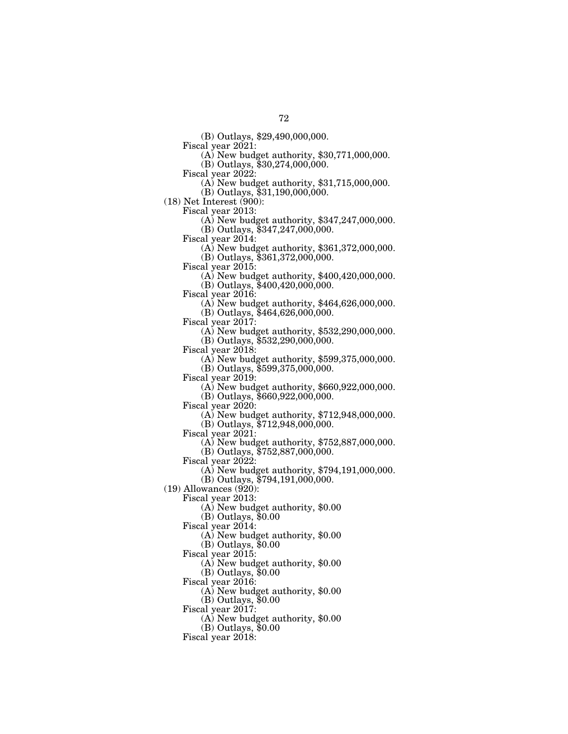(B) Outlays, \$29,490,000,000.

(A) New budget authority,  $$30,771,000,000$ .

 $(B)$  Outlays, \$30,274,000,000.<br>Fiscal year 2022:

(A) New budget authority,  $$31,715,000,000$ .

(B) Outlays, \$31,190,000,000.

(18) Net Interest (900):

 $\sigma$ (A) New budget authority, \$347,247,000,000. (B) Outlays, \$347,247,000,000.<br>Fiscal year 2014:

 $\Phi$  New budget authority, \$361,372,000,000.

(B) Outlays, \$361,372,000,000.

(A) New budget authority,  $$400,420,000,000$ .

(B) Outlays, \$400,420,000,000.

(A) New budget authority,  $$464,626,000,000$ .

(B) Outlays, \$464,626,000,000.<br>Fiscal year 2017:

 $(A)$  New budget authority, \$532,290,000,000.

(B) Outlays, \$532,290,000,000.<br>Fiscal year 2018:

 $(A)$  New budget authority, \$599,375,000,000.

(B) Outlays, \$599,375,000,000.

 $\overline{(A)}$  New budget authority, \$660,922,000,000.

 $(B)$  Outlays,  $$660,922,000,000$ .

Fiscal year 2020: (A) New budget authority, \$712,948,000,000.

(B) Outlays, \$712,948,000,000.

(A) New budget authority,  $$752,887,000,000$ .

(B) Outlays, \$752,887,000,000.

Fiscal year 2022:

(A) New budget authority, \$794,191,000,000.

(B) Outlays, \$794,191,000,000.

(19) Allowances (920):

Fiscal year 2013:

(A) New budget authority, \$0.00

(B) Outlays, \$0.00

Fiscal year 2014:

(A) New budget authority, \$0.00

(B) Outlays, \$0.00 Fiscal year 2015:

(A) New budget authority, \$0.00

(B) Outlays, \$0.00

Fiscal year 2016:

(A) New budget authority, \$0.00

(B) Outlays, \$0.00

Fiscal year  $2017$ :

(A) New budget authority, \$0.00

(B) Outlays, \$0.00

Fiscal year 2018: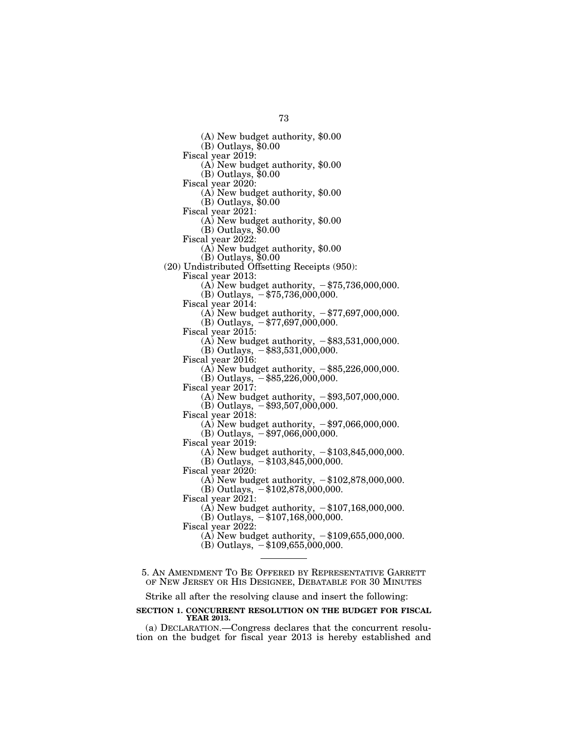(A) New budget authority, \$0.00 (B) Outlays, \$0.00 Fiscal year 2019: (A) New budget authority, \$0.00 (B) Outlays, \$0.00 Fiscal year 2020: (A) New budget authority, \$0.00 (B) Outlays, \$0.00 Fiscal year 2021: (A) New budget authority, \$0.00 (B) Outlays, \$0.00 Fiscal year 2022: (A) New budget authority, \$0.00 (B) Outlays, \$0.00 (20) Undistributed Offsetting Receipts (950): Fiscal year 2013: (A) New budget authority,  $-\frac{275}{736,000,000}$ . (B) Outlays,  $-\frac{1}{3}75,736,000,000$ . Fiscal year 2014: (A) New budget authority,  $-\frac{27}{5097,000,000}$ . (B) Outlays,  $-\frac{1}{3}77,697,000,000$ . Fiscal year 2015: (A) New budget authority,  $-\$83,531,000,000$ . (B) Outlays,  $-$ \$83,531,000,000. Fiscal year 2016: (A) New budget authority,  $-$ \$85,226,000,000.  $(B)$  Outlays,  $-$ \$85,226,000,000. Fiscal year 2017: (A) New budget authority,  $-$ \$93,507,000,000. (B) Outlays,  $-$ \$93,507,000,000. Fiscal year 2018: (A) New budget authority,  $-\$97,066,000,000$ . (B) Outlays,  $-$ \$97,066,000,000. Fiscal year 2019: (A) New budget authority,  $-\$103,845,000,000$ .  $(B)$  Outlays,  $-$ \$103,845,000,000. Fiscal year 2020: (A) New budget authority,  $-\$102,878,000,000$ .  $(B)$  Outlays,  $-$ \$102,878,000,000. Fiscal year 2021: (A) New budget authority,  $-\$107,168,000,000$ . (B) Outlays,  $-\$107,168,000,000$ . Fiscal year 2022: (A) New budget authority,  $-\$109,655,000,000$ . (B) Outlays,  $-\$109,655,000,000$ . 5. AN AMENDMENT TO BE OFFERED BY REPRESENTATIVE GARRETT OF NEW JERSEY OR HIS DESIGNEE, DEBATABLE FOR 30 MINUTES

Strike all after the resolving clause and insert the following:

# **SECTION 1. CONCURRENT RESOLUTION ON THE BUDGET FOR FISCAL YEAR 2013.**

(a) DECLARATION.—Congress declares that the concurrent resolution on the budget for fiscal year 2013 is hereby established and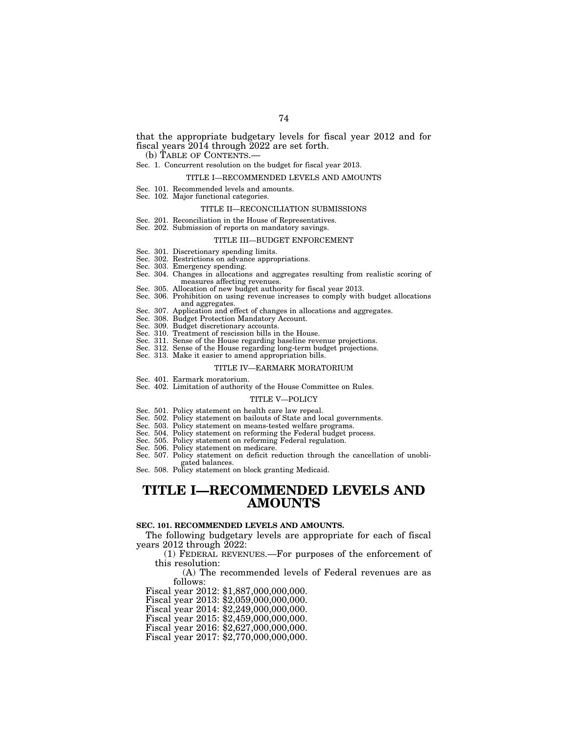# that the appropriate budgetary levels for fiscal year 2012 and for fiscal years 2014 through 2022 are set forth.

# Sec. 1. Concurrent resolution on the budget for fiscal year 2013.

#### TITLE I—RECOMMENDED LEVELS AND AMOUNTS

- Sec. 101. Recommended levels and amounts.
- Sec. 102. Major functional categories.

#### TITLE II—RECONCILIATION SUBMISSIONS

- Sec. 201. Reconciliation in the House of Representatives.
- Sec. 202. Submission of reports on mandatory savings.

### TITLE III—BUDGET ENFORCEMENT

- Sec. 301. Discretionary spending limits.
- Sec. 302. Restrictions on advance appropriations. Sec. 303. Emergency spending.
- 
- Sec. 304. Changes in allocations and aggregates resulting from realistic scoring of measures affecting revenues.
- Sec. 305. Allocation of new budget authority for fiscal year 2013.
- Sec. 306. Prohibition on using revenue increases to comply with budget allocations and aggregates.
- Sec. 307. Application and effect of changes in allocations and aggregates.
- Sec. 308. Budget Protection Mandatory Account.
- Sec. 309. Budget discretionary accounts. Sec. 310. Treatment of rescission bills in the House.
- 
- Sec. 311. Sense of the House regarding baseline revenue projections.
- Sense of the House regarding long-term budget projections. Sec. 313. Make it easier to amend appropriation bills.
- 

#### TITLE IV—EARMARK MORATORIUM

- Sec. 401. Earmark moratorium.
- Sec. 402. Limitation of authority of the House Committee on Rules.

#### TITLE V—POLICY

- Sec. 501. Policy statement on health care law repeal.<br>Sec. 502. Policy statement on bailouts of State and lo
- Policy statement on bailouts of State and local governments.
- Sec. 503. Policy statement on means-tested welfare programs.
- Sec. 504. Policy statement on reforming the Federal budget process. Sec. 505. Policy statement on reforming Federal regulation.
- Sec. 506. Policy statement on medicare.
- Sec. 507. Policy statement on deficit reduction through the cancellation of unobligated balances.
- Sec. 508. Policy statement on block granting Medicaid.

# **TITLE I—RECOMMENDED LEVELS AND AMOUNTS**

# **SEC. 101. RECOMMENDED LEVELS AND AMOUNTS.**

The following budgetary levels are appropriate for each of fiscal years 2012 through 2022:

(1) FEDERAL REVENUES.—For purposes of the enforcement of this resolution:

(A) The recommended levels of Federal revenues are as follows:

Fiscal year 2012: \$1,887,000,000,000.

Fiscal year 2013: \$2,059,000,000,000.

Fiscal year 2014: \$2,249,000,000,000.

Fiscal year 2015: \$2,459,000,000,000.

Fiscal year 2016: \$2,627,000,000,000.

Fiscal year 2017: \$2,770,000,000,000.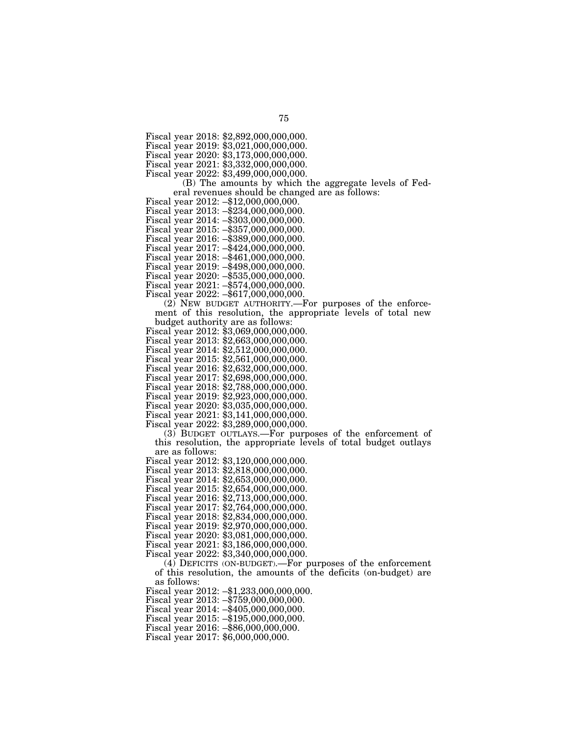Fiscal year 2019: \$3,021,000,000,000.

Fiscal year 2020: \$3,173,000,000,000.

Fiscal year 2021: \$3,332,000,000,000.

Fiscal year 2022: \$3,499,000,000,000.

(B) The amounts by which the aggregate levels of Federal revenues should be changed are as follows: Fiscal year 2012: –\$12,000,000,000.

Fiscal year 2013: –\$234,000,000,000.

Fiscal year 2014: –\$303,000,000,000.

Fiscal year 2015: –\$357,000,000,000.

Fiscal year 2016: –\$389,000,000,000.

Fiscal year 2017: –\$424,000,000,000.

Fiscal year 2018: –\$461,000,000,000.

Fiscal year 2019: –\$498,000,000,000. Fiscal year 2020: –\$535,000,000,000.

Fiscal year 2021: –\$574,000,000,000.

Fiscal year 2022: –\$617,000,000,000.

(2) NEW BUDGET AUTHORITY.—For purposes of the enforcement of this resolution, the appropriate levels of total new

budget authority are as follows: Fiscal year 2012: \$3,069,000,000,000.

Fiscal year 2013: \$2,663,000,000,000.

Fiscal year 2014: \$2,512,000,000,000.

Fiscal year 2015: \$2,561,000,000,000.

Fiscal year 2016: \$2,632,000,000,000.

Fiscal year 2017: \$2,698,000,000,000.

Fiscal year 2018: \$2,788,000,000,000.

Fiscal year 2019: \$2,923,000,000,000.

Fiscal year 2020: \$3,035,000,000,000.

Fiscal year 2021: \$3,141,000,000,000.

Fiscal year 2022: \$3,289,000,000,000.

(3) BUDGET OUTLAYS.—For purposes of the enforcement of this resolution, the appropriate levels of total budget outlays are as follows:

Fiscal year 2012: \$3,120,000,000,000.

Fiscal year 2013: \$2,818,000,000,000.

Fiscal year 2014: \$2,653,000,000,000.

Fiscal year 2015: \$2,654,000,000,000.

Fiscal year 2016: \$2,713,000,000,000.

Fiscal year 2017: \$2,764,000,000,000.

Fiscal year 2018: \$2,834,000,000,000.

Fiscal year 2019: \$2,970,000,000,000.

Fiscal year 2020: \$3,081,000,000,000.

Fiscal year 2021: \$3,186,000,000,000.

Fiscal year 2022: \$3,340,000,000,000.

(4) DEFICITS (ON-BUDGET).—For purposes of the enforcement of this resolution, the amounts of the deficits (on-budget) are as follows:

Fiscal year 2012: –\$1,233,000,000,000.

Fiscal year 2013: –\$759,000,000,000.

Fiscal year 2014: –\$405,000,000,000.

Fiscal year 2015: –\$195,000,000,000.

Fiscal year 2016: –\$86,000,000,000.

Fiscal year 2017: \$6,000,000,000.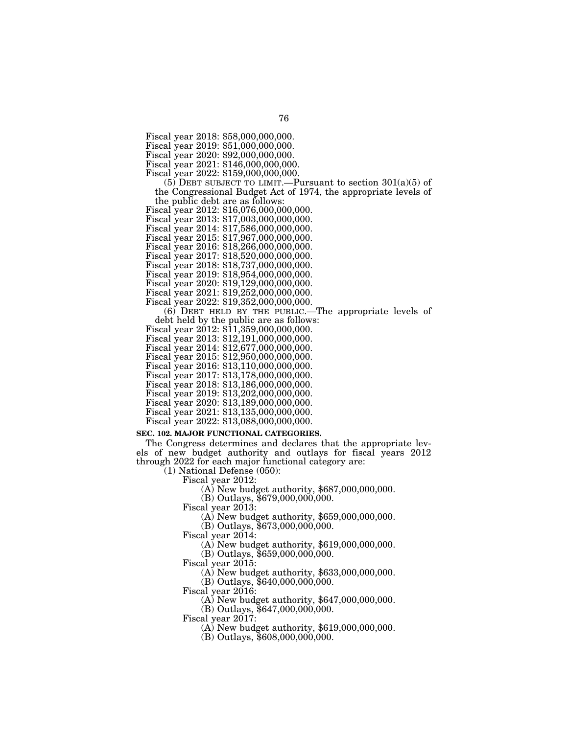Fiscal year 2018: \$58,000,000,000.

Fiscal year 2019: \$51,000,000,000.

Fiscal year 2020: \$92,000,000,000.

Fiscal year 2021: \$146,000,000,000.

Fiscal year 2022: \$159,000,000,000.

(5) DEBT SUBJECT TO LIMIT.—Pursuant to section  $301(a)(5)$  of the Congressional Budget Act of 1974, the appropriate levels of

the public debt are as follows: Fiscal year 2012: \$16,076,000,000,000.

Fiscal year 2013: \$17,003,000,000,000.

Fiscal year 2014: \$17,586,000,000,000.

Fiscal year 2015: \$17,967,000,000,000.

Fiscal year 2016: \$18,266,000,000,000.

Fiscal year 2017: \$18,520,000,000,000.

Fiscal year 2018: \$18,737,000,000,000.

Fiscal year 2019: \$18,954,000,000,000.

Fiscal year 2020: \$19,129,000,000,000.

Fiscal year 2021: \$19,252,000,000,000.

Fiscal year 2022: \$19,352,000,000,000.

 $(6)$  DEBT HELD BY THE PUBLIC.—The appropriate levels of debt held by the public are as follows:

Fiscal year  $2012: $11,359,000,000,000.$ 

Fiscal year 2013: \$12,191,000,000,000.

Fiscal year 2014: \$12,677,000,000,000.

Fiscal year 2015: \$12,950,000,000,000. Fiscal year 2016: \$13,110,000,000,000.

Fiscal year 2017: \$13,178,000,000,000.

Fiscal year 2018: \$13,186,000,000,000.

Fiscal year 2019: \$13,202,000,000,000.

Fiscal year 2020: \$13,189,000,000,000.

Fiscal year 2021: \$13,135,000,000,000.

Fiscal year 2022: \$13,088,000,000,000.

# **SEC. 102. MAJOR FUNCTIONAL CATEGORIES.**

The Congress determines and declares that the appropriate levels of new budget authority and outlays for fiscal years 2012 through 2022 for each major functional category are:

(1) National Defense (050):

Fiscal year 2012: (A) New budget authority, \$687,000,000,000.

(B) Outlays, \$679,000,000,000.

Fiscal year 2013:

(A) New budget authority, \$659,000,000,000.

(B) Outlays, \$673,000,000,000.

Fiscal year 2014:

(A) New budget authority, \$619,000,000,000.

(B) Outlays, \$659,000,000,000.

Fiscal year 2015:

(A) New budget authority, \$633,000,000,000.

(B) Outlays, \$640,000,000,000.

Fiscal year 2016:

(A) New budget authority, \$647,000,000,000.

(B) Outlays, \$647,000,000,000.

Fiscal year 2017:

(A) New budget authority, \$619,000,000,000.

(B) Outlays, \$608,000,000,000.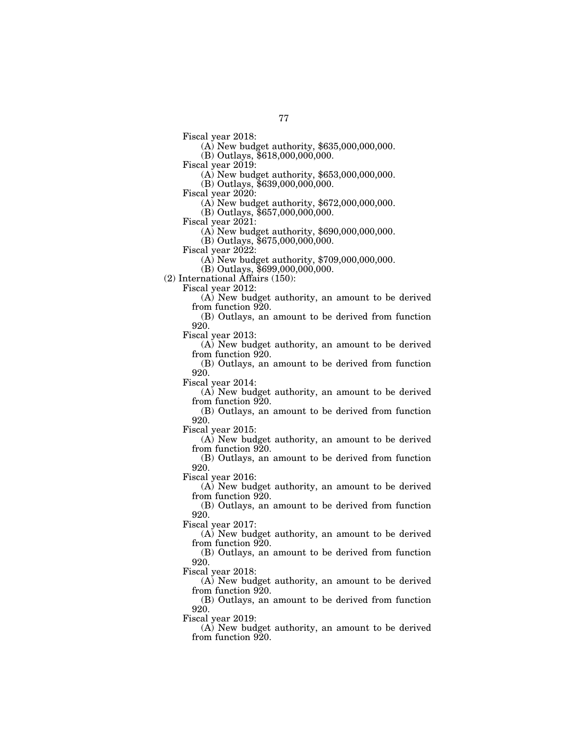(A) New budget authority, \$635,000,000,000.

(B) Outlays, \$618,000,000,000.

Fiscal year 2019:

(A) New budget authority, \$653,000,000,000.

(B) Outlays, \$639,000,000,000.

Fiscal year 2020:

(A) New budget authority, \$672,000,000,000.

(B) Outlays, \$657,000,000,000.

Fiscal year 2021:

(A) New budget authority, \$690,000,000,000.

(B) Outlays, \$675,000,000,000.

Fiscal year 2022:

(A) New budget authority, \$709,000,000,000.

(B) Outlays, \$699,000,000,000.

(2) International Affairs (150):

Fiscal year 2012:

(A) New budget authority, an amount to be derived from function 920.

(B) Outlays, an amount to be derived from function 920.

Fiscal year 2013:

(A) New budget authority, an amount to be derived from function 920.

(B) Outlays, an amount to be derived from function 920.

Fiscal year 2014:

(A) New budget authority, an amount to be derived from function 920.

(B) Outlays, an amount to be derived from function 920.

Fiscal year 2015:

(A) New budget authority, an amount to be derived from function 920.

(B) Outlays, an amount to be derived from function 920.

Fiscal year 2016:

(A) New budget authority, an amount to be derived from function 920.

(B) Outlays, an amount to be derived from function 920.

Fiscal year 2017:

(A) New budget authority, an amount to be derived from function 920.

(B) Outlays, an amount to be derived from function 920.

Fiscal year 2018:

(A) New budget authority, an amount to be derived from function 920.

(B) Outlays, an amount to be derived from function 920.

Fiscal year 2019:

(A) New budget authority, an amount to be derived from function 920.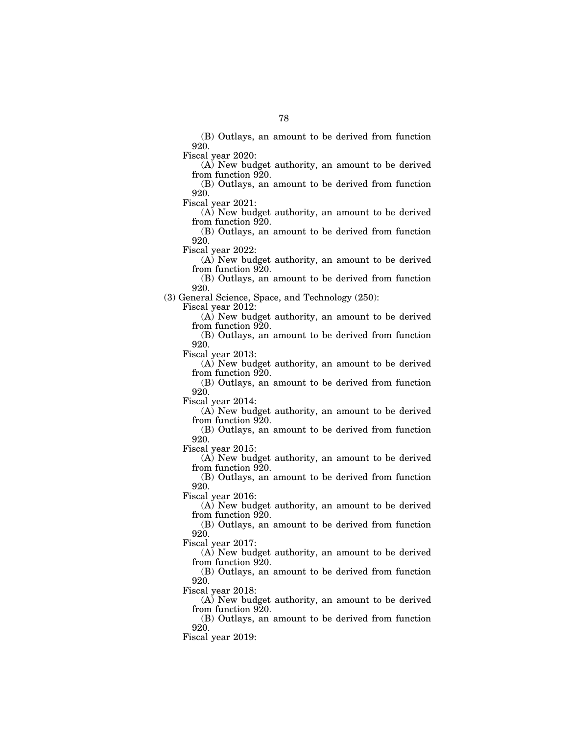(B) Outlays, an amount to be derived from function 920.

Fiscal year 2020:

(A) New budget authority, an amount to be derived from function 920.

(B) Outlays, an amount to be derived from function 920.

Fiscal year 2021:

(A) New budget authority, an amount to be derived from function 920.

(B) Outlays, an amount to be derived from function 920.

Fiscal year 2022:

(A) New budget authority, an amount to be derived from function 920.

(B) Outlays, an amount to be derived from function 920.

(3) General Science, Space, and Technology (250):

Fiscal year 2012:

(A) New budget authority, an amount to be derived from function 920.

(B) Outlays, an amount to be derived from function 920.

Fiscal year 2013:

(A) New budget authority, an amount to be derived from function 920.

(B) Outlays, an amount to be derived from function 920.

Fiscal year 2014:

(A) New budget authority, an amount to be derived from function 920.

(B) Outlays, an amount to be derived from function 920.

Fiscal year 2015:

(A) New budget authority, an amount to be derived from function 920.

(B) Outlays, an amount to be derived from function 920.

Fiscal year 2016:

(A) New budget authority, an amount to be derived from function 920.

(B) Outlays, an amount to be derived from function 920.

Fiscal year 2017:

(A) New budget authority, an amount to be derived from function 920.

(B) Outlays, an amount to be derived from function 920.

Fiscal year 2018:

(A) New budget authority, an amount to be derived from function 920.

(B) Outlays, an amount to be derived from function 920.

Fiscal year 2019: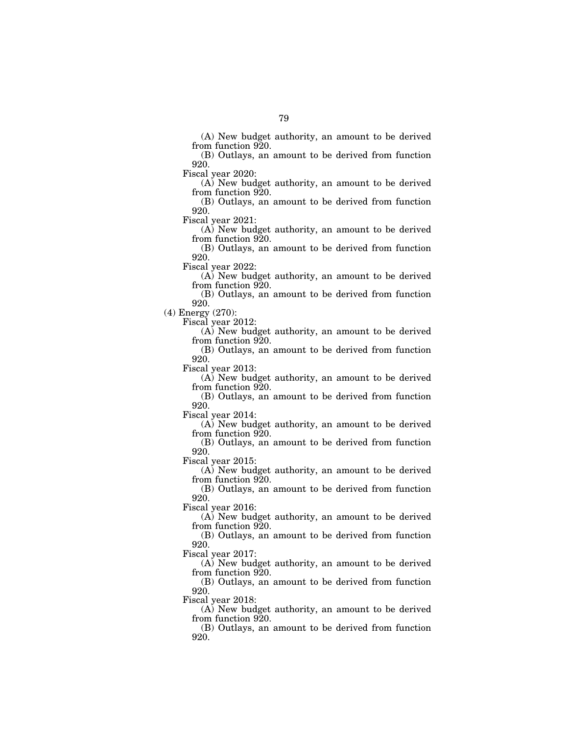(A) New budget authority, an amount to be derived from function 920.

(B) Outlays, an amount to be derived from function 920.

Fiscal year 2020:

(A) New budget authority, an amount to be derived from function 920.

(B) Outlays, an amount to be derived from function 920.

Fiscal year 2021:

(A) New budget authority, an amount to be derived from function 920.

(B) Outlays, an amount to be derived from function 920.

Fiscal year 2022:

(A) New budget authority, an amount to be derived from function 920.

(B) Outlays, an amount to be derived from function 920.

(4) Energy (270):

Fiscal year 2012:

(A) New budget authority, an amount to be derived from function 920.

(B) Outlays, an amount to be derived from function 920.

Fiscal year 2013:

(A) New budget authority, an amount to be derived from function 920.

(B) Outlays, an amount to be derived from function 920.

Fiscal year 2014:

(A) New budget authority, an amount to be derived from function 920.

(B) Outlays, an amount to be derived from function 920.

Fiscal year 2015:

(A) New budget authority, an amount to be derived from function 920.

(B) Outlays, an amount to be derived from function 920.

Fiscal year 2016:

(A) New budget authority, an amount to be derived from function 920.

(B) Outlays, an amount to be derived from function 920.

Fiscal year 2017:

(A) New budget authority, an amount to be derived from function 920.

(B) Outlays, an amount to be derived from function 920.

Fiscal year 2018:

(A) New budget authority, an amount to be derived from function 920.

(B) Outlays, an amount to be derived from function 920.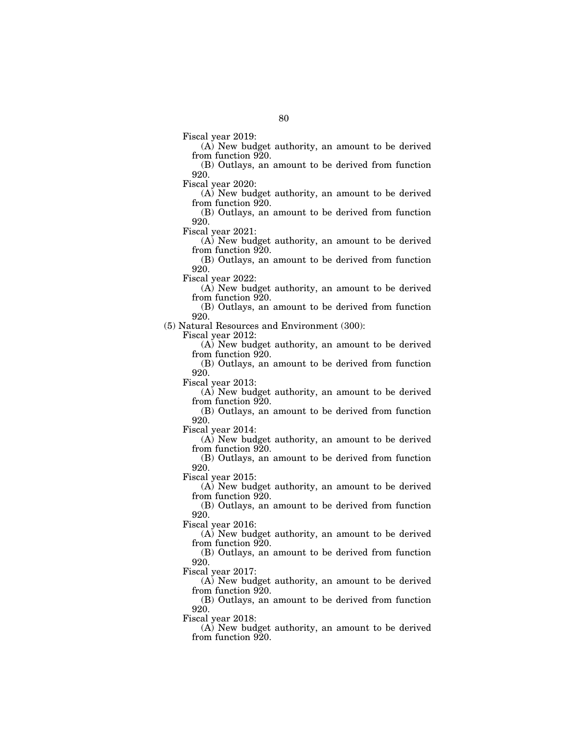Fiscal year 2019:

(A) New budget authority, an amount to be derived from function 920.

(B) Outlays, an amount to be derived from function 920.

Fiscal year 2020:

(A) New budget authority, an amount to be derived from function 920.

(B) Outlays, an amount to be derived from function 920.

Fiscal year 2021:

(A) New budget authority, an amount to be derived from function 920.

(B) Outlays, an amount to be derived from function 920.

Fiscal year 2022:

(A) New budget authority, an amount to be derived from function 920.

(B) Outlays, an amount to be derived from function 920.

(5) Natural Resources and Environment (300):

Fiscal year 2012:

(A) New budget authority, an amount to be derived from function 920.

(B) Outlays, an amount to be derived from function 920.

Fiscal year 2013:

(A) New budget authority, an amount to be derived from function 920.

(B) Outlays, an amount to be derived from function 920.

Fiscal year 2014:

(A) New budget authority, an amount to be derived from function 920.

(B) Outlays, an amount to be derived from function 920.

Fiscal year 2015:

(A) New budget authority, an amount to be derived from function 920.

(B) Outlays, an amount to be derived from function 920.

Fiscal year 2016:

(A) New budget authority, an amount to be derived from function 920.

(B) Outlays, an amount to be derived from function 920.

Fiscal year 2017:

(A) New budget authority, an amount to be derived from function 920.

(B) Outlays, an amount to be derived from function 920.

Fiscal year 2018:

(A) New budget authority, an amount to be derived from function 920.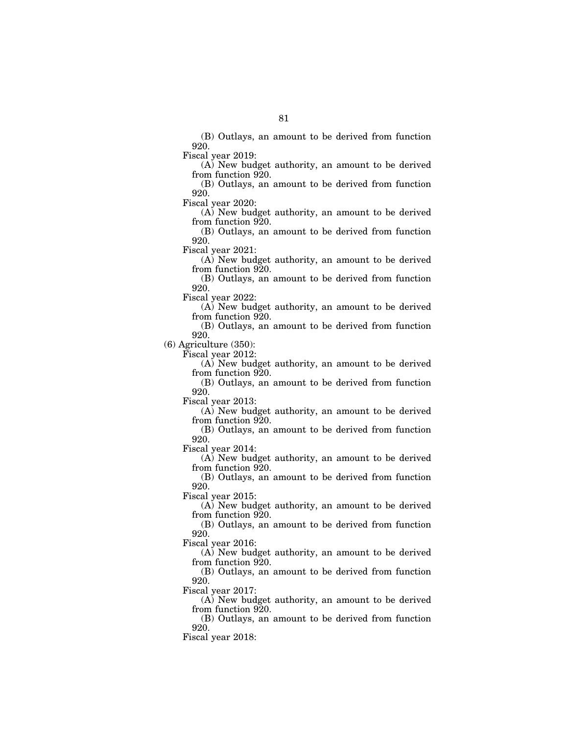(B) Outlays, an amount to be derived from function 920.

Fiscal year 2019:

(A) New budget authority, an amount to be derived from function 920.

(B) Outlays, an amount to be derived from function 920.

Fiscal year 2020:

(A) New budget authority, an amount to be derived from function 920.

(B) Outlays, an amount to be derived from function 920.

Fiscal year 2021:

(A) New budget authority, an amount to be derived from function 920.

(B) Outlays, an amount to be derived from function 920.

Fiscal year 2022:

(A) New budget authority, an amount to be derived from function 920.

(B) Outlays, an amount to be derived from function 920.

(6) Agriculture (350):

Fiscal year 2012:

(A) New budget authority, an amount to be derived from function 920.

(B) Outlays, an amount to be derived from function 920.

Fiscal year 2013:

(A) New budget authority, an amount to be derived from function 920.

(B) Outlays, an amount to be derived from function 920.

Fiscal year 2014:

(A) New budget authority, an amount to be derived from function 920.

(B) Outlays, an amount to be derived from function 920.

Fiscal year 2015:

(A) New budget authority, an amount to be derived from function 920.

(B) Outlays, an amount to be derived from function 920.

Fiscal year 2016:

(A) New budget authority, an amount to be derived from function 920.

(B) Outlays, an amount to be derived from function 920.

Fiscal year 2017:

(A) New budget authority, an amount to be derived from function 920.

(B) Outlays, an amount to be derived from function 920.

Fiscal year 2018: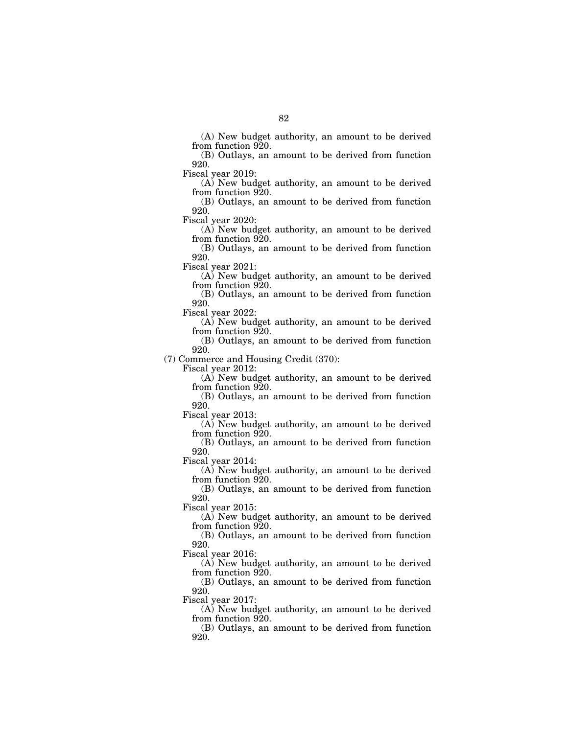(A) New budget authority, an amount to be derived from function 920.

(B) Outlays, an amount to be derived from function 920.

Fiscal year 2019:

(A) New budget authority, an amount to be derived from function 920.

(B) Outlays, an amount to be derived from function 920.

Fiscal year 2020:

(A) New budget authority, an amount to be derived from function 920.

(B) Outlays, an amount to be derived from function 920.

Fiscal year 2021:

(A) New budget authority, an amount to be derived from function 920.

(B) Outlays, an amount to be derived from function 920.

Fiscal year 2022:

(A) New budget authority, an amount to be derived from function 920.

(B) Outlays, an amount to be derived from function 920.

(7) Commerce and Housing Credit (370):

Fiscal year 2012:

(A) New budget authority, an amount to be derived from function 920.

(B) Outlays, an amount to be derived from function 920.

Fiscal year 2013:

(A) New budget authority, an amount to be derived from function 920.

(B) Outlays, an amount to be derived from function 920.

Fiscal year 2014:

(A) New budget authority, an amount to be derived from function 920.

(B) Outlays, an amount to be derived from function 920.

Fiscal year 2015:

(A) New budget authority, an amount to be derived from function 920.

(B) Outlays, an amount to be derived from function 920.

Fiscal year 2016:

(A) New budget authority, an amount to be derived from function 920.

(B) Outlays, an amount to be derived from function 920.

Fiscal year 2017:

(A) New budget authority, an amount to be derived from function 920.

(B) Outlays, an amount to be derived from function 920.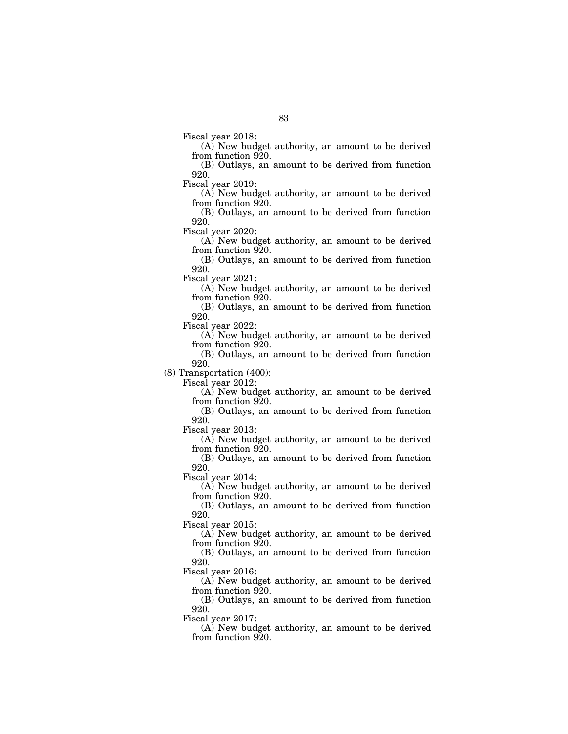Fiscal year 2018:

(A) New budget authority, an amount to be derived from function 920.

(B) Outlays, an amount to be derived from function 920.

Fiscal year 2019:

(A) New budget authority, an amount to be derived from function 920.

(B) Outlays, an amount to be derived from function 920.

Fiscal year 2020:

(A) New budget authority, an amount to be derived from function 920.

(B) Outlays, an amount to be derived from function 920.

Fiscal year 2021:

(A) New budget authority, an amount to be derived from function 920.

(B) Outlays, an amount to be derived from function 920.

Fiscal year 2022:

(A) New budget authority, an amount to be derived from function 920.

(B) Outlays, an amount to be derived from function 920.

(8) Transportation (400):

Fiscal year 2012:

(A) New budget authority, an amount to be derived from function 920.

(B) Outlays, an amount to be derived from function 920.

Fiscal year 2013:

(A) New budget authority, an amount to be derived from function 920.

(B) Outlays, an amount to be derived from function 920.

Fiscal year 2014:

(A) New budget authority, an amount to be derived from function 920.

(B) Outlays, an amount to be derived from function 920.

Fiscal year 2015:

(A) New budget authority, an amount to be derived from function 920.

(B) Outlays, an amount to be derived from function 920.

Fiscal year 2016:

(A) New budget authority, an amount to be derived from function 920.

(B) Outlays, an amount to be derived from function 920.

Fiscal year 2017:

(A) New budget authority, an amount to be derived from function 920.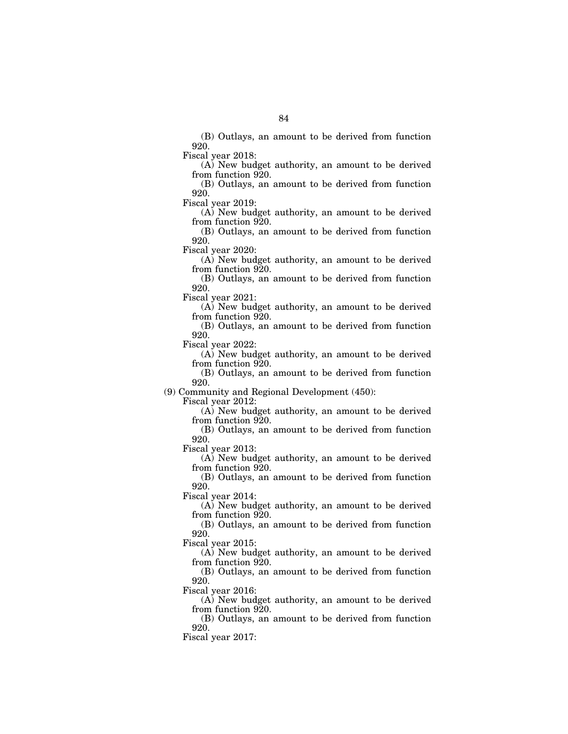(B) Outlays, an amount to be derived from function 920.

Fiscal year 2018:

(A) New budget authority, an amount to be derived from function 920.

(B) Outlays, an amount to be derived from function 920.

Fiscal year 2019:

(A) New budget authority, an amount to be derived from function 920.

(B) Outlays, an amount to be derived from function 920.

Fiscal year 2020:

(A) New budget authority, an amount to be derived from function 920.

(B) Outlays, an amount to be derived from function 920.

Fiscal year 2021:

(A) New budget authority, an amount to be derived from function 920.

(B) Outlays, an amount to be derived from function 920.

Fiscal year 2022:

(A) New budget authority, an amount to be derived from function 920.

(B) Outlays, an amount to be derived from function 920.

(9) Community and Regional Development (450):

Fiscal year 2012:

(A) New budget authority, an amount to be derived from function 920.

(B) Outlays, an amount to be derived from function 920.

Fiscal year 2013:

(A) New budget authority, an amount to be derived from function 920.

(B) Outlays, an amount to be derived from function 920.

Fiscal year 2014:

(A) New budget authority, an amount to be derived from function 920.

(B) Outlays, an amount to be derived from function 920.

Fiscal year 2015:

(A) New budget authority, an amount to be derived from function 920.

(B) Outlays, an amount to be derived from function 920.

Fiscal year 2016:

(A) New budget authority, an amount to be derived from function 920.

(B) Outlays, an amount to be derived from function 920.

Fiscal year 2017: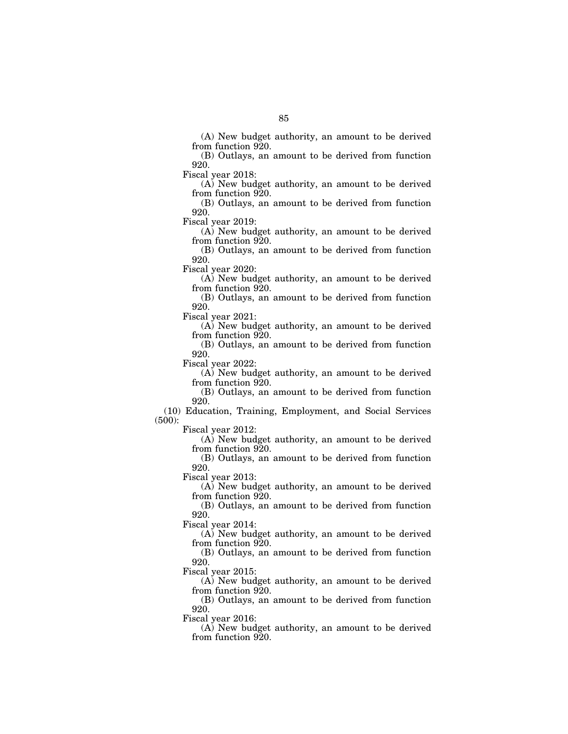(A) New budget authority, an amount to be derived from function 920.

(B) Outlays, an amount to be derived from function 920.

Fiscal year 2018:

(A) New budget authority, an amount to be derived from function 920.

(B) Outlays, an amount to be derived from function 920.

Fiscal year 2019:

(A) New budget authority, an amount to be derived from function 920.

(B) Outlays, an amount to be derived from function 920.

Fiscal year 2020:

(A) New budget authority, an amount to be derived from function 920.

(B) Outlays, an amount to be derived from function 920.

Fiscal year 2021:

(A) New budget authority, an amount to be derived from function 920.

(B) Outlays, an amount to be derived from function 920.

Fiscal year 2022:

(A) New budget authority, an amount to be derived from function 920.

(B) Outlays, an amount to be derived from function 920.

(10) Education, Training, Employment, and Social Services (500):

Fiscal year 2012:

(A) New budget authority, an amount to be derived from function 920.

(B) Outlays, an amount to be derived from function 920.

Fiscal year 2013:

(A) New budget authority, an amount to be derived from function 920.

(B) Outlays, an amount to be derived from function 920.

Fiscal year 2014:

(A) New budget authority, an amount to be derived from function 920.

(B) Outlays, an amount to be derived from function 920.

Fiscal year 2015:

(A) New budget authority, an amount to be derived from function 920.

(B) Outlays, an amount to be derived from function 920.

Fiscal year 2016:

(A) New budget authority, an amount to be derived from function 920.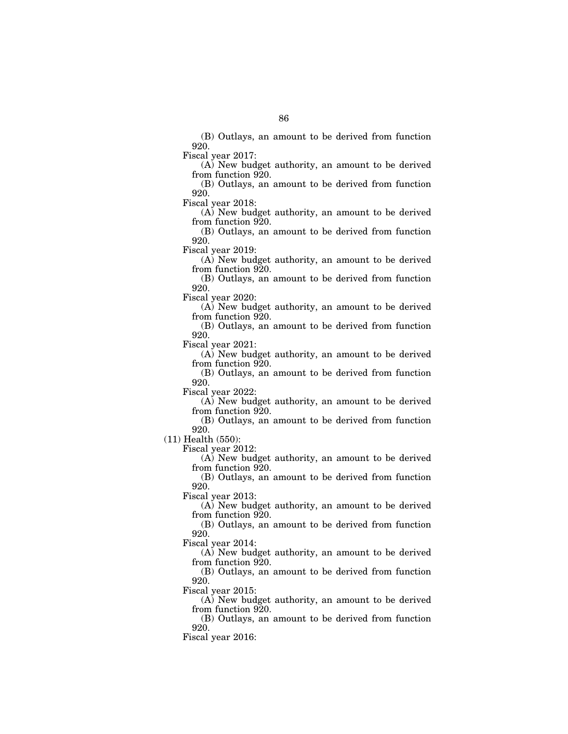(B) Outlays, an amount to be derived from function 920.

Fiscal year 2017:

(A) New budget authority, an amount to be derived from function 920.

(B) Outlays, an amount to be derived from function 920.

Fiscal year 2018:

(A) New budget authority, an amount to be derived from function 920.

(B) Outlays, an amount to be derived from function 920.

Fiscal year 2019:

(A) New budget authority, an amount to be derived from function 920.

(B) Outlays, an amount to be derived from function 920.

Fiscal year 2020:

(A) New budget authority, an amount to be derived from function 920.

(B) Outlays, an amount to be derived from function 920.

Fiscal year 2021:

(A) New budget authority, an amount to be derived from function 920.

(B) Outlays, an amount to be derived from function 920.

Fiscal year 2022:

(A) New budget authority, an amount to be derived from function 920.

(B) Outlays, an amount to be derived from function 920.

(11) Health (550):

Fiscal year 2012:

(A) New budget authority, an amount to be derived from function 920.

(B) Outlays, an amount to be derived from function 920.

Fiscal year 2013:

(A) New budget authority, an amount to be derived from function 920.

(B) Outlays, an amount to be derived from function 920.

Fiscal year 2014:

(A) New budget authority, an amount to be derived from function 920.

(B) Outlays, an amount to be derived from function 920.

Fiscal year 2015:

(A) New budget authority, an amount to be derived from function 920.

(B) Outlays, an amount to be derived from function 920.

Fiscal year 2016: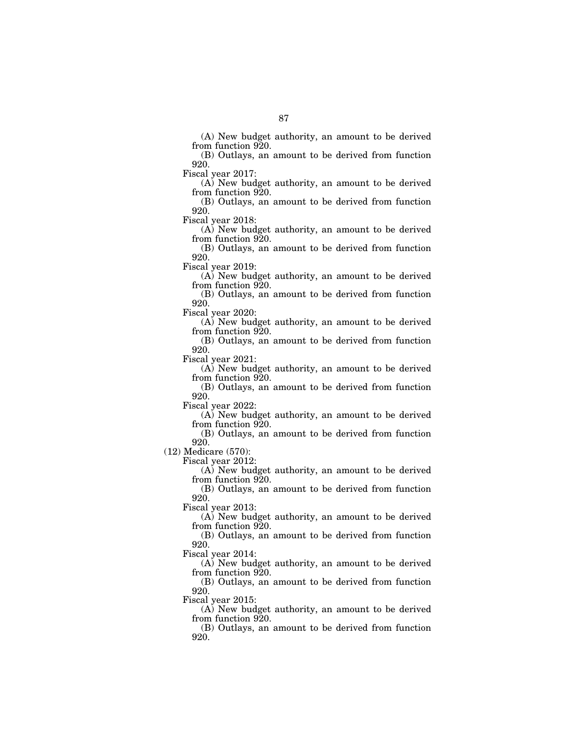(A) New budget authority, an amount to be derived from function 920.

(B) Outlays, an amount to be derived from function 920.

Fiscal year 2017:

(A) New budget authority, an amount to be derived from function 920.

(B) Outlays, an amount to be derived from function 920.

Fiscal year 2018:

(A) New budget authority, an amount to be derived from function 920.

(B) Outlays, an amount to be derived from function 920.

Fiscal year 2019:

(A) New budget authority, an amount to be derived from function 920.

(B) Outlays, an amount to be derived from function 920.

Fiscal year 2020:

(A) New budget authority, an amount to be derived from function 920.

(B) Outlays, an amount to be derived from function 920.

Fiscal year 2021:

(A) New budget authority, an amount to be derived from function 920.

(B) Outlays, an amount to be derived from function 920.

Fiscal year 2022:

(A) New budget authority, an amount to be derived from function 920.

(B) Outlays, an amount to be derived from function 920.

(12) Medicare (570):

Fiscal year 2012:

(A) New budget authority, an amount to be derived from function 920.

(B) Outlays, an amount to be derived from function 920.

Fiscal year 2013:

(A) New budget authority, an amount to be derived from function 920.

(B) Outlays, an amount to be derived from function 920.

Fiscal year 2014:

(A) New budget authority, an amount to be derived from function 920.

(B) Outlays, an amount to be derived from function 920.

Fiscal year 2015:

(A) New budget authority, an amount to be derived from function 920.

(B) Outlays, an amount to be derived from function 920.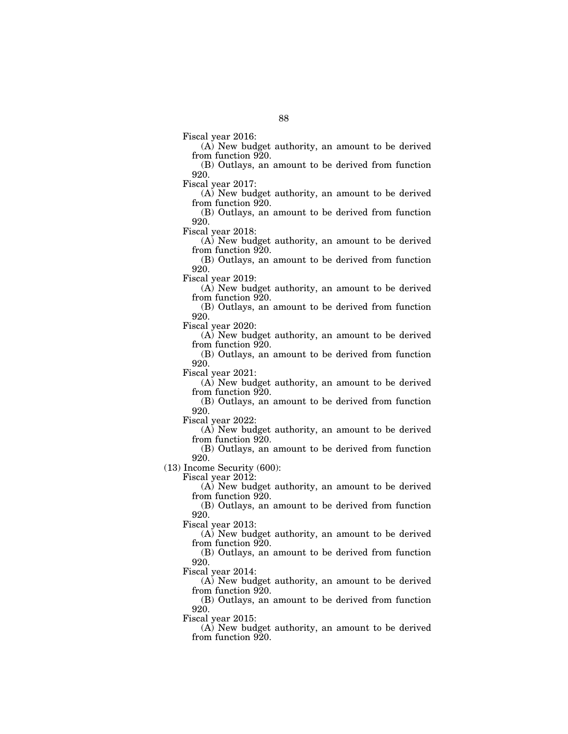Fiscal year 2016:

(A) New budget authority, an amount to be derived from function 920.

(B) Outlays, an amount to be derived from function 920.

Fiscal year 2017:

(A) New budget authority, an amount to be derived from function 920.

(B) Outlays, an amount to be derived from function 920.

Fiscal year 2018:

(A) New budget authority, an amount to be derived from function 920.

(B) Outlays, an amount to be derived from function 920.

Fiscal year 2019:

(A) New budget authority, an amount to be derived from function 920.

(B) Outlays, an amount to be derived from function 920.

Fiscal year 2020:

(A) New budget authority, an amount to be derived from function 920.

(B) Outlays, an amount to be derived from function 920.

Fiscal year 2021:

(A) New budget authority, an amount to be derived from function 920.

(B) Outlays, an amount to be derived from function 920.

Fiscal year 2022:

(A) New budget authority, an amount to be derived from function 920.

(B) Outlays, an amount to be derived from function 920.

(13) Income Security (600):

Fiscal year 2012:

(A) New budget authority, an amount to be derived from function 920.

(B) Outlays, an amount to be derived from function 920.

Fiscal year 2013:

(A) New budget authority, an amount to be derived from function 920.

(B) Outlays, an amount to be derived from function 920.

Fiscal year 2014:

(A) New budget authority, an amount to be derived from function 920.

(B) Outlays, an amount to be derived from function 920.

Fiscal year 2015:

(A) New budget authority, an amount to be derived from function 920.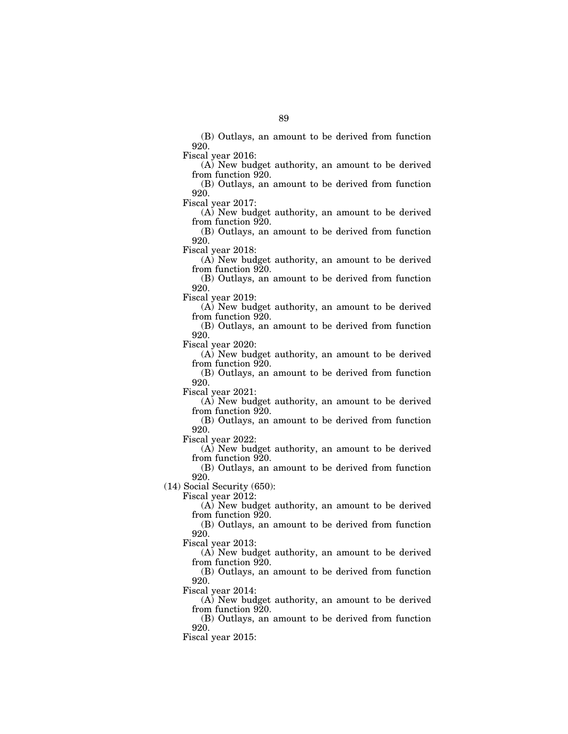(B) Outlays, an amount to be derived from function 920.

Fiscal year 2016:

(A) New budget authority, an amount to be derived from function 920.

(B) Outlays, an amount to be derived from function 920.

Fiscal year 2017:

(A) New budget authority, an amount to be derived from function 920.

(B) Outlays, an amount to be derived from function 920.

Fiscal year 2018:

(A) New budget authority, an amount to be derived from function 920.

(B) Outlays, an amount to be derived from function 920.

Fiscal year 2019:

(A) New budget authority, an amount to be derived from function 920.

(B) Outlays, an amount to be derived from function 920.

Fiscal year 2020:

(A) New budget authority, an amount to be derived from function 920.

(B) Outlays, an amount to be derived from function 920.

Fiscal year 2021:

(A) New budget authority, an amount to be derived from function 920.

(B) Outlays, an amount to be derived from function 920.

Fiscal year 2022:

(A) New budget authority, an amount to be derived from function 920.

(B) Outlays, an amount to be derived from function 920.

(14) Social Security (650):

Fiscal year 2012:

(A) New budget authority, an amount to be derived from function 920.

(B) Outlays, an amount to be derived from function 920.

Fiscal year 2013:

(A) New budget authority, an amount to be derived from function 920.

(B) Outlays, an amount to be derived from function 920.

Fiscal year 2014:

(A) New budget authority, an amount to be derived from function 920.

(B) Outlays, an amount to be derived from function 920.

Fiscal year 2015: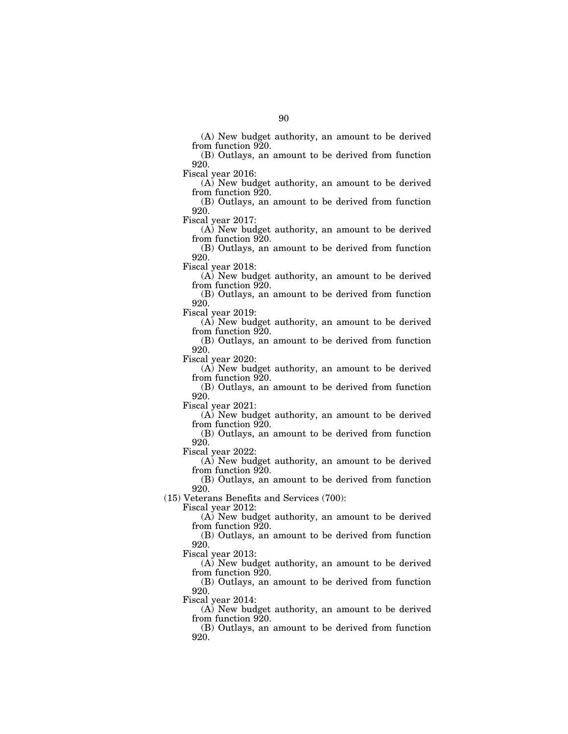(A) New budget authority, an amount to be derived from function 920.

(B) Outlays, an amount to be derived from function 920.

Fiscal year 2016:

(A) New budget authority, an amount to be derived from function 920.

(B) Outlays, an amount to be derived from function 920.

Fiscal year 2017:

(A) New budget authority, an amount to be derived from function 920.

(B) Outlays, an amount to be derived from function 920.

Fiscal year 2018:

(A) New budget authority, an amount to be derived from function 920.

(B) Outlays, an amount to be derived from function 920.

Fiscal year 2019:

(A) New budget authority, an amount to be derived from function 920.

(B) Outlays, an amount to be derived from function 920.

Fiscal year 2020:

(A) New budget authority, an amount to be derived from function 920.

(B) Outlays, an amount to be derived from function 920.

Fiscal year 2021:

(A) New budget authority, an amount to be derived from function 920.

(B) Outlays, an amount to be derived from function 920.

Fiscal year 2022:

(A) New budget authority, an amount to be derived from function 920.

(B) Outlays, an amount to be derived from function 920.

(15) Veterans Benefits and Services (700):

Fiscal year 2012:

(A) New budget authority, an amount to be derived from function 920.

(B) Outlays, an amount to be derived from function 920.

Fiscal year 2013:

(A) New budget authority, an amount to be derived from function 920.

(B) Outlays, an amount to be derived from function 920.

Fiscal year 2014:

(A) New budget authority, an amount to be derived from function 920.

(B) Outlays, an amount to be derived from function 920.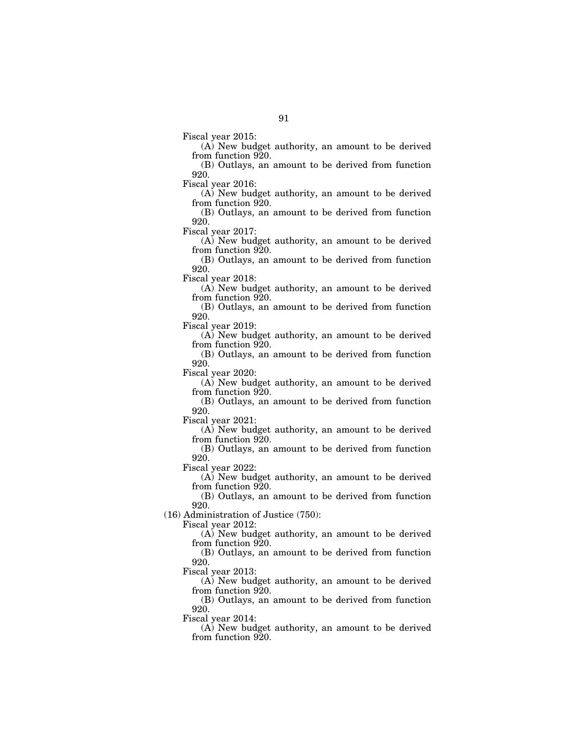Fiscal year 2015:

(A) New budget authority, an amount to be derived from function 920.

(B) Outlays, an amount to be derived from function 920.

Fiscal year 2016:

(A) New budget authority, an amount to be derived from function 920.

(B) Outlays, an amount to be derived from function 920.

Fiscal year 2017:

(A) New budget authority, an amount to be derived from function 920.

(B) Outlays, an amount to be derived from function 920.

Fiscal year 2018:

(A) New budget authority, an amount to be derived from function 920.

(B) Outlays, an amount to be derived from function 920.

Fiscal year 2019:

(A) New budget authority, an amount to be derived from function 920.

(B) Outlays, an amount to be derived from function 920.

Fiscal year 2020:

(A) New budget authority, an amount to be derived from function 920.

(B) Outlays, an amount to be derived from function 920.

Fiscal year 2021:

(A) New budget authority, an amount to be derived from function 920.

(B) Outlays, an amount to be derived from function 920.

Fiscal year 2022:

(A) New budget authority, an amount to be derived from function 920.

(B) Outlays, an amount to be derived from function 920.

(16) Administration of Justice (750):

Fiscal year 2012:

(A) New budget authority, an amount to be derived from function 920.

(B) Outlays, an amount to be derived from function 920.

Fiscal year 2013:

(A) New budget authority, an amount to be derived from function 920.

(B) Outlays, an amount to be derived from function 920.

Fiscal year 2014:

(A) New budget authority, an amount to be derived from function 920.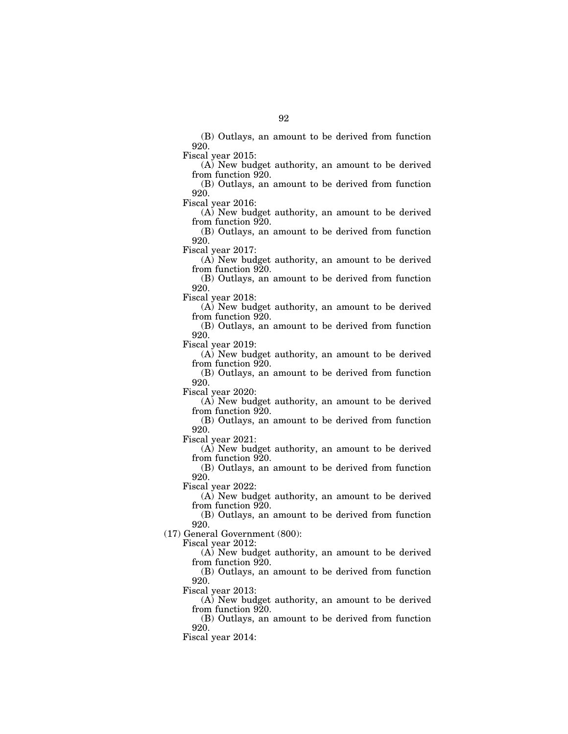(B) Outlays, an amount to be derived from function 920.

Fiscal year 2015:

(A) New budget authority, an amount to be derived from function 920.

(B) Outlays, an amount to be derived from function 920.

Fiscal year 2016:

(A) New budget authority, an amount to be derived from function 920.

(B) Outlays, an amount to be derived from function 920.

Fiscal year 2017:

(A) New budget authority, an amount to be derived from function 920.

(B) Outlays, an amount to be derived from function 920.

Fiscal year 2018:

(A) New budget authority, an amount to be derived from function 920.

(B) Outlays, an amount to be derived from function 920.

Fiscal year 2019:

(A) New budget authority, an amount to be derived from function 920.

(B) Outlays, an amount to be derived from function 920.

Fiscal year 2020:

(A) New budget authority, an amount to be derived from function 920.

(B) Outlays, an amount to be derived from function 920.

Fiscal year 2021:

(A) New budget authority, an amount to be derived from function 920.

(B) Outlays, an amount to be derived from function 920.

Fiscal year 2022:

(A) New budget authority, an amount to be derived from function 920.

(B) Outlays, an amount to be derived from function 920.

(17) General Government (800):

Fiscal year 2012:

(A) New budget authority, an amount to be derived from function 920.

(B) Outlays, an amount to be derived from function 920.

Fiscal year 2013:

(A) New budget authority, an amount to be derived from function 920.

(B) Outlays, an amount to be derived from function 920.

Fiscal year 2014: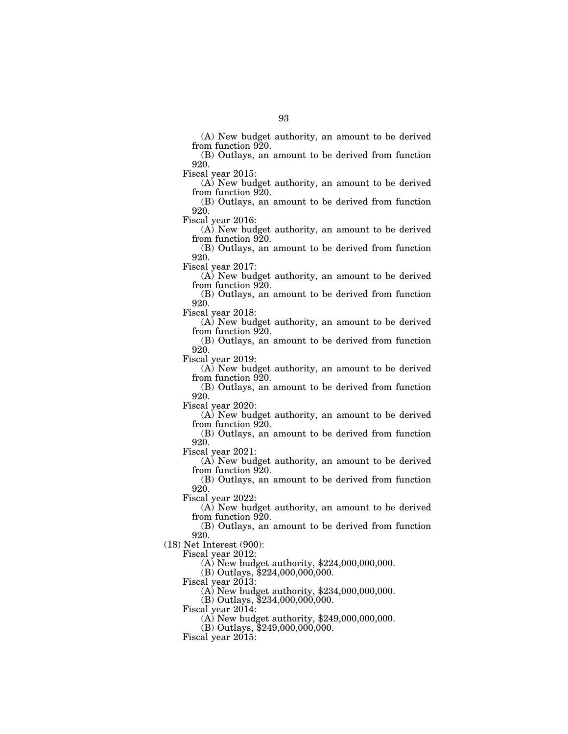(A) New budget authority, an amount to be derived from function 920.

(B) Outlays, an amount to be derived from function 920.

Fiscal year 2015:

(A) New budget authority, an amount to be derived from function 920.

(B) Outlays, an amount to be derived from function 920.

Fiscal year 2016:

(A) New budget authority, an amount to be derived from function 920.

(B) Outlays, an amount to be derived from function 920.

Fiscal year 2017:

(A) New budget authority, an amount to be derived from function 920.

(B) Outlays, an amount to be derived from function 920.

Fiscal year 2018:

(A) New budget authority, an amount to be derived from function 920.

(B) Outlays, an amount to be derived from function 920.

Fiscal year 2019:

(A) New budget authority, an amount to be derived from function 920.

(B) Outlays, an amount to be derived from function 920.

Fiscal year 2020:

(A) New budget authority, an amount to be derived from function 920.

(B) Outlays, an amount to be derived from function 920.

Fiscal year 2021:

(A) New budget authority, an amount to be derived from function 920.

(B) Outlays, an amount to be derived from function 920.

Fiscal year 2022:

(A) New budget authority, an amount to be derived from function 920.

(B) Outlays, an amount to be derived from function 920.

(18) Net Interest (900):

Fiscal year 2012:

(A) New budget authority, \$224,000,000,000.

(B) Outlays, \$224,000,000,000.

Fiscal year 2013:

(A) New budget authority, \$234,000,000,000.

(B) Outlays, \$234,000,000,000.

Fiscal year 2014:

(A) New budget authority, \$249,000,000,000.

(B) Outlays, \$249,000,000,000.

Fiscal year  $2015$ :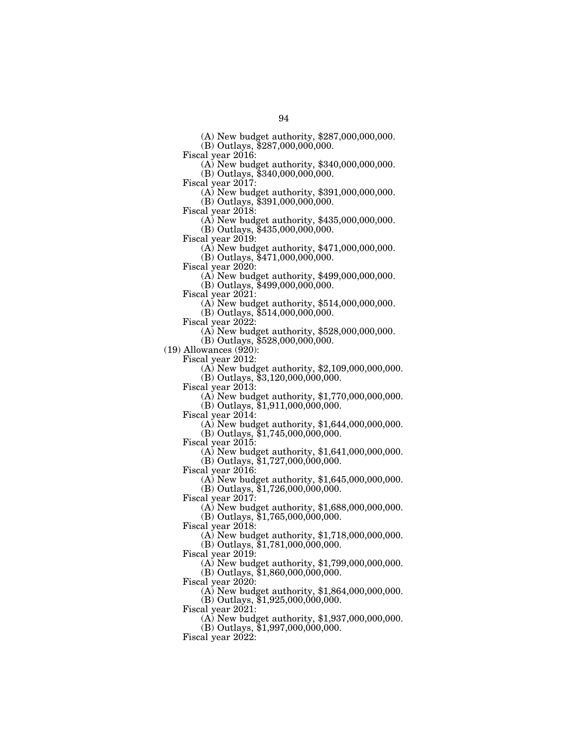(A) New budget authority, \$287,000,000,000.

(B) Outlays, \$287,000,000,000.

Fiscal year 2016: (A) New budget authority, \$340,000,000,000.

(B) Outlays, \$340,000,000,000.<br>Fiscal year 2017:

(A) New budget authority,  $$391,000,000,000$ .

(B) Outlays, \$391,000,000,000.

 $\Phi$  New budget authority, \$435,000,000,000. (B) Outlays, \$435,000,000,000.

Fiscal year 2019: (A) New budget authority, \$471,000,000,000.

(B) Outlays, \$471,000,000,000.

 $(A)$  New budget authority, \$499,000,000,000.

(B) Outlays, \$499,000,000,000.

(A) New budget authority,  $$514,000,000,000$ .

(B) Outlays, \$514,000,000,000.<br>Fiscal year 2022:

 $\widetilde{A}$ ) New budget authority, \$528,000,000,000.

(B) Outlays, \$528,000,000,000.

 $(19)$  Allowances  $(920)$ :

Fiscal year 2012: (A) New budget authority, \$2,109,000,000,000.

(B) Outlays, \$3,120,000,000,000.

Fiscal year 2013: (A) New budget authority, \$1,770,000,000,000.

(B) Outlays, \$1,911,000,000,000.<br>Fiscal year 2014:

 $F(A)$  New budget authority, \$1,644,000,000,000. (B) Outlays, \$1,745,000,000,000.

Fiscal year 2015:

(A) New budget authority, \$1,641,000,000,000. (B) Outlays,  $$1,727,000,000,000$ .

Fiscal year 2016:

(A) New budget authority, \$1,645,000,000,000. (B) Outlays, \$1,726,000,000,000.

Fiscal year 2017:

(A) New budget authority, \$1,688,000,000,000.

(B) Outlays, \$1,765,000,000,000.

Fiscal year 2018:

(A) New budget authority, \$1,718,000,000,000. (B) Outlays, \$1,781,000,000,000.

Fiscal year 2019:

(A) New budget authority, \$1,799,000,000,000.

(B) Outlays, \$1,860,000,000,000.

Fiscal year 2020:

(A) New budget authority, \$1,864,000,000,000.

(B) Outlays, \$1,925,000,000,000.

Fiscal year 2021:

(A) New budget authority, \$1,937,000,000,000.

(B) Outlays, \$1,997,000,000,000.

Fiscal year  $2022$ :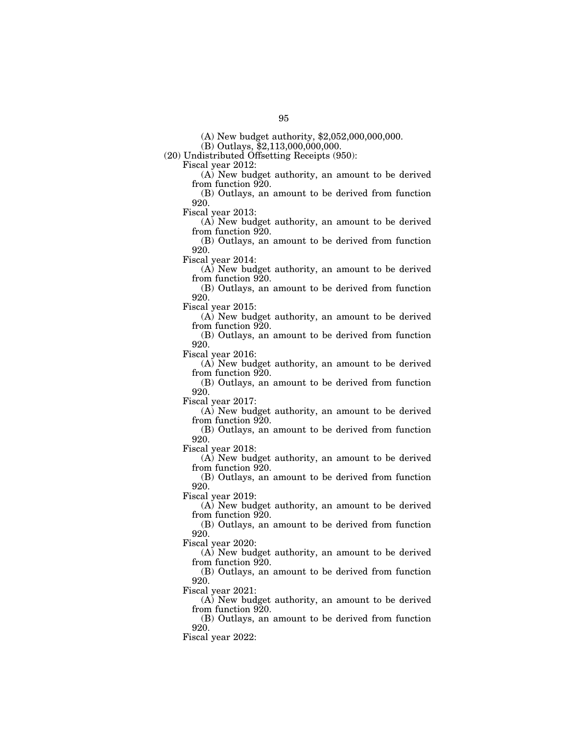(A) New budget authority, \$2,052,000,000,000.

 $(B)$  Outlays,  $\overline{$}2,113,000,000,000$ .

(20) Undistributed Offsetting Receipts (950):

Fiscal year 2012:

(A) New budget authority, an amount to be derived from function 920.

(B) Outlays, an amount to be derived from function 920.

Fiscal year 2013:

(A) New budget authority, an amount to be derived from function 920.

(B) Outlays, an amount to be derived from function 920.

Fiscal year 2014:

(A) New budget authority, an amount to be derived from function 920.

(B) Outlays, an amount to be derived from function 920.

Fiscal year 2015:

(A) New budget authority, an amount to be derived from function 920.

(B) Outlays, an amount to be derived from function 920.

Fiscal year 2016:

(A) New budget authority, an amount to be derived from function 920.

(B) Outlays, an amount to be derived from function 920.

Fiscal year 2017:

(A) New budget authority, an amount to be derived from function 920.

(B) Outlays, an amount to be derived from function 920.

Fiscal year 2018:

(A) New budget authority, an amount to be derived from function 920.

(B) Outlays, an amount to be derived from function 920.

Fiscal year 2019:

(A) New budget authority, an amount to be derived from function 920.

(B) Outlays, an amount to be derived from function 920.

Fiscal year 2020:

(A) New budget authority, an amount to be derived from function 920.

(B) Outlays, an amount to be derived from function 920.

Fiscal year 2021:

(A) New budget authority, an amount to be derived from function 920.

(B) Outlays, an amount to be derived from function 920.

Fiscal year 2022: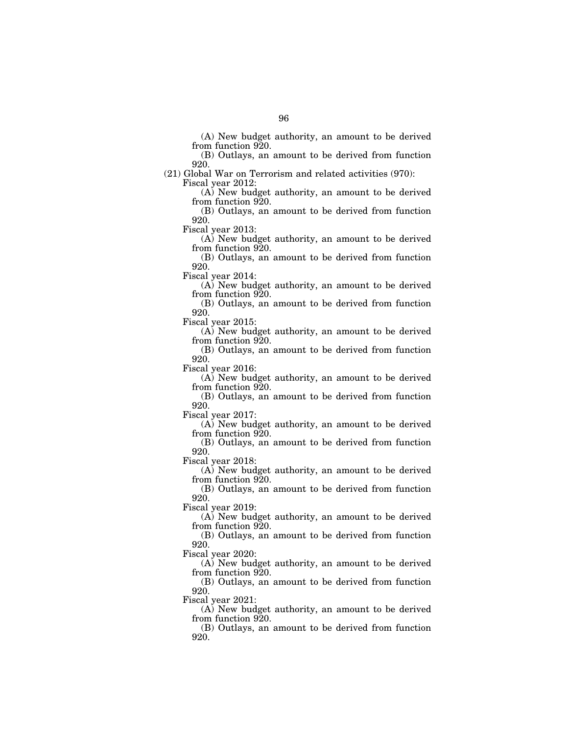(A) New budget authority, an amount to be derived from function 920.

(B) Outlays, an amount to be derived from function 920.

(21) Global War on Terrorism and related activities (970):

Fiscal year 2012:

(A) New budget authority, an amount to be derived from function 920.

(B) Outlays, an amount to be derived from function 920.

Fiscal year 2013:

(A) New budget authority, an amount to be derived from function 920.

(B) Outlays, an amount to be derived from function 920.

Fiscal year 2014:

(A) New budget authority, an amount to be derived from function 920.

(B) Outlays, an amount to be derived from function 920.

Fiscal year 2015:

(A) New budget authority, an amount to be derived from function 920.

(B) Outlays, an amount to be derived from function 920.

Fiscal year 2016:

(A) New budget authority, an amount to be derived from function 920.

(B) Outlays, an amount to be derived from function 920.

Fiscal year 2017:

(A) New budget authority, an amount to be derived from function 920.

(B) Outlays, an amount to be derived from function 920.

Fiscal year 2018:

(A) New budget authority, an amount to be derived from function 920.

(B) Outlays, an amount to be derived from function 920.

Fiscal year 2019:

(A) New budget authority, an amount to be derived from function 920.

(B) Outlays, an amount to be derived from function 920.

Fiscal year 2020:

(A) New budget authority, an amount to be derived from function 920.

(B) Outlays, an amount to be derived from function 920.

Fiscal year 2021:

(A) New budget authority, an amount to be derived from function 920.

(B) Outlays, an amount to be derived from function 920.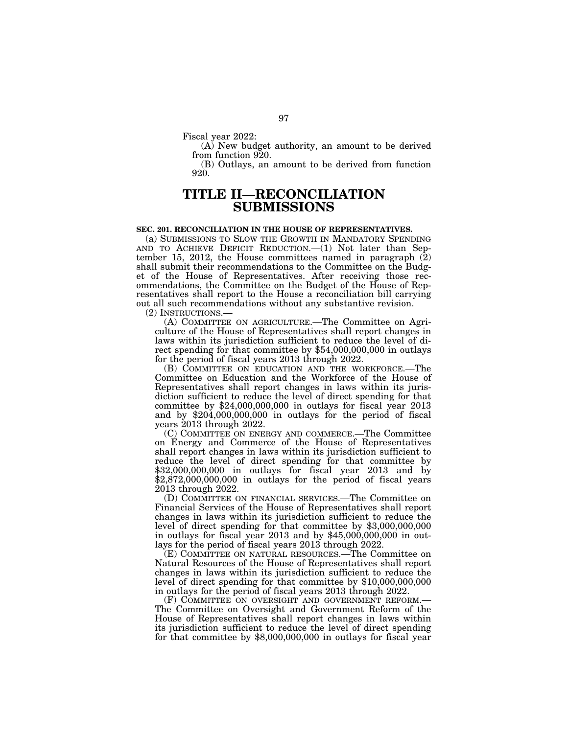Fiscal year 2022:

(A) New budget authority, an amount to be derived from function 920.

(B) Outlays, an amount to be derived from function 920.

# **TITLE II—RECONCILIATION SUBMISSIONS**

### **SEC. 201. RECONCILIATION IN THE HOUSE OF REPRESENTATIVES.**

(a) SUBMISSIONS TO SLOW THE GROWTH IN MANDATORY SPENDING AND TO ACHIEVE DEFICIT REDUCTION.—(1) Not later than September 15, 2012, the House committees named in paragraph (2) shall submit their recommendations to the Committee on the Budget of the House of Representatives. After receiving those recommendations, the Committee on the Budget of the House of Representatives shall report to the House a reconciliation bill carrying out all such recommendations without any substantive revision.

(2) INSTRUCTIONS.— (A) COMMITTEE ON AGRICULTURE.—The Committee on Agriculture of the House of Representatives shall report changes in laws within its jurisdiction sufficient to reduce the level of direct spending for that committee by \$54,000,000,000 in outlays for the period of fiscal years 2013 through 2022.

(B) COMMITTEE ON EDUCATION AND THE WORKFORCE.—The Committee on Education and the Workforce of the House of Representatives shall report changes in laws within its jurisdiction sufficient to reduce the level of direct spending for that committee by \$24,000,000,000 in outlays for fiscal year 2013 and by \$204,000,000,000 in outlays for the period of fiscal years 2013 through 2022.

(C) COMMITTEE ON ENERGY AND COMMERCE.—The Committee on Energy and Commerce of the House of Representatives shall report changes in laws within its jurisdiction sufficient to reduce the level of direct spending for that committee by \$32,000,000,000 in outlays for fiscal year 2013 and by \$2,872,000,000,000 in outlays for the period of fiscal years 2013 through 2022.

(D) COMMITTEE ON FINANCIAL SERVICES.—The Committee on Financial Services of the House of Representatives shall report changes in laws within its jurisdiction sufficient to reduce the level of direct spending for that committee by \$3,000,000,000 in outlays for fiscal year 2013 and by \$45,000,000,000 in outlays for the period of fiscal years 2013 through 2022.

(E) COMMITTEE ON NATURAL RESOURCES.—The Committee on Natural Resources of the House of Representatives shall report changes in laws within its jurisdiction sufficient to reduce the level of direct spending for that committee by \$10,000,000,000 in outlays for the period of fiscal years 2013 through 2022.

(F) COMMITTEE ON OVERSIGHT AND GOVERNMENT REFORM.— The Committee on Oversight and Government Reform of the House of Representatives shall report changes in laws within its jurisdiction sufficient to reduce the level of direct spending for that committee by \$8,000,000,000 in outlays for fiscal year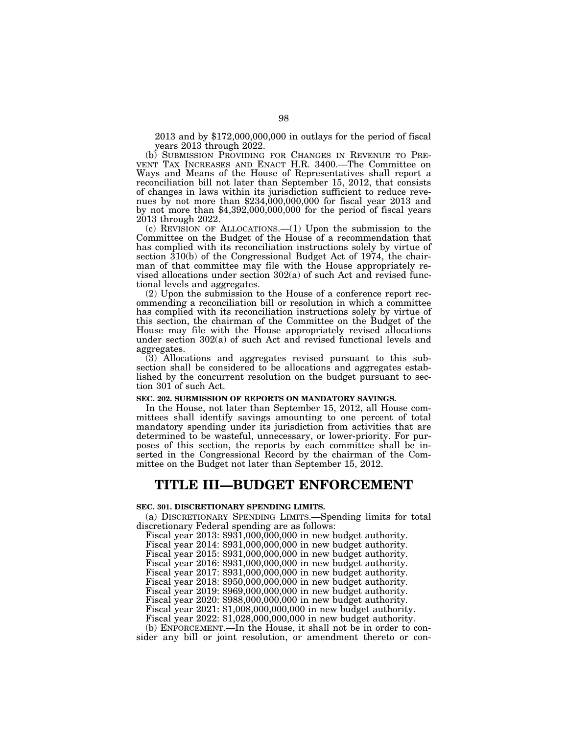2013 and by \$172,000,000,000 in outlays for the period of fiscal years 2013 through 2022.

(b) SUBMISSION PROVIDING FOR CHANGES IN REVENUE TO PRE- VENT TAX INCREASES AND ENACT H.R. 3400.—The Committee on Ways and Means of the House of Representatives shall report a reconciliation bill not later than September 15, 2012, that consists of changes in laws within its jurisdiction sufficient to reduce revenues by not more than \$234,000,000,000 for fiscal year 2013 and by not more than \$4,392,000,000,000 for the period of fiscal years 2013 through 2022.

(c) REVISION OF ALLOCATIONS.—(1) Upon the submission to the Committee on the Budget of the House of a recommendation that has complied with its reconciliation instructions solely by virtue of section 310(b) of the Congressional Budget Act of 1974, the chairman of that committee may file with the House appropriately revised allocations under section 302(a) of such Act and revised functional levels and aggregates.

(2) Upon the submission to the House of a conference report recommending a reconciliation bill or resolution in which a committee has complied with its reconciliation instructions solely by virtue of this section, the chairman of the Committee on the Budget of the House may file with the House appropriately revised allocations under section 302(a) of such Act and revised functional levels and aggregates.

(3) Allocations and aggregates revised pursuant to this subsection shall be considered to be allocations and aggregates established by the concurrent resolution on the budget pursuant to section 301 of such Act.

#### **SEC. 202. SUBMISSION OF REPORTS ON MANDATORY SAVINGS.**

In the House, not later than September 15, 2012, all House committees shall identify savings amounting to one percent of total mandatory spending under its jurisdiction from activities that are determined to be wasteful, unnecessary, or lower-priority. For purposes of this section, the reports by each committee shall be inserted in the Congressional Record by the chairman of the Committee on the Budget not later than September 15, 2012.

# **TITLE III—BUDGET ENFORCEMENT**

#### **SEC. 301. DISCRETIONARY SPENDING LIMITS.**

(a) DISCRETIONARY SPENDING LIMITS.—Spending limits for total discretionary Federal spending are as follows:

Fiscal year 2013: \$931,000,000,000 in new budget authority.

Fiscal year 2014: \$931,000,000,000 in new budget authority.

Fiscal year 2015: \$931,000,000,000 in new budget authority.

Fiscal year 2016: \$931,000,000,000 in new budget authority.

Fiscal year 2017: \$931,000,000,000 in new budget authority.

Fiscal year 2018: \$950,000,000,000 in new budget authority.

Fiscal year 2019: \$969,000,000,000 in new budget authority.

Fiscal year 2020: \$988,000,000,000 in new budget authority.

Fiscal year 2021: \$1,008,000,000,000 in new budget authority.

Fiscal year 2022: \$1,028,000,000,000 in new budget authority.

(b) ENFORCEMENT.—In the House, it shall not be in order to consider any bill or joint resolution, or amendment thereto or con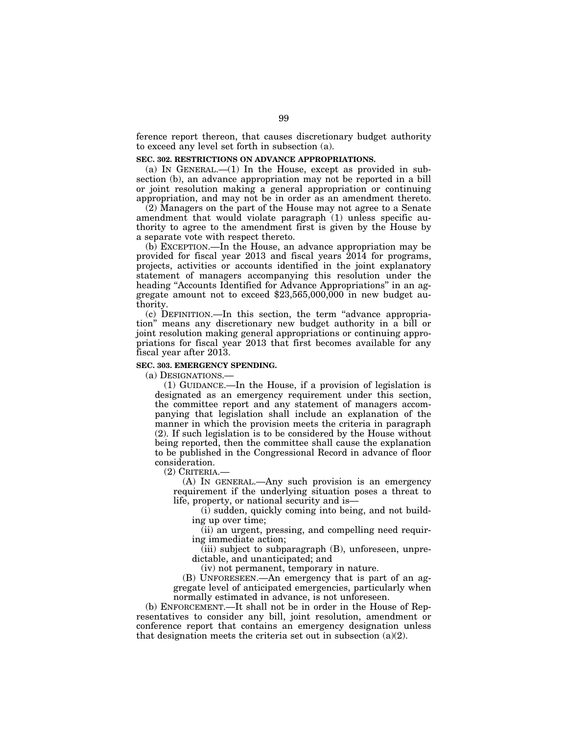ference report thereon, that causes discretionary budget authority to exceed any level set forth in subsection (a).

# **SEC. 302. RESTRICTIONS ON ADVANCE APPROPRIATIONS.**

(a) IN GENERAL $-$ (1) In the House, except as provided in subsection (b), an advance appropriation may not be reported in a bill or joint resolution making a general appropriation or continuing appropriation, and may not be in order as an amendment thereto.

(2) Managers on the part of the House may not agree to a Senate amendment that would violate paragraph (1) unless specific authority to agree to the amendment first is given by the House by a separate vote with respect thereto.

(b) EXCEPTION.—In the House, an advance appropriation may be provided for fiscal year 2013 and fiscal years 2014 for programs, projects, activities or accounts identified in the joint explanatory statement of managers accompanying this resolution under the heading "Accounts Identified for Advance Appropriations" in an aggregate amount not to exceed \$23,565,000,000 in new budget authority.

(c) DEFINITION.—In this section, the term ''advance appropriation'' means any discretionary new budget authority in a bill or joint resolution making general appropriations or continuing appropriations for fiscal year 2013 that first becomes available for any fiscal year after 2013.

#### **SEC. 303. EMERGENCY SPENDING.**

(a) DESIGNATIONS.—

(1) GUIDANCE.—In the House, if a provision of legislation is designated as an emergency requirement under this section, the committee report and any statement of managers accompanying that legislation shall include an explanation of the manner in which the provision meets the criteria in paragraph (2). If such legislation is to be considered by the House without being reported, then the committee shall cause the explanation to be published in the Congressional Record in advance of floor consideration.

(2) CRITERIA.—

(A) IN GENERAL.—Any such provision is an emergency requirement if the underlying situation poses a threat to life, property, or national security and is—

(i) sudden, quickly coming into being, and not building up over time;

(ii) an urgent, pressing, and compelling need requiring immediate action;

(iii) subject to subparagraph (B), unforeseen, unpredictable, and unanticipated; and

(iv) not permanent, temporary in nature.

(B) UNFORESEEN.—An emergency that is part of an aggregate level of anticipated emergencies, particularly when normally estimated in advance, is not unforeseen.

(b) ENFORCEMENT.—It shall not be in order in the House of Representatives to consider any bill, joint resolution, amendment or conference report that contains an emergency designation unless that designation meets the criteria set out in subsection  $(a)(2)$ .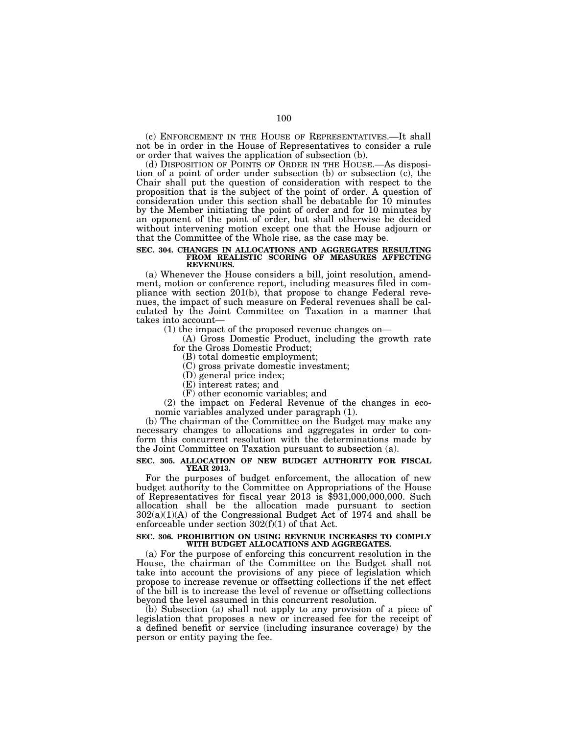(c) ENFORCEMENT IN THE HOUSE OF REPRESENTATIVES.—It shall not be in order in the House of Representatives to consider a rule or order that waives the application of subsection (b).

(d) DISPOSITION OF POINTS OF ORDER IN THE HOUSE.—As disposition of a point of order under subsection (b) or subsection (c), the Chair shall put the question of consideration with respect to the proposition that is the subject of the point of order. A question of consideration under this section shall be debatable for 10 minutes by the Member initiating the point of order and for 10 minutes by an opponent of the point of order, but shall otherwise be decided without intervening motion except one that the House adjourn or that the Committee of the Whole rise, as the case may be.

# **SEC. 304. CHANGES IN ALLOCATIONS AND AGGREGATES RESULTING FROM REALISTIC SCORING OF MEASURES AFFECTING REVENUES.**

(a) Whenever the House considers a bill, joint resolution, amendment, motion or conference report, including measures filed in compliance with section 201(b), that propose to change Federal revenues, the impact of such measure on Federal revenues shall be calculated by the Joint Committee on Taxation in a manner that takes into account—

(1) the impact of the proposed revenue changes on—

(A) Gross Domestic Product, including the growth rate for the Gross Domestic Product;

(B) total domestic employment;

(C) gross private domestic investment;

(D) general price index;

(E) interest rates; and

(F) other economic variables; and

(2) the impact on Federal Revenue of the changes in economic variables analyzed under paragraph (1).

(b) The chairman of the Committee on the Budget may make any necessary changes to allocations and aggregates in order to conform this concurrent resolution with the determinations made by the Joint Committee on Taxation pursuant to subsection (a).

# **SEC. 305. ALLOCATION OF NEW BUDGET AUTHORITY FOR FISCAL YEAR 2013.**

For the purposes of budget enforcement, the allocation of new budget authority to the Committee on Appropriations of the House of Representatives for fiscal year 2013 is \$931,000,000,000. Such allocation shall be the allocation made pursuant to section 302(a)(1)(A) of the Congressional Budget Act of 1974 and shall be enforceable under section 302(f)(1) of that Act.

#### **SEC. 306. PROHIBITION ON USING REVENUE INCREASES TO COMPLY WITH BUDGET ALLOCATIONS AND AGGREGATES.**

(a) For the purpose of enforcing this concurrent resolution in the House, the chairman of the Committee on the Budget shall not take into account the provisions of any piece of legislation which propose to increase revenue or offsetting collections if the net effect of the bill is to increase the level of revenue or offsetting collections beyond the level assumed in this concurrent resolution.

(b) Subsection (a) shall not apply to any provision of a piece of legislation that proposes a new or increased fee for the receipt of a defined benefit or service (including insurance coverage) by the person or entity paying the fee.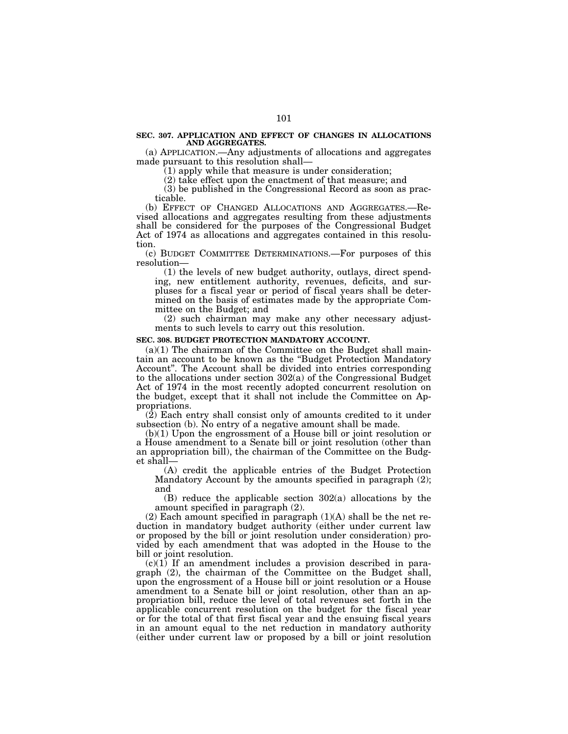# **SEC. 307. APPLICATION AND EFFECT OF CHANGES IN ALLOCATIONS AND AGGREGATES.**

(a) APPLICATION.—Any adjustments of allocations and aggregates made pursuant to this resolution shall—

(1) apply while that measure is under consideration;

(2) take effect upon the enactment of that measure; and

(3) be published in the Congressional Record as soon as practicable.

(b) EFFECT OF CHANGED ALLOCATIONS AND AGGREGATES.—Revised allocations and aggregates resulting from these adjustments shall be considered for the purposes of the Congressional Budget Act of 1974 as allocations and aggregates contained in this resolution.

(c) BUDGET COMMITTEE DETERMINATIONS.—For purposes of this resolution—

(1) the levels of new budget authority, outlays, direct spending, new entitlement authority, revenues, deficits, and surpluses for a fiscal year or period of fiscal years shall be determined on the basis of estimates made by the appropriate Committee on the Budget; and

(2) such chairman may make any other necessary adjustments to such levels to carry out this resolution.

### **SEC. 308. BUDGET PROTECTION MANDATORY ACCOUNT.**

 $(a)(1)$  The chairman of the Committee on the Budget shall maintain an account to be known as the ''Budget Protection Mandatory Account''. The Account shall be divided into entries corresponding to the allocations under section 302(a) of the Congressional Budget Act of 1974 in the most recently adopted concurrent resolution on the budget, except that it shall not include the Committee on Appropriations.

 $(2)$  Each entry shall consist only of amounts credited to it under subsection (b). No entry of a negative amount shall be made.

(b)(1) Upon the engrossment of a House bill or joint resolution or a House amendment to a Senate bill or joint resolution (other than an appropriation bill), the chairman of the Committee on the Budget shall—

(A) credit the applicable entries of the Budget Protection Mandatory Account by the amounts specified in paragraph (2); and

(B) reduce the applicable section 302(a) allocations by the amount specified in paragraph (2).

 $(2)$  Each amount specified in paragraph  $(1)(A)$  shall be the net reduction in mandatory budget authority (either under current law or proposed by the bill or joint resolution under consideration) provided by each amendment that was adopted in the House to the bill or joint resolution.

 $(c)(1)$  If an amendment includes a provision described in paragraph (2), the chairman of the Committee on the Budget shall, upon the engrossment of a House bill or joint resolution or a House amendment to a Senate bill or joint resolution, other than an appropriation bill, reduce the level of total revenues set forth in the applicable concurrent resolution on the budget for the fiscal year or for the total of that first fiscal year and the ensuing fiscal years in an amount equal to the net reduction in mandatory authority (either under current law or proposed by a bill or joint resolution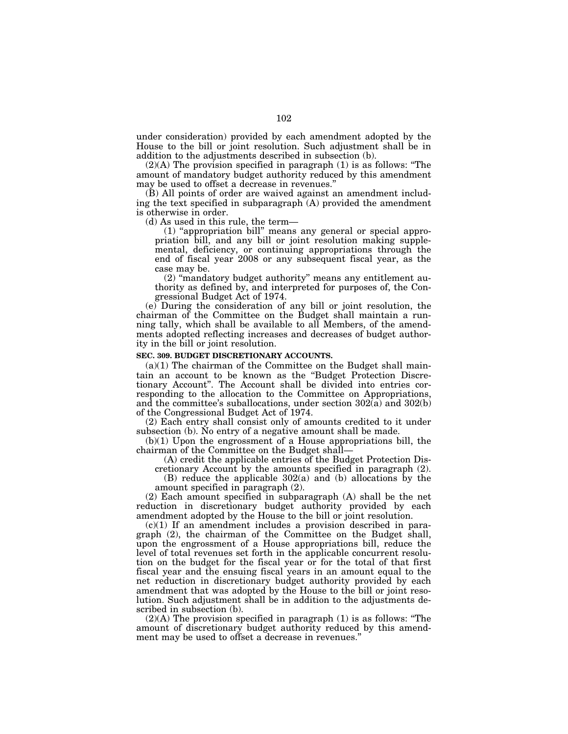under consideration) provided by each amendment adopted by the House to the bill or joint resolution. Such adjustment shall be in addition to the adjustments described in subsection (b).

(2)(A) The provision specified in paragraph (1) is as follows: ''The amount of mandatory budget authority reduced by this amendment may be used to offset a decrease in revenues.''

(B) All points of order are waived against an amendment including the text specified in subparagraph (A) provided the amendment is otherwise in order.

(d) As used in this rule, the term—

(1) ''appropriation bill'' means any general or special appropriation bill, and any bill or joint resolution making supplemental, deficiency, or continuing appropriations through the end of fiscal year 2008 or any subsequent fiscal year, as the case may be.

(2) ''mandatory budget authority'' means any entitlement authority as defined by, and interpreted for purposes of, the Congressional Budget Act of 1974.

(e) During the consideration of any bill or joint resolution, the chairman of the Committee on the Budget shall maintain a running tally, which shall be available to all Members, of the amendments adopted reflecting increases and decreases of budget authority in the bill or joint resolution.

# **SEC. 309. BUDGET DISCRETIONARY ACCOUNTS.**

 $(a)(1)$  The chairman of the Committee on the Budget shall maintain an account to be known as the ''Budget Protection Discretionary Account''. The Account shall be divided into entries corresponding to the allocation to the Committee on Appropriations, and the committee's suballocations, under section 302(a) and 302(b) of the Congressional Budget Act of 1974.

(2) Each entry shall consist only of amounts credited to it under subsection (b). No entry of a negative amount shall be made.

(b)(1) Upon the engrossment of a House appropriations bill, the chairman of the Committee on the Budget shall—

(A) credit the applicable entries of the Budget Protection Dis-

cretionary Account by the amounts specified in paragraph (2). (B) reduce the applicable 302(a) and (b) allocations by the amount specified in paragraph (2).

(2) Each amount specified in subparagraph (A) shall be the net reduction in discretionary budget authority provided by each amendment adopted by the House to the bill or joint resolution.

 $(c)(1)$  If an amendment includes a provision described in paragraph (2), the chairman of the Committee on the Budget shall, upon the engrossment of a House appropriations bill, reduce the level of total revenues set forth in the applicable concurrent resolution on the budget for the fiscal year or for the total of that first fiscal year and the ensuing fiscal years in an amount equal to the net reduction in discretionary budget authority provided by each amendment that was adopted by the House to the bill or joint resolution. Such adjustment shall be in addition to the adjustments described in subsection (b).

 $(2)(A)$  The provision specified in paragraph  $(1)$  is as follows: "The amount of discretionary budget authority reduced by this amendment may be used to offset a decrease in revenues.''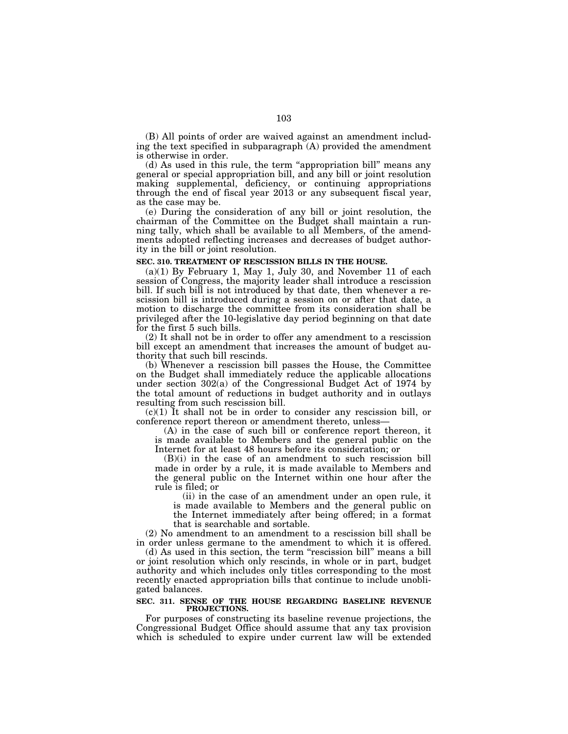(B) All points of order are waived against an amendment including the text specified in subparagraph (A) provided the amendment is otherwise in order.

(d) As used in this rule, the term ''appropriation bill'' means any general or special appropriation bill, and any bill or joint resolution making supplemental, deficiency, or continuing appropriations through the end of fiscal year 2013 or any subsequent fiscal year, as the case may be.

(e) During the consideration of any bill or joint resolution, the chairman of the Committee on the Budget shall maintain a running tally, which shall be available to all Members, of the amendments adopted reflecting increases and decreases of budget authority in the bill or joint resolution.

### **SEC. 310. TREATMENT OF RESCISSION BILLS IN THE HOUSE.**

 $(a)(1)$  By February 1, May 1, July 30, and November 11 of each session of Congress, the majority leader shall introduce a rescission bill. If such bill is not introduced by that date, then whenever a rescission bill is introduced during a session on or after that date, a motion to discharge the committee from its consideration shall be privileged after the 10-legislative day period beginning on that date for the first 5 such bills.

(2) It shall not be in order to offer any amendment to a rescission bill except an amendment that increases the amount of budget authority that such bill rescinds.

(b) Whenever a rescission bill passes the House, the Committee on the Budget shall immediately reduce the applicable allocations under section 302(a) of the Congressional Budget Act of 1974 by the total amount of reductions in budget authority and in outlays resulting from such rescission bill.

(c)(1) It shall not be in order to consider any rescission bill, or conference report thereon or amendment thereto, unless—

(A) in the case of such bill or conference report thereon, it is made available to Members and the general public on the Internet for at least 48 hours before its consideration; or

(B)(i) in the case of an amendment to such rescission bill made in order by a rule, it is made available to Members and the general public on the Internet within one hour after the rule is filed; or

(ii) in the case of an amendment under an open rule, it is made available to Members and the general public on the Internet immediately after being offered; in a format that is searchable and sortable.

(2) No amendment to an amendment to a rescission bill shall be in order unless germane to the amendment to which it is offered.

(d) As used in this section, the term ''rescission bill'' means a bill or joint resolution which only rescinds, in whole or in part, budget authority and which includes only titles corresponding to the most recently enacted appropriation bills that continue to include unobligated balances.

#### **SEC. 311. SENSE OF THE HOUSE REGARDING BASELINE REVENUE PROJECTIONS.**

For purposes of constructing its baseline revenue projections, the Congressional Budget Office should assume that any tax provision which is scheduled to expire under current law will be extended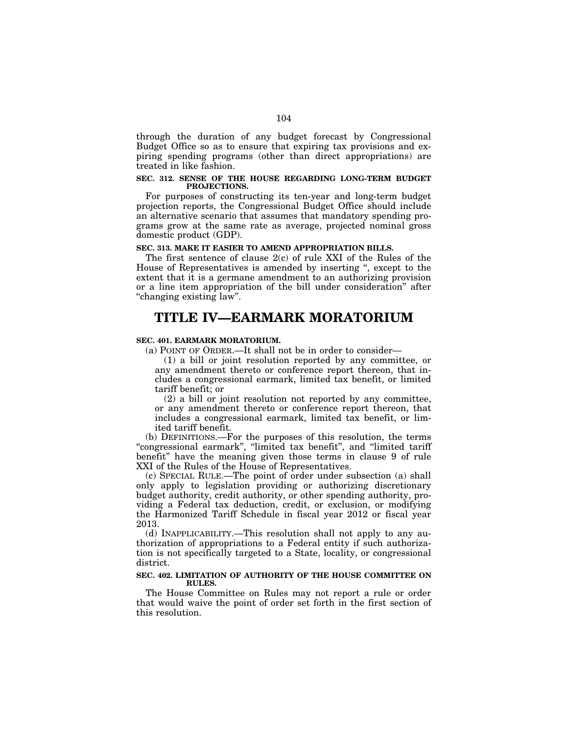through the duration of any budget forecast by Congressional Budget Office so as to ensure that expiring tax provisions and expiring spending programs (other than direct appropriations) are treated in like fashion.

### **SEC. 312. SENSE OF THE HOUSE REGARDING LONG-TERM BUDGET PROJECTIONS.**

For purposes of constructing its ten-year and long-term budget projection reports, the Congressional Budget Office should include an alternative scenario that assumes that mandatory spending programs grow at the same rate as average, projected nominal gross domestic product (GDP).

# **SEC. 313. MAKE IT EASIER TO AMEND APPROPRIATION BILLS.**

The first sentence of clause 2(c) of rule XXI of the Rules of the House of Representatives is amended by inserting '', except to the extent that it is a germane amendment to an authorizing provision or a line item appropriation of the bill under consideration'' after ''changing existing law''.

# **TITLE IV—EARMARK MORATORIUM**

# **SEC. 401. EARMARK MORATORIUM.**

(a) POINT OF ORDER.—It shall not be in order to consider—

(1) a bill or joint resolution reported by any committee, or any amendment thereto or conference report thereon, that includes a congressional earmark, limited tax benefit, or limited tariff benefit; or

(2) a bill or joint resolution not reported by any committee, or any amendment thereto or conference report thereon, that includes a congressional earmark, limited tax benefit, or limited tariff benefit.

(b) DEFINITIONS.—For the purposes of this resolution, the terms ''congressional earmark'', ''limited tax benefit'', and ''limited tariff benefit'' have the meaning given those terms in clause 9 of rule XXI of the Rules of the House of Representatives.

(c) SPECIAL RULE.—The point of order under subsection (a) shall only apply to legislation providing or authorizing discretionary budget authority, credit authority, or other spending authority, providing a Federal tax deduction, credit, or exclusion, or modifying the Harmonized Tariff Schedule in fiscal year 2012 or fiscal year 2013.

(d) INAPPLICABILITY.—This resolution shall not apply to any authorization of appropriations to a Federal entity if such authorization is not specifically targeted to a State, locality, or congressional district.

# **SEC. 402. LIMITATION OF AUTHORITY OF THE HOUSE COMMITTEE ON RULES.**

The House Committee on Rules may not report a rule or order that would waive the point of order set forth in the first section of this resolution.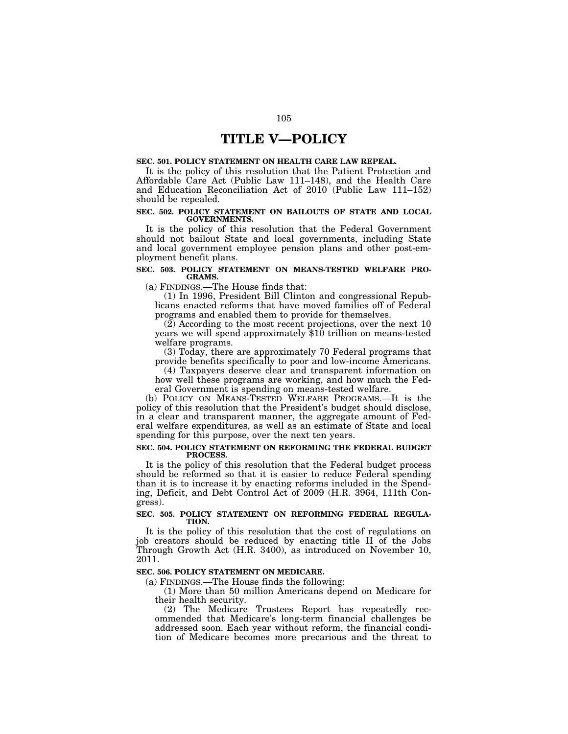# **TITLE V—POLICY**

# **SEC. 501. POLICY STATEMENT ON HEALTH CARE LAW REPEAL.**

It is the policy of this resolution that the Patient Protection and Affordable Care Act (Public Law 111–148), and the Health Care and Education Reconciliation Act of 2010 (Public Law 111–152) should be repealed.

### **SEC. 502. POLICY STATEMENT ON BAILOUTS OF STATE AND LOCAL GOVERNMENTS.**

It is the policy of this resolution that the Federal Government should not bailout State and local governments, including State and local government employee pension plans and other post-employment benefit plans.

# **SEC. 503. POLICY STATEMENT ON MEANS-TESTED WELFARE PRO-GRAMS.**

(a) FINDINGS.—The House finds that:

(1) In 1996, President Bill Clinton and congressional Republicans enacted reforms that have moved families off of Federal programs and enabled them to provide for themselves.

(2) According to the most recent projections, over the next 10 years we will spend approximately \$10 trillion on means-tested welfare programs.

(3) Today, there are approximately 70 Federal programs that provide benefits specifically to poor and low-income Americans.

(4) Taxpayers deserve clear and transparent information on how well these programs are working, and how much the Fed-

eral Government is spending on means-tested welfare. (b) POLICY ON MEANS-TESTED WELFARE PROGRAMS.—It is the

policy of this resolution that the President's budget should disclose, in a clear and transparent manner, the aggregate amount of Federal welfare expenditures, as well as an estimate of State and local spending for this purpose, over the next ten years.

#### **SEC. 504. POLICY STATEMENT ON REFORMING THE FEDERAL BUDGET PROCESS.**

It is the policy of this resolution that the Federal budget process should be reformed so that it is easier to reduce Federal spending than it is to increase it by enacting reforms included in the Spending, Deficit, and Debt Control Act of 2009 (H.R. 3964, 111th Congress).

# **SEC. 505. POLICY STATEMENT ON REFORMING FEDERAL REGULA-TION.**

It is the policy of this resolution that the cost of regulations on job creators should be reduced by enacting title II of the Jobs Through Growth Act (H.R. 3400), as introduced on November 10, 2011.

## **SEC. 506. POLICY STATEMENT ON MEDICARE.**

(a) FINDINGS.—The House finds the following:

(1) More than 50 million Americans depend on Medicare for their health security.

(2) The Medicare Trustees Report has repeatedly recommended that Medicare's long-term financial challenges be addressed soon. Each year without reform, the financial condition of Medicare becomes more precarious and the threat to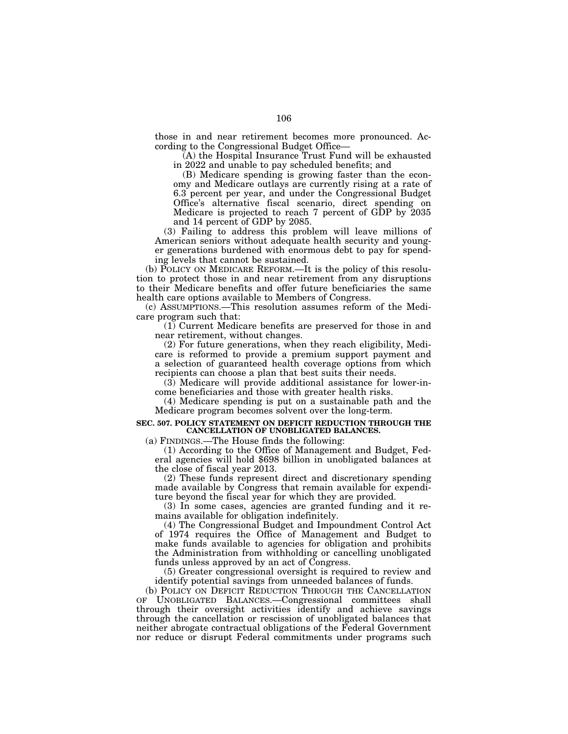those in and near retirement becomes more pronounced. According to the Congressional Budget Office—

(A) the Hospital Insurance Trust Fund will be exhausted in 2022 and unable to pay scheduled benefits; and

(B) Medicare spending is growing faster than the economy and Medicare outlays are currently rising at a rate of 6.3 percent per year, and under the Congressional Budget Office's alternative fiscal scenario, direct spending on Medicare is projected to reach 7 percent of GDP by 2035 and 14 percent of GDP by 2085.

(3) Failing to address this problem will leave millions of American seniors without adequate health security and younger generations burdened with enormous debt to pay for spending levels that cannot be sustained.

(b) POLICY ON MEDICARE REFORM.—It is the policy of this resolution to protect those in and near retirement from any disruptions to their Medicare benefits and offer future beneficiaries the same health care options available to Members of Congress.

(c) ASSUMPTIONS.—This resolution assumes reform of the Medicare program such that:

(1) Current Medicare benefits are preserved for those in and near retirement, without changes.

(2) For future generations, when they reach eligibility, Medicare is reformed to provide a premium support payment and a selection of guaranteed health coverage options from which recipients can choose a plan that best suits their needs.

(3) Medicare will provide additional assistance for lower-income beneficiaries and those with greater health risks.

(4) Medicare spending is put on a sustainable path and the Medicare program becomes solvent over the long-term.

### **SEC. 507. POLICY STATEMENT ON DEFICIT REDUCTION THROUGH THE CANCELLATION OF UNOBLIGATED BALANCES.**

(a) FINDINGS.—The House finds the following:

(1) According to the Office of Management and Budget, Federal agencies will hold \$698 billion in unobligated balances at the close of fiscal year 2013.

(2) These funds represent direct and discretionary spending made available by Congress that remain available for expenditure beyond the fiscal year for which they are provided.

(3) In some cases, agencies are granted funding and it remains available for obligation indefinitely.

(4) The Congressional Budget and Impoundment Control Act of 1974 requires the Office of Management and Budget to make funds available to agencies for obligation and prohibits the Administration from withholding or cancelling unobligated funds unless approved by an act of Congress.

(5) Greater congressional oversight is required to review and identify potential savings from unneeded balances of funds.

(b) POLICY ON DEFICIT REDUCTION THROUGH THE CANCELLATION OF UNOBLIGATED BALANCES.—Congressional committees shall through their oversight activities identify and achieve savings through the cancellation or rescission of unobligated balances that neither abrogate contractual obligations of the Federal Government nor reduce or disrupt Federal commitments under programs such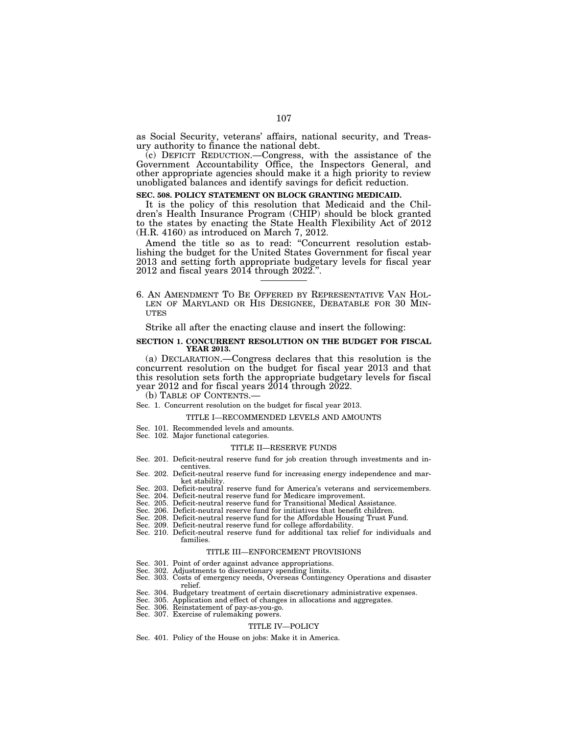as Social Security, veterans' affairs, national security, and Treasury authority to finance the national debt.

(c) DEFICIT REDUCTION.—Congress, with the assistance of the Government Accountability Office, the Inspectors General, and other appropriate agencies should make it a high priority to review unobligated balances and identify savings for deficit reduction.

#### **SEC. 508. POLICY STATEMENT ON BLOCK GRANTING MEDICAID.**

It is the policy of this resolution that Medicaid and the Children's Health Insurance Program (CHIP) should be block granted to the states by enacting the State Health Flexibility Act of 2012 (H.R. 4160) as introduced on March 7, 2012.

Amend the title so as to read: ''Concurrent resolution establishing the budget for the United States Government for fiscal year 2013 and setting forth appropriate budgetary levels for fiscal year 2012 and fiscal years 2014 through 2022.''.

6. AN AMENDMENT TO BE OFFERED BY REPRESENTATIVE VAN HOL- LEN OF MARYLAND OR HIS DESIGNEE, DEBATABLE FOR 30 MIN-UTES

Strike all after the enacting clause and insert the following:

#### **SECTION 1. CONCURRENT RESOLUTION ON THE BUDGET FOR FISCAL YEAR 2013.**

(a) DECLARATION.—Congress declares that this resolution is the concurrent resolution on the budget for fiscal year 2013 and that this resolution sets forth the appropriate budgetary levels for fiscal year 2012 and for fiscal years 2014 through 2022.

# (b) TABLE OF CONTENTS.— Sec. 1. Concurrent resolution on the budget for fiscal year 2013.

#### TITLE I—RECOMMENDED LEVELS AND AMOUNTS

- Sec. 101. Recommended levels and amounts.
- Sec. 102. Major functional categories.

#### TITLE II—RESERVE FUNDS

- Sec. 201. Deficit-neutral reserve fund for job creation through investments and incentives.
- Sec. 202. Deficit-neutral reserve fund for increasing energy independence and market stability.
- Sec. 203. Deficit-neutral reserve fund for America's veterans and servicemembers. Sec. 204. Deficit-neutral reserve fund for Medicare improvement.
- 
- Sec. 205. Deficit-neutral reserve fund for Transitional Medical Assistance.
- Sec. 206. Deficit-neutral reserve fund for initiatives that benefit children.<br>Sec. 208. Deficit-neutral reserve fund for the Affordable Housing Trust Fi
- Deficit-neutral reserve fund for the Affordable Housing Trust Fund.
- Sec. 209. Deficit-neutral reserve fund for college affordability.
- Sec. 210. Deficit-neutral reserve fund for additional tax relief for individuals and families.

#### TITLE III—ENFORCEMENT PROVISIONS

- 
- Sec. 301. Point of order against advance appropriations. Sec. 302. Adjustments to discretionary spending limits.
- Sec. 303. Costs of emergency needs, Overseas Contingency Operations and disaster relief.
- Sec. 304. Budgetary treatment of certain discretionary administrative expenses.
- Sec. 305. Application and effect of changes in allocations and aggregates.
- Sec. 306. Reinstatement of pay-as-you-go.
- Sec. 307. Exercise of rulemaking powers.

#### TITLE IV—POLICY

Sec. 401. Policy of the House on jobs: Make it in America.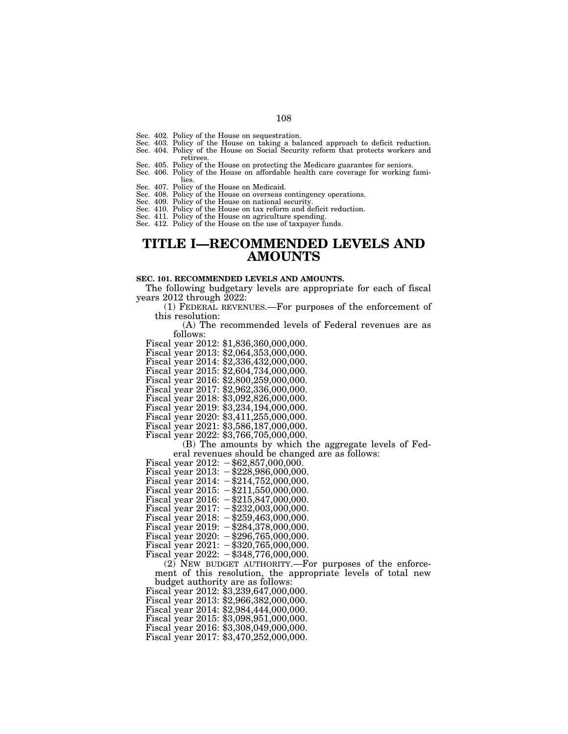- Sec. 402. Policy of the House on sequestration.
- 
- Sec. 403. Policy of the House on taking a balanced approach to deficit reduction. Sec. 404. Policy of the House on Social Security reform that protects workers and retirees.
- Sec. 405. Policy of the House on protecting the Medicare guarantee for seniors.
- Sec. 406. Policy of the House on affordable health care coverage for working families.
- Sec. 407. Policy of the House on Medicaid.
- Sec. 408. Policy of the House on overseas contingency operations.
- 
- Sec. 409. Policy of the House on national security. Sec. 410. Policy of the House on tax reform and deficit reduction.
- Sec. 411. Policy of the House on agriculture spending. Sec. 412. Policy of the House on the use of taxpayer funds.
- 

# **TITLE I—RECOMMENDED LEVELS AND AMOUNTS**

#### **SEC. 101. RECOMMENDED LEVELS AND AMOUNTS.**

The following budgetary levels are appropriate for each of fiscal years 2012 through 2022:

(1) FEDERAL REVENUES.—For purposes of the enforcement of this resolution:

(A) The recommended levels of Federal revenues are as follows:

- Fiscal year 2012: \$1,836,360,000,000.
- Fiscal year 2013: \$2,064,353,000,000.
- Fiscal year 2014: \$2,336,432,000,000.
- Fiscal year 2015: \$2,604,734,000,000.
- Fiscal year 2016: \$2,800,259,000,000.
- Fiscal year 2017: \$2,962,336,000,000.
- Fiscal year 2018: \$3,092,826,000,000.
- Fiscal year 2019: \$3,234,194,000,000.
- Fiscal year 2020: \$3,411,255,000,000.
- Fiscal year 2021: \$3,586,187,000,000.
- Fiscal year 2022: \$3,766,705,000,000.

(B) The amounts by which the aggregate levels of Federal revenues should be changed are as follows:

- Fiscal year  $2012: -\$62,857,000,000.$
- Fiscal year 2013:  $-\frac{228,986,000,000}{5000}$ .
- Fiscal year  $2014: -\$214,752,000,000.$
- Fiscal year 2015:  $-\$211,550,000,000$ .
- Fiscal year 2016:  $-\frac{15}{5}847,000,000$ .
- Fiscal year  $2017: -232,003,000,000$ .
- Fiscal year 2018:  $-\frac{259}{463,000,000}$ .
- Fiscal year 2019:  $-\$284,378,000,000$ .
- Fiscal year 2020:  $-\frac{296}{765,000,000}$ .
- Fiscal year  $2021: -\$320,765,000,000.$
- Fiscal year  $2022: -\$348,776,000,000.$

(2) NEW BUDGET AUTHORITY.—For purposes of the enforcement of this resolution, the appropriate levels of total new budget authority are as follows:

Fiscal year 2012: \$3,239,647,000,000.

- Fiscal year 2013: \$2,966,382,000,000.
- Fiscal year 2014: \$2,984,444,000,000.
- Fiscal year 2015: \$3,098,951,000,000.
- Fiscal year 2016: \$3,308,049,000,000.
- Fiscal year 2017: \$3,470,252,000,000.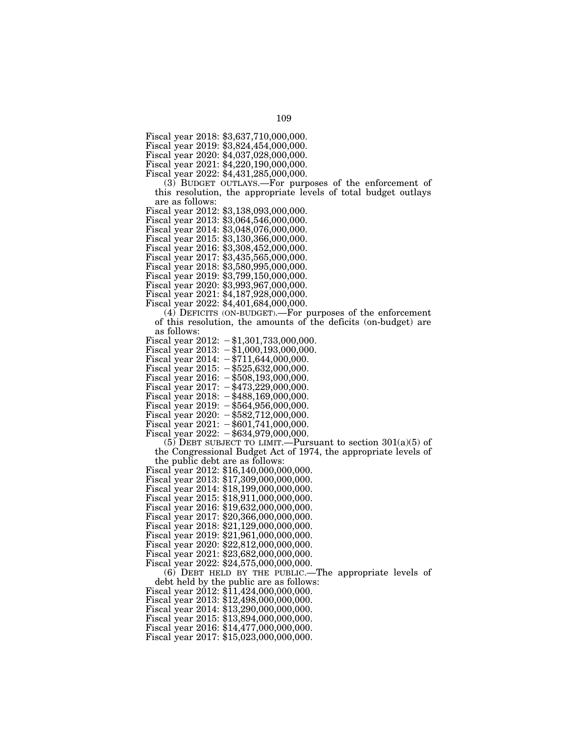Fiscal year 2018: \$3,637,710,000,000.

Fiscal year 2019: \$3,824,454,000,000.

Fiscal year 2020: \$4,037,028,000,000.

Fiscal year 2021: \$4,220,190,000,000.

Fiscal year 2022: \$4,431,285,000,000.

(3) BUDGET OUTLAYS.—For purposes of the enforcement of this resolution, the appropriate levels of total budget outlays are as follows:

Fiscal year 2012: \$3,138,093,000,000.

Fiscal year 2013: \$3,064,546,000,000.

Fiscal year 2014: \$3,048,076,000,000.

Fiscal year 2015: \$3,130,366,000,000.

Fiscal year 2016: \$3,308,452,000,000.

Fiscal year 2017: \$3,435,565,000,000.

Fiscal year 2018: \$3,580,995,000,000.

Fiscal year 2019: \$3,799,150,000,000.

Fiscal year 2020: \$3,993,967,000,000.

Fiscal year 2021: \$4,187,928,000,000.

Fiscal year 2022: \$4,401,684,000,000.

(4) DEFICITS (ON-BUDGET).—For purposes of the enforcement of this resolution, the amounts of the deficits (on-budget) are as follows:

Fiscal year 2012:  $-\$1,301,733,000,000$ .

Fiscal year  $2013: -\$1,000,193,000,000.$ 

Fiscal year  $2014: -\$711,644,000,000.$ 

Fiscal year  $2015: -\$525,632,000,000.$ Fiscal year 2016:  $-\$508,193,000,000$ .

Fiscal year 2017:  $-\frac{473}{229,000,000}$ .

Fiscal year  $2018: -1488,169,000,000.$ 

Fiscal year 2019:  $-\$564,956,000,000$ .

Fiscal year 2020:  $-\frac{1}{5}582,712,000,000$ .

Fiscal year  $2021: -\$601,741,000,000.$ 

Fiscal year  $2022: -\$634,979,000,000.$ 

(5) DEBT SUBJECT TO LIMIT.—Pursuant to section  $301(a)(5)$  of the Congressional Budget Act of 1974, the appropriate levels of the public debt are as follows:

Fiscal year 2012: \$16,140,000,000,000.

Fiscal year 2013: \$17,309,000,000,000. Fiscal year 2014: \$18,199,000,000,000.

Fiscal year 2015: \$18,911,000,000,000.

Fiscal year 2016: \$19,632,000,000,000.

Fiscal year 2017: \$20,366,000,000,000.

Fiscal year 2018: \$21,129,000,000,000.

Fiscal year 2019: \$21,961,000,000,000.

Fiscal year 2020: \$22,812,000,000,000.

Fiscal year 2021: \$23,682,000,000,000.

Fiscal year 2022: \$24,575,000,000,000.

(6) DEBT HELD BY THE PUBLIC.—The appropriate levels of

debt held by the public are as follows: Fiscal year 2012: \$11,424,000,000,000.

Fiscal year 2013: \$12,498,000,000,000.

Fiscal year 2014: \$13,290,000,000,000.

Fiscal year 2015: \$13,894,000,000,000.

Fiscal year 2016: \$14,477,000,000,000.

Fiscal year 2017: \$15,023,000,000,000.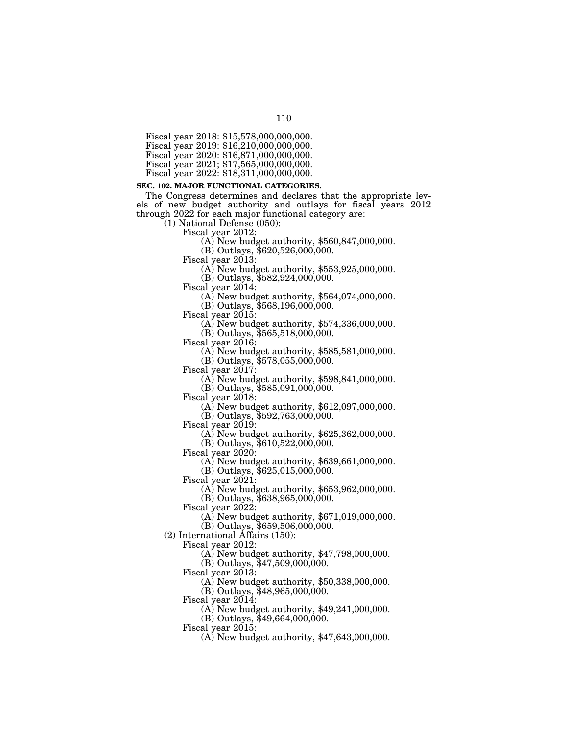Fiscal year 2018: \$15,578,000,000,000.

Fiscal year 2019: \$16,210,000,000,000.

Fiscal year 2022: \$18,311,000,000,000.

#### **SEC. 102. MAJOR FUNCTIONAL CATEGORIES.**

The Congress determines and declares that the appropriate levels of new budget authority and outlays for fiscal years 2012 through 2022 for each major functional category are:

 $(1)$  National Defense (050):<br>Fiscal year 2012:

 $F(A)$  New budget authority, \$560,847,000,000.

(B) Outlays, \$620,526,000,000.<br>Fiscal year 2013:

 $\Delta$ ) New budget authority, \$553,925,000,000.

(B) Outlays, \$582,924,000,000.

(A) New budget authority,  $$564,074,000,000$ .

(B) Outlays, \$568,196,000,000.<br>Fiscal year 2015:

 $F(A)$  New budget authority, \$574,336,000,000.

(B) Outlays, \$565,518,000,000.

 $F(A)$  New budget authority, \$585,581,000,000.

(B) Outlays, \$578,055,000,000.<br>Fiscal year 2017:

 $F(A)$  New budget authority, \$598,841,000,000.

(B) Outlays, \$585,091,000,000.

Fiscal year 2018: (A) New budget authority, \$612,097,000,000.

(B) Outlays, \$592,763,000,000.

Fiscal year 2019: (A) New budget authority, \$625,362,000,000.

(B) Outlays, \$610,522,000,000.<br>Fiscal year 2020:

 $F(A)$  New budget authority, \$639,661,000,000.

(B) Outlays, \$625,015,000,000.

(A) New budget authority,  $$653,962,000,000$ .

(B) Outlays, \$638,965,000,000.

Fiscal year 2022:

(A) New budget authority, \$671,019,000,000.

(B) Outlays, \$659,506,000,000.

(2) International Affairs (150):

Fiscal year 2012:

(A) New budget authority, \$47,798,000,000.

(B) Outlays, \$47,509,000,000.

Fiscal year 2013:

(A) New budget authority, \$50,338,000,000.

(B) Outlays, \$48,965,000,000.

Fiscal year 2014:

(A) New budget authority, \$49,241,000,000.

(B) Outlays, \$49,664,000,000.

Fiscal year 2015:

(A) New budget authority, \$47,643,000,000.

110

Fiscal year 2020: \$16,871,000,000,000.

Fiscal year 2021; \$17,565,000,000,000.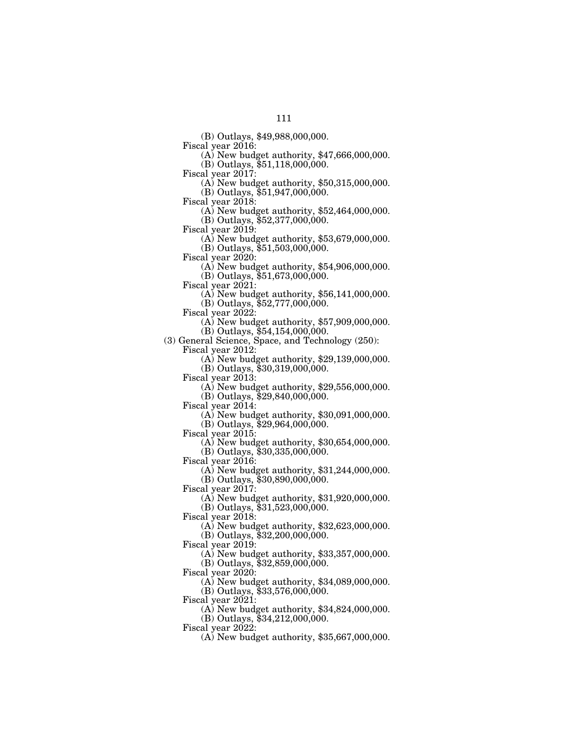(B) Outlays, \$49,988,000,000.

 $F(A)$  New budget authority, \$47,666,000,000.

(B) Outlays, \$51,118,000,000.<br>Fiscal year 2017:

 $F(A)$  New budget authority, \$50,315,000,000.

(B) Outlays, \$51,947,000,000.

Fiscal year 2018: (A) New budget authority, \$52,464,000,000.

(B) Outlays, \$52,377,000,000.<br>Fiscal year 2019:

 $F(A)$  New budget authority, \$53,679,000,000.

(B) Outlays, \$51,503,000,000.<br>Fiscal year 2020:

 $F(A)$  New budget authority, \$54,906,000,000. (B) Outlays, \$51,673,000,000.

Fiscal year 2021: (A) New budget authority, \$56,141,000,000.

(B) Outlays, \$52,777,000,000.

Fiscal year 2022: (A) New budget authority, \$57,909,000,000.

(B) Outlays, \$54,154,000,000.

(3) General Science, Space, and Technology (250):

 $(A)$  New budget authority, \$29,139,000,000.

(B) Outlays, \$30,319,000,000.<br>Fiscal year 2013:

 $(A)$  New budget authority, \$29,556,000,000.

 $(B)$  Outlays,  $$29,840,000,000$ .

Fiscal year 2014: (A) New budget authority, \$30,091,000,000.

(B) Outlays, \$29,964,000,000.<br>Fiscal year 2015:

 $\Phi$  New budget authority, \$30,654,000,000.

(B) Outlays, \$30,335,000,000.

Fiscal year 2016:

(A) New budget authority, \$31,244,000,000.

(B) Outlays, \$30,890,000,000.

Fiscal year 2017:

(A) New budget authority, \$31,920,000,000.

(B) Outlays, \$31,523,000,000.

Fiscal year 2018:

(A) New budget authority, \$32,623,000,000.

(B) Outlays, \$32,200,000,000.

Fiscal year 2019:

(A) New budget authority, \$33,357,000,000.

(B) Outlays, \$32,859,000,000.

Fiscal year 2020:

(A) New budget authority, \$34,089,000,000.

(B) Outlays, \$33,576,000,000.

Fiscal year 2021:

(A) New budget authority, \$34,824,000,000.

(B) Outlays, \$34,212,000,000.

Fiscal year 2022:

(A) New budget authority, \$35,667,000,000.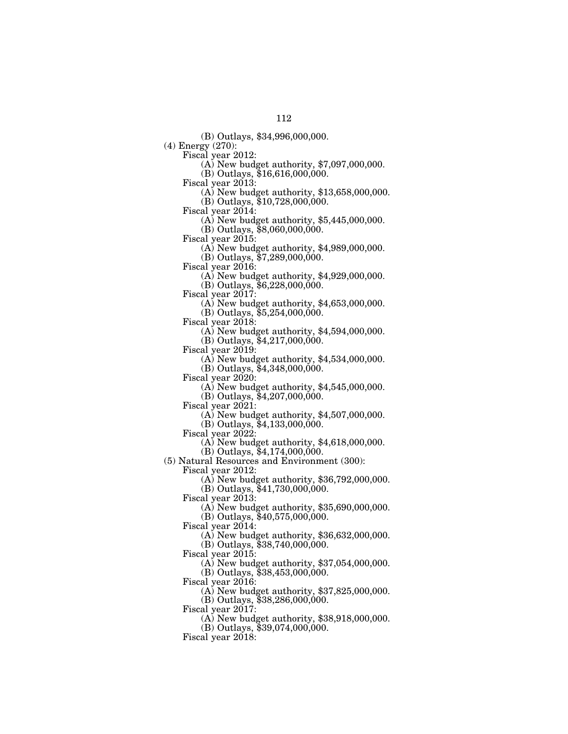(B) Outlays, \$34,996,000,000.

(4) Energy (270):

 $\overline{(\text{A})}$  New budget authority, \$7,097,000,000.

(B) Outlays, \$16,616,000,000.<br>Fiscal year 2013:

 $(A)$  New budget authority, \$13,658,000,000.

(B) Outlays, \$10,728,000,000.<br>Fiscal year 2014:

 $(A)$  New budget authority, \$5,445,000,000. (B) Outlays, \$8,060,000,000.

Fiscal year 2015: (A) New budget authority, \$4,989,000,000.

(B) Outlays, \$7,289,000,000.<br>Fiscal year 2016:

 $\Phi$ ) New budget authority, \$4,929,000,000.

(B) Outlays,  $$6,228,000,000$ .<br>Fiscal year 2017:

(A) New budget authority,  $$4,653,000,000$ .

(B) Outlays, \$5,254,000,000.

Fiscal year 2018: (A) New budget authority, \$4,594,000,000.

(B) Outlays,  $$4,217,000,000$ .<br>Fiscal year 2019:

 $(A)$  New budget authority, \$4,534,000,000.

(B) Outlays, \$4,348,000,000.<br>Fiscal year 2020:

 $(A)$  New budget authority, \$4,545,000,000.

 $(B)$  Outlays,  $$4,207,000,000$ .

Fiscal year 2021: (A) New budget authority, \$4,507,000,000.

(B) Outlays, \$4,133,000,000.<br>Fiscal year 2022:

 $\Phi$ ) New budget authority, \$4,618,000,000.

(B) Outlays, \$4,174,000,000.

(5) Natural Resources and Environment (300):

Fiscal year 2012:

(A) New budget authority, \$36,792,000,000. (B) Outlays, \$41,730,000,000.

Fiscal year 2013:

(A) New budget authority, \$35,690,000,000.

(B) Outlays, \$40,575,000,000.

Fiscal year 2014:

(A) New budget authority, \$36,632,000,000.

(B) Outlays, \$38,740,000,000. Fiscal year 2015:

(A) New budget authority, \$37,054,000,000.

(B) Outlays, \$38,453,000,000.

Fiscal year 2016:

(A) New budget authority, \$37,825,000,000.

(B) Outlays, \$38,286,000,000.

Fiscal year  $2017$ :

(A) New budget authority, \$38,918,000,000.

(B) Outlays, \$39,074,000,000.

Fiscal year 2018: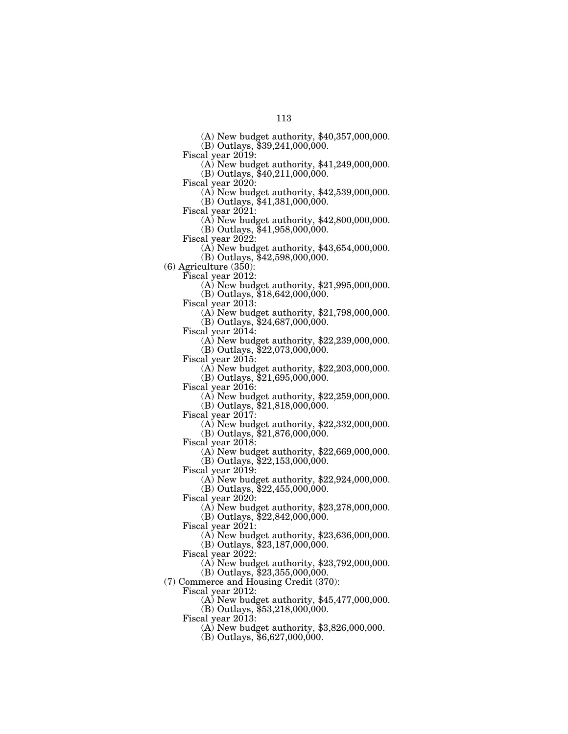(A) New budget authority, \$40,357,000,000.

(B) Outlays, \$39,241,000,000.

Fiscal year 2019: (A) New budget authority, \$41,249,000,000.

(B) Outlays, \$40, 211, 000, 000.<br>Fiscal year 2020:

 $(A)$  New budget authority, \$42,539,000,000.

(B) Outlays, \$41,381,000,000.<br>Fiscal year 2021:

- (A) New budget authority,  $$42,800,000,000$ .
- (B) Outlays,  $$41,958,000,000$ .<br>Fiscal year 2022:
	- (A) New budget authority,  $$43,654,000,000$ .
	- (B) Outlays, \$42,598,000,000.

(6) Agriculture (350):

Fiscal year 2012: (A) New budget authority, \$21,995,000,000.

(B) Outlays, \$18,642,000,000.

(A) New budget authority,  $$21,798,000,000$ . (B) Outlays, \$24,687,000,000.

 $\Delta$ ) New budget authority, \$22,239,000,000. (B) Outlays, \$22,073,000,000.

Fiscal year 2015: (A) New budget authority, \$22,203,000,000.

(B) Outlays, \$21,695,000,000.

 $F(A)$  New budget authority, \$22,259,000,000.

(B) Outlays, \$21,818,000,000.<br>Fiscal year 2017:

 $F(A)$  New budget authority, \$22,332,000,000. (B) Outlays, \$21,876,000,000.

Fiscal year 2018:

(A) New budget authority, \$22,669,000,000. (B) Outlays, \$22,153,000,000.

Fiscal year 2019:

(A) New budget authority, \$22,924,000,000. (B) Outlays, \$22,455,000,000.

Fiscal year 2020:

(A) New budget authority, \$23,278,000,000.

(B) Outlays, \$22,842,000,000.

Fiscal year 2021:

(A) New budget authority, \$23,636,000,000.

(B) Outlays, \$23,187,000,000.

Fiscal year 2022:

(A) New budget authority, \$23,792,000,000.

(B) Outlays, \$23,355,000,000.

(7) Commerce and Housing Credit (370):

Fiscal year 2012:

(A) New budget authority, \$45,477,000,000.

(B) Outlays, \$53,218,000,000.

Fiscal year 2013:

(A) New budget authority, \$3,826,000,000.

 $(B)$  Outlays, \$6,627,000,000.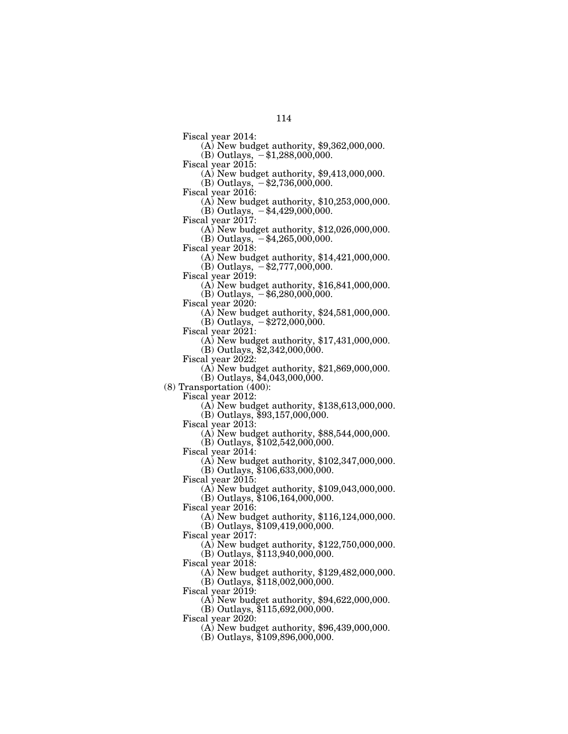- Fiscal year 2014: (A) New budget authority, \$9,362,000,000.
- (B) Outlays,  $$1,288,000,000$ .<br>Fiscal year 2015:
- - $(A)$  New budget authority, \$9,413,000,000.
- (B) Outlays,  $-$ \$2,736,000,000.
- 
- Fiscal year 2016: (A) New budget authority, \$10,253,000,000.
- (B) Outlays,  $-$ \$4,429,000,000.<br>Fiscal year 2017:
- - $F(A)$  New budget authority, \$12,026,000,000.
- (B) Outlays,  $-$ \$4,265,000,000.<br>Fiscal year 2018:
- - $(A)$  New budget authority, \$14,421,000,000. (B) Outlays,  $-\$2,777,000,000$ .
- 
- Fiscal year 2019: (A) New budget authority, \$16,841,000,000.
	- (B) Outlays,  $-$ \$6,280,000,000.
- 
- Fiscal year 2020: (A) New budget authority, \$24,581,000,000.
- (B) Outlays,  $-$ \$272,000,000.<br>Fiscal year 2021:
- - (A) New budget authority,  $$17,431,000,000$ .
	- (B) Outlays, \$2,342,000,000.
- 
- Fiscal year 2022: (A) New budget authority, \$21,869,000,000.
	- (B) Outlays, \$4,043,000,000.
- (8) Transportation (400):
	- - $F(A)$  New budget authority, \$138,613,000,000.
	- (B) Outlays,  $$93,157,000,000$ .<br>Fiscal year 2013:
	- - $(A)$  New budget authority,  $$88,544,000,000$ .
		- (B) Outlays, \$102,542,000,000.
	- Fiscal year 2014:
		- (A) New budget authority, \$102,347,000,000.
	- (B) Outlays, \$106,633,000,000.
	- Fiscal year 2015:
		- (A) New budget authority, \$109,043,000,000.
		- (B) Outlays, \$106,164,000,000.
	- Fiscal year 2016:
		- (A) New budget authority, \$116,124,000,000.
		- (B) Outlays, \$109,419,000,000.
	- Fiscal year 2017:
	- (A) New budget authority, \$122,750,000,000. (B) Outlays, \$113,940,000,000.
	- Fiscal year 2018:
		- (A) New budget authority, \$129,482,000,000. (B) Outlays, \$118,002,000,000.
	- Fiscal year 2019:
		- (A) New budget authority, \$94,622,000,000.
		- (B) Outlays, \$115,692,000,000.
	- Fiscal year 2020:
		- (A) New budget authority, \$96,439,000,000.
		- (B) Outlays, \$109,896,000,000.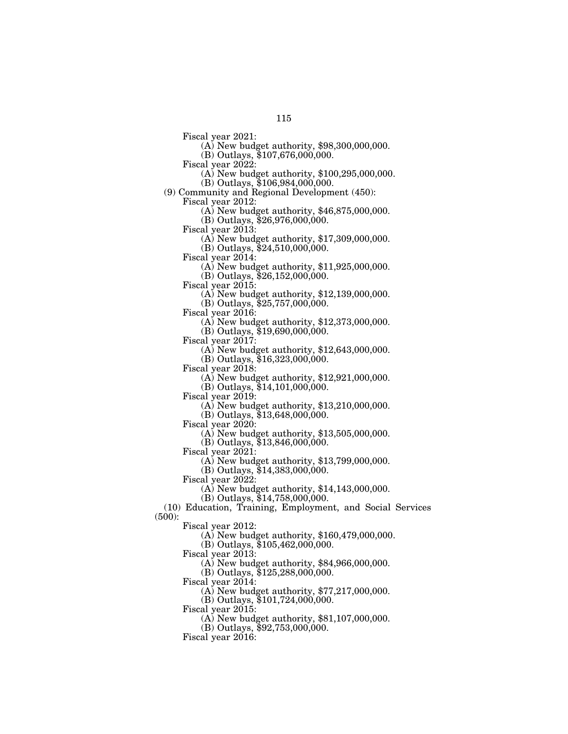Fiscal year 2021: (A) New budget authority, \$98,300,000,000.

(B) Outlays, \$107,676,000,000.

- Fiscal year 2022: (A) New budget authority, \$100,295,000,000.
- (B) Outlays, \$106,984,000,000.

(9) Community and Regional Development (450): Fiscal year 2012: (A) New budget authority, \$46,875,000,000.

 $(B)$  Outlays, \$26,976,000,000.<br>Fiscal year 2013:

- $F(A)$  New budget authority, \$17,309,000,000.
- (B) Outlays, \$24,510,000,000.<br>Fiscal year 2014:

 $F(A)$  New budget authority, \$11,925,000,000. (B) Outlays, \$26,152,000,000.

Fiscal year 2015: (A) New budget authority, \$12,139,000,000.

(B) Outlays, \$25,757,000,000.<br>Fiscal year 2016:

Fiscal year 2016: (A) New budget authority, \$12,373,000,000.

(B) Outlays, \$19,690,000,000.

Fiscal year 2017: (A) New budget authority, \$12,643,000,000.

(B) Outlays, \$16,323,000,000.

Fiscal year 2018: (A) New budget authority, \$12,921,000,000.

(B) Outlays,  $$14,101,000,000$ .<br>Fiscal year 2019:

 $(A)$  New budget authority, \$13,210,000,000.

(B) Outlays, \$13,648,000,000.<br>Fiscal year 2020:

 $F(A)$  New budget authority, \$13,505,000,000.

(B) Outlays, \$13,846,000,000.

Fiscal year 2021:

(A) New budget authority, \$13,799,000,000.

(B) Outlays, \$14,383,000,000.

Fiscal year  $2022$ :

(A) New budget authority, \$14,143,000,000.

 $(B)$  Outlays, \$14,758,000,000.

(10) Education, Training, Employment, and Social Services (500):

Fiscal year 2012:

(A) New budget authority, \$160,479,000,000.

(B) Outlays, \$105,462,000,000.

Fiscal year 2013:

(A) New budget authority, \$84,966,000,000.

(B) Outlays, \$125,288,000,000.

Fiscal year 2014:

(A) New budget authority, \$77,217,000,000.

(B) Outlays,  $$101,724,000,000$ .

Fiscal year 2015:

(A) New budget authority, \$81,107,000,000.

(B) Outlays, \$92,753,000,000.

Fiscal year 2016: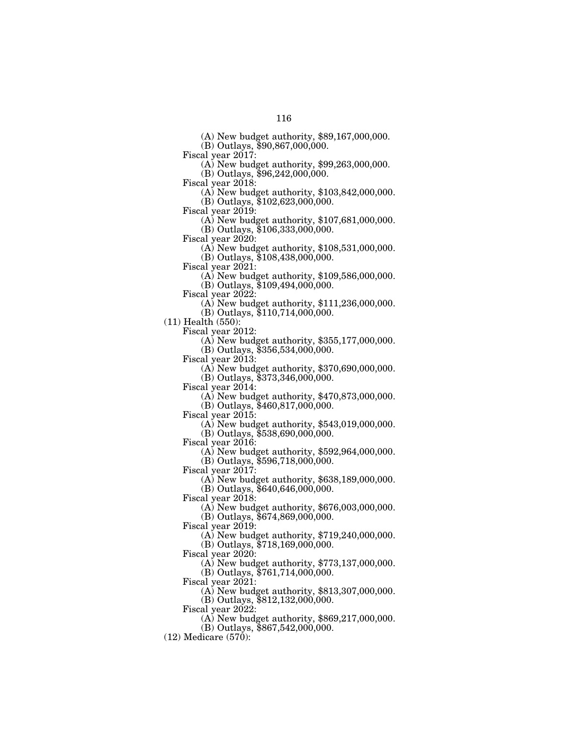(A) New budget authority, \$89,167,000,000.

(B) Outlays, \$90,867,000,000.

Fiscal year 2017: (A) New budget authority, \$99,263,000,000.

 $(B)$  Outlays, \$96,242,000,000.<br>Fiscal year 2018:

(A) New budget authority,  $$103,842,000,000$ .

(B) Outlays, \$102,623,000,000.

(A) New budget authority,  $$107,681,000,000$ . (B) Outlays, \$106,333,000,000.

 $(A)$  New budget authority, \$108,531,000,000.

(B) Outlays, \$108,438,000,000.

 $\Phi$  New budget authority, \$109,586,000,000.

(B) Outlays, \$109,494,000,000.

 $\Phi$  New budget authority, \$111,236,000,000.

(B) Outlays, \$110,714,000,000.

(11) Health (550):<br>Fiscal year 2012:

(A) New budget authority,  $$355,177,000,000$ .

(B) Outlays, \$356,534,000,000.

Fiscal year 2013: (A) New budget authority, \$370,690,000,000.

(B) Outlays, \$373,346,000,000.

Fiscal year 2014: (A) New budget authority, \$470,873,000,000.

(B) Outlays, \$460,817,000,000.

Fiscal year 2015: (A) New budget authority, \$543,019,000,000. (B) Outlays, \$538,690,000,000.

Fiscal year 2016:

(A) New budget authority, \$592,964,000,000. (B) Outlays, \$596,718,000,000.

Fiscal year  $2017$ :

(A) New budget authority, \$638,189,000,000. (B) Outlays, \$640,646,000,000.

Fiscal year 2018:

(A) New budget authority, \$676,003,000,000.

(B) Outlays, \$674,869,000,000.

Fiscal year 2019:

(A) New budget authority, \$719,240,000,000.

(B) Outlays, \$718,169,000,000.

Fiscal year 2020:

(A) New budget authority, \$773,137,000,000.

(B) Outlays, \$761,714,000,000.

Fiscal year 2021:

(A) New budget authority, \$813,307,000,000.

(B) Outlays, \$812,132,000,000.

Fiscal year 2022:

(A) New budget authority, \$869,217,000,000.

(B) Outlays, \$867,542,000,000.

(12) Medicare (570):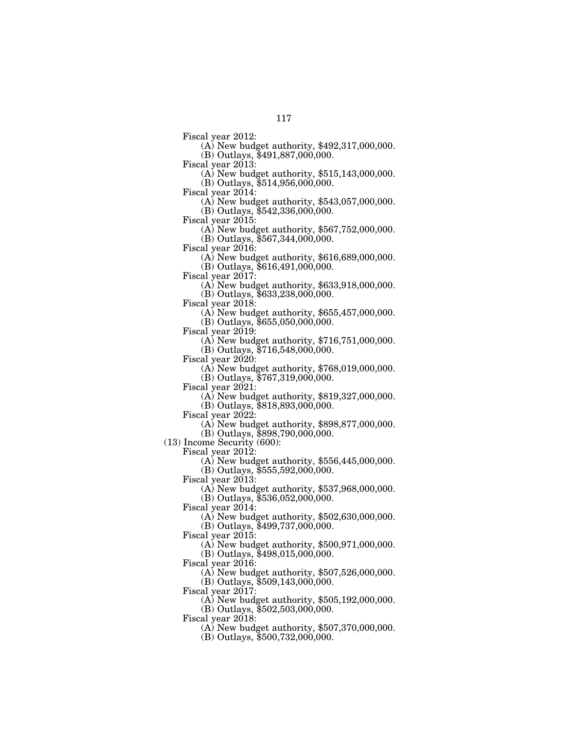Fiscal year 2012: (A) New budget authority, \$492,317,000,000.  $(B)$  Outlays, \$491,887,000,000.<br>Fiscal year 2013:

 $F(A)$  New budget authority, \$515,143,000,000. (B) Outlays, \$514,956,000,000.

Fiscal year 2014: (A) New budget authority, \$543,057,000,000.  $(B)$  Outlays,  $$542,336,000,000$ .

Fiscal year 2015: (A) New budget authority, \$567,752,000,000.

(B) Outlays, \$567,344,000,000.<br>Fiscal year 2016:

 $F(A)$  New budget authority, \$616,689,000,000. (B) Outlays, \$616,491,000,000.

Fiscal year 2017: (A) New budget authority, \$633,918,000,000.

(B) Outlays, \$633,238,000,000.

(A) New budget authority,  $$655,457,000,000$ .

(B) Outlays, \$655,050,000,000.

(A) New budget authority,  $$716,751,000,000$ . (B) Outlays, \$716,548,000,000.

Fiscal year 2020: (A) New budget authority, \$768,019,000,000.

(B) Outlays, \$767,319,000,000.

 $F(A)$  New budget authority, \$819,327,000,000.

(B) Outlays, \$818,893,000,000.<br>Fiscal year 2022:

 $F(A)$  New budget authority, \$898,877,000,000.

(B) Outlays, \$898,790,000,000.

(13) Income Security (600):

Fiscal year 2012:

(A) New budget authority, \$556,445,000,000.

(B) Outlays, \$555,592,000,000.

Fiscal year 2013:

(A) New budget authority, \$537,968,000,000.

(B) Outlays, \$536,052,000,000.

Fiscal year 2014:

(A) New budget authority, \$502,630,000,000.

(B) Outlays, \$499,737,000,000.

Fiscal year 2015:

(A) New budget authority, \$500,971,000,000. (B) Outlays, \$498,015,000,000.

Fiscal year 2016:

(A) New budget authority, \$507,526,000,000. (B) Outlays, \$509,143,000,000.

Fiscal year 2017:

(A) New budget authority, \$505,192,000,000.

(B) Outlays, \$502,503,000,000.

Fiscal year 2018:

(A) New budget authority, \$507,370,000,000.

(B) Outlays, \$500,732,000,000.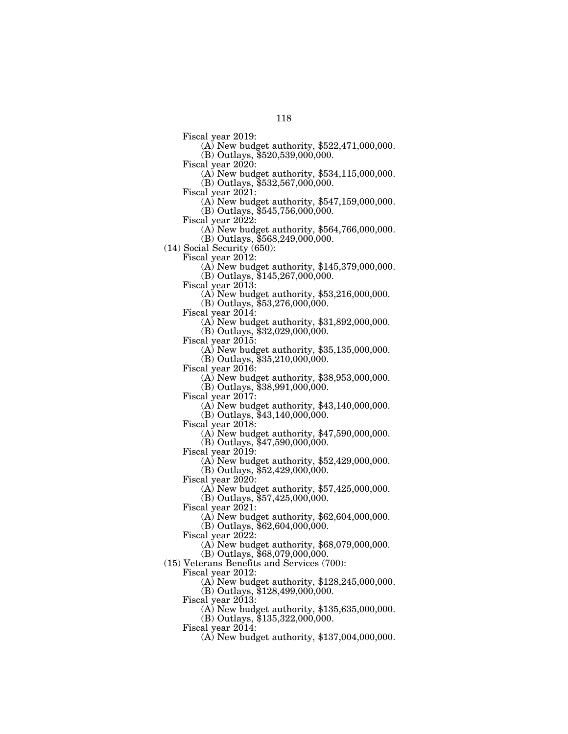- Fiscal year 2019: (A) New budget authority, \$522,471,000,000.
- $(B)$  Outlays, \$520,539,000,000.<br>Fiscal year 2020:
- - $F(A)$  New budget authority, \$534,115,000,000. (B) Outlays, \$532,567,000,000.
- 
- Fiscal year 2021: (A) New budget authority, \$547,159,000,000.
- (B) Outlays, \$545,756,000,000.<br>Fiscal year 2022:
- - $F(A)$  New budget authority, \$564,766,000,000.
- (B) Outlays, \$568,249,000,000.
- (14) Social Security (650):
	-
	- Fiscal year 2012: (A) New budget authority, \$145,379,000,000. (B) Outlays, \$145,267,000,000.
	-
	- Fiscal year 2013: (A) New budget authority, \$53,216,000,000.
		- (B) Outlays, \$53,276,000,000.
	-
	- Fiscal year 2014: (A) New budget authority, \$31,892,000,000.
	- (B) Outlays, \$32,029,000,000.<br>Fiscal year 2015:
	- - $F(A)$  New budget authority, \$35,135,000,000.
		- (B) Outlays, \$35,210,000,000.
	-
	- Fiscal year 2016: (A) New budget authority, \$38,953,000,000.
	- (B) Outlays, \$38,991,000,000.<br>Fiscal year 2017:
	- - $(A)$  New budget authority, \$43,140,000,000.
	- (B) Outlays,  $$43,140,000,000$ .<br>Fiscal year 2018:
	- - $(A)$  New budget authority, \$47,590,000,000. (B) Outlays, \$47,590,000,000.
	- Fiscal year 2019:
	- - (A) New budget authority, \$52,429,000,000.  $(B)$  Outlays,  $$52,429,000,000$ .
	- Fiscal year  $2020$ :
		- (A) New budget authority, \$57,425,000,000.
			- (B) Outlays, \$57,425,000,000.
	- Fiscal year 2021:
		- (A) New budget authority, \$62,604,000,000.
		- (B) Outlays, \$62,604,000,000.
	- Fiscal year 2022:
		- (A) New budget authority, \$68,079,000,000. (B) Outlays, \$68,079,000,000.
- (15) Veterans Benefits and Services (700):
	- Fiscal year 2012:
		- (A) New budget authority, \$128,245,000,000.
		- (B) Outlays, \$128,499,000,000.
	- Fiscal year 2013:
		- (A) New budget authority, \$135,635,000,000.
		- (B) Outlays, \$135,322,000,000.
	- Fiscal year 2014:
		- (A) New budget authority, \$137,004,000,000.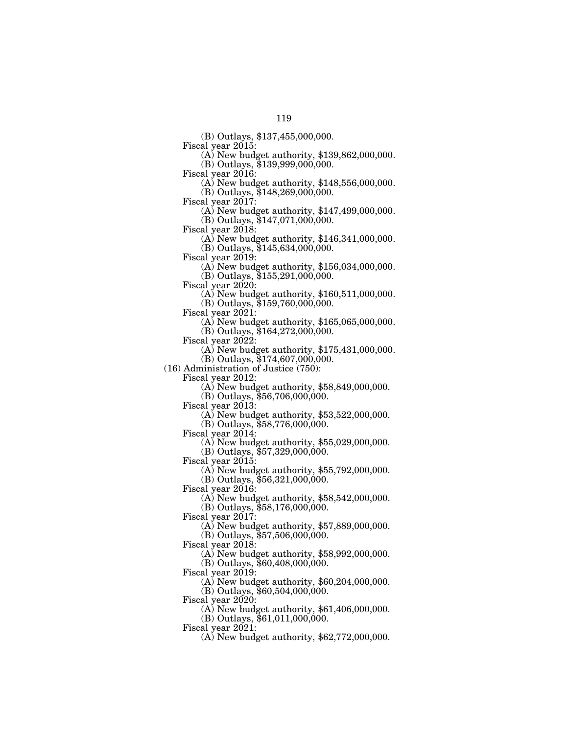(B) Outlays, \$137,455,000,000.

 $F(A)$  New budget authority, \$139,862,000,000.

 $(B)$  Outlays, \$139,999,000,000.<br>Fiscal year 2016:

 $F(A)$  New budget authority, \$148,556,000,000.

(B) Outlays, \$148,269,000,000.

Fiscal year 2017: (A) New budget authority, \$147,499,000,000.

(B) Outlays, \$147,071,000,000.

 $F(A)$  New budget authority, \$146,341,000,000.

(B) Outlays, \$145,634,000,000.

 $\Phi(A)$  New budget authority, \$156,034,000,000. (B) Outlays, \$155,291,000,000.

Fiscal year 2020: (A) New budget authority, \$160,511,000,000.

(B) Outlays, \$159,760,000,000.

Fiscal year 2021: (A) New budget authority, \$165,065,000,000.

(B) Outlays, \$164,272,000,000.<br>Fiscal year 2022:

 $F(A)$  New budget authority, \$175,431,000,000.

(B) Outlays, \$174,607,000,000.

(16) Administration of Justice (750):

 $(A)$  New budget authority, \$58,849,000,000.

(B) Outlays, \$56,706,000,000.

Fiscal year 2013: (A) New budget authority, \$53,522,000,000.

(B) Outlays, \$58,776,000,000.<br>Fiscal year 2014:

 $\Phi$  New budget authority, \$55,029,000,000.

(B) Outlays, \$57,329,000,000.

Fiscal year 2015:

(A) New budget authority, \$55,792,000,000.

(B) Outlays, \$56,321,000,000.

Fiscal year 2016:

(A) New budget authority, \$58,542,000,000.

(B) Outlays, \$58,176,000,000.

Fiscal year 2017:

(A) New budget authority, \$57,889,000,000.

(B) Outlays, \$57,506,000,000.

Fiscal year 2018:

(A) New budget authority, \$58,992,000,000.

(B) Outlays, \$60,408,000,000.

Fiscal year 2019:

(A) New budget authority, \$60,204,000,000.

(B) Outlays, \$60,504,000,000.

Fiscal year 2020:

(A) New budget authority, \$61,406,000,000.

(B) Outlays, \$61,011,000,000.

Fiscal year 2021:

(A) New budget authority, \$62,772,000,000.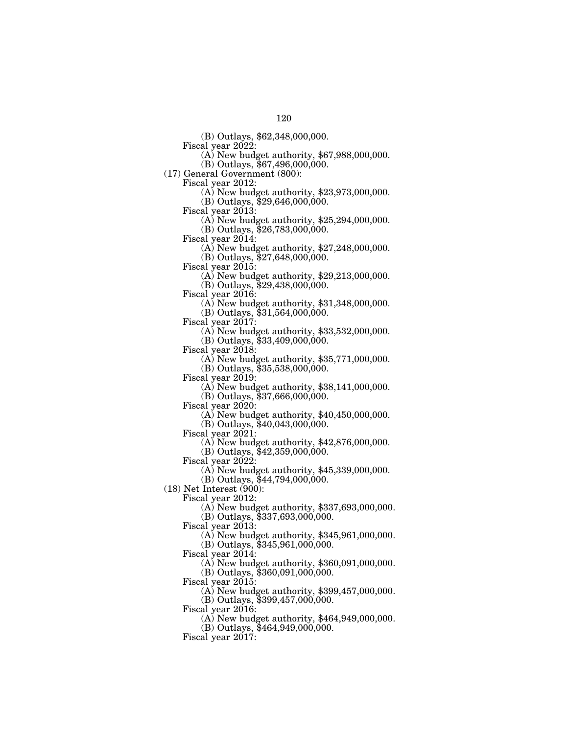(B) Outlays, \$62,348,000,000.

 $F(A)$  New budget authority, \$67,988,000,000.

 $(B)$  Outlays, \$67,496,000,000.

(17) General Government (800):

 $\Phi(A)$  New budget authority, \$23,973,000,000.

(B) Outlays,  $$29,646,000,000$ .<br>Fiscal year 2013:

 $\Phi$ ) New budget authority, \$25,294,000,000. (B) Outlays, \$26,783,000,000.

Fiscal year 2014: (A) New budget authority, \$27,248,000,000.

(B) Outlays, \$27,648,000,000.<br>Fiscal year 2015:

(A) New budget authority,  $$29,213,000,000$ .

(B) Outlays, \$29,438,000,000.<br>Fiscal year 2016:

 $(A)$  New budget authority, \$31,348,000,000.

(B) Outlays, \$31,564,000,000.

Fiscal year 2017: (A) New budget authority, \$33,532,000,000.

(B) Outlays, \$33,409,000,000.<br>Fiscal year 2018:

 $(A)$  New budget authority, \$35,771,000,000. (B) Outlays, \$35,538,000,000.

 $F(A)$  New budget authority, \$38,141,000,000.

 $(B)$  Outlays, \$37,666,000,000.

Fiscal year 2020: (A) New budget authority, \$40,450,000,000.

(B) Outlays, \$40,043,000,000.<br>Fiscal year 2021:

(A) New budget authority,  $$42,876,000,000$ .

(B) Outlays, \$42,359,000,000.

Fiscal year 2022:

(A) New budget authority, \$45,339,000,000.

(B) Outlays, \$44,794,000,000.

(18) Net Interest (900):

Fiscal year 2012:

(A) New budget authority, \$337,693,000,000.

(B) Outlays, \$337,693,000,000.

Fiscal year 2013:

(A) New budget authority, \$345,961,000,000.

(B) Outlays, \$345,961,000,000.

Fiscal year 2014:

(A) New budget authority, \$360,091,000,000.

(B) Outlays, \$360,091,000,000.

Fiscal year 2015:

(A) New budget authority, \$399,457,000,000.

(B) Outlays, \$399,457,000,000.

Fiscal year 2016:

(A) New budget authority, \$464,949,000,000.

(B) Outlays, \$464,949,000,000.

Fiscal year 2017: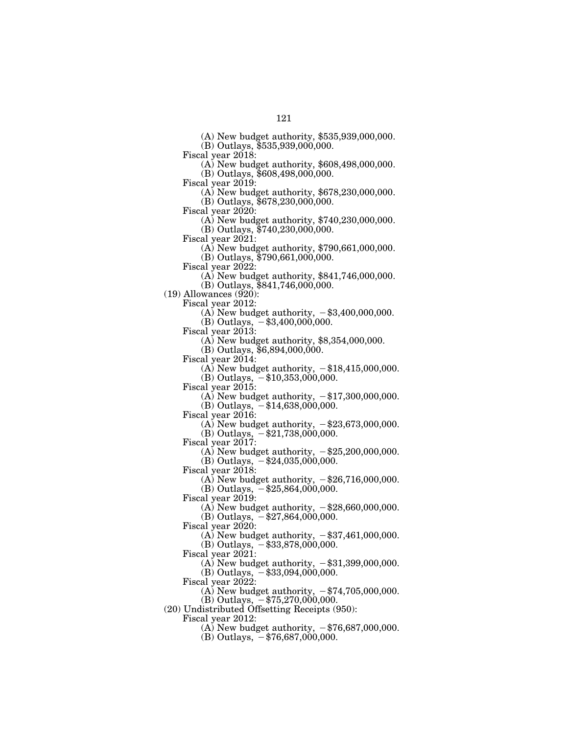(A) New budget authority, \$535,939,000,000.

(B) Outlays, \$535,939,000,000.<br>Fiscal year 2018:

 $\Phi$  New budget authority, \$608,498,000,000.

(B) Outlays, \$608,498,000,000.<br>Fiscal year 2019:

 $\Phi$  New budget authority, \$678,230,000,000.

(B) Outlays, \$678,230,000,000.<br>Fiscal year 2020:

(A) New budget authority,  $$740,230,000,000$ . (B) Outlays,  $$740,230,000,000$ .

Fiscal year 2021: (A) New budget authority, \$790,661,000,000.

(B) Outlays, \$790,661,000,000.

 $\Phi$ ) New budget authority, \$841,746,000,000.

(B) Outlays, \$841,746,000,000.

 $(19)$  Allowances  $(920)$ :

Fiscal year 2012:

(A) New budget authority,  $-$ \$3,400,000,000.

(B) Outlays,  $-$ \$3,400,000,000.<br>Fiscal year 2013:

 $(A)$  New budget authority, \$8,354,000,000.

(B) Outlays, \$6,894,000,000.

Fiscal year 2014:

(A) New budget authority,  $-\$18,415,000,000$ .

(B) Outlays,  $-\$10,353,000,000$ .

Fiscal year 2015:

(A) New budget authority,  $-\$17,300,000,000$ .

(B) Outlays,  $-$ \$14,638,000,000.

Fiscal year 2016:

(A) New budget authority,  $-\$23,673,000,000$ . (B) Outlays,  $-$ \$21,738,000,000.

Fiscal year 2017:

(A) New budget authority,  $-\$25,200,000,000$ . (B) Outlays,  $-$ \$24,035,000,000.

Fiscal year 2018:

(A) New budget authority,  $-\$26,716,000,000$ . (B) Outlays,  $-\$25,864,000,000$ .

Fiscal year 2019:

(A) New budget authority,  $-\$28,660,000,000$ .

(B) Outlays,  $-$ \$27,864,000,000.

Fiscal year 2020:

(A) New budget authority,  $-\$37,461,000,000$ .

(B) Outlays,  $-$ \$33,878,000,000. Fiscal year 2021:

(A) New budget authority,  $-$ \$31,399,000,000.  $(B)$  Outlays,  $-$ \$33,094,000,000.

Fiscal year 2022:

(A) New budget authority,  $-\$74,705,000,000$ . (B) Outlays,  $-$  \$75,270,000,000.

(20) Undistributed Offsetting Receipts (950):

Fiscal year 2012:

(A) New budget authority,  $-\frac{1}{3}76,687,000,000$ .

 $(B)$  Outlays,  $-$  \$76,687,000,000.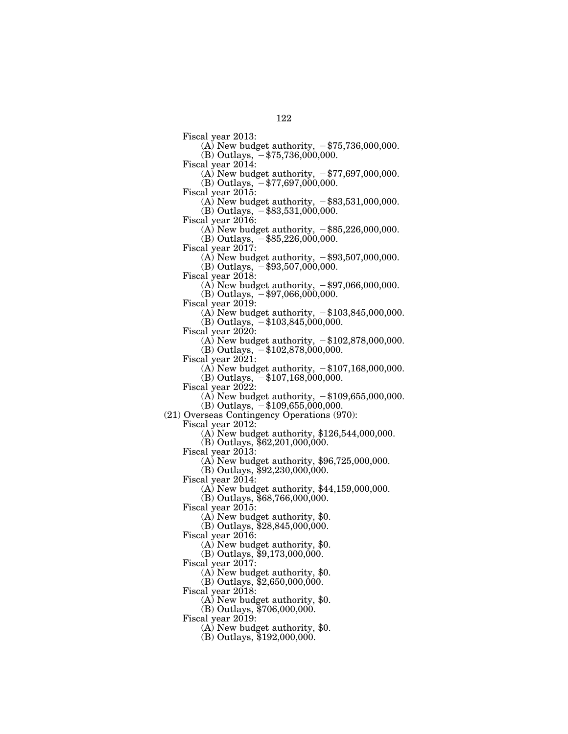Fiscal year 2013:

(A) New budget authority,  $-\$75,736,000,000$ .  $(B)$  Outlays,  $-$  \$75,736,000,000.

Fiscal year 2014:

(A) New budget authority,  $-\frac{1}{3}77,697,000,000$ . (B) Outlays,  $-\frac{1}{3}77,697,000,000$ .

Fiscal year 2015:

(A) New budget authority,  $-\$83,531,000,000$ .

(B) Outlays,  $-$ \$83,531,000,000.

Fiscal year 2016:

(A) New budget authority,  $-\$85,226,000,000$ .  $(B)$  Outlays,  $-$ \$85,226,000,000.

Fiscal year 2017:

(A) New budget authority,  $-\$93,507,000,000$ . (B) Outlays,  $-$ \$93,507,000,000.

Fiscal year 2018:

(A) New budget authority,  $-$ \$97,066,000,000.

(B) Outlays,  $-$ \$97,066,000,000.

Fiscal year 2019:

(A) New budget authority,  $-\$103,845,000,000$ .

 $(B)$  Outlays,  $-\$103,845,000,000$ .

Fiscal year 2020:

(A) New budget authority,  $-\$102,878,000,000$ . (B) Outlays,  $-$ \$102,878,000,000.

Fiscal year 2021:

(A) New budget authority,  $-\$107,168,000,000$ .

(B) Outlays,  $-$ \$107,168,000,000.

Fiscal year 2022:

(A) New budget authority,  $-\$109,655,000,000$ .

 $(B)$  Outlays,  $-$ \$109,655,000,000.

(21) Overseas Contingency Operations (970):

Fiscal year 2012: (A) New budget authority, \$126,544,000,000.

(B) Outlays, \$62,201,000,000.

Fiscal year 2013:

(A) New budget authority, \$96,725,000,000.

 $(B)$  Outlays,  $$92,230,000,000$ .

Fiscal year 2014:

(A) New budget authority, \$44,159,000,000.

(B) Outlays, \$68,766,000,000.

Fiscal year 2015:

(A) New budget authority, \$0.

(B) Outlays, \$28,845,000,000.

Fiscal year 2016:

(A) New budget authority, \$0.

 $(B)$  Outlays,  $$9,173,000,000$ .

Fiscal year 2017:

(A) New budget authority, \$0.

 $(B)$  Outlays, \$2,650,000,000.

Fiscal year 2018:

(A) New budget authority, \$0.

(B) Outlays, \$706,000,000.

Fiscal year 2019:

(A) New budget authority, \$0.

(B) Outlays, \$192,000,000.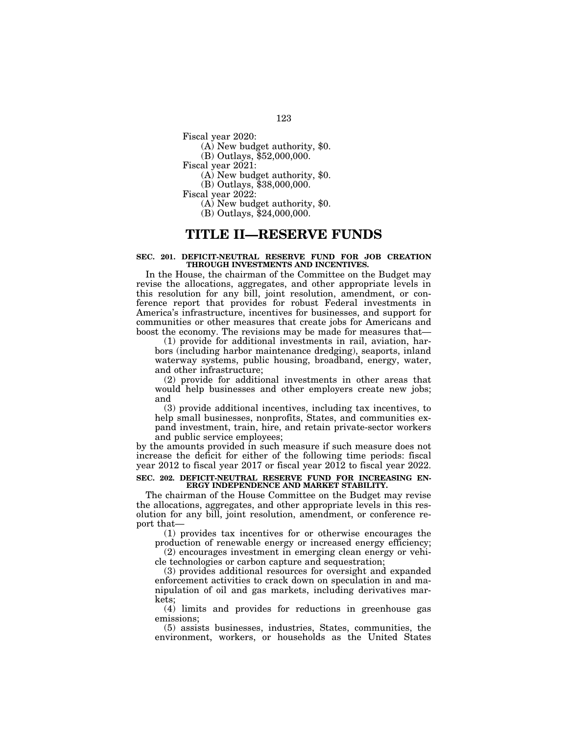Fiscal year 2020:

(A) New budget authority, \$0.

(B) Outlays, \$52,000,000.

Fiscal year 2021:

(A) New budget authority, \$0.

(B) Outlays, \$38,000,000.

Fiscal year 2022:

(A) New budget authority, \$0.

(B) Outlays, \$24,000,000.

### **TITLE II—RESERVE FUNDS**

#### **SEC. 201. DEFICIT-NEUTRAL RESERVE FUND FOR JOB CREATION THROUGH INVESTMENTS AND INCENTIVES.**

In the House, the chairman of the Committee on the Budget may revise the allocations, aggregates, and other appropriate levels in this resolution for any bill, joint resolution, amendment, or conference report that provides for robust Federal investments in America's infrastructure, incentives for businesses, and support for communities or other measures that create jobs for Americans and boost the economy. The revisions may be made for measures that—

(1) provide for additional investments in rail, aviation, harbors (including harbor maintenance dredging), seaports, inland waterway systems, public housing, broadband, energy, water, and other infrastructure;

(2) provide for additional investments in other areas that would help businesses and other employers create new jobs; and

(3) provide additional incentives, including tax incentives, to help small businesses, nonprofits, States, and communities expand investment, train, hire, and retain private-sector workers and public service employees;

by the amounts provided in such measure if such measure does not increase the deficit for either of the following time periods: fiscal year 2012 to fiscal year 2017 or fiscal year 2012 to fiscal year 2022.

#### **SEC. 202. DEFICIT-NEUTRAL RESERVE FUND FOR INCREASING EN-ERGY INDEPENDENCE AND MARKET STABILITY.**

The chairman of the House Committee on the Budget may revise the allocations, aggregates, and other appropriate levels in this resolution for any bill, joint resolution, amendment, or conference report that—

(1) provides tax incentives for or otherwise encourages the production of renewable energy or increased energy efficiency;

(2) encourages investment in emerging clean energy or vehicle technologies or carbon capture and sequestration;

(3) provides additional resources for oversight and expanded enforcement activities to crack down on speculation in and manipulation of oil and gas markets, including derivatives markets;

(4) limits and provides for reductions in greenhouse gas emissions;

(5) assists businesses, industries, States, communities, the environment, workers, or households as the United States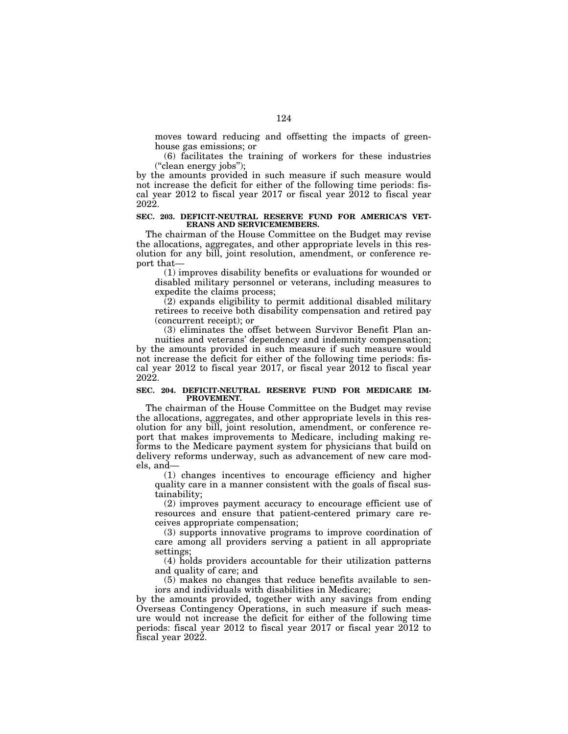moves toward reducing and offsetting the impacts of greenhouse gas emissions; or

(6) facilitates the training of workers for these industries (''clean energy jobs'');

by the amounts provided in such measure if such measure would not increase the deficit for either of the following time periods: fiscal year 2012 to fiscal year 2017 or fiscal year 2012 to fiscal year 2022.

#### **SEC. 203. DEFICIT-NEUTRAL RESERVE FUND FOR AMERICA'S VET-ERANS AND SERVICEMEMBERS.**

The chairman of the House Committee on the Budget may revise the allocations, aggregates, and other appropriate levels in this resolution for any bill, joint resolution, amendment, or conference report that—

(1) improves disability benefits or evaluations for wounded or disabled military personnel or veterans, including measures to expedite the claims process;

 $(2)$  expands eligibility to permit additional disabled military retirees to receive both disability compensation and retired pay (concurrent receipt); or

(3) eliminates the offset between Survivor Benefit Plan annuities and veterans' dependency and indemnity compensation; by the amounts provided in such measure if such measure would not increase the deficit for either of the following time periods: fiscal year 2012 to fiscal year 2017, or fiscal year 2012 to fiscal year 2022.

#### **SEC. 204. DEFICIT-NEUTRAL RESERVE FUND FOR MEDICARE IM-PROVEMENT.**

The chairman of the House Committee on the Budget may revise the allocations, aggregates, and other appropriate levels in this resolution for any bill, joint resolution, amendment, or conference report that makes improvements to Medicare, including making reforms to the Medicare payment system for physicians that build on delivery reforms underway, such as advancement of new care models, and—

(1) changes incentives to encourage efficiency and higher quality care in a manner consistent with the goals of fiscal sustainability;

(2) improves payment accuracy to encourage efficient use of resources and ensure that patient-centered primary care receives appropriate compensation;

(3) supports innovative programs to improve coordination of care among all providers serving a patient in all appropriate settings;

(4) holds providers accountable for their utilization patterns and quality of care; and

(5) makes no changes that reduce benefits available to seniors and individuals with disabilities in Medicare;

by the amounts provided, together with any savings from ending Overseas Contingency Operations, in such measure if such measure would not increase the deficit for either of the following time periods: fiscal year 2012 to fiscal year 2017 or fiscal year 2012 to fiscal year 2022.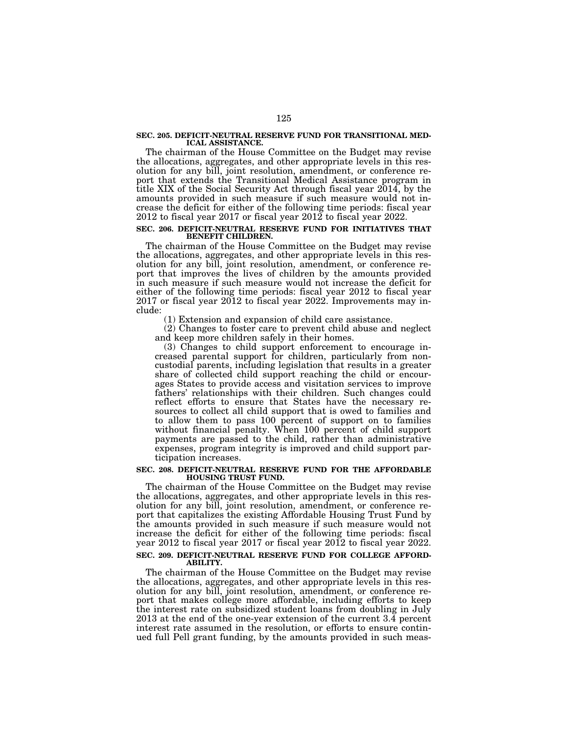# **SEC. 205. DEFICIT-NEUTRAL RESERVE FUND FOR TRANSITIONAL MED-ICAL ASSISTANCE.**

The chairman of the House Committee on the Budget may revise the allocations, aggregates, and other appropriate levels in this resolution for any bill, joint resolution, amendment, or conference report that extends the Transitional Medical Assistance program in title XIX of the Social Security Act through fiscal year 2014, by the amounts provided in such measure if such measure would not increase the deficit for either of the following time periods: fiscal year 2012 to fiscal year 2017 or fiscal year 2012 to fiscal year 2022.

#### **SEC. 206. DEFICIT-NEUTRAL RESERVE FUND FOR INITIATIVES THAT BENEFIT CHILDREN.**

The chairman of the House Committee on the Budget may revise the allocations, aggregates, and other appropriate levels in this resolution for any bill, joint resolution, amendment, or conference report that improves the lives of children by the amounts provided in such measure if such measure would not increase the deficit for either of the following time periods: fiscal year 2012 to fiscal year 2017 or fiscal year 2012 to fiscal year 2022. Improvements may include:

(1) Extension and expansion of child care assistance.

(2) Changes to foster care to prevent child abuse and neglect and keep more children safely in their homes.

(3) Changes to child support enforcement to encourage increased parental support for children, particularly from noncustodial parents, including legislation that results in a greater share of collected child support reaching the child or encourages States to provide access and visitation services to improve fathers' relationships with their children. Such changes could reflect efforts to ensure that States have the necessary resources to collect all child support that is owed to families and to allow them to pass 100 percent of support on to families without financial penalty. When 100 percent of child support payments are passed to the child, rather than administrative expenses, program integrity is improved and child support participation increases.

#### **SEC. 208. DEFICIT-NEUTRAL RESERVE FUND FOR THE AFFORDABLE HOUSING TRUST FUND.**

The chairman of the House Committee on the Budget may revise the allocations, aggregates, and other appropriate levels in this resolution for any bill, joint resolution, amendment, or conference report that capitalizes the existing Affordable Housing Trust Fund by the amounts provided in such measure if such measure would not increase the deficit for either of the following time periods: fiscal year 2012 to fiscal year 2017 or fiscal year 2012 to fiscal year 2022. **SEC. 209. DEFICIT-NEUTRAL RESERVE FUND FOR COLLEGE AFFORD-**

## **ABILITY.**

The chairman of the House Committee on the Budget may revise the allocations, aggregates, and other appropriate levels in this resolution for any bill, joint resolution, amendment, or conference report that makes college more affordable, including efforts to keep the interest rate on subsidized student loans from doubling in July 2013 at the end of the one-year extension of the current 3.4 percent interest rate assumed in the resolution, or efforts to ensure continued full Pell grant funding, by the amounts provided in such meas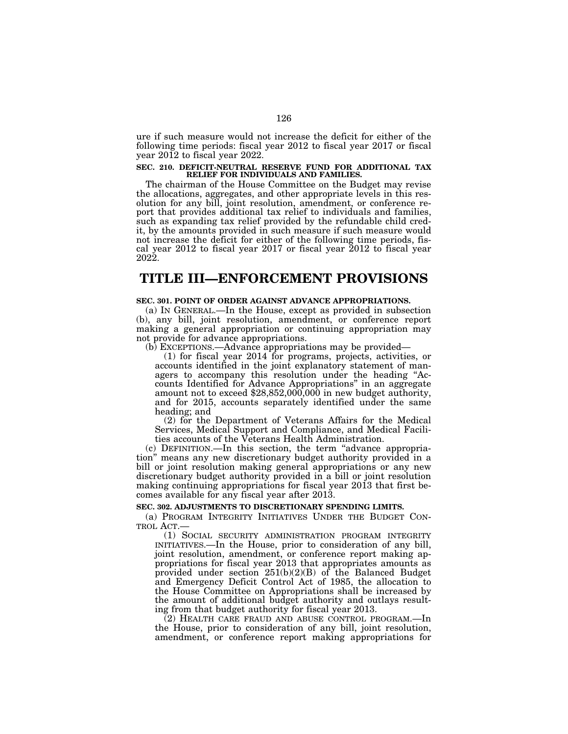ure if such measure would not increase the deficit for either of the following time periods: fiscal year 2012 to fiscal year 2017 or fiscal year 2012 to fiscal year 2022.

# **SEC. 210. DEFICIT-NEUTRAL RESERVE FUND FOR ADDITIONAL TAX RELIEF FOR INDIVIDUALS AND FAMILIES.**

The chairman of the House Committee on the Budget may revise the allocations, aggregates, and other appropriate levels in this resolution for any bill, joint resolution, amendment, or conference report that provides additional tax relief to individuals and families, such as expanding tax relief provided by the refundable child credit, by the amounts provided in such measure if such measure would not increase the deficit for either of the following time periods, fiscal year 2012 to fiscal year 2017 or fiscal year 2012 to fiscal year 2022.

### **TITLE III—ENFORCEMENT PROVISIONS**

### **SEC. 301. POINT OF ORDER AGAINST ADVANCE APPROPRIATIONS.**

(a) IN GENERAL.—In the House, except as provided in subsection (b), any bill, joint resolution, amendment, or conference report making a general appropriation or continuing appropriation may not provide for advance appropriations.

(b) EXCEPTIONS.—Advance appropriations may be provided—

(1) for fiscal year 2014 for programs, projects, activities, or accounts identified in the joint explanatory statement of managers to accompany this resolution under the heading "Accounts Identified for Advance Appropriations'' in an aggregate amount not to exceed \$28,852,000,000 in new budget authority, and for 2015, accounts separately identified under the same heading; and

(2) for the Department of Veterans Affairs for the Medical Services, Medical Support and Compliance, and Medical Facilities accounts of the Veterans Health Administration.

(c) DEFINITION.—In this section, the term ''advance appropriation'' means any new discretionary budget authority provided in a bill or joint resolution making general appropriations or any new discretionary budget authority provided in a bill or joint resolution making continuing appropriations for fiscal year 2013 that first becomes available for any fiscal year after 2013.

#### **SEC. 302. ADJUSTMENTS TO DISCRETIONARY SPENDING LIMITS.**

(a) PROGRAM INTEGRITY INITIATIVES UNDER THE BUDGET CON-TROL ACT.—

(1) SOCIAL SECURITY ADMINISTRATION PROGRAM INTEGRITY INITIATIVES.—In the House, prior to consideration of any bill, joint resolution, amendment, or conference report making appropriations for fiscal year 2013 that appropriates amounts as provided under section 251(b)(2)(B) of the Balanced Budget and Emergency Deficit Control Act of 1985, the allocation to the House Committee on Appropriations shall be increased by the amount of additional budget authority and outlays resulting from that budget authority for fiscal year 2013.

(2) HEALTH CARE FRAUD AND ABUSE CONTROL PROGRAM.—In the House, prior to consideration of any bill, joint resolution, amendment, or conference report making appropriations for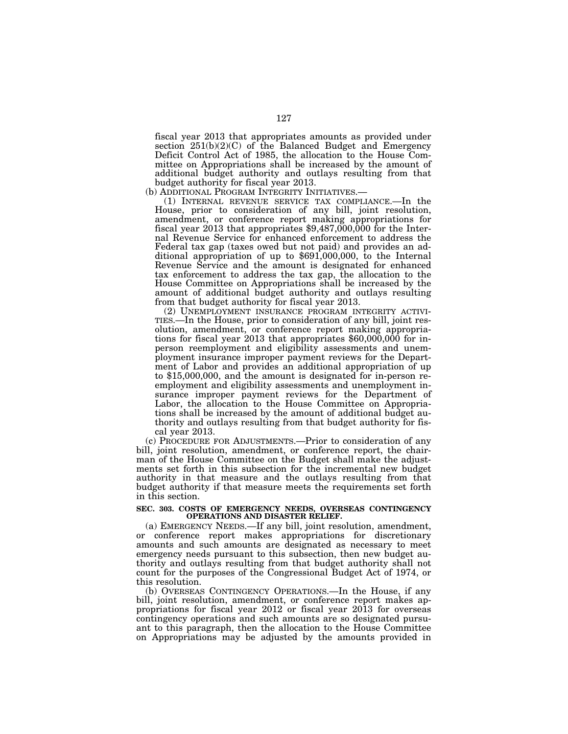fiscal year 2013 that appropriates amounts as provided under section 251(b)(2)(C) of the Balanced Budget and Emergency Deficit Control Act of 1985, the allocation to the House Committee on Appropriations shall be increased by the amount of additional budget authority and outlays resulting from that budget authority for fiscal year 2013.<br>(b) ADDITIONAL PROGRAM INTEGRITY INITIATIVES.—

(b) ADDITIONAL PROGRAM INTEGRITY INITIATIVES.— (1) INTERNAL REVENUE SERVICE TAX COMPLIANCE.—In the House, prior to consideration of any bill, joint resolution, amendment, or conference report making appropriations for fiscal year  $2013$  that appropriates  $$9,487,000,000$  for the Internal Revenue Service for enhanced enforcement to address the Federal tax gap (taxes owed but not paid) and provides an additional appropriation of up to \$691,000,000, to the Internal Revenue Service and the amount is designated for enhanced tax enforcement to address the tax gap, the allocation to the House Committee on Appropriations shall be increased by the amount of additional budget authority and outlays resulting from that budget authority for fiscal year 2013.<br>(2) UNEMPLOYMENT INSURANCE PROGRAM INTEGRITY ACTIVI-

TIES.—In the House, prior to consideration of any bill, joint resolution, amendment, or conference report making appropriations for fiscal year 2013 that appropriates \$60,000,000 for inperson reemployment and eligibility assessments and unemployment insurance improper payment reviews for the Department of Labor and provides an additional appropriation of up to \$15,000,000, and the amount is designated for in-person reemployment and eligibility assessments and unemployment insurance improper payment reviews for the Department of Labor, the allocation to the House Committee on Appropriations shall be increased by the amount of additional budget authority and outlays resulting from that budget authority for fiscal year 2013.

(c) PROCEDURE FOR ADJUSTMENTS.—Prior to consideration of any bill, joint resolution, amendment, or conference report, the chairman of the House Committee on the Budget shall make the adjustments set forth in this subsection for the incremental new budget authority in that measure and the outlays resulting from that budget authority if that measure meets the requirements set forth in this section.

#### **SEC. 303. COSTS OF EMERGENCY NEEDS, OVERSEAS CONTINGENCY OPERATIONS AND DISASTER RELIEF.**

(a) EMERGENCY NEEDS.—If any bill, joint resolution, amendment, or conference report makes appropriations for discretionary amounts and such amounts are designated as necessary to meet emergency needs pursuant to this subsection, then new budget authority and outlays resulting from that budget authority shall not count for the purposes of the Congressional Budget Act of 1974, or this resolution.

(b) OVERSEAS CONTINGENCY OPERATIONS.—In the House, if any bill, joint resolution, amendment, or conference report makes appropriations for fiscal year 2012 or fiscal year 2013 for overseas contingency operations and such amounts are so designated pursuant to this paragraph, then the allocation to the House Committee on Appropriations may be adjusted by the amounts provided in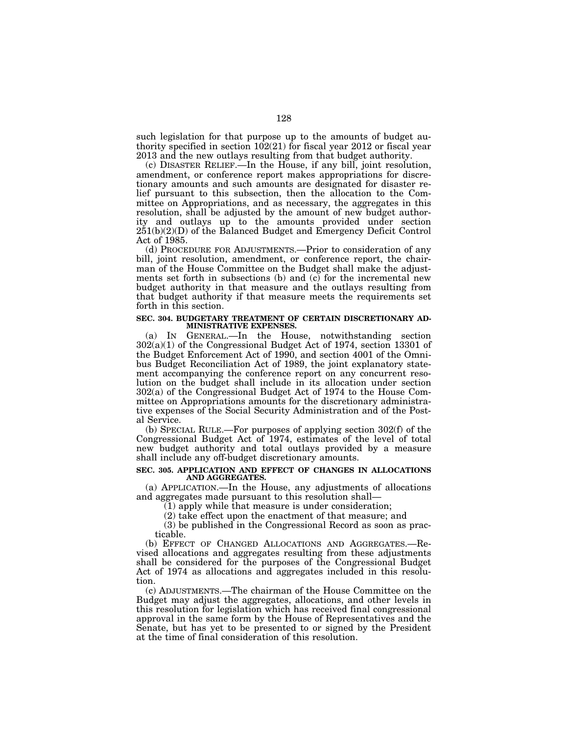such legislation for that purpose up to the amounts of budget authority specified in section  $102(21)$  for fiscal year 2012 or fiscal year 2013 and the new outlays resulting from that budget authority.

(c) DISASTER RELIEF.—In the House, if any bill, joint resolution, amendment, or conference report makes appropriations for discretionary amounts and such amounts are designated for disaster relief pursuant to this subsection, then the allocation to the Committee on Appropriations, and as necessary, the aggregates in this resolution, shall be adjusted by the amount of new budget authority and outlays up to the amounts provided under section 251(b)(2)(D) of the Balanced Budget and Emergency Deficit Control Act of 1985.

(d) PROCEDURE FOR ADJUSTMENTS.—Prior to consideration of any bill, joint resolution, amendment, or conference report, the chairman of the House Committee on the Budget shall make the adjustments set forth in subsections (b) and (c) for the incremental new budget authority in that measure and the outlays resulting from that budget authority if that measure meets the requirements set forth in this section.

#### **SEC. 304. BUDGETARY TREATMENT OF CERTAIN DISCRETIONARY AD-MINISTRATIVE EXPENSES.**

(a) IN GENERAL.—In the House, notwithstanding section 302(a)(1) of the Congressional Budget Act of 1974, section 13301 of the Budget Enforcement Act of 1990, and section 4001 of the Omnibus Budget Reconciliation Act of 1989, the joint explanatory statement accompanying the conference report on any concurrent resolution on the budget shall include in its allocation under section 302(a) of the Congressional Budget Act of 1974 to the House Committee on Appropriations amounts for the discretionary administrative expenses of the Social Security Administration and of the Postal Service.

(b) SPECIAL RULE.—For purposes of applying section 302(f) of the Congressional Budget Act of 1974, estimates of the level of total new budget authority and total outlays provided by a measure shall include any off-budget discretionary amounts.

#### **SEC. 305. APPLICATION AND EFFECT OF CHANGES IN ALLOCATIONS AND AGGREGATES.**

(a) APPLICATION.—In the House, any adjustments of allocations and aggregates made pursuant to this resolution shall—

(1) apply while that measure is under consideration;

(2) take effect upon the enactment of that measure; and

(3) be published in the Congressional Record as soon as practicable.

(b) EFFECT OF CHANGED ALLOCATIONS AND AGGREGATES.—Revised allocations and aggregates resulting from these adjustments shall be considered for the purposes of the Congressional Budget Act of 1974 as allocations and aggregates included in this resolution.

(c) ADJUSTMENTS.—The chairman of the House Committee on the Budget may adjust the aggregates, allocations, and other levels in this resolution for legislation which has received final congressional approval in the same form by the House of Representatives and the Senate, but has yet to be presented to or signed by the President at the time of final consideration of this resolution.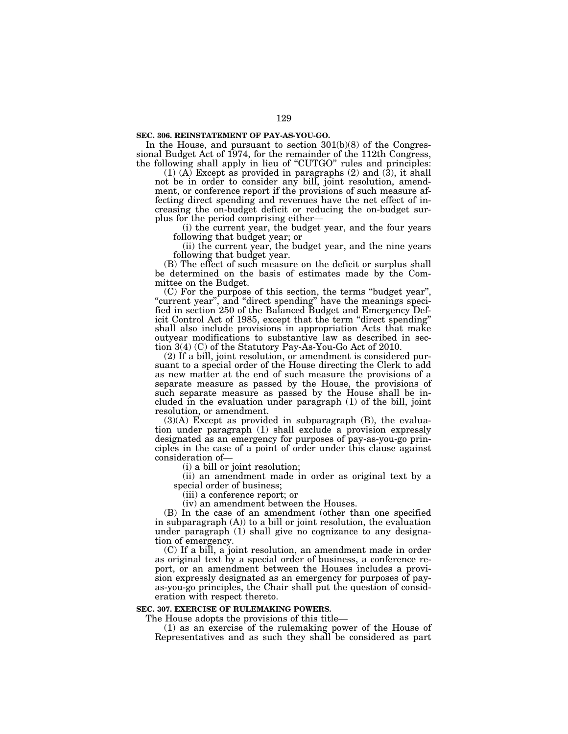#### **SEC. 306. REINSTATEMENT OF PAY-AS-YOU-GO.**

In the House, and pursuant to section 301(b)(8) of the Congressional Budget Act of 1974, for the remainder of the 112th Congress, the following shall apply in lieu of "CUTGO" rules and principles:

 $(1)$  (A) Except as provided in paragraphs  $(2)$  and  $(3)$ , it shall not be in order to consider any bill, joint resolution, amendment, or conference report if the provisions of such measure affecting direct spending and revenues have the net effect of increasing the on-budget deficit or reducing the on-budget surplus for the period comprising either—

(i) the current year, the budget year, and the four years following that budget year; or

(ii) the current year, the budget year, and the nine years following that budget year.

(B) The effect of such measure on the deficit or surplus shall be determined on the basis of estimates made by the Committee on the Budget.

(C) For the purpose of this section, the terms ''budget year'', "current year", and "direct spending" have the meanings specified in section 250 of the Balanced Budget and Emergency Deficit Control Act of 1985, except that the term ''direct spending'' shall also include provisions in appropriation Acts that make outyear modifications to substantive law as described in section 3(4) (C) of the Statutory Pay-As-You-Go Act of 2010.

(2) If a bill, joint resolution, or amendment is considered pursuant to a special order of the House directing the Clerk to add as new matter at the end of such measure the provisions of a separate measure as passed by the House, the provisions of such separate measure as passed by the House shall be included in the evaluation under paragraph (1) of the bill, joint resolution, or amendment.

 $(3)(A)$  Except as provided in subparagraph  $(B)$ , the evaluation under paragraph (1) shall exclude a provision expressly designated as an emergency for purposes of pay-as-you-go principles in the case of a point of order under this clause against consideration of—

(i) a bill or joint resolution;

(ii) an amendment made in order as original text by a special order of business;

(iii) a conference report; or

(iv) an amendment between the Houses.

(B) In the case of an amendment (other than one specified in subparagraph (A)) to a bill or joint resolution, the evaluation under paragraph (1) shall give no cognizance to any designation of emergency.

(C) If a bill, a joint resolution, an amendment made in order as original text by a special order of business, a conference report, or an amendment between the Houses includes a provision expressly designated as an emergency for purposes of payas-you-go principles, the Chair shall put the question of consideration with respect thereto.

#### **SEC. 307. EXERCISE OF RULEMAKING POWERS.**

The House adopts the provisions of this title—

(1) as an exercise of the rulemaking power of the House of Representatives and as such they shall be considered as part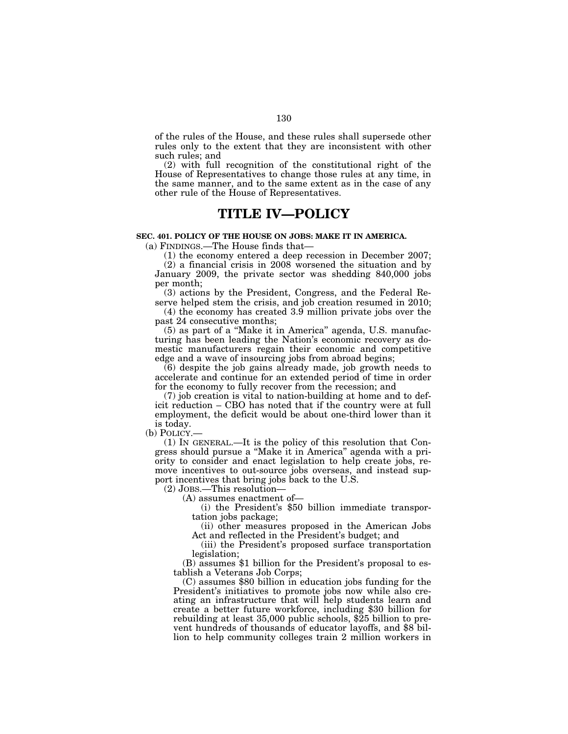of the rules of the House, and these rules shall supersede other rules only to the extent that they are inconsistent with other such rules; and

(2) with full recognition of the constitutional right of the House of Representatives to change those rules at any time, in the same manner, and to the same extent as in the case of any other rule of the House of Representatives.

### **TITLE IV—POLICY**

#### **SEC. 401. POLICY OF THE HOUSE ON JOBS: MAKE IT IN AMERICA.**

(a) FINDINGS.—The House finds that—

(1) the economy entered a deep recession in December 2007;

(2) a financial crisis in 2008 worsened the situation and by January 2009, the private sector was shedding 840,000 jobs per month;

(3) actions by the President, Congress, and the Federal Reserve helped stem the crisis, and job creation resumed in 2010;

(4) the economy has created 3.9 million private jobs over the past 24 consecutive months;

(5) as part of a ''Make it in America'' agenda, U.S. manufacturing has been leading the Nation's economic recovery as domestic manufacturers regain their economic and competitive edge and a wave of insourcing jobs from abroad begins;

(6) despite the job gains already made, job growth needs to accelerate and continue for an extended period of time in order for the economy to fully recover from the recession; and

(7) job creation is vital to nation-building at home and to deficit reduction – CBO has noted that if the country were at full employment, the deficit would be about one-third lower than it is today.

(b) POLICY.—

(1) IN GENERAL.—It is the policy of this resolution that Congress should pursue a ''Make it in America'' agenda with a priority to consider and enact legislation to help create jobs, remove incentives to out-source jobs overseas, and instead support incentives that bring jobs back to the U.S.

(2) JOBS.—This resolution—

(A) assumes enactment of—

(i) the President's \$50 billion immediate transportation jobs package;

(ii) other measures proposed in the American Jobs Act and reflected in the President's budget; and

(iii) the President's proposed surface transportation legislation;

(B) assumes \$1 billion for the President's proposal to establish a Veterans Job Corps;

(C) assumes \$80 billion in education jobs funding for the President's initiatives to promote jobs now while also creating an infrastructure that will help students learn and create a better future workforce, including \$30 billion for rebuilding at least 35,000 public schools, \$25 billion to prevent hundreds of thousands of educator layoffs, and \$8 billion to help community colleges train 2 million workers in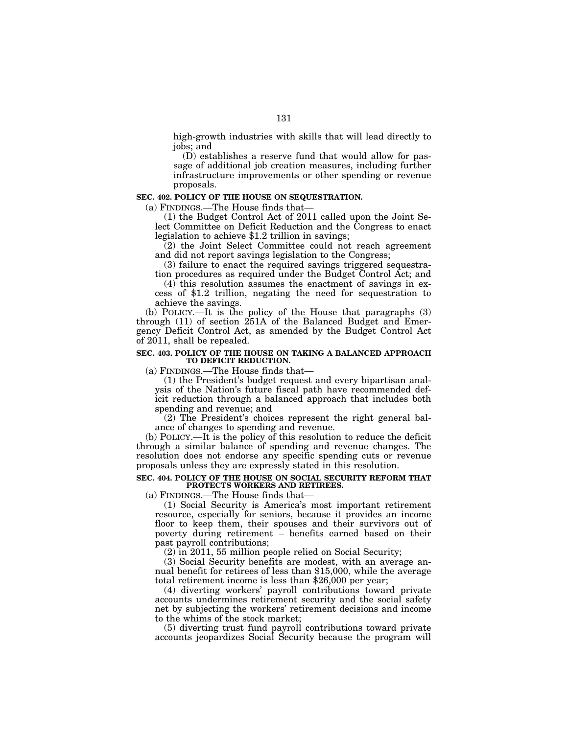high-growth industries with skills that will lead directly to jobs; and

(D) establishes a reserve fund that would allow for passage of additional job creation measures, including further infrastructure improvements or other spending or revenue proposals.

#### **SEC. 402. POLICY OF THE HOUSE ON SEQUESTRATION.**

(a) FINDINGS.—The House finds that—

(1) the Budget Control Act of 2011 called upon the Joint Select Committee on Deficit Reduction and the Congress to enact legislation to achieve \$1.2 trillion in savings;

(2) the Joint Select Committee could not reach agreement and did not report savings legislation to the Congress;

(3) failure to enact the required savings triggered sequestration procedures as required under the Budget Control Act; and

(4) this resolution assumes the enactment of savings in excess of \$1.2 trillion, negating the need for sequestration to achieve the savings.

(b) POLICY.—It is the policy of the House that paragraphs (3) through  $(11)$  of section  $251A$  of the Balanced Budget and Emergency Deficit Control Act, as amended by the Budget Control Act of 2011, shall be repealed.

#### **SEC. 403. POLICY OF THE HOUSE ON TAKING A BALANCED APPROACH TO DEFICIT REDUCTION.**

(a) FINDINGS.—The House finds that—

(1) the President's budget request and every bipartisan analysis of the Nation's future fiscal path have recommended deficit reduction through a balanced approach that includes both spending and revenue; and

(2) The President's choices represent the right general balance of changes to spending and revenue.

(b) POLICY.—It is the policy of this resolution to reduce the deficit through a similar balance of spending and revenue changes. The resolution does not endorse any specific spending cuts or revenue proposals unless they are expressly stated in this resolution.

#### **SEC. 404. POLICY OF THE HOUSE ON SOCIAL SECURITY REFORM THAT PROTECTS WORKERS AND RETIREES.**

(a) FINDINGS.—The House finds that—

(1) Social Security is America's most important retirement resource, especially for seniors, because it provides an income floor to keep them, their spouses and their survivors out of poverty during retirement – benefits earned based on their past payroll contributions;

(2) in 2011, 55 million people relied on Social Security;

(3) Social Security benefits are modest, with an average annual benefit for retirees of less than \$15,000, while the average total retirement income is less than \$26,000 per year;

(4) diverting workers' payroll contributions toward private accounts undermines retirement security and the social safety net by subjecting the workers' retirement decisions and income to the whims of the stock market;

(5) diverting trust fund payroll contributions toward private accounts jeopardizes Social Security because the program will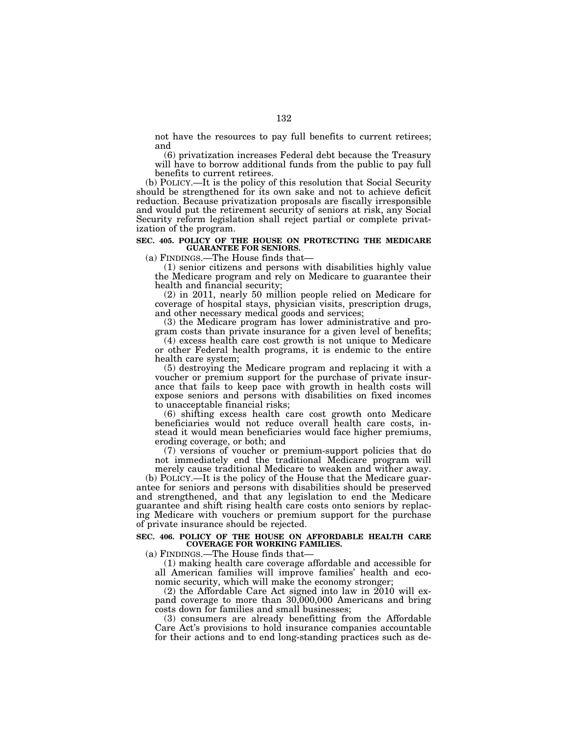not have the resources to pay full benefits to current retirees; and

(6) privatization increases Federal debt because the Treasury will have to borrow additional funds from the public to pay full benefits to current retirees.

(b) POLICY.—It is the policy of this resolution that Social Security should be strengthened for its own sake and not to achieve deficit reduction. Because privatization proposals are fiscally irresponsible and would put the retirement security of seniors at risk, any Social Security reform legislation shall reject partial or complete privatization of the program.

# **SEC. 405. POLICY OF THE HOUSE ON PROTECTING THE MEDICARE GUARANTEE FOR SENIORS.**

(a) FINDINGS.—The House finds that—

(1) senior citizens and persons with disabilities highly value the Medicare program and rely on Medicare to guarantee their health and financial security;

(2) in 2011, nearly 50 million people relied on Medicare for coverage of hospital stays, physician visits, prescription drugs, and other necessary medical goods and services;

(3) the Medicare program has lower administrative and program costs than private insurance for a given level of benefits;

(4) excess health care cost growth is not unique to Medicare or other Federal health programs, it is endemic to the entire health care system;

(5) destroying the Medicare program and replacing it with a voucher or premium support for the purchase of private insurance that fails to keep pace with growth in health costs will expose seniors and persons with disabilities on fixed incomes to unacceptable financial risks;

(6) shifting excess health care cost growth onto Medicare beneficiaries would not reduce overall health care costs, instead it would mean beneficiaries would face higher premiums, eroding coverage, or both; and

(7) versions of voucher or premium-support policies that do not immediately end the traditional Medicare program will merely cause traditional Medicare to weaken and wither away.

(b) POLICY.—It is the policy of the House that the Medicare guarantee for seniors and persons with disabilities should be preserved and strengthened, and that any legislation to end the Medicare guarantee and shift rising health care costs onto seniors by replacing Medicare with vouchers or premium support for the purchase of private insurance should be rejected.

#### **SEC. 406. POLICY OF THE HOUSE ON AFFORDABLE HEALTH CARE COVERAGE FOR WORKING FAMILIES.**

(a) FINDINGS.—The House finds that—

(1) making health care coverage affordable and accessible for all American families will improve families' health and economic security, which will make the economy stronger;

(2) the Affordable Care Act signed into law in 2010 will expand coverage to more than 30,000,000 Americans and bring costs down for families and small businesses;

(3) consumers are already benefitting from the Affordable Care Act's provisions to hold insurance companies accountable for their actions and to end long-standing practices such as de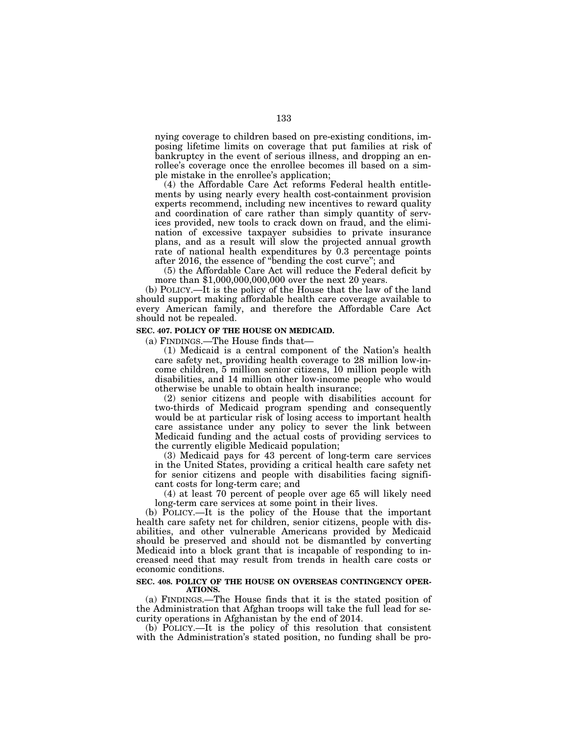nying coverage to children based on pre-existing conditions, imposing lifetime limits on coverage that put families at risk of bankruptcy in the event of serious illness, and dropping an enrollee's coverage once the enrollee becomes ill based on a simple mistake in the enrollee's application;

(4) the Affordable Care Act reforms Federal health entitlements by using nearly every health cost-containment provision experts recommend, including new incentives to reward quality and coordination of care rather than simply quantity of services provided, new tools to crack down on fraud, and the elimination of excessive taxpayer subsidies to private insurance plans, and as a result will slow the projected annual growth rate of national health expenditures by 0.3 percentage points after 2016, the essence of ''bending the cost curve''; and

(5) the Affordable Care Act will reduce the Federal deficit by more than \$1,000,000,000,000 over the next 20 years.

(b) POLICY.—It is the policy of the House that the law of the land should support making affordable health care coverage available to every American family, and therefore the Affordable Care Act should not be repealed.

### **SEC. 407. POLICY OF THE HOUSE ON MEDICAID.**

(a) FINDINGS.—The House finds that—

(1) Medicaid is a central component of the Nation's health care safety net, providing health coverage to 28 million low-income children, 5 million senior citizens, 10 million people with disabilities, and 14 million other low-income people who would otherwise be unable to obtain health insurance;

(2) senior citizens and people with disabilities account for two-thirds of Medicaid program spending and consequently would be at particular risk of losing access to important health care assistance under any policy to sever the link between Medicaid funding and the actual costs of providing services to the currently eligible Medicaid population;

(3) Medicaid pays for 43 percent of long-term care services in the United States, providing a critical health care safety net for senior citizens and people with disabilities facing significant costs for long-term care; and

(4) at least 70 percent of people over age 65 will likely need long-term care services at some point in their lives.

(b) POLICY.—It is the policy of the House that the important health care safety net for children, senior citizens, people with disabilities, and other vulnerable Americans provided by Medicaid should be preserved and should not be dismantled by converting Medicaid into a block grant that is incapable of responding to increased need that may result from trends in health care costs or economic conditions.

#### **SEC. 408. POLICY OF THE HOUSE ON OVERSEAS CONTINGENCY OPER-ATIONS.**

(a) FINDINGS.—The House finds that it is the stated position of the Administration that Afghan troops will take the full lead for security operations in Afghanistan by the end of 2014.

(b) POLICY.—It is the policy of this resolution that consistent with the Administration's stated position, no funding shall be pro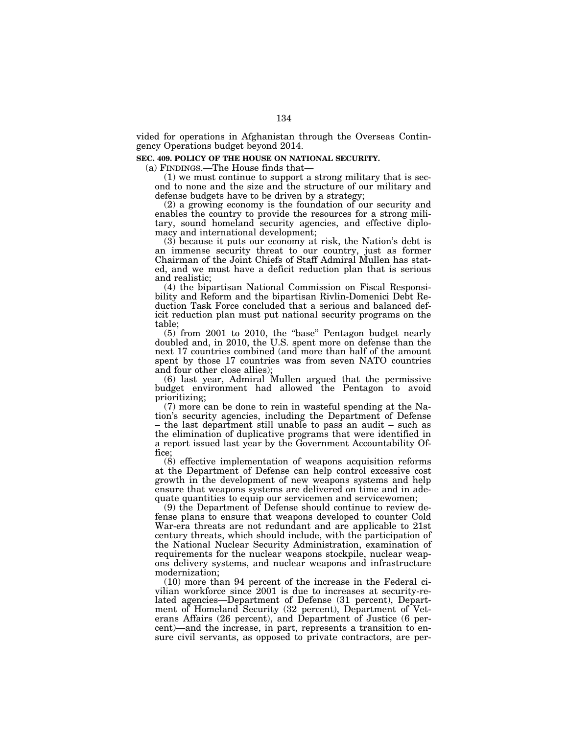vided for operations in Afghanistan through the Overseas Contingency Operations budget beyond 2014.

### **SEC. 409. POLICY OF THE HOUSE ON NATIONAL SECURITY.**

(a) FINDINGS.—The House finds that—

(1) we must continue to support a strong military that is second to none and the size and the structure of our military and defense budgets have to be driven by a strategy;

(2) a growing economy is the foundation of our security and enables the country to provide the resources for a strong military, sound homeland security agencies, and effective diplomacy and international development;

(3) because it puts our economy at risk, the Nation's debt is an immense security threat to our country, just as former Chairman of the Joint Chiefs of Staff Admiral Mullen has stated, and we must have a deficit reduction plan that is serious and realistic;

(4) the bipartisan National Commission on Fiscal Responsibility and Reform and the bipartisan Rivlin-Domenici Debt Reduction Task Force concluded that a serious and balanced deficit reduction plan must put national security programs on the table;

(5) from 2001 to 2010, the ''base'' Pentagon budget nearly doubled and, in 2010, the U.S. spent more on defense than the next 17 countries combined (and more than half of the amount spent by those 17 countries was from seven NATO countries and four other close allies);

(6) last year, Admiral Mullen argued that the permissive budget environment had allowed the Pentagon to avoid prioritizing;

(7) more can be done to rein in wasteful spending at the Nation's security agencies, including the Department of Defense the last department still unable to pass an audit  $-$  such as the elimination of duplicative programs that were identified in a report issued last year by the Government Accountability Office;

(8) effective implementation of weapons acquisition reforms at the Department of Defense can help control excessive cost growth in the development of new weapons systems and help ensure that weapons systems are delivered on time and in adequate quantities to equip our servicemen and servicewomen;

(9) the Department of Defense should continue to review defense plans to ensure that weapons developed to counter Cold War-era threats are not redundant and are applicable to 21st century threats, which should include, with the participation of the National Nuclear Security Administration, examination of requirements for the nuclear weapons stockpile, nuclear weapons delivery systems, and nuclear weapons and infrastructure modernization;

(10) more than 94 percent of the increase in the Federal civilian workforce since 2001 is due to increases at security-related agencies—Department of Defense (31 percent), Department of Homeland Security (32 percent), Department of Veterans Affairs (26 percent), and Department of Justice (6 percent)—and the increase, in part, represents a transition to ensure civil servants, as opposed to private contractors, are per-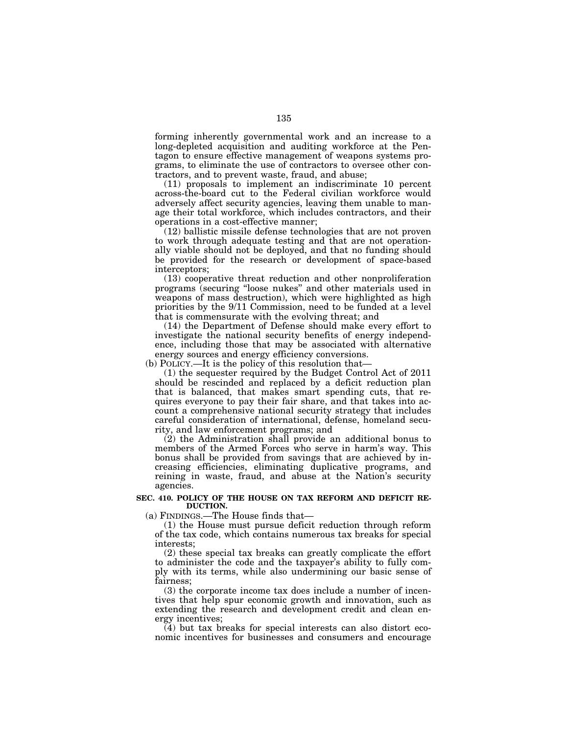forming inherently governmental work and an increase to a long-depleted acquisition and auditing workforce at the Pentagon to ensure effective management of weapons systems programs, to eliminate the use of contractors to oversee other contractors, and to prevent waste, fraud, and abuse;

(11) proposals to implement an indiscriminate 10 percent across-the-board cut to the Federal civilian workforce would adversely affect security agencies, leaving them unable to manage their total workforce, which includes contractors, and their operations in a cost-effective manner;

(12) ballistic missile defense technologies that are not proven to work through adequate testing and that are not operationally viable should not be deployed, and that no funding should be provided for the research or development of space-based interceptors;

(13) cooperative threat reduction and other nonproliferation programs (securing ''loose nukes'' and other materials used in weapons of mass destruction), which were highlighted as high priorities by the 9/11 Commission, need to be funded at a level that is commensurate with the evolving threat; and

(14) the Department of Defense should make every effort to investigate the national security benefits of energy independence, including those that may be associated with alternative energy sources and energy efficiency conversions.

(b) POLICY.—It is the policy of this resolution that—

(1) the sequester required by the Budget Control Act of 2011 should be rescinded and replaced by a deficit reduction plan that is balanced, that makes smart spending cuts, that requires everyone to pay their fair share, and that takes into account a comprehensive national security strategy that includes careful consideration of international, defense, homeland security, and law enforcement programs; and

 $(2)$  the Administration shall provide an additional bonus to members of the Armed Forces who serve in harm's way. This bonus shall be provided from savings that are achieved by increasing efficiencies, eliminating duplicative programs, and reining in waste, fraud, and abuse at the Nation's security agencies.

#### **SEC. 410. POLICY OF THE HOUSE ON TAX REFORM AND DEFICIT RE-DUCTION.**

(a) FINDINGS.—The House finds that—

(1) the House must pursue deficit reduction through reform of the tax code, which contains numerous tax breaks for special interests;

(2) these special tax breaks can greatly complicate the effort to administer the code and the taxpayer's ability to fully comply with its terms, while also undermining our basic sense of fairness;

(3) the corporate income tax does include a number of incentives that help spur economic growth and innovation, such as extending the research and development credit and clean energy incentives;

(4) but tax breaks for special interests can also distort economic incentives for businesses and consumers and encourage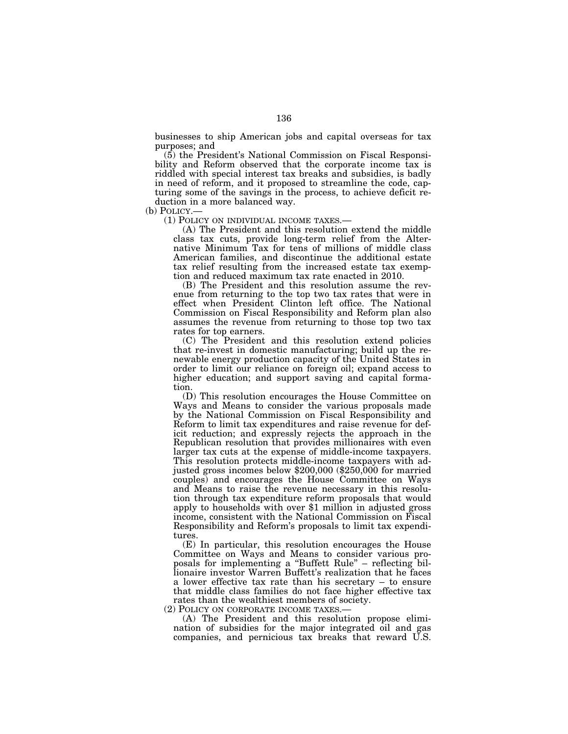businesses to ship American jobs and capital overseas for tax purposes; and

(5) the President's National Commission on Fiscal Responsibility and Reform observed that the corporate income tax is riddled with special interest tax breaks and subsidies, is badly in need of reform, and it proposed to streamline the code, capturing some of the savings in the process, to achieve deficit reduction in a more balanced way.

(b) POLICY.— (1) POLICY ON INDIVIDUAL INCOME TAXES.— (A) The President and this resolution extend the middle class tax cuts, provide long-term relief from the Alternative Minimum Tax for tens of millions of middle class American families, and discontinue the additional estate tax relief resulting from the increased estate tax exemption and reduced maximum tax rate enacted in 2010.

(B) The President and this resolution assume the revenue from returning to the top two tax rates that were in effect when President Clinton left office. The National Commission on Fiscal Responsibility and Reform plan also assumes the revenue from returning to those top two tax rates for top earners.

(C) The President and this resolution extend policies that re-invest in domestic manufacturing; build up the renewable energy production capacity of the United States in order to limit our reliance on foreign oil; expand access to higher education; and support saving and capital formation.

(D) This resolution encourages the House Committee on Ways and Means to consider the various proposals made by the National Commission on Fiscal Responsibility and Reform to limit tax expenditures and raise revenue for deficit reduction; and expressly rejects the approach in the Republican resolution that provides millionaires with even larger tax cuts at the expense of middle-income taxpayers. This resolution protects middle-income taxpayers with adjusted gross incomes below \$200,000 (\$250,000 for married couples) and encourages the House Committee on Ways and Means to raise the revenue necessary in this resolution through tax expenditure reform proposals that would apply to households with over \$1 million in adjusted gross income, consistent with the National Commission on Fiscal Responsibility and Reform's proposals to limit tax expenditures.

(E) In particular, this resolution encourages the House Committee on Ways and Means to consider various proposals for implementing a ''Buffett Rule'' – reflecting billionaire investor Warren Buffett's realization that he faces a lower effective tax rate than his secretary – to ensure that middle class families do not face higher effective tax rates than the wealthiest members of society.

(2) POLICY ON CORPORATE INCOME TAXES.— (A) The President and this resolution propose elimination of subsidies for the major integrated oil and gas companies, and pernicious tax breaks that reward U.S.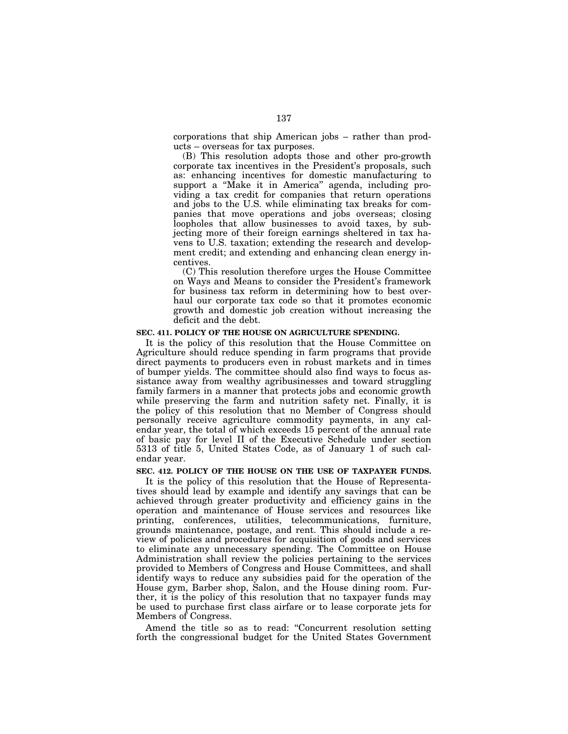corporations that ship American jobs – rather than products – overseas for tax purposes.

(B) This resolution adopts those and other pro-growth corporate tax incentives in the President's proposals, such as: enhancing incentives for domestic manufacturing to support a ''Make it in America'' agenda, including providing a tax credit for companies that return operations and jobs to the U.S. while eliminating tax breaks for companies that move operations and jobs overseas; closing loopholes that allow businesses to avoid taxes, by subjecting more of their foreign earnings sheltered in tax havens to U.S. taxation; extending the research and development credit; and extending and enhancing clean energy incentives.

(C) This resolution therefore urges the House Committee on Ways and Means to consider the President's framework for business tax reform in determining how to best overhaul our corporate tax code so that it promotes economic growth and domestic job creation without increasing the deficit and the debt.

#### **SEC. 411. POLICY OF THE HOUSE ON AGRICULTURE SPENDING.**

It is the policy of this resolution that the House Committee on Agriculture should reduce spending in farm programs that provide direct payments to producers even in robust markets and in times of bumper yields. The committee should also find ways to focus assistance away from wealthy agribusinesses and toward struggling family farmers in a manner that protects jobs and economic growth while preserving the farm and nutrition safety net. Finally, it is the policy of this resolution that no Member of Congress should personally receive agriculture commodity payments, in any calendar year, the total of which exceeds 15 percent of the annual rate of basic pay for level II of the Executive Schedule under section 5313 of title 5, United States Code, as of January 1 of such calendar year.

#### **SEC. 412. POLICY OF THE HOUSE ON THE USE OF TAXPAYER FUNDS.**

It is the policy of this resolution that the House of Representatives should lead by example and identify any savings that can be achieved through greater productivity and efficiency gains in the operation and maintenance of House services and resources like printing, conferences, utilities, telecommunications, furniture, grounds maintenance, postage, and rent. This should include a review of policies and procedures for acquisition of goods and services to eliminate any unnecessary spending. The Committee on House Administration shall review the policies pertaining to the services provided to Members of Congress and House Committees, and shall identify ways to reduce any subsidies paid for the operation of the House gym, Barber shop, Salon, and the House dining room. Further, it is the policy of this resolution that no taxpayer funds may be used to purchase first class airfare or to lease corporate jets for Members of Congress.

Amend the title so as to read: ''Concurrent resolution setting forth the congressional budget for the United States Government